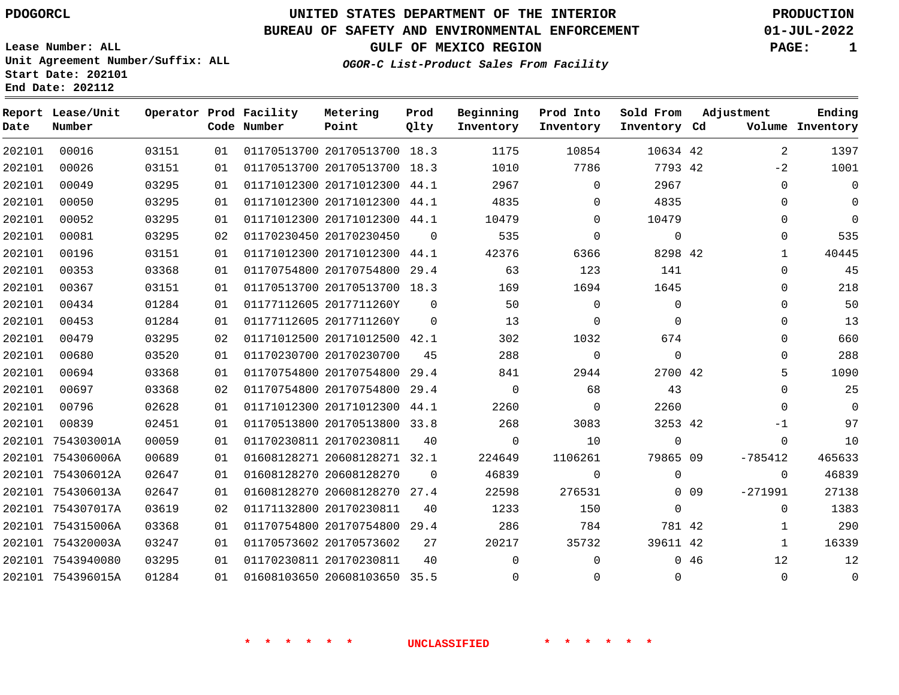**Start Date: 202101 End Date: 202112**

# **UNITED STATES DEPARTMENT OF THE INTERIOR PDOGORCL PRODUCTION**

### **BUREAU OF SAFETY AND ENVIRONMENTAL ENFORCEMENT 01-JUL-2022**

**Lease Number: ALL Unit Agreement Number/Suffix: ALL**

**GULF OF MEXICO REGION PAGE: 1**

**OGOR-C List-Product Sales From Facility**

| Date   | Report Lease/Unit<br>Number |       |    | Operator Prod Facility<br>Code Number | Metering<br>Point            | Prod<br>Qlty | Beginning<br>Inventory | Prod Into<br>Inventory | Sold From<br>Inventory Cd | Adjustment |              | Ending<br>Volume Inventory |
|--------|-----------------------------|-------|----|---------------------------------------|------------------------------|--------------|------------------------|------------------------|---------------------------|------------|--------------|----------------------------|
| 202101 | 00016                       | 03151 | 01 |                                       | 01170513700 20170513700 18.3 |              | 1175                   | 10854                  | 10634 42                  |            | 2            | 1397                       |
| 202101 | 00026                       | 03151 | 01 |                                       | 01170513700 20170513700 18.3 |              | 1010                   | 7786                   | 7793 42                   |            | $-2$         | 1001                       |
| 202101 | 00049                       | 03295 | 01 |                                       | 01171012300 20171012300 44.1 |              | 2967                   | $\Omega$               | 2967                      |            | $\Omega$     | $\mathbf 0$                |
| 202101 | 00050                       | 03295 | 01 |                                       | 01171012300 20171012300 44.1 |              | 4835                   | $\Omega$               | 4835                      |            | 0            | $\mathbf{0}$               |
| 202101 | 00052                       | 03295 | 01 |                                       | 01171012300 20171012300 44.1 |              | 10479                  | $\Omega$               | 10479                     |            | $\Omega$     | $\Omega$                   |
| 202101 | 00081                       | 03295 | 02 |                                       | 01170230450 20170230450      | $\Omega$     | 535                    | $\Omega$               | $\mathbf 0$               |            | $\Omega$     | 535                        |
| 202101 | 00196                       | 03151 | 01 |                                       | 01171012300 20171012300 44.1 |              | 42376                  | 6366                   | 8298 42                   |            | $\mathbf{1}$ | 40445                      |
| 202101 | 00353                       | 03368 | 01 |                                       | 01170754800 20170754800 29.4 |              | 63                     | 123                    | 141                       |            | 0            | 45                         |
| 202101 | 00367                       | 03151 | 01 |                                       | 01170513700 20170513700 18.3 |              | 169                    | 1694                   | 1645                      |            | 0            | 218                        |
| 202101 | 00434                       | 01284 | 01 |                                       | 01177112605 2017711260Y      | $\Omega$     | 50                     | $\Omega$               | $\mathbf 0$               |            | $\mathbf{0}$ | 50                         |
| 202101 | 00453                       | 01284 | 01 |                                       | 01177112605 2017711260Y      | $\Omega$     | 13                     | $\Omega$               | $\Omega$                  |            | 0            | 13                         |
| 202101 | 00479                       | 03295 | 02 |                                       | 01171012500 20171012500 42.1 |              | 302                    | 1032                   | 674                       |            | $\Omega$     | 660                        |
| 202101 | 00680                       | 03520 | 01 |                                       | 01170230700 20170230700      | 45           | 288                    | $\mathbf 0$            | $\mathbf 0$               |            | 0            | 288                        |
| 202101 | 00694                       | 03368 | 01 |                                       | 01170754800 20170754800 29.4 |              | 841                    | 2944                   | 2700 42                   |            | 5            | 1090                       |
| 202101 | 00697                       | 03368 | 02 |                                       | 01170754800 20170754800      | 29.4         | $\mathbf 0$            | 68                     | 43                        |            | $\Omega$     | 25                         |
| 202101 | 00796                       | 02628 | 01 |                                       | 01171012300 20171012300 44.1 |              | 2260                   | $\Omega$               | 2260                      |            | $\Omega$     | $\Omega$                   |
| 202101 | 00839                       | 02451 | 01 |                                       | 01170513800 20170513800 33.8 |              | 268                    | 3083                   | 3253 42                   |            | -1           | 97                         |
| 202101 | 754303001A                  | 00059 | 01 |                                       | 01170230811 20170230811      | 40           | $\mathbf 0$            | 10                     | $\mathbf 0$               |            | $\Omega$     | 10                         |
|        | 202101 754306006A           | 00689 | 01 |                                       | 01608128271 20608128271 32.1 |              | 224649                 | 1106261                | 79865 09                  |            | $-785412$    | 465633                     |
|        | 202101 754306012A           | 02647 | 01 |                                       | 01608128270 20608128270      | $\Omega$     | 46839                  | $\Omega$               | $\Omega$                  |            | 0            | 46839                      |
|        | 202101 754306013A           | 02647 | 01 |                                       | 01608128270 20608128270      | 27.4         | 22598                  | 276531                 |                           | $0$ 09     | $-271991$    | 27138                      |
|        | 202101 754307017A           | 03619 | 02 |                                       | 01171132800 20170230811      | 40           | 1233                   | 150                    | $\Omega$                  |            | $\Omega$     | 1383                       |
|        | 202101 754315006A           | 03368 | 01 |                                       | 01170754800 20170754800 29.4 |              | 286                    | 784                    | 781 42                    |            | $\mathbf{1}$ | 290                        |
|        | 202101 754320003A           | 03247 | 01 |                                       | 01170573602 20170573602      | 27           | 20217                  | 35732                  | 39611 42                  |            | $\mathbf{1}$ | 16339                      |
|        | 202101 7543940080           | 03295 | 01 |                                       | 01170230811 20170230811      | 40           | $\Omega$               | $\Omega$               |                           | 046        | 12           | 12                         |
|        | 202101 754396015A           | 01284 | 01 |                                       | 01608103650 20608103650 35.5 |              | $\mathbf 0$            | $\Omega$               | $\Omega$                  |            | $\mathbf{0}$ | $\mathbf 0$                |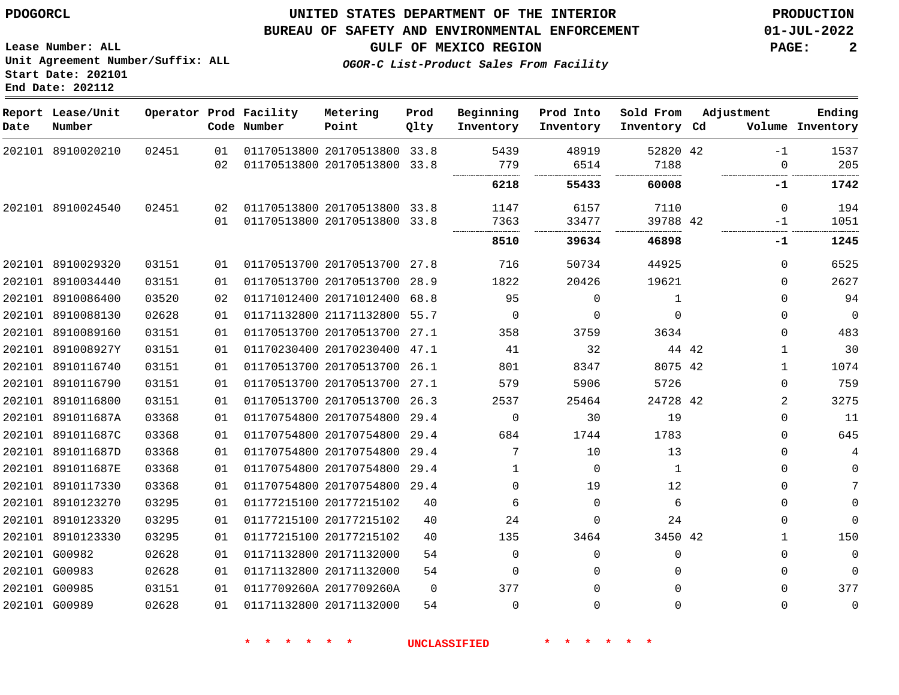## **UNITED STATES DEPARTMENT OF THE INTERIOR PDOGORCL PRODUCTION**

#### **BUREAU OF SAFETY AND ENVIRONMENTAL ENFORCEMENT 01-JUL-2022**

**Lease Number: ALL Unit Agreement Number/Suffix: ALL Start Date: 202101**

**GULF OF MEXICO REGION PAGE: 2**

**OGOR-C List-Product Sales From Facility**

| Date | Report Lease/Unit<br>Number |       |    | Operator Prod Facility<br>Code Number | Metering<br>Point            | Prod<br>Qlty | Beginning<br>Inventory | Prod Into<br>Inventory | Sold From<br>Inventory Cd | Adjustment            | Ending<br>Volume Inventory |
|------|-----------------------------|-------|----|---------------------------------------|------------------------------|--------------|------------------------|------------------------|---------------------------|-----------------------|----------------------------|
|      | 202101 8910020210           | 02451 | 01 |                                       | 01170513800 20170513800 33.8 |              | 5439                   | 48919                  | 52820 42                  | $-1$                  | 1537                       |
|      |                             |       | 02 |                                       | 01170513800 20170513800      | 33.8         | 779                    | 6514                   | 7188                      | $\Omega$              | 205                        |
|      |                             |       |    |                                       |                              |              | 6218                   | 55433                  | 60008                     | -1                    | 1742                       |
|      | 202101 8910024540           | 02451 | 02 |                                       | 01170513800 20170513800 33.8 |              | 1147                   | 6157                   | 7110                      | $\Omega$              | 194                        |
|      |                             |       | 01 |                                       | 01170513800 20170513800 33.8 |              | 7363                   | 33477                  | 39788 42                  | -1                    | 1051                       |
|      |                             |       |    |                                       |                              |              | 8510                   | 39634                  | 46898                     | $-1$                  | 1245                       |
|      | 202101 8910029320           | 03151 | 01 |                                       | 01170513700 20170513700 27.8 |              | 716                    | 50734                  | 44925                     | $\Omega$              | 6525                       |
|      | 202101 8910034440           | 03151 | 01 |                                       | 01170513700 20170513700 28.9 |              | 1822                   | 20426                  | 19621                     | 0                     | 2627                       |
|      | 202101 8910086400           | 03520 | 02 |                                       | 01171012400 20171012400 68.8 |              | 95                     | 0                      | 1                         | 0                     | 94                         |
|      | 202101 8910088130           | 02628 | 01 |                                       | 01171132800 21171132800 55.7 |              | $\mathbf 0$            | $\Omega$               | $\Omega$                  | $\Omega$              | $\overline{0}$             |
|      | 202101 8910089160           | 03151 | 01 |                                       | 01170513700 20170513700 27.1 |              | 358                    | 3759                   | 3634                      | $\Omega$              | 483                        |
|      | 202101 891008927Y           | 03151 | 01 |                                       | 01170230400 20170230400 47.1 |              | 41                     | 32                     |                           | 44 42<br>$\mathbf{1}$ | 30                         |
|      | 202101 8910116740           | 03151 | 01 |                                       | 01170513700 20170513700 26.1 |              | 801                    | 8347                   | 8075 42                   | 1                     | 1074                       |
|      | 202101 8910116790           | 03151 | 01 |                                       | 01170513700 20170513700 27.1 |              | 579                    | 5906                   | 5726                      | 0                     | 759                        |
|      | 202101 8910116800           | 03151 | 01 |                                       | 01170513700 20170513700 26.3 |              | 2537                   | 25464                  | 24728 42                  | 2                     | 3275                       |
|      | 202101 891011687A           | 03368 | 01 |                                       | 01170754800 20170754800 29.4 |              | $\mathbf 0$            | 30                     | 19                        | $\Omega$              | 11                         |
|      | 202101 891011687C           | 03368 | 01 |                                       | 01170754800 20170754800 29.4 |              | 684                    | 1744                   | 1783                      | $\Omega$              | 645                        |
|      | 202101 891011687D           | 03368 | 01 |                                       | 01170754800 20170754800 29.4 |              | 7                      | 10                     | 13                        | $\Omega$              | 4                          |
|      | 202101 891011687E           | 03368 | 01 |                                       | 01170754800 20170754800 29.4 |              | 1                      | $\Omega$               | 1                         | $\Omega$              | $\mathbf 0$                |
|      | 202101 8910117330           | 03368 | 01 |                                       | 01170754800 20170754800 29.4 |              | $\mathbf 0$            | 19                     | 12                        | 0                     | 7                          |
|      | 202101 8910123270           | 03295 | 01 |                                       | 01177215100 20177215102      | 40           | 6                      | $\Omega$               | 6                         | $\Omega$              | $\mathbf 0$                |
|      | 202101 8910123320           | 03295 | 01 |                                       | 01177215100 20177215102      | 40           | 24                     | $\Omega$               | 24                        | $\Omega$              | $\Omega$                   |
|      | 202101 8910123330           | 03295 | 01 |                                       | 01177215100 20177215102      | 40           | 135                    | 3464                   | 3450 42                   | $\mathbf{1}$          | 150                        |
|      | 202101 G00982               | 02628 | 01 |                                       | 01171132800 20171132000      | 54           | $\mathbf 0$            | 0                      | $\Omega$                  | 0                     | $\mathbf 0$                |
|      | 202101 G00983               | 02628 | 01 |                                       | 01171132800 20171132000      | 54           | 0                      | $\Omega$               | $\Omega$                  | $\Omega$              | $\mathbf 0$                |
|      | 202101 G00985               | 03151 | 01 |                                       | 0117709260A 2017709260A      | $\Omega$     | 377                    | $\Omega$               | $\Omega$                  | 0                     | 377                        |
|      | 202101 G00989               | 02628 | 01 |                                       | 01171132800 20171132000      | 54           | 0                      | 0                      | $\Omega$                  | $\Omega$              | 0                          |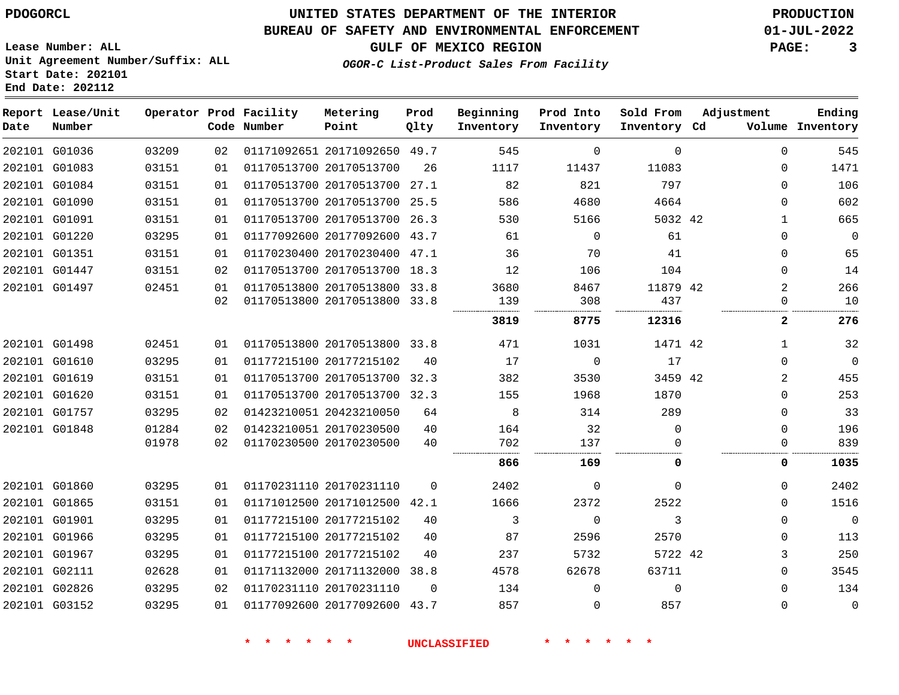### **BUREAU OF SAFETY AND ENVIRONMENTAL ENFORCEMENT 01-JUL-2022**

**OGOR-C List-Product Sales From Facility**

**GULF OF MEXICO REGION PAGE: 3**

**Lease Number: ALL Unit Agreement Number/Suffix: ALL Start Date: 202101 End Date: 202112**

| Date | Report Lease/Unit<br>Number |       |    | Operator Prod Facility<br>Code Number | Metering<br>Point            | Prod<br>Qlty | Beginning<br>Inventory | Prod Into<br>Inventory | Sold From<br>Inventory Cd | Adjustment     | Ending<br>Volume Inventory |
|------|-----------------------------|-------|----|---------------------------------------|------------------------------|--------------|------------------------|------------------------|---------------------------|----------------|----------------------------|
|      | 202101 G01036               | 03209 | 02 |                                       | 01171092651 20171092650 49.7 |              | 545                    | $\Omega$               | $\Omega$                  | $\Omega$       | 545                        |
|      | 202101 G01083               | 03151 | 01 |                                       | 01170513700 20170513700      | 26           | 1117                   | 11437                  | 11083                     | $\Omega$       | 1471                       |
|      | 202101 G01084               | 03151 | 01 |                                       | 01170513700 20170513700 27.1 |              | 82                     | 821                    | 797                       | $\Omega$       | 106                        |
|      | 202101 G01090               | 03151 | 01 |                                       | 01170513700 20170513700 25.5 |              | 586                    | 4680                   | 4664                      | $\Omega$       | 602                        |
|      | 202101 G01091               | 03151 | 01 |                                       | 01170513700 20170513700 26.3 |              | 530                    | 5166                   | 5032 42                   | $\mathbf{1}$   | 665                        |
|      | 202101 G01220               | 03295 | 01 |                                       | 01177092600 20177092600 43.7 |              | 61                     | $\Omega$               | 61                        | 0              | $\mathbf 0$                |
|      | 202101 G01351               | 03151 | 01 |                                       | 01170230400 20170230400 47.1 |              | 36                     | 70                     | 41                        | 0              | 65                         |
|      | 202101 G01447               | 03151 | 02 |                                       | 01170513700 20170513700 18.3 |              | 12                     | 106                    | 104                       | $\Omega$       | 14                         |
|      | 202101 G01497               | 02451 | 01 |                                       | 01170513800 20170513800 33.8 |              | 3680                   | 8467                   | 11879 42                  | $\overline{2}$ | 266                        |
|      |                             |       | 02 |                                       | 01170513800 20170513800 33.8 |              | 139                    | 308                    | 437                       | 0              | 10                         |
|      |                             |       |    |                                       |                              |              | 3819                   | 8775                   | 12316                     | $\mathbf{2}$   | 276                        |
|      | 202101 G01498               | 02451 | 01 |                                       | 01170513800 20170513800 33.8 |              | 471                    | 1031                   | 1471 42                   | $\mathbf{1}$   | 32                         |
|      | 202101 G01610               | 03295 | 01 |                                       | 01177215100 20177215102      | 40           | 17                     | $\mathbf 0$            | 17                        | 0              | $\mathbf 0$                |
|      | 202101 G01619               | 03151 | 01 |                                       | 01170513700 20170513700 32.3 |              | 382                    | 3530                   | 3459 42                   | 2              | 455                        |
|      | 202101 G01620               | 03151 | 01 |                                       | 01170513700 20170513700 32.3 |              | 155                    | 1968                   | 1870                      | $\Omega$       | 253                        |
|      | 202101 G01757               | 03295 | 02 |                                       | 01423210051 20423210050      | 64           | 8                      | 314                    | 289                       | $\Omega$       | 33                         |
|      | 202101 G01848               | 01284 | 02 |                                       | 01423210051 20170230500      | 40           | 164                    | 32                     | 0                         | $\Omega$       | 196                        |
|      |                             | 01978 | 02 |                                       | 01170230500 20170230500      | 40           | 702                    | 137                    |                           | 0              | 839                        |
|      |                             |       |    |                                       |                              |              | 866                    | 169                    | 0                         | 0              | 1035                       |
|      | 202101 G01860               | 03295 | 01 |                                       | 01170231110 20170231110      | $\mathbf 0$  | 2402                   | $\mathbf 0$            | $\mathbf 0$               | 0              | 2402                       |
|      | 202101 G01865               | 03151 | 01 |                                       | 01171012500 20171012500 42.1 |              | 1666                   | 2372                   | 2522                      | 0              | 1516                       |
|      | 202101 G01901               | 03295 | 01 |                                       | 01177215100 20177215102      | 40           | 3                      | $\Omega$               | 3                         | $\Omega$       | $\mathbf 0$                |
|      | 202101 G01966               | 03295 | 01 |                                       | 01177215100 20177215102      | 40           | 87                     | 2596                   | 2570                      | $\Omega$       | 113                        |
|      | 202101 G01967               | 03295 | 01 |                                       | 01177215100 20177215102      | 40           | 237                    | 5732                   | 5722 42                   | 3              | 250                        |
|      | 202101 G02111               | 02628 | 01 |                                       | 01171132000 20171132000      | 38.8         | 4578                   | 62678                  | 63711                     | 0              | 3545                       |
|      | 202101 G02826               | 03295 | 02 |                                       | 01170231110 20170231110      | $\Omega$     | 134                    | $\Omega$               | $\Omega$                  | $\Omega$       | 134                        |
|      | 202101 G03152               | 03295 | 01 |                                       | 01177092600 20177092600 43.7 |              | 857                    | $\mathbf 0$            | 857                       | 0              | $\mathbf 0$                |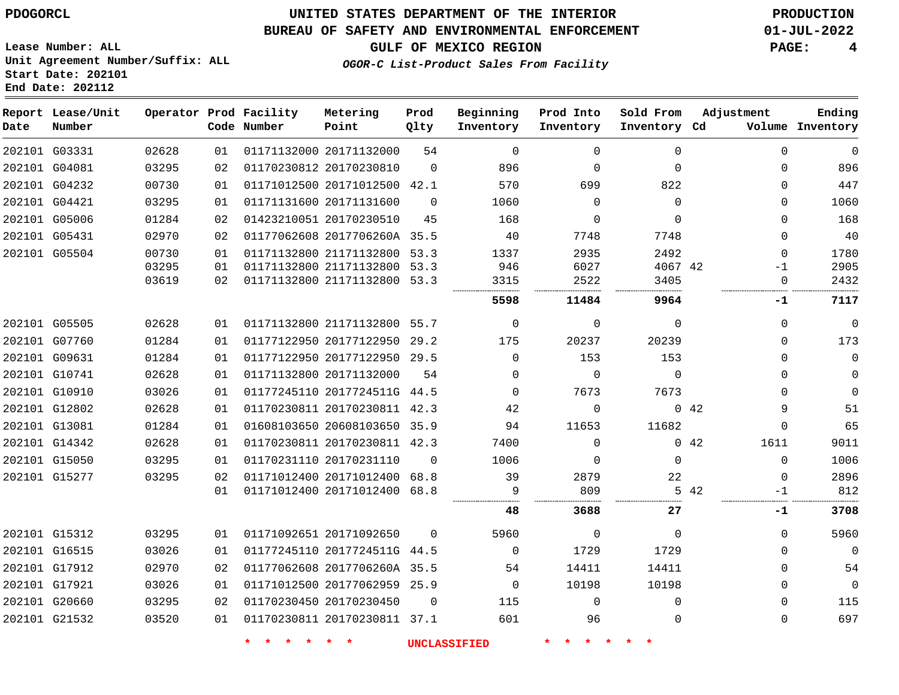#### **BUREAU OF SAFETY AND ENVIRONMENTAL ENFORCEMENT 01-JUL-2022**

**GULF OF MEXICO REGION PAGE: 4**

**Ending**

**Lease Number: ALL Unit Agreement Number/Suffix: ALL Start Date: 202101 End Date: 202112**

|     | OGOR-C List-Product Sales From Facility |      |           |                     |  |            |  |
|-----|-----------------------------------------|------|-----------|---------------------|--|------------|--|
|     |                                         |      |           |                     |  |            |  |
| itv | Metering                                | Prod | Beginning | Prod Into Sold From |  | Adjustment |  |

| Date | Report Lease/Unit<br>Number |       |    | Operator Prod Facility<br>Code Number | Metering<br>Point            | Prod<br>Qlty | Beginning<br>Inventory | Prod Into<br>Inventory        | Sold From<br>Inventory Cd |      | Adjustment  | Ending<br>Volume Inventory |
|------|-----------------------------|-------|----|---------------------------------------|------------------------------|--------------|------------------------|-------------------------------|---------------------------|------|-------------|----------------------------|
|      | 202101 G03331               | 02628 | 01 |                                       | 01171132000 20171132000      | 54           | $\mathbf 0$            | $\Omega$                      | $\mathbf 0$               |      | $\Omega$    | $\mathbf 0$                |
|      | 202101 G04081               | 03295 | 02 |                                       | 01170230812 20170230810      | $\mathbf 0$  | 896                    | 0                             | $\mathbf 0$               |      | $\Omega$    | 896                        |
|      | 202101 G04232               | 00730 | 01 |                                       | 01171012500 20171012500 42.1 |              | 570                    | 699                           | 822                       |      | $\Omega$    | 447                        |
|      | 202101 G04421               | 03295 | 01 |                                       | 01171131600 20171131600      | $\mathbf 0$  | 1060                   | 0                             | $\mathbf 0$               |      | 0           | 1060                       |
|      | 202101 G05006               | 01284 | 02 |                                       | 01423210051 20170230510      | 45           | 168                    | $\Omega$                      | $\Omega$                  |      | $\Omega$    | 168                        |
|      | 202101 G05431               | 02970 | 02 |                                       | 01177062608 2017706260A 35.5 |              | 40                     | 7748                          | 7748                      |      | $\Omega$    | 40                         |
|      | 202101 G05504               | 00730 | 01 |                                       | 01171132800 21171132800 53.3 |              | 1337                   | 2935                          | 2492                      |      | $\Omega$    | 1780                       |
|      |                             | 03295 | 01 |                                       | 01171132800 21171132800 53.3 |              | 946                    | 6027                          | 4067 42                   |      | $-1$        | 2905                       |
|      |                             | 03619 | 02 |                                       | 01171132800 21171132800 53.3 |              | 3315                   | 2522                          | 3405                      |      | $\mathbf 0$ | 2432                       |
|      |                             |       |    |                                       |                              |              | 5598                   | 11484                         | 9964                      |      | -1          | 7117                       |
|      | 202101 G05505               | 02628 | 01 |                                       | 01171132800 21171132800 55.7 |              | $\mathbf 0$            | $\mathbf 0$                   | $\mathbf 0$               |      | $\Omega$    | $\mathbf 0$                |
|      | 202101 G07760               | 01284 | 01 |                                       | 01177122950 20177122950 29.2 |              | 175                    | 20237                         | 20239                     |      | $\Omega$    | 173                        |
|      | 202101 G09631               | 01284 | 01 |                                       | 01177122950 20177122950 29.5 |              | $\Omega$               | 153                           | 153                       |      | 0           | $\mathbf 0$                |
|      | 202101 G10741               | 02628 | 01 |                                       | 01171132800 20171132000      | 54           | $\mathbf 0$            | $\mathbf 0$                   | $\mathbf 0$               |      | $\Omega$    | 0                          |
|      | 202101 G10910               | 03026 | 01 |                                       | 01177245110 2017724511G 44.5 |              | $\Omega$               | 7673                          | 7673                      |      | $\Omega$    | $\mathbf 0$                |
|      | 202101 G12802               | 02628 | 01 |                                       | 01170230811 20170230811 42.3 |              | 42                     | $\mathbf 0$                   |                           | 0.42 | 9           | 51                         |
|      | 202101 G13081               | 01284 | 01 |                                       | 01608103650 20608103650 35.9 |              | 94                     | 11653                         | 11682                     |      | $\Omega$    | 65                         |
|      | 202101 G14342               | 02628 | 01 |                                       | 01170230811 20170230811 42.3 |              | 7400                   | $\Omega$                      |                           | 042  | 1611        | 9011                       |
|      | 202101 G15050               | 03295 | 01 |                                       | 01170231110 20170231110      | $\Omega$     | 1006                   | $\Omega$                      | $\Omega$                  |      | $\Omega$    | 1006                       |
|      | 202101 G15277               | 03295 | 02 |                                       | 01171012400 20171012400 68.8 |              | 39                     | 2879                          | $2\sqrt{2}$               |      | $\Omega$    | 2896                       |
|      |                             |       | 01 |                                       | 01171012400 20171012400 68.8 |              | 9                      | 809                           |                           | 5 42 | $-1$        | 812                        |
|      |                             |       |    |                                       |                              |              | 48                     | 3688                          | 27                        |      | $-1$        | 3708                       |
|      | 202101 G15312               | 03295 | 01 |                                       | 01171092651 20171092650      | $\Omega$     | 5960                   | 0                             | $\mathbf 0$               |      | $\Omega$    | 5960                       |
|      | 202101 G16515               | 03026 | 01 |                                       | 01177245110 2017724511G 44.5 |              | $\mathbf 0$            | 1729                          | 1729                      |      | $\Omega$    | $\overline{0}$             |
|      | 202101 G17912               | 02970 | 02 |                                       | 01177062608 2017706260A 35.5 |              | 54                     | 14411                         | 14411                     |      | $\Omega$    | 54                         |
|      | 202101 G17921               | 03026 | 01 |                                       | 01171012500 20177062959 25.9 |              | $\mathbf 0$            | 10198                         | 10198                     |      | $\Omega$    | $\mathbf 0$                |
|      | 202101 G20660               | 03295 | 02 |                                       | 01170230450 20170230450      | $\Omega$     | 115                    | $\Omega$                      | $\Omega$                  |      | $\Omega$    | 115                        |
|      | 202101 G21532               | 03520 | 01 |                                       | 01170230811 20170230811 37.1 |              | 601                    | 96                            | $\Omega$                  |      | $\Omega$    | 697                        |
|      |                             |       |    | $\star$<br>$\star$                    | $\star$<br>$\ast$            |              | <b>UNCLASSIFIED</b>    | $\star$<br>$\star$<br>$\star$ |                           |      |             |                            |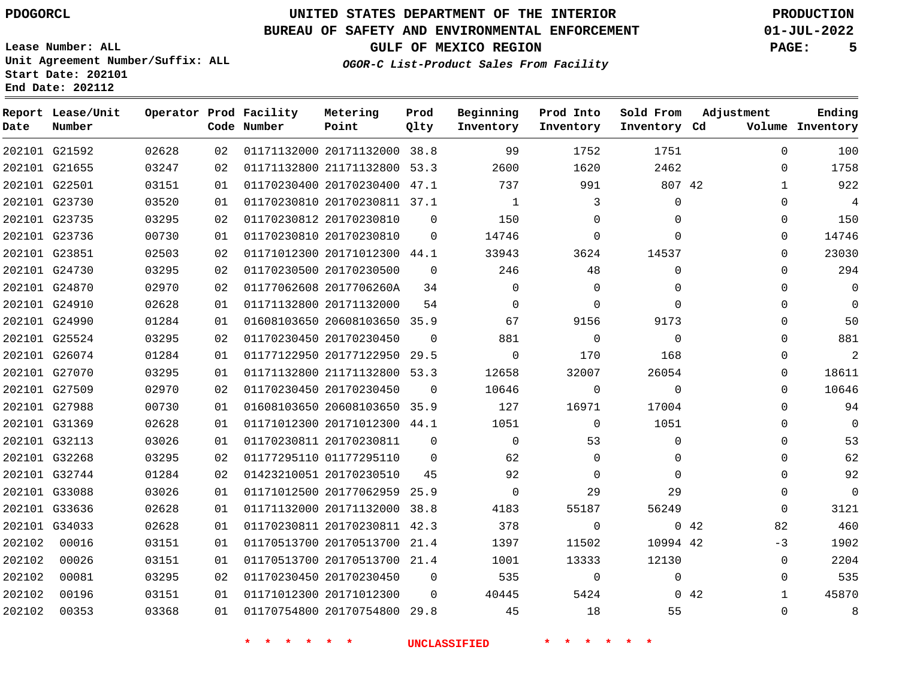### **BUREAU OF SAFETY AND ENVIRONMENTAL ENFORCEMENT 01-JUL-2022**

**OGOR-C List-Product Sales From Facility**

**GULF OF MEXICO REGION PAGE: 5**

**Lease Number: ALL Unit Agreement Number/Suffix: ALL Start Date: 202101 End Date: 202112**

| Date   | Report Lease/Unit<br>Number |       |    | Operator Prod Facility<br>Code Number | Metering<br>Point            | Prod<br>Qlty | Beginning<br>Inventory | Prod Into<br>Inventory | Sold From<br>Inventory Cd | Adjustment                  | Ending<br>Volume Inventory |
|--------|-----------------------------|-------|----|---------------------------------------|------------------------------|--------------|------------------------|------------------------|---------------------------|-----------------------------|----------------------------|
|        | 202101 G21592               | 02628 | 02 |                                       | 01171132000 20171132000 38.8 |              | 99                     | 1752                   | 1751                      | $\Omega$                    | 100                        |
|        | 202101 G21655               | 03247 | 02 |                                       | 01171132800 21171132800 53.3 |              | 2600                   | 1620                   | 2462                      | 0                           | 1758                       |
|        | 202101 G22501               | 03151 | 01 |                                       | 01170230400 20170230400 47.1 |              | 737                    | 991                    | 807 42                    | 1                           | 922                        |
|        | 202101 G23730               | 03520 | 01 |                                       | 01170230810 20170230811 37.1 |              | $\mathbf{1}$           | 3                      | $\mathbf{0}$              | $\Omega$                    | $\overline{4}$             |
|        | 202101 G23735               | 03295 | 02 |                                       | 01170230812 20170230810      | $\mathbf 0$  | 150                    | 0                      | 0                         | 0                           | 150                        |
|        | 202101 G23736               | 00730 | 01 |                                       | 01170230810 20170230810      | 0            | 14746                  | $\mathbf 0$            | $\Omega$                  | $\Omega$                    | 14746                      |
|        | 202101 G23851               | 02503 | 02 |                                       | 01171012300 20171012300 44.1 |              | 33943                  | 3624                   | 14537                     | $\Omega$                    | 23030                      |
|        | 202101 G24730               | 03295 | 02 |                                       | 01170230500 20170230500      | $\Omega$     | 246                    | 48                     | $\Omega$                  | $\Omega$                    | 294                        |
|        | 202101 G24870               | 02970 | 02 |                                       | 01177062608 2017706260A      | 34           | 0                      | 0                      | 0                         | $\Omega$                    | $\mathbf 0$                |
|        | 202101 G24910               | 02628 | 01 |                                       | 01171132800 20171132000      | 54           | $\Omega$               | $\Omega$               | $\Omega$                  | $\Omega$                    | $\mathbf 0$                |
|        | 202101 G24990               | 01284 | 01 |                                       | 01608103650 20608103650 35.9 |              | 67                     | 9156                   | 9173                      | $\Omega$                    | 50                         |
|        | 202101 G25524               | 03295 | 02 |                                       | 01170230450 20170230450      | $\Omega$     | 881                    | $\mathbf 0$            | $\mathbf 0$               | 0                           | 881                        |
|        | 202101 G26074               | 01284 | 01 |                                       | 01177122950 20177122950 29.5 |              | $\mathbf 0$            | 170                    | 168                       | $\Omega$                    | $\overline{2}$             |
|        | 202101 G27070               | 03295 | 01 |                                       | 01171132800 21171132800 53.3 |              | 12658                  | 32007                  | 26054                     | $\Omega$                    | 18611                      |
|        | 202101 G27509               | 02970 | 02 |                                       | 01170230450 20170230450      | $\Omega$     | 10646                  | 0                      | $\Omega$                  | $\Omega$                    | 10646                      |
|        | 202101 G27988               | 00730 | 01 |                                       | 01608103650 20608103650 35.9 |              | 127                    | 16971                  | 17004                     | $\Omega$                    | 94                         |
|        | 202101 G31369               | 02628 | 01 |                                       | 01171012300 20171012300 44.1 |              | 1051                   | $\mathbf 0$            | 1051                      | 0                           | $\mathbf 0$                |
|        | 202101 G32113               | 03026 | 01 |                                       | 01170230811 20170230811      | $\Omega$     | $\Omega$               | 53                     | $\Omega$                  | $\Omega$                    | 53                         |
|        | 202101 G32268               | 03295 | 02 |                                       | 01177295110 01177295110      | $\Omega$     | 62                     | $\mathbf 0$            | 0                         | 0                           | 62                         |
|        | 202101 G32744               | 01284 | 02 |                                       | 01423210051 20170230510      | 45           | 92                     | $\Omega$               | $\Omega$                  | $\Omega$                    | 92                         |
|        | 202101 G33088               | 03026 | 01 |                                       | 01171012500 20177062959 25.9 |              | $\mathbf 0$            | 29                     | 29                        | $\mathbf 0$                 | $\mathbf 0$                |
|        | 202101 G33636               | 02628 | 01 |                                       | 01171132000 20171132000 38.8 |              | 4183                   | 55187                  | 56249                     | $\mathbf 0$                 | 3121                       |
|        | 202101 G34033               | 02628 | 01 |                                       | 01170230811 20170230811 42.3 |              | 378                    | $\mathbf 0$            |                           | 82<br>042                   | 460                        |
| 202102 | 00016                       | 03151 | 01 |                                       | 01170513700 20170513700 21.4 |              | 1397                   | 11502                  | 10994 42                  | $-3$                        | 1902                       |
| 202102 | 00026                       | 03151 | 01 |                                       | 01170513700 20170513700 21.4 |              | 1001                   | 13333                  | 12130                     | $\Omega$                    | 2204                       |
| 202102 | 00081                       | 03295 | 02 |                                       | 01170230450 20170230450      | $\mathbf 0$  | 535                    | 0                      | 0                         | $\Omega$                    | 535                        |
| 202102 | 00196                       | 03151 | 01 |                                       | 01171012300 20171012300      | $\Omega$     | 40445                  | 5424                   |                           | $0\quad 42$<br>$\mathbf{1}$ | 45870                      |
| 202102 | 00353                       | 03368 | 01 |                                       | 01170754800 20170754800 29.8 |              | 45                     | 18                     | 55                        | $\Omega$                    | 8                          |
|        |                             |       |    |                                       |                              |              |                        |                        |                           |                             |                            |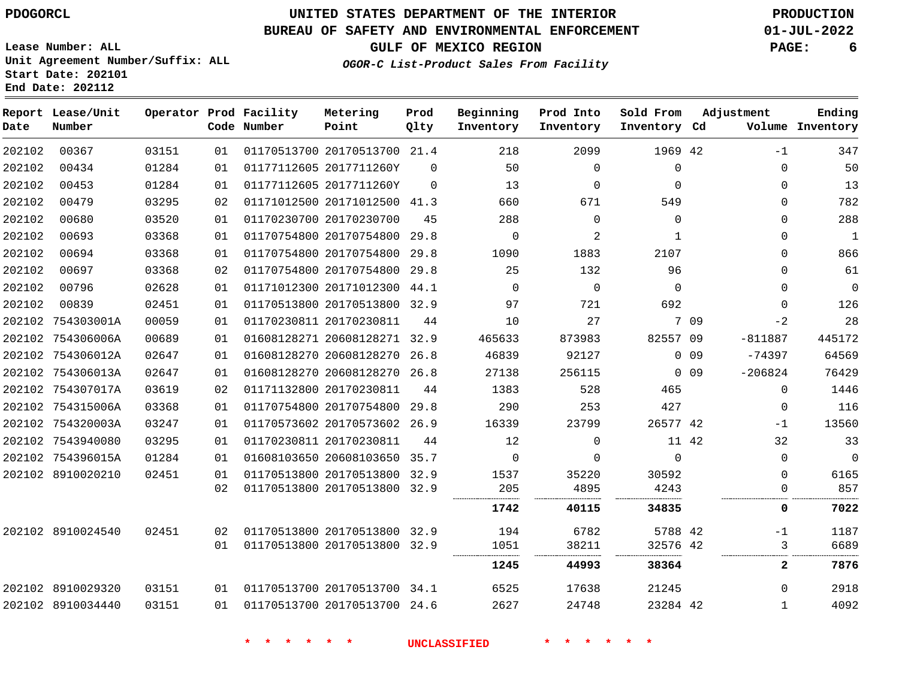# **UNITED STATES DEPARTMENT OF THE INTERIOR PDOGORCL PRODUCTION**

### **BUREAU OF SAFETY AND ENVIRONMENTAL ENFORCEMENT 01-JUL-2022**

**Lease Number: ALL Unit Agreement Number/Suffix: ALL Start Date: 202101**

**GULF OF MEXICO REGION PAGE: 6**

**OGOR-C List-Product Sales From Facility**

| Date   | Report Lease/Unit<br>Number |       |    | Operator Prod Facility<br>Code Number | Metering<br>Point            | Prod<br>Qlty | Beginning<br>Inventory | Prod Into<br>Inventory | Sold From<br>Inventory Cd |            | Adjustment   | Ending<br>Volume Inventory |
|--------|-----------------------------|-------|----|---------------------------------------|------------------------------|--------------|------------------------|------------------------|---------------------------|------------|--------------|----------------------------|
| 202102 | 00367                       | 03151 | 01 |                                       | 01170513700 20170513700 21.4 |              | 218                    | 2099                   | 1969 42                   |            | $-1$         | 347                        |
| 202102 | 00434                       | 01284 | 01 | 01177112605 2017711260Y               |                              | $\Omega$     | 50                     | $\mathbf{0}$           | 0                         |            | 0            | 50                         |
| 202102 | 00453                       | 01284 | 01 |                                       | 01177112605 2017711260Y      | $\Omega$     | 13                     | $\mathbf 0$            | 0                         |            | 0            | 13                         |
| 202102 | 00479                       | 03295 | 02 |                                       | 01171012500 20171012500 41.3 |              | 660                    | 671                    | 549                       |            | 0            | 782                        |
| 202102 | 00680                       | 03520 | 01 | 01170230700 20170230700               |                              | 45           | 288                    | $\Omega$               | 0                         |            | 0            | 288                        |
| 202102 | 00693                       | 03368 | 01 |                                       | 01170754800 20170754800 29.8 |              | $\mathbf 0$            | 2                      | 1                         |            | $\Omega$     | $\mathbf{1}$               |
| 202102 | 00694                       | 03368 | 01 |                                       | 01170754800 20170754800 29.8 |              | 1090                   | 1883                   | 2107                      |            | $\Omega$     | 866                        |
| 202102 | 00697                       | 03368 | 02 |                                       | 01170754800 20170754800      | 29.8         | 25                     | 132                    | 96                        |            | 0            | 61                         |
| 202102 | 00796                       | 02628 | 01 |                                       | 01171012300 20171012300 44.1 |              | $\Omega$               | $\Omega$               | $\Omega$                  |            | $\Omega$     | 0                          |
| 202102 | 00839                       | 02451 | 01 |                                       | 01170513800 20170513800 32.9 |              | 97                     | 721                    | 692                       |            | $\Omega$     | 126                        |
|        | 202102 754303001A           | 00059 | 01 | 01170230811 20170230811               |                              | 44           | 10                     | 27                     |                           | 7 09       | $-2$         | 28                         |
|        | 202102 754306006A           | 00689 | 01 |                                       | 01608128271 20608128271 32.9 |              | 465633                 | 873983                 | 82557 09                  |            | $-811887$    | 445172                     |
|        | 202102 754306012A           | 02647 | 01 |                                       | 01608128270 20608128270 26.8 |              | 46839                  | 92127                  |                           | $0$ 09     | $-74397$     | 64569                      |
|        | 202102 754306013A           | 02647 | 01 |                                       | 01608128270 20608128270 26.8 |              | 27138                  | 256115                 |                           | $0\quad09$ | $-206824$    | 76429                      |
|        | 202102 754307017A           | 03619 | 02 | 01171132800 20170230811               |                              | 44           | 1383                   | 528                    | 465                       |            | 0            | 1446                       |
|        | 202102 754315006A           | 03368 | 01 |                                       | 01170754800 20170754800 29.8 |              | 290                    | 253                    | 427                       |            | $\mathbf 0$  | 116                        |
|        | 202102 754320003A           | 03247 | 01 |                                       | 01170573602 20170573602 26.9 |              | 16339                  | 23799                  | 26577 42                  |            | $-1$         | 13560                      |
|        | 202102 7543940080           | 03295 | 01 |                                       | 01170230811 20170230811      | 44           | 12                     | $\mathbf{0}$           | 11 42                     |            | 32           | 33                         |
|        | 202102 754396015A           | 01284 | 01 |                                       | 01608103650 20608103650 35.7 |              | $\mathbf 0$            | $\mathbf{0}$           | $\mathbf 0$               |            | 0            | $\mathbf 0$                |
|        | 202102 8910020210           | 02451 | 01 |                                       | 01170513800 20170513800 32.9 |              | 1537                   | 35220                  | 30592                     |            | $\Omega$     | 6165                       |
|        |                             |       | 02 |                                       | 01170513800 20170513800 32.9 |              | 205                    | 4895                   | 4243                      |            | 0            | 857                        |
|        |                             |       |    |                                       |                              |              | 1742                   | 40115                  | 34835                     |            | 0            | 7022                       |
|        | 202102 8910024540           | 02451 | 02 |                                       | 01170513800 20170513800 32.9 |              | 194                    | 6782                   | 5788 42                   |            | $-1$         | 1187                       |
|        |                             |       | 01 |                                       | 01170513800 20170513800 32.9 |              | 1051                   | 38211                  | 32576 42                  |            | 3            | 6689                       |
|        |                             |       |    |                                       |                              |              | 1245                   | 44993                  | 38364                     |            | $\mathbf{2}$ | 7876                       |
|        | 202102 8910029320           | 03151 | 01 |                                       | 01170513700 20170513700 34.1 |              | 6525                   | 17638                  | 21245                     |            | 0            | 2918                       |
|        | 202102 8910034440           | 03151 | 01 |                                       | 01170513700 20170513700 24.6 |              | 2627                   | 24748                  | 23284 42                  |            | 1            | 4092                       |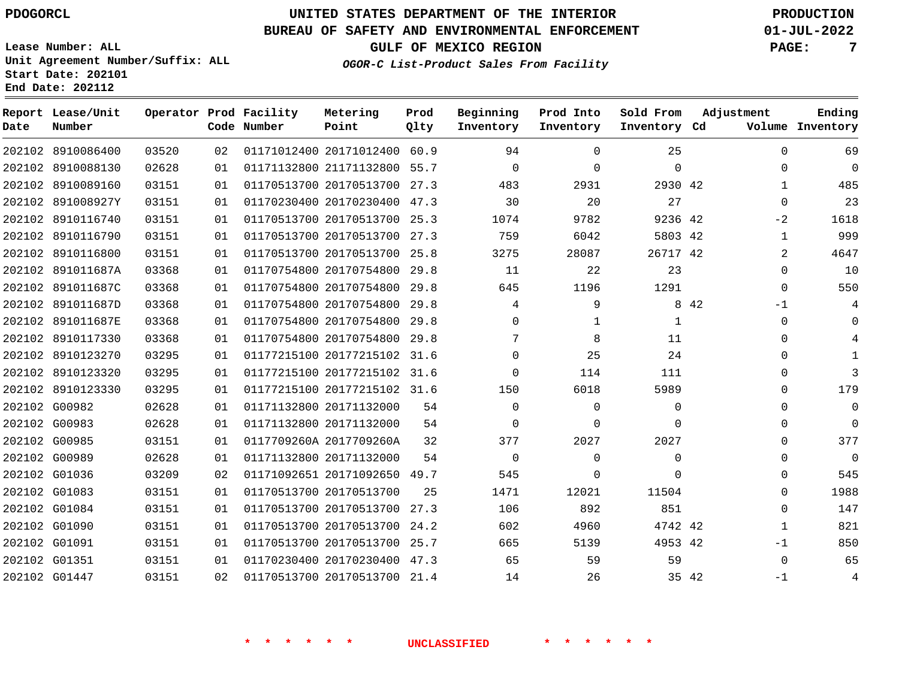**Date**

**End Date: 202112**

**Report Lease/Unit**

**Number**

8910086400

# **UNITED STATES DEPARTMENT OF THE INTERIOR PDOGORCL PRODUCTION**

#### **BUREAU OF SAFETY AND ENVIRONMENTAL ENFORCEMENT 01-JUL-2022**

**Lease Number: ALL Unit Agreement Number/Suffix: ALL Start Date: 202101**

**Operator Prod Facility**

**Code Number**

20171012400 60.9

**Metering Point**

**GULF OF MEXICO REGION PAGE: 7**

**Prod Qlty**

**OGOR-C List-Product Sales From Facility**

**Prod Into Inventory**

**Sold From Inventory**

**Beginning Inventory**

**Inventory Cd Volume**

**Adjustment**

**Ending**

|               | 202102 8910088130 | 02628 | 01 |                         | 01171132800 21171132800 55.7 |      | $\Omega$ | $\Omega$ | $\Omega$ |       | $\Omega$     |
|---------------|-------------------|-------|----|-------------------------|------------------------------|------|----------|----------|----------|-------|--------------|
|               | 202102 8910089160 | 03151 | 01 |                         | 01170513700 20170513700      | 27.3 | 483      | 2931     | 2930 42  |       | $\mathbf{1}$ |
|               | 202102 891008927Y | 03151 | 01 |                         | 01170230400 20170230400 47.3 |      | 30       | 20       | 27       |       | $\Omega$     |
|               | 202102 8910116740 | 03151 | 01 |                         | 01170513700 20170513700      | 25.3 | 1074     | 9782     | 9236 42  |       | $-2$         |
|               | 202102 8910116790 | 03151 | 01 |                         | 01170513700 20170513700      | 27.3 | 759      | 6042     | 5803 42  |       | 1            |
| 202102        | 8910116800        | 03151 | 01 | 01170513700 20170513700 |                              | 25.8 | 3275     | 28087    | 26717 42 |       | 2            |
|               | 202102 891011687A | 03368 | 01 | 01170754800 20170754800 |                              | 29.8 | 11       | 22       | 23       |       | 0            |
| 202102        | 891011687C        | 03368 | 01 | 01170754800 20170754800 |                              | 29.8 | 645      | 1196     | 1291     |       | $\Omega$     |
|               | 202102 891011687D | 03368 | 01 |                         | 01170754800 20170754800      | 29.8 | 4        | 9        |          | 8 4 2 | $-1$         |
|               | 202102 891011687E | 03368 | 01 |                         | 01170754800 20170754800      | 29.8 | $\Omega$ | 1        | 1        |       | $\Omega$     |
|               | 202102 8910117330 | 03368 | 01 |                         | 01170754800 20170754800      | 29.8 | 7        | 8        | 11       |       | $\Omega$     |
|               | 202102 8910123270 | 03295 | 01 |                         | 01177215100 20177215102      | 31.6 | $\Omega$ | 25       | 24       |       | $\Omega$     |
|               | 202102 8910123320 | 03295 | 01 |                         | 01177215100 20177215102      | 31.6 | $\Omega$ | 114      | 111      |       | $\Omega$     |
|               | 202102 8910123330 | 03295 | 01 |                         | 01177215100 20177215102 31.6 |      | 150      | 6018     | 5989     |       | $\Omega$     |
| 202102 G00982 |                   | 02628 | 01 | 01171132800 20171132000 |                              | 54   | $\Omega$ | $\Omega$ | 0        |       | $\Omega$     |
| 202102 G00983 |                   | 02628 | 01 | 01171132800 20171132000 |                              | 54   | $\Omega$ | $\Omega$ | 0        |       | 0            |
| 202102 G00985 |                   | 03151 | 01 | 0117709260A 2017709260A |                              | 32   | 377      | 2027     | 2027     |       | 0            |
| 202102 G00989 |                   | 02628 | 01 | 01171132800 20171132000 |                              | 54   | $\Omega$ | 0        | $\Omega$ |       | 0            |
| 202102 G01036 |                   | 03209 | 02 |                         | 01171092651 20171092650 49.7 |      | 545      | 0        | 0        |       | 0            |
| 202102 G01083 |                   | 03151 | 01 | 01170513700 20170513700 |                              | 25   | 1471     | 12021    | 11504    |       | 0            |
| 202102 G01084 |                   | 03151 | 01 | 01170513700 20170513700 |                              | 27.3 | 106      | 892      | 851      |       | 0            |
| 202102 G01090 |                   | 03151 | 01 | 01170513700 20170513700 |                              | 24.2 | 602      | 4960     | 4742 42  |       | 1            |
| 202102 G01091 |                   | 03151 | 01 |                         | 01170513700 20170513700 25.7 |      | 665      | 5139     | 4953 42  |       | $-1$         |
| 202102 G01351 |                   | 03151 | 01 |                         | 01170230400 20170230400 47.3 |      | 65       | 59       | 59       |       | $\Omega$     |
| 202102 G01447 |                   | 03151 | 02 |                         | 01170513700 20170513700 21.4 |      | 14       | 26       |          | 35 42 | $-1$         |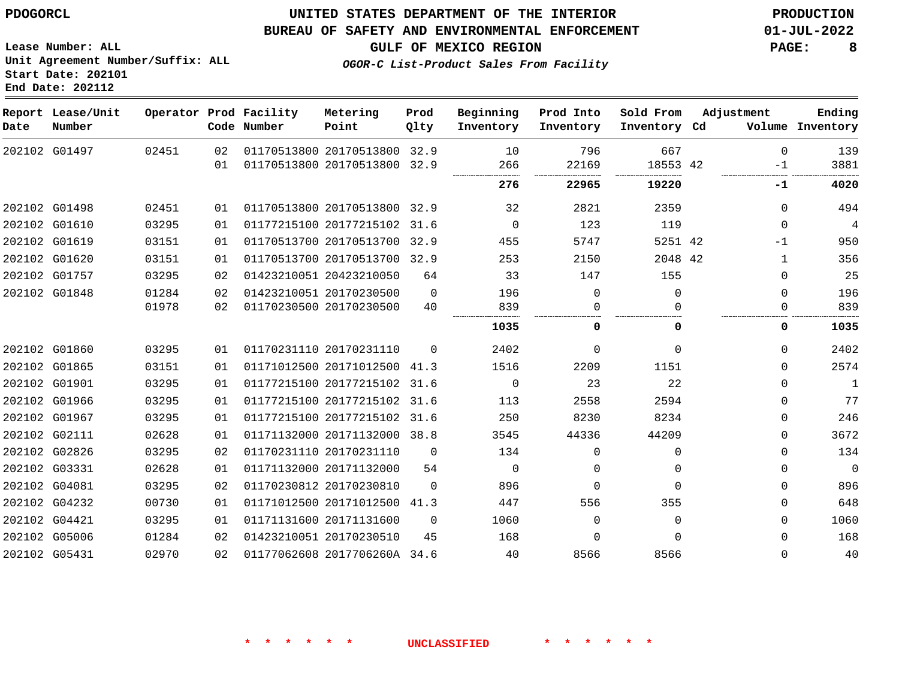#### **BUREAU OF SAFETY AND ENVIRONMENTAL ENFORCEMENT 01-JUL-2022**

**OGOR-C List-Product Sales From Facility**

**GULF OF MEXICO REGION PAGE: 8**

**Lease Number: ALL Unit Agreement Number/Suffix: ALL Start Date: 202101 End Date: 202112**

| Date | Report Lease/Unit<br>Number |       |    | Operator Prod Facility<br>Code Number | Metering<br>Point            | Prod<br>Qlty | Beginning<br>Inventory | Prod Into<br>Inventory | Sold From<br>Inventory Cd | Adjustment   | Ending<br>Volume Inventory |
|------|-----------------------------|-------|----|---------------------------------------|------------------------------|--------------|------------------------|------------------------|---------------------------|--------------|----------------------------|
|      | 202102 G01497               | 02451 | 02 |                                       | 01170513800 20170513800 32.9 |              | 10                     | 796                    | 667                       | $\Omega$     | 139                        |
|      |                             |       | 01 |                                       | 01170513800 20170513800 32.9 |              | 266<br>                | 22169<br>              | 18553 42                  | $-1$<br>     | 3881                       |
|      |                             |       |    |                                       |                              |              | 276                    | 22965                  | 19220                     | -1           | 4020                       |
|      | 202102 G01498               | 02451 | 01 |                                       | 01170513800 20170513800 32.9 |              | 32                     | 2821                   | 2359                      | $\Omega$     | 494                        |
|      | 202102 G01610               | 03295 | 01 |                                       | 01177215100 20177215102 31.6 |              | $\Omega$               | 123                    | 119                       | $\Omega$     | $\overline{4}$             |
|      | 202102 G01619               | 03151 | 01 |                                       | 01170513700 20170513700 32.9 |              | 455                    | 5747                   | 5251 42                   | $-1$         | 950                        |
|      | 202102 G01620               | 03151 | 01 |                                       | 01170513700 20170513700 32.9 |              | 253                    | 2150                   | 2048 42                   | $\mathbf{1}$ | 356                        |
|      | 202102 G01757               | 03295 | 02 |                                       | 01423210051 20423210050      | 64           | 33                     | 147                    | 155                       | 0            | 25                         |
|      | 202102 G01848               | 01284 | 02 |                                       | 01423210051 20170230500      | $\Omega$     | 196                    | $\Omega$               | $\Omega$                  | $\mathbf 0$  | 196                        |
|      |                             | 01978 | 02 |                                       | 01170230500 20170230500      | 40           | 839                    | 0                      | <sup>n</sup>              | 0            | 839                        |
|      |                             |       |    |                                       |                              |              | 1035                   |                        | <sup>0</sup>              | 0            | 1035                       |
|      | 202102 G01860               | 03295 | 01 |                                       | 01170231110 20170231110      | $\Omega$     | 2402                   | $\Omega$               | $\Omega$                  | $\Omega$     | 2402                       |
|      | 202102 G01865               | 03151 | 01 |                                       | 01171012500 20171012500 41.3 |              | 1516                   | 2209                   | 1151                      | 0            | 2574                       |
|      | 202102 G01901               | 03295 | 01 |                                       | 01177215100 20177215102      | 31.6         | $\mathbf 0$            | 23                     | 22                        | 0            | $\mathbf{1}$               |
|      | 202102 G01966               | 03295 | 01 |                                       | 01177215100 20177215102 31.6 |              | 113                    | 2558                   | 2594                      | $\Omega$     | 77                         |
|      | 202102 G01967               | 03295 | 01 |                                       | 01177215100 20177215102 31.6 |              | 250                    | 8230                   | 8234                      | $\Omega$     | 246                        |
|      | 202102 G02111               | 02628 | 01 |                                       | 01171132000 20171132000 38.8 |              | 3545                   | 44336                  | 44209                     | $\Omega$     | 3672                       |
|      | 202102 G02826               | 03295 | 02 |                                       | 01170231110 20170231110      | $\Omega$     | 134                    | $\Omega$               | $\Omega$                  | $\Omega$     | 134                        |
|      | 202102 G03331               | 02628 | 01 |                                       | 01171132000 20171132000      | 54           | $\mathbf 0$            | 0                      | $\Omega$                  | 0            | $\mathbf{0}$               |
|      | 202102 G04081               | 03295 | 02 |                                       | 01170230812 20170230810      | $\Omega$     | 896                    | $\Omega$               | $\Omega$                  | 0            | 896                        |
|      | 202102 G04232               | 00730 | 01 |                                       | 01171012500 20171012500 41.3 |              | 447                    | 556                    | 355                       | $\Omega$     | 648                        |
|      | 202102 G04421               | 03295 | 01 |                                       | 01171131600 20171131600      | $\Omega$     | 1060                   | $\Omega$               | $\Omega$                  | $\Omega$     | 1060                       |
|      | 202102 G05006               | 01284 | 02 |                                       | 01423210051 20170230510      | 45           | 168                    | $\Omega$               | $\Omega$                  | 0            | 168                        |
|      | 202102 G05431               | 02970 | 02 |                                       | 01177062608 2017706260A 34.6 |              | 40                     | 8566                   | 8566                      | $\Omega$     | 40                         |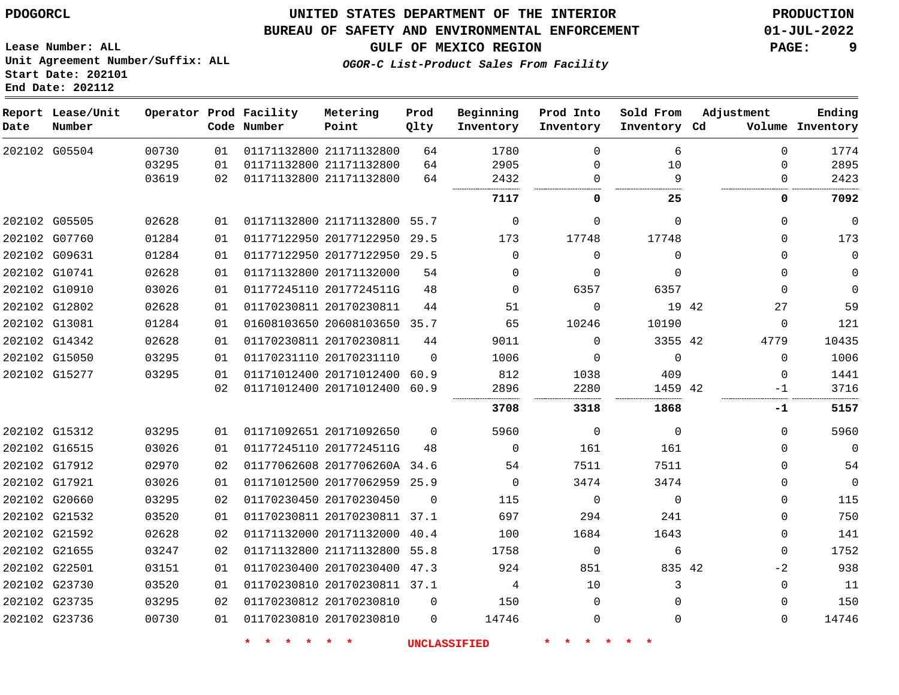G05504

**Date**

**Report Lease/Unit**

**Number**

 G05505 G07760 G09631 G10741 G10910 G12802 G13081 G14342 G15050 G15277

G15312

## **UNITED STATES DEPARTMENT OF THE INTERIOR PDOGORCL PRODUCTION**

#### **BUREAU OF SAFETY AND ENVIRONMENTAL ENFORCEMENT 01-JUL-2022**

**Lease Number: ALL Unit Agreement Number/Suffix: ALL Start Date: 202101 End Date: 202112**

> 

**Operator Prod Facility**

**Code Number**

 21171132800 21171132800

**Metering Point**

 

 

**Beginning Inventory**

**GULF OF MEXICO REGION PAGE: 9**

**Inventory Cd Volume**

**Adjustment**

 $\Omega$  $\Omega$  $\Omega$   

**Ending**

**\* \* \* \* \* \* UNCLASSIFIED \* \* \* \* \* \***

 21171132800 21171132800 55.7 20177122950 20177122950 29.5 20171132000 2017724511G 20170230811 20608103650 35.7 20170230811 20170231110 20171012400 60.9 20171012400 20171092650 2017724511G 2017706260A 34.6 20177062959 25.9 42 42 42 29.5  $\Omega$ 60.9  $\Omega$   $\Omega$   $\Omega$  $\Omega$  $\Omega$   $\Omega$   $\Omega$   $\Omega$   $\Omega$   $\Omega$   $\Omega$   $\Omega$   $\Omega$  $\Omega$   $\Omega$   $\Omega$  $\Omega$   $\Omega$  9<br>....  $\Omega$  $\Omega$   $\Omega$   $\Omega$   $\Omega$  $\Omega$   $\Omega$   $\Omega$  $\Omega$ -1  $\Omega$  $\Omega$  $\Omega$  **-1** 

 $\Omega$  $\Omega$  $\Omega$ 

 

**Sold From Inventory**

**Prod Into Inventory**

 G16515 G17912 G17921 G20660 G21532 G21592 G21655 G22501 G23730 G23735 G23736 20170230450 20170230811 37.1 20171132000 21171132800 55.8 20170230400 47.3 20170230811 37.1 20170230810 20170230810 42  $\Omega$ 40.4  $\Omega$   $\Omega$   $\Omega$  $\Omega$  $\Omega$   $\Omega$  $\Omega$  $\Omega$  $\Omega$   $\Omega$  $-2$   $\Omega$ 

**OGOR-C List-Product Sales From Facility**

**Prod Qlty**

>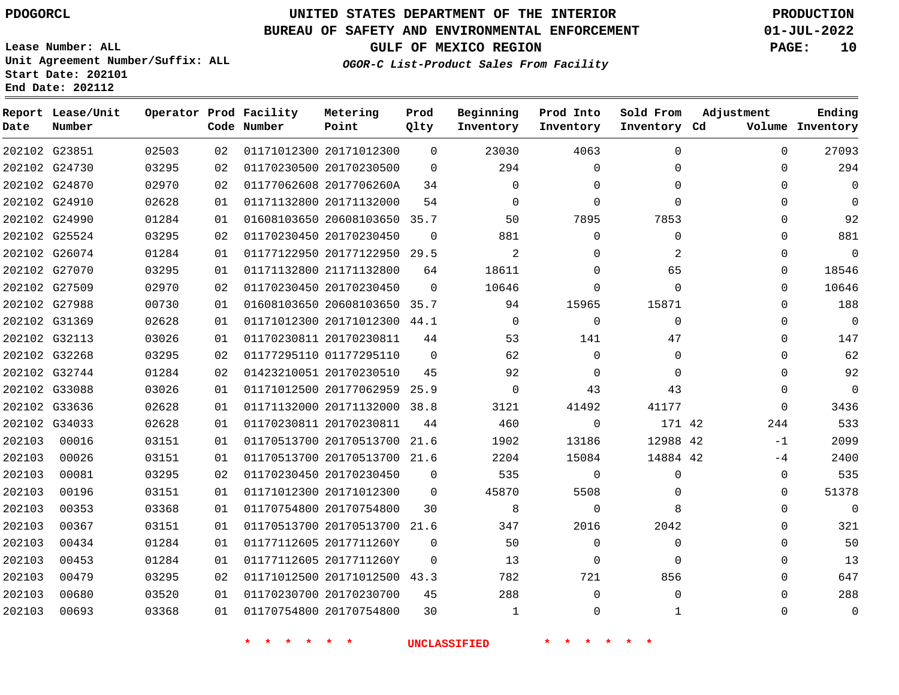# **UNITED STATES DEPARTMENT OF THE INTERIOR PDOGORCL PRODUCTION**

### **BUREAU OF SAFETY AND ENVIRONMENTAL ENFORCEMENT 01-JUL-2022**

**Lease Number: ALL Unit Agreement Number/Suffix: ALL Start Date: 202101**

## **OGOR-C List-Product Sales From Facility**

**GULF OF MEXICO REGION PAGE: 10**

| Date   | Report Lease/Unit<br>Number |       |    | Operator Prod Facility<br>Code Number | Metering<br>Point            | Prod<br>Qlty | Beginning<br>Inventory | Prod Into<br>Inventory | Sold From<br>Inventory Cd | Adjustment   | Ending<br>Volume Inventory |
|--------|-----------------------------|-------|----|---------------------------------------|------------------------------|--------------|------------------------|------------------------|---------------------------|--------------|----------------------------|
|        | 202102 G23851               | 02503 | 02 |                                       | 01171012300 20171012300      | $\Omega$     | 23030                  | 4063                   | $\mathbf 0$               | $\Omega$     | 27093                      |
|        | 202102 G24730               | 03295 | 02 |                                       | 01170230500 20170230500      | $\Omega$     | 294                    | $\Omega$               | $\Omega$                  | $\Omega$     | 294                        |
|        | 202102 G24870               | 02970 | 02 |                                       | 01177062608 2017706260A      | 34           | 0                      | $\mathbf 0$            | $\mathbf{0}$              | $\mathbf 0$  | $\mathbf 0$                |
|        | 202102 G24910               | 02628 | 01 |                                       | 01171132800 20171132000      | 54           | $\Omega$               | $\Omega$               | $\Omega$                  | 0            | $\Omega$                   |
|        | 202102 G24990               | 01284 | 01 |                                       | 01608103650 20608103650 35.7 |              | 50                     | 7895                   | 7853                      | $\Omega$     | 92                         |
|        | 202102 G25524               | 03295 | 02 |                                       | 01170230450 20170230450      | $\Omega$     | 881                    | $\mathbf 0$            | $\mathbf 0$               | $\mathbf{0}$ | 881                        |
|        | 202102 G26074               | 01284 | 01 |                                       | 01177122950 20177122950 29.5 |              | 2                      | $\Omega$               | 2                         | $\Omega$     | $\overline{0}$             |
|        | 202102 G27070               | 03295 | 01 |                                       | 01171132800 21171132800      | 64           | 18611                  | $\Omega$               | 65                        | $\Omega$     | 18546                      |
|        | 202102 G27509               | 02970 | 02 |                                       | 01170230450 20170230450      | $\Omega$     | 10646                  | $\Omega$               | $\Omega$                  | $\Omega$     | 10646                      |
|        | 202102 G27988               | 00730 | 01 |                                       | 01608103650 20608103650 35.7 |              | 94                     | 15965                  | 15871                     | $\Omega$     | 188                        |
|        | 202102 G31369               | 02628 | 01 |                                       | 01171012300 20171012300 44.1 |              | $\mathbf 0$            | $\mathbf 0$            | $\Omega$                  | $\mathbf{0}$ | $\overline{0}$             |
|        | 202102 G32113               | 03026 | 01 |                                       | 01170230811 20170230811      | 44           | 53                     | 141                    | 47                        | $\Omega$     | 147                        |
|        | 202102 G32268               | 03295 | 02 |                                       | 01177295110 01177295110      | $\Omega$     | 62                     | $\Omega$               | $\mathbf{0}$              | $\Omega$     | 62                         |
|        | 202102 G32744               | 01284 | 02 |                                       | 01423210051 20170230510      | 45           | 92                     | $\mathbf 0$            | $\mathbf{0}$              | $\mathbf 0$  | 92                         |
|        | 202102 G33088               | 03026 | 01 |                                       | 01171012500 20177062959      | 25.9         | $\Omega$               | 43                     | 43                        | $\Omega$     | $\mathbf 0$                |
|        | 202102 G33636               | 02628 | 01 |                                       | 01171132000 20171132000      | 38.8         | 3121                   | 41492                  | 41177                     | $\Omega$     | 3436                       |
|        | 202102 G34033               | 02628 | 01 |                                       | 01170230811 20170230811      | 44           | 460                    | $\Omega$               | 171 42                    | 244          | 533                        |
| 202103 | 00016                       | 03151 | 01 |                                       | 01170513700 20170513700      | 21.6         | 1902                   | 13186                  | 12988 42                  | $-1$         | 2099                       |
| 202103 | 00026                       | 03151 | 01 |                                       | 01170513700 20170513700 21.6 |              | 2204                   | 15084                  | 14884 42                  | $-4$         | 2400                       |
| 202103 | 00081                       | 03295 | 02 |                                       | 01170230450 20170230450      | $\Omega$     | 535                    | $\mathbf 0$            | $\mathbf 0$               | $\mathbf{0}$ | 535                        |
| 202103 | 00196                       | 03151 | 01 |                                       | 01171012300 20171012300      | 0            | 45870                  | 5508                   | 0                         | $\Omega$     | 51378                      |
| 202103 | 00353                       | 03368 | 01 |                                       | 01170754800 20170754800      | 30           | 8                      | $\mathbf 0$            | 8                         | $\mathbf{0}$ | $\mathbf 0$                |
| 202103 | 00367                       | 03151 | 01 |                                       | 01170513700 20170513700 21.6 |              | 347                    | 2016                   | 2042                      | $\Omega$     | 321                        |
| 202103 | 00434                       | 01284 | 01 |                                       | 01177112605 2017711260Y      | $\Omega$     | 50                     | $\Omega$               | $\mathbf{0}$              | $\Omega$     | 50                         |
| 202103 | 00453                       | 01284 | 01 |                                       | 01177112605 2017711260Y      | $\Omega$     | 13                     | $\Omega$               | $\Omega$                  | $\Omega$     | 13                         |
| 202103 | 00479                       | 03295 | 02 |                                       | 01171012500 20171012500 43.3 |              | 782                    | 721                    | 856                       | $\Omega$     | 647                        |
| 202103 | 00680                       | 03520 | 01 |                                       | 01170230700 20170230700      | 45           | 288                    | $\mathbf 0$            | $\mathbf 0$               | $\Omega$     | 288                        |
| 202103 | 00693                       | 03368 | 01 |                                       | 01170754800 20170754800      | 30           | $\mathbf{1}$           | $\Omega$               | 1                         | $\Omega$     | $\overline{0}$             |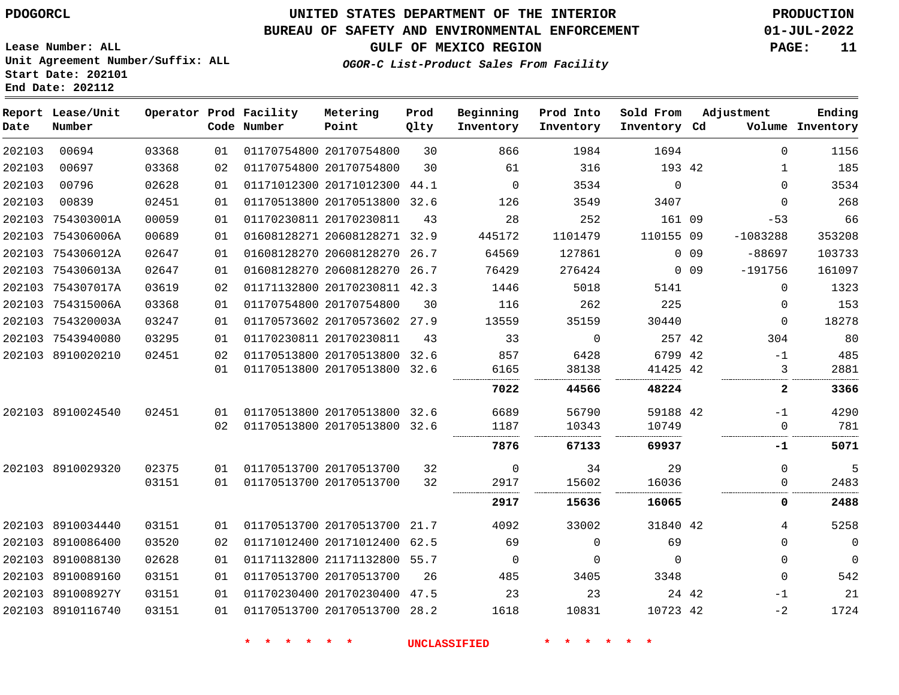#### **BUREAU OF SAFETY AND ENVIRONMENTAL ENFORCEMENT 01-JUL-2022**

**OGOR-C List-Product Sales From Facility**

**GULF OF MEXICO REGION PAGE: 11**

**Lease Number: ALL Unit Agreement Number/Suffix: ALL Start Date: 202101 End Date: 202112**

| Date   | Report Lease/Unit<br>Number |       |    | Operator Prod Facility<br>Code Number | Metering<br>Point            | Prod<br>Qlty | Beginning<br>Inventory | Prod Into<br>Inventory | Sold From<br>Inventory Cd | Adjustment      |              | Ending<br>Volume Inventory |
|--------|-----------------------------|-------|----|---------------------------------------|------------------------------|--------------|------------------------|------------------------|---------------------------|-----------------|--------------|----------------------------|
| 202103 | 00694                       | 03368 | 01 |                                       | 01170754800 20170754800      | 30           | 866                    | 1984                   | 1694                      |                 | $\Omega$     | 1156                       |
| 202103 | 00697                       | 03368 | 02 |                                       | 01170754800 20170754800      | 30           | 61                     | 316                    | 193 42                    |                 | $\mathbf 1$  | 185                        |
| 202103 | 00796                       | 02628 | 01 |                                       | 01171012300 20171012300 44.1 |              | $\Omega$               | 3534                   | $\mathbf 0$               |                 | $\Omega$     | 3534                       |
| 202103 | 00839                       | 02451 | 01 |                                       | 01170513800 20170513800 32.6 |              | 126                    | 3549                   | 3407                      |                 | $\Omega$     | 268                        |
| 202103 | 754303001A                  | 00059 | 01 |                                       | 01170230811 20170230811      | 43           | 28                     | 252                    | 161 09                    |                 | $-53$        | 66                         |
|        | 202103 754306006A           | 00689 | 01 |                                       | 01608128271 20608128271 32.9 |              | 445172                 | 1101479                | 110155 09                 |                 | $-1083288$   | 353208                     |
|        | 202103 754306012A           | 02647 | 01 |                                       | 01608128270 20608128270      | 26.7         | 64569                  | 127861                 |                           | 0 <sub>09</sub> | $-88697$     | 103733                     |
|        | 202103 754306013A           | 02647 | 01 |                                       | 01608128270 20608128270      | 26.7         | 76429                  | 276424                 |                           | $0$ 09          | $-191756$    | 161097                     |
|        | 202103 754307017A           | 03619 | 02 |                                       | 01171132800 20170230811 42.3 |              | 1446                   | 5018                   | 5141                      |                 | $\Omega$     | 1323                       |
|        | 202103 754315006A           | 03368 | 01 | 01170754800 20170754800               |                              | 30           | 116                    | 262                    | 225                       |                 | 0            | 153                        |
|        | 202103 754320003A           | 03247 | 01 |                                       | 01170573602 20170573602 27.9 |              | 13559                  | 35159                  | 30440                     |                 | $\Omega$     | 18278                      |
|        | 202103 7543940080           | 03295 | 01 |                                       | 01170230811 20170230811      | 43           | 33                     | $\mathbf 0$            | 257 42                    |                 | 304          | 80                         |
|        | 202103 8910020210           | 02451 | 02 |                                       | 01170513800 20170513800 32.6 |              | 857                    | 6428                   | 6799 42                   |                 | $-1$         | 485                        |
|        |                             |       | 01 |                                       | 01170513800 20170513800 32.6 |              | 6165                   | 38138                  | 41425 42                  |                 | 3            | 2881                       |
|        |                             |       |    |                                       |                              |              | 7022                   | 44566                  | 48224                     |                 | 2            | 3366                       |
|        | 202103 8910024540           | 02451 | 01 |                                       | 01170513800 20170513800 32.6 |              | 6689                   | 56790                  | 59188 42                  |                 | -1           | 4290                       |
|        |                             |       | 02 |                                       | 01170513800 20170513800 32.6 |              | 1187                   | 10343                  | 10749                     |                 | $\mathbf{0}$ | 781                        |
|        |                             |       |    |                                       |                              |              | 7876                   | 67133                  | 69937                     |                 | -1           | 5071                       |
|        | 202103 8910029320           | 02375 | 01 |                                       | 01170513700 20170513700      | 32           | $\mathbf 0$            | 34                     | 29                        |                 | $\Omega$     | 5                          |
|        |                             | 03151 | 01 |                                       | 01170513700 20170513700      | 32           | 2917                   | 15602                  | 16036                     |                 | $\Omega$     | 2483                       |
|        |                             |       |    |                                       |                              |              | 2917                   | 15636                  | 16065                     |                 | 0            | 2488                       |
|        | 202103 8910034440           | 03151 | 01 |                                       | 01170513700 20170513700 21.7 |              | 4092                   | 33002                  | 31840 42                  |                 | 4            | 5258                       |
|        | 202103 8910086400           | 03520 | 02 |                                       | 01171012400 20171012400 62.5 |              | 69                     | $\Omega$               | 69                        |                 | $\Omega$     | $\mathbf 0$                |
|        | 202103 8910088130           | 02628 | 01 |                                       | 01171132800 21171132800 55.7 |              | 0                      | $\mathbf 0$            | $\mathbf 0$               |                 | $\mathbf{0}$ | $\mathbf 0$                |
|        | 202103 8910089160           | 03151 | 01 |                                       | 01170513700 20170513700      | 26           | 485                    | 3405                   | 3348                      |                 | $\Omega$     | 542                        |
|        | 202103 891008927Y           | 03151 | 01 |                                       | 01170230400 20170230400 47.5 |              | 23                     | 23                     |                           | 24 42           | -1           | 21                         |
|        | 202103 8910116740           | 03151 | 01 |                                       | 01170513700 20170513700 28.2 |              | 1618                   | 10831                  | 10723 42                  |                 | $-2$         | 1724                       |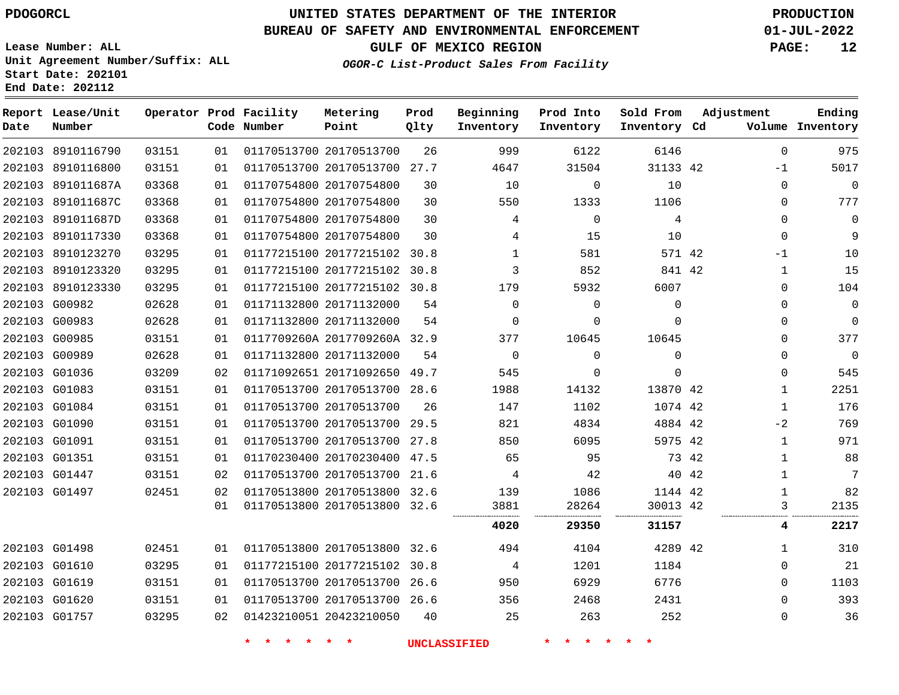**Lease Number: ALL**

**Start Date: 202101 End Date: 202112**

## **UNITED STATES DEPARTMENT OF THE INTERIOR PDOGORCL PRODUCTION**

#### **BUREAU OF SAFETY AND ENVIRONMENTAL ENFORCEMENT 01-JUL-2022**

**Unit Agreement Number/Suffix: ALL**

**GULF OF MEXICO REGION PAGE: 12**

**OGOR-C List-Product Sales From Facility**

| Date | Report Lease/Unit<br>Number |       |    | Operator Prod Facility<br>Code Number | Metering<br>Point            | Prod<br>Qlty | Beginning<br>Inventory | Prod Into<br>Inventory | Sold From<br>Inventory Cd |       | Adjustment   | Ending<br>Volume Inventory |
|------|-----------------------------|-------|----|---------------------------------------|------------------------------|--------------|------------------------|------------------------|---------------------------|-------|--------------|----------------------------|
|      | 202103 8910116790           | 03151 | 01 |                                       | 01170513700 20170513700      | 26           | 999                    | 6122                   | 6146                      |       | $\Omega$     | 975                        |
|      | 202103 8910116800           | 03151 | 01 |                                       | 01170513700 20170513700      | 27.7         | 4647                   | 31504                  | 31133 42                  |       | -1           | 5017                       |
|      | 202103 891011687A           | 03368 | 01 |                                       | 01170754800 20170754800      | 30           | 10                     | $\mathbf 0$            | 10                        |       | $\Omega$     | $\mathbf 0$                |
|      | 202103 891011687C           | 03368 | 01 |                                       | 01170754800 20170754800      | 30           | 550                    | 1333                   | 1106                      |       | $\Omega$     | 777                        |
|      | 202103 891011687D           | 03368 | 01 |                                       | 01170754800 20170754800      | 30           | 4                      | $\mathbf 0$            | 4                         |       | $\Omega$     | 0                          |
|      | 202103 8910117330           | 03368 | 01 |                                       | 01170754800 20170754800      | 30           | 4                      | 15                     | 10                        |       | $\mathbf{0}$ | 9                          |
|      | 202103 8910123270           | 03295 | 01 |                                       | 01177215100 20177215102 30.8 |              | $\mathbf{1}$           | 581                    | 571 42                    |       | -1           | 10                         |
|      | 202103 8910123320           | 03295 | 01 |                                       | 01177215100 20177215102 30.8 |              | 3                      | 852                    | 841 42                    |       | 1            | 15                         |
|      | 202103 8910123330           | 03295 | 01 |                                       | 01177215100 20177215102 30.8 |              | 179                    | 5932                   | 6007                      |       | 0            | 104                        |
|      | 202103 G00982               | 02628 | 01 |                                       | 01171132800 20171132000      | 54           | $\Omega$               | $\mathbf 0$            | $\mathbf{0}$              |       | $\Omega$     | 0                          |
|      | 202103 G00983               | 02628 | 01 |                                       | 01171132800 20171132000      | 54           | $\mathbf 0$            | $\mathbf 0$            | 0                         |       | $\mathbf 0$  | $\overline{0}$             |
|      | 202103 G00985               | 03151 | 01 |                                       | 0117709260A 2017709260A 32.9 |              | 377                    | 10645                  | 10645                     |       | $\mathbf{0}$ | 377                        |
|      | 202103 G00989               | 02628 | 01 |                                       | 01171132800 20171132000      | 54           | $\overline{0}$         | $\mathbf 0$            | $\mathbf 0$               |       | $\mathbf{0}$ | 0                          |
|      | 202103 G01036               | 03209 | 02 |                                       | 01171092651 20171092650 49.7 |              | 545                    | 0                      | $\mathbf 0$               |       | 0            | 545                        |
|      | 202103 G01083               | 03151 | 01 |                                       | 01170513700 20170513700 28.6 |              | 1988                   | 14132                  | 13870 42                  |       | $\mathbf{1}$ | 2251                       |
|      | 202103 G01084               | 03151 | 01 |                                       | 01170513700 20170513700      | 26           | 147                    | 1102                   | 1074 42                   |       | $\mathbf{1}$ | 176                        |
|      | 202103 G01090               | 03151 | 01 |                                       | 01170513700 20170513700 29.5 |              | 821                    | 4834                   | 4884 42                   |       | $-2$         | 769                        |
|      | 202103 G01091               | 03151 | 01 |                                       | 01170513700 20170513700 27.8 |              | 850                    | 6095                   | 5975 42                   |       | 1            | 971                        |
|      | 202103 G01351               | 03151 | 01 |                                       | 01170230400 20170230400 47.5 |              | 65                     | 95                     |                           | 73 42 | 1            | 88                         |
|      | 202103 G01447               | 03151 | 02 |                                       | 01170513700 20170513700 21.6 |              | 4                      | 42                     |                           | 40 42 | 1            | 7                          |
|      | 202103 G01497               | 02451 | 02 |                                       | 01170513800 20170513800 32.6 |              | 139                    | 1086                   | 1144 42                   |       | $\mathbf{1}$ | 82                         |
|      |                             |       | 01 |                                       | 01170513800 20170513800 32.6 |              | 3881                   | 28264                  | 30013 42                  |       | 3            | 2135                       |
|      |                             |       |    |                                       |                              |              | 4020                   | 29350                  | 31157                     |       | 4            | 2217                       |
|      | 202103 G01498               | 02451 | 01 |                                       | 01170513800 20170513800 32.6 |              | 494                    | 4104                   | 4289 42                   |       | 1            | 310                        |
|      | 202103 G01610               | 03295 | 01 |                                       | 01177215100 20177215102 30.8 |              | 4                      | 1201                   | 1184                      |       | $\Omega$     | 21                         |
|      | 202103 G01619               | 03151 | 01 |                                       | 01170513700 20170513700 26.6 |              | 950                    | 6929                   | 6776                      |       | $\Omega$     | 1103                       |
|      | 202103 G01620               | 03151 | 01 |                                       | 01170513700 20170513700 26.6 |              | 356                    | 2468                   | 2431                      |       | 0            | 393                        |
|      | 202103 G01757               | 03295 | 02 |                                       | 01423210051 20423210050      | 40           | 25                     | 263                    | 252                       |       | $\Omega$     | 36                         |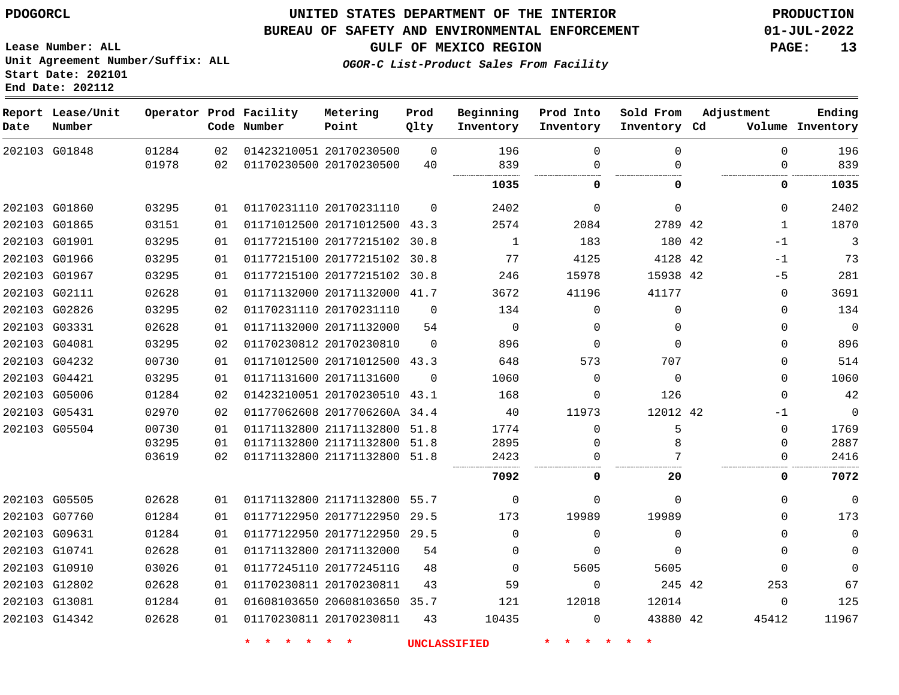## **UNITED STATES DEPARTMENT OF THE INTERIOR PDOGORCL PRODUCTION**

#### **BUREAU OF SAFETY AND ENVIRONMENTAL ENFORCEMENT 01-JUL-2022**

**Lease Number: ALL Unit Agreement Number/Suffix: ALL Start Date: 202101**

**GULF OF MEXICO REGION PAGE: 13**

**OGOR-C List-Product Sales From Facility**

| Date          | Report Lease/Unit<br>Number |                |          | Operator Prod Facility<br>Code Number | Metering<br>Point                                  | Prod<br>Qlty   | Beginning<br>Inventory | Prod Into<br>Inventory | Sold From<br>Inventory Cd | Adjustment | Ending<br>Volume Inventory    |
|---------------|-----------------------------|----------------|----------|---------------------------------------|----------------------------------------------------|----------------|------------------------|------------------------|---------------------------|------------|-------------------------------|
|               | 202103 G01848               | 01284<br>01978 | 02<br>02 |                                       | 01423210051 20170230500<br>01170230500 20170230500 | $\Omega$<br>40 | 196<br>839             | $\Omega$<br>$\Omega$   | $\Omega$<br>$\cap$        |            | 196<br>$\Omega$<br>839<br>0   |
|               |                             |                |          |                                       |                                                    |                |                        |                        |                           |            |                               |
|               |                             |                |          |                                       |                                                    |                | 1035                   | 0                      | 0                         |            | 0<br>1035                     |
|               | 202103 G01860               | 03295          | 01       |                                       | 01170231110 20170231110                            | $\Omega$       | 2402                   | $\Omega$               | $\mathbf{0}$              |            | 2402<br>0                     |
|               | 202103 G01865               | 03151          | 01       |                                       | 01171012500 20171012500 43.3                       |                | 2574                   | 2084                   | 2789 42                   |            | 1870<br>$\mathbf{1}$          |
|               | 202103 G01901               | 03295          | 01       |                                       | 01177215100 20177215102 30.8                       |                | 1                      | 183                    | 180 42                    | $-1$       | 3                             |
|               | 202103 G01966               | 03295          | 01       |                                       | 01177215100 20177215102 30.8                       |                | 77                     | 4125                   | 4128 42                   | $-1$       | 73                            |
|               | 202103 G01967               | 03295          | 01       |                                       | 01177215100 20177215102 30.8                       |                | 246                    | 15978                  | 15938 42                  | $-5$       | 281                           |
|               | 202103 G02111               | 02628          | 01       |                                       | 01171132000 20171132000 41.7                       |                | 3672                   | 41196                  | 41177                     |            | 3691<br>0                     |
|               | 202103 G02826               | 03295          | 02       |                                       | 01170231110 20170231110                            | $\Omega$       | 134                    | $\Omega$               | $\Omega$                  |            | 134<br>$\Omega$               |
|               | 202103 G03331               | 02628          | 01       |                                       | 01171132000 20171132000                            | 54             | $\mathbf 0$            | $\Omega$               | $\Omega$                  |            | $\overline{0}$<br>$\mathbf 0$ |
|               | 202103 G04081               | 03295          | 02       |                                       | 01170230812 20170230810                            | $\Omega$       | 896                    | 0                      | $\Omega$                  |            | 896<br>$\mathbf 0$            |
|               | 202103 G04232               | 00730          | 01       |                                       | 01171012500 20171012500 43.3                       |                | 648                    | 573                    | 707                       |            | 514<br>0                      |
|               | 202103 G04421               | 03295          | 01       |                                       | 01171131600 20171131600                            | $\Omega$       | 1060                   | $\Omega$               | $\Omega$                  |            | 1060<br>$\Omega$              |
|               | 202103 G05006               | 01284          | 02       |                                       | 01423210051 20170230510 43.1                       |                | 168                    | $\Omega$               | 126                       |            | 42<br>$\mathbf 0$             |
| 202103 G05431 |                             | 02970          | 02       |                                       | 01177062608 2017706260A 34.4                       |                | 40                     | 11973                  | 12012 42                  | -1         | $\mathbf 0$                   |
|               | 202103 G05504               | 00730          | 01       |                                       | 01171132800 21171132800 51.8                       |                | 1774                   | $\Omega$               | 5                         |            | 0<br>1769                     |
|               |                             | 03295          | 01       |                                       | 01171132800 21171132800 51.8                       |                | 2895                   | 0                      | 8                         |            | 2887<br>0                     |
|               |                             | 03619          | 02       |                                       | 01171132800 21171132800 51.8                       |                | 2423                   | $\Omega$               |                           |            | 0<br>2416                     |
|               |                             |                |          |                                       |                                                    |                | 7092                   | 0                      | 20                        |            | 0<br>7072                     |
|               | 202103 G05505               | 02628          | 01       |                                       | 01171132800 21171132800                            | 55.7           | $\mathbf 0$            | $\Omega$               | $\Omega$                  |            | $\mathbf 0$<br>0              |
|               | 202103 G07760               | 01284          | 01       |                                       | 01177122950 20177122950 29.5                       |                | 173                    | 19989                  | 19989                     |            | 173<br>$\Omega$               |
|               | 202103 G09631               | 01284          | 01       |                                       | 01177122950 20177122950 29.5                       |                | $\Omega$               | $\Omega$               | $\Omega$                  |            | $\mathbf 0$<br>$\Omega$       |
|               | 202103 G10741               | 02628          | 01       |                                       | 01171132800 20171132000                            | 54             | $\Omega$               | $\Omega$               | $\Omega$                  |            | $\mathbf 0$<br>0              |
|               | 202103 G10910               | 03026          | 01       |                                       | 01177245110 2017724511G                            | 48             | $\Omega$               | 5605                   | 5605                      |            | $\Omega$<br>$\Omega$          |
|               | 202103 G12802               | 02628          | 01       |                                       | 01170230811 20170230811                            | 43             | 59                     | $\mathbf 0$            | 245 42                    | 253        | 67                            |
|               | 202103 G13081               | 01284          | 01       |                                       | 01608103650 20608103650 35.7                       |                | 121                    | 12018                  | 12014                     |            | 125<br>0                      |
|               | 202103 G14342               | 02628          | 01       |                                       | 01170230811 20170230811                            | 43             | 10435                  | $\Omega$               | 43880 42                  | 45412      | 11967                         |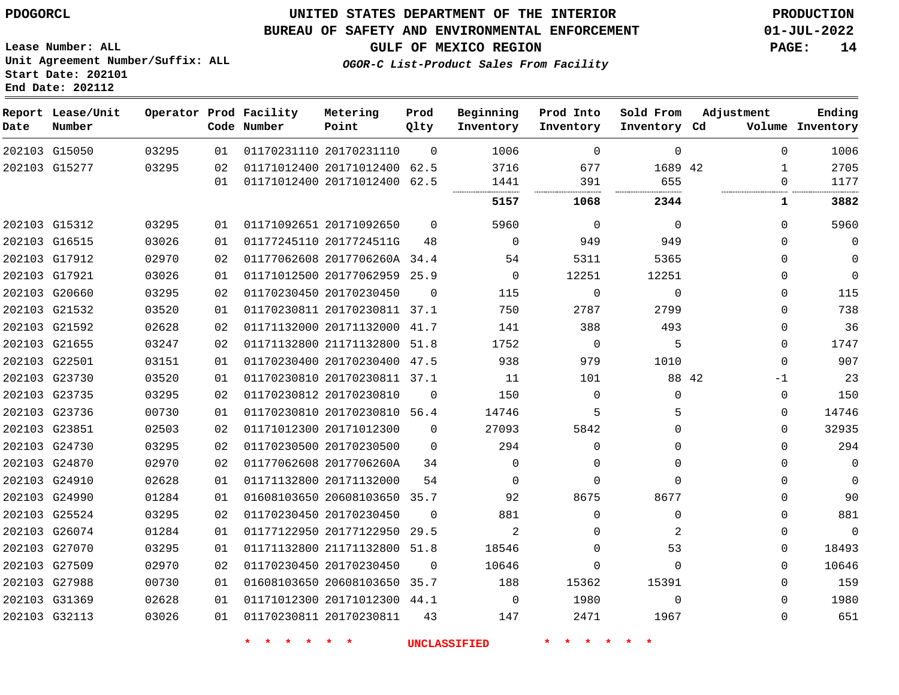## **UNITED STATES DEPARTMENT OF THE INTERIOR PDOGORCL PRODUCTION**

#### **BUREAU OF SAFETY AND ENVIRONMENTAL ENFORCEMENT 01-JUL-2022**

**Lease Number: ALL Unit Agreement Number/Suffix: ALL Start Date: 202101**

**GULF OF MEXICO REGION PAGE: 14**

**OGOR-C List-Product Sales From Facility**

| Date | Report Lease/Unit<br>Number |       |    | Operator Prod Facility<br>Code Number | Metering<br>Point            | Prod<br>Qlty | Beginning<br>Inventory | Prod Into<br>Inventory | Sold From<br>Inventory Cd | Adjustment |              | Ending<br>Volume Inventory |
|------|-----------------------------|-------|----|---------------------------------------|------------------------------|--------------|------------------------|------------------------|---------------------------|------------|--------------|----------------------------|
|      | 202103 G15050               | 03295 | 01 |                                       | 01170231110 20170231110      | $\Omega$     | 1006                   | $\Omega$               | $\Omega$                  |            | $\Omega$     | 1006                       |
|      | 202103 G15277               | 03295 | 02 |                                       | 01171012400 20171012400      | 62.5         | 3716                   | 677                    | 1689 42                   |            | $\mathbf{1}$ | 2705                       |
|      |                             |       | 01 |                                       | 01171012400 20171012400      | 62.5         | 1441<br>               | 391<br>                | 655<br>                   |            | $\Omega$     | 1177                       |
|      |                             |       |    |                                       |                              |              | 5157                   | 1068                   | 2344                      |            | 1            | 3882                       |
|      | 202103 G15312               | 03295 | 01 |                                       | 01171092651 20171092650      | $\Omega$     | 5960                   | $\Omega$               | $\Omega$                  |            | $\Omega$     | 5960                       |
|      | 202103 G16515               | 03026 | 01 |                                       | 01177245110 2017724511G      | 48           | $\Omega$               | 949                    | 949                       |            | $\Omega$     | 0                          |
|      | 202103 G17912               | 02970 | 02 |                                       | 01177062608 2017706260A 34.4 |              | 54                     | 5311                   | 5365                      |            | 0            | $\mathbf 0$                |
|      | 202103 G17921               | 03026 | 01 |                                       | 01171012500 20177062959 25.9 |              | $\Omega$               | 12251                  | 12251                     |            | $\Omega$     | $\mathbf 0$                |
|      | 202103 G20660               | 03295 | 02 |                                       | 01170230450 20170230450      | $\Omega$     | 115                    | $\Omega$               | $\Omega$                  |            | $\Omega$     | 115                        |
|      | 202103 G21532               | 03520 | 01 |                                       | 01170230811 20170230811 37.1 |              | 750                    | 2787                   | 2799                      |            | $\Omega$     | 738                        |
|      | 202103 G21592               | 02628 | 02 |                                       | 01171132000 20171132000 41.7 |              | 141                    | 388                    | 493                       |            | 0            | 36                         |
|      | 202103 G21655               | 03247 | 02 |                                       | 01171132800 21171132800      | 51.8         | 1752                   | $\mathbf 0$            | 5                         |            | 0            | 1747                       |
|      | 202103 G22501               | 03151 | 01 |                                       | 01170230400 20170230400 47.5 |              | 938                    | 979                    | 1010                      |            | $\Omega$     | 907                        |
|      | 202103 G23730               | 03520 | 01 |                                       | 01170230810 20170230811 37.1 |              | 11                     | 101                    |                           | 88 42      | -1           | 23                         |
|      | 202103 G23735               | 03295 | 02 |                                       | 01170230812 20170230810      | $\Omega$     | 150                    | $\Omega$               | $\Omega$                  |            | 0            | 150                        |
|      | 202103 G23736               | 00730 | 01 |                                       | 01170230810 20170230810 56.4 |              | 14746                  | 5                      |                           |            | $\mathbf 0$  | 14746                      |
|      | 202103 G23851               | 02503 | 02 |                                       | 01171012300 20171012300      | $\mathbf 0$  | 27093                  | 5842                   | $\Omega$                  |            | $\mathbf 0$  | 32935                      |
|      | 202103 G24730               | 03295 | 02 |                                       | 01170230500 20170230500      | $\Omega$     | 294                    | $\Omega$               | $\Omega$                  |            | $\Omega$     | 294                        |
|      | 202103 G24870               | 02970 | 02 |                                       | 01177062608 2017706260A      | 34           | $\Omega$               | $\Omega$               | $\Omega$                  |            | $\Omega$     | $\mathbf 0$                |
|      | 202103 G24910               | 02628 | 01 |                                       | 01171132800 20171132000      | 54           | $\Omega$               | $\Omega$               | $\Omega$                  |            | 0            | $\mathbf 0$                |
|      | 202103 G24990               | 01284 | 01 |                                       | 01608103650 20608103650 35.7 |              | 92                     | 8675                   | 8677                      |            | $\mathbf 0$  | 90                         |
|      | 202103 G25524               | 03295 | 02 |                                       | 01170230450 20170230450      | $\Omega$     | 881                    | $\Omega$               | $\Omega$                  |            | $\Omega$     | 881                        |
|      | 202103 G26074               | 01284 | 01 |                                       | 01177122950 20177122950      | 29.5         | 2                      | 0                      | 2                         |            | 0            | $\Omega$                   |
|      | 202103 G27070               | 03295 | 01 |                                       | 01171132800 21171132800      | 51.8         | 18546                  | $\Omega$               | 53                        |            | 0            | 18493                      |
|      | 202103 G27509               | 02970 | 02 |                                       | 01170230450 20170230450      | 0            | 10646                  | 0                      | $\Omega$                  |            | 0            | 10646                      |
|      | 202103 G27988               | 00730 | 01 |                                       | 01608103650 20608103650 35.7 |              | 188                    | 15362                  | 15391                     |            | 0            | 159                        |
|      | 202103 G31369               | 02628 | 01 |                                       | 01171012300 20171012300 44.1 |              | $\mathbf 0$            | 1980                   | $\Omega$                  |            | $\Omega$     | 1980                       |
|      | 202103 G32113               | 03026 | 01 |                                       | 01170230811 20170230811      | 43           | 147                    | 2471                   | 1967                      |            | $\Omega$     | 651                        |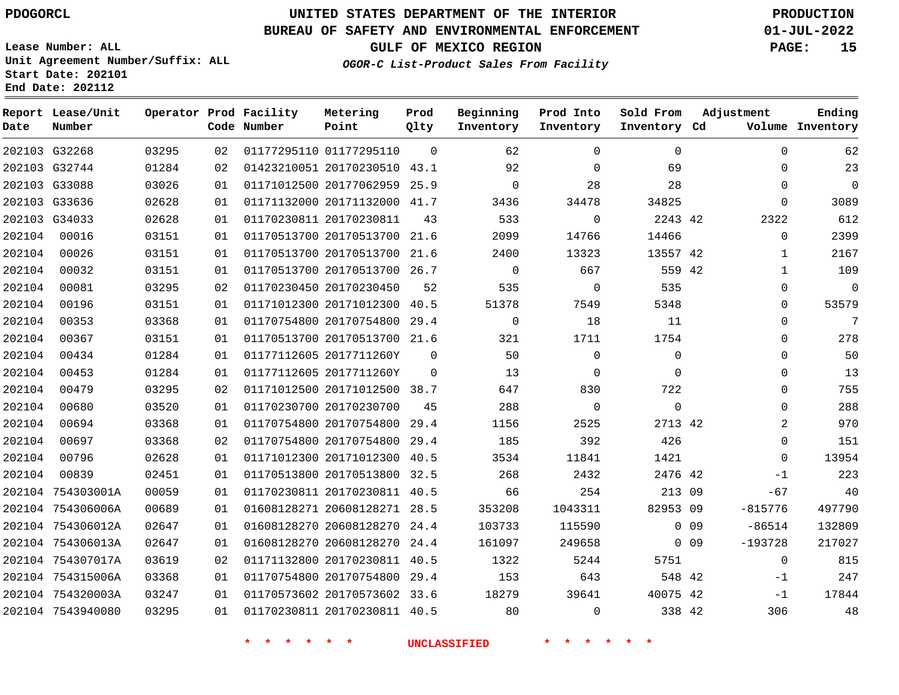#### **BUREAU OF SAFETY AND ENVIRONMENTAL ENFORCEMENT 01-JUL-2022**

**Lease Number: ALL Unit Agreement Number/Suffix: ALL Start Date: 202101 End Date: 202112**

**OGOR-C List-Product Sales From Facility**

**GULF OF MEXICO REGION PAGE: 15**

| Date          | Report Lease/Unit<br>Number |       |    | Operator Prod Facility<br>Code Number | Metering<br>Point            | Prod<br>Qlty | Beginning<br>Inventory | Prod Into<br>Inventory | Sold From<br>Inventory Cd |                 | Adjustment   | Ending<br>Volume Inventory |
|---------------|-----------------------------|-------|----|---------------------------------------|------------------------------|--------------|------------------------|------------------------|---------------------------|-----------------|--------------|----------------------------|
|               | 202103 G32268               | 03295 | 02 |                                       | 01177295110 01177295110      | $\Omega$     | 62                     | $\Omega$               | $\Omega$                  |                 | $\Omega$     | 62                         |
|               | 202103 G32744               | 01284 | 02 |                                       | 01423210051 20170230510 43.1 |              | 92                     | $\Omega$               | 69                        |                 | $\Omega$     | 23                         |
| 202103 G33088 |                             | 03026 | 01 |                                       | 01171012500 20177062959 25.9 |              | 0                      | 28                     | 28                        |                 | 0            | $\mathbf 0$                |
|               | 202103 G33636               | 02628 | 01 |                                       | 01171132000 20171132000 41.7 |              | 3436                   | 34478                  | 34825                     |                 | 0            | 3089                       |
|               | 202103 G34033               | 02628 | 01 |                                       | 01170230811 20170230811      | 43           | 533                    | 0                      | 2243 42                   |                 | 2322         | 612                        |
| 202104        | 00016                       | 03151 | 01 |                                       | 01170513700 20170513700 21.6 |              | 2099                   | 14766                  | 14466                     |                 | 0            | 2399                       |
| 202104        | 00026                       | 03151 | 01 |                                       | 01170513700 20170513700 21.6 |              | 2400                   | 13323                  | 13557 42                  |                 | $\mathbf{1}$ | 2167                       |
| 202104        | 00032                       | 03151 | 01 |                                       | 01170513700 20170513700 26.7 |              | $\overline{0}$         | 667                    | 559 42                    |                 | $\mathbf{1}$ | 109                        |
| 202104        | 00081                       | 03295 | 02 |                                       | 01170230450 20170230450      | 52           | 535                    | $\mathbf 0$            | 535                       |                 | 0            | $\mathbf 0$                |
| 202104        | 00196                       | 03151 | 01 |                                       | 01171012300 20171012300 40.5 |              | 51378                  | 7549                   | 5348                      |                 | 0            | 53579                      |
| 202104        | 00353                       | 03368 | 01 |                                       | 01170754800 20170754800 29.4 |              | $\Omega$               | 18                     | 11                        |                 | 0            | $7\overline{ }$            |
| 202104        | 00367                       | 03151 | 01 |                                       | 01170513700 20170513700 21.6 |              | 321                    | 1711                   | 1754                      |                 | 0            | 278                        |
| 202104        | 00434                       | 01284 | 01 |                                       | 01177112605 2017711260Y      | $\Omega$     | 50                     | $\Omega$               | $\Omega$                  |                 | 0            | 50                         |
| 202104        | 00453                       | 01284 | 01 |                                       | 01177112605 2017711260Y      | $\mathbf 0$  | 13                     | $\mathbf 0$            | $\Omega$                  |                 | 0            | 13                         |
| 202104        | 00479                       | 03295 | 02 |                                       | 01171012500 20171012500 38.7 |              | 647                    | 830                    | 722                       |                 | 0            | 755                        |
| 202104        | 00680                       | 03520 | 01 |                                       | 01170230700 20170230700      | 45           | 288                    | $\mathbf 0$            | $\mathbf 0$               |                 | 0            | 288                        |
| 202104        | 00694                       | 03368 | 01 |                                       | 01170754800 20170754800 29.4 |              | 1156                   | 2525                   | 2713 42                   |                 | 2            | 970                        |
| 202104        | 00697                       | 03368 | 02 |                                       | 01170754800 20170754800 29.4 |              | 185                    | 392                    | 426                       |                 | 0            | 151                        |
| 202104        | 00796                       | 02628 | 01 |                                       | 01171012300 20171012300 40.5 |              | 3534                   | 11841                  | 1421                      |                 | $\Omega$     | 13954                      |
| 202104        | 00839                       | 02451 | 01 |                                       | 01170513800 20170513800 32.5 |              | 268                    | 2432                   | 2476 42                   |                 | $-1$         | 223                        |
|               | 202104 754303001A           | 00059 | 01 |                                       | 01170230811 20170230811 40.5 |              | 66                     | 254                    | 213 09                    |                 | $-67$        | 40                         |
|               | 202104 754306006A           | 00689 | 01 |                                       | 01608128271 20608128271 28.5 |              | 353208                 | 1043311                | 82953 09                  |                 | $-815776$    | 497790                     |
|               | 202104 754306012A           | 02647 | 01 |                                       | 01608128270 20608128270 24.4 |              | 103733                 | 115590                 |                           | 0 <sub>09</sub> | $-86514$     | 132809                     |
|               | 202104 754306013A           | 02647 | 01 |                                       | 01608128270 20608128270 24.4 |              | 161097                 | 249658                 |                           | $0$ 09          | $-193728$    | 217027                     |
|               | 202104 754307017A           | 03619 | 02 |                                       | 01171132800 20170230811 40.5 |              | 1322                   | 5244                   | 5751                      |                 | 0            | 815                        |
|               | 202104 754315006A           | 03368 | 01 |                                       | 01170754800 20170754800 29.4 |              | 153                    | 643                    | 548 42                    |                 | $-1$         | 247                        |
|               | 202104 754320003A           | 03247 | 01 |                                       | 01170573602 20170573602 33.6 |              | 18279                  | 39641                  | 40075 42                  |                 | $-1$         | 17844                      |
|               | 202104 7543940080           | 03295 | 01 |                                       | 01170230811 20170230811 40.5 |              | 80                     | $\Omega$               | 338 42                    |                 | 306          | 48                         |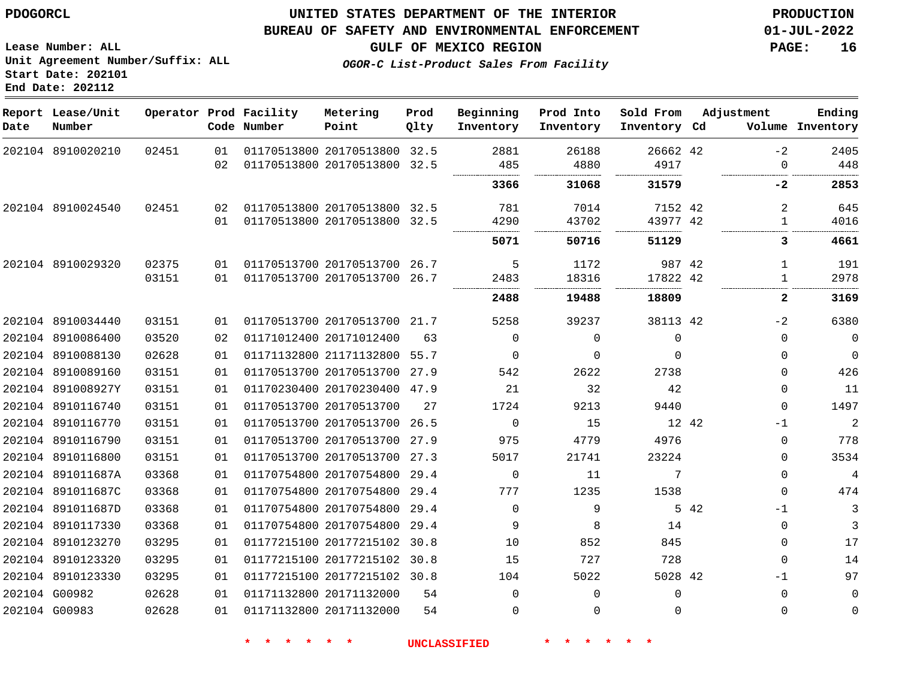## **UNITED STATES DEPARTMENT OF THE INTERIOR PDOGORCL PRODUCTION**

#### **BUREAU OF SAFETY AND ENVIRONMENTAL ENFORCEMENT 01-JUL-2022**

**Lease Number: ALL Unit Agreement Number/Suffix: ALL Start Date: 202101**

**GULF OF MEXICO REGION PAGE: 16**

**OGOR-C List-Product Sales From Facility**

| Date | Report Lease/Unit<br>Number |       |    | Operator Prod Facility<br>Code Number | Metering<br>Point            | Prod<br>Qlty | Beginning<br>Inventory | Prod Into<br>Inventory | Sold From<br>Inventory Cd | Adjustment   | Ending<br>Volume Inventory |
|------|-----------------------------|-------|----|---------------------------------------|------------------------------|--------------|------------------------|------------------------|---------------------------|--------------|----------------------------|
|      | 202104 8910020210           | 02451 | 01 |                                       | 01170513800 20170513800 32.5 |              | 2881                   | 26188                  | 26662 42                  | -2           | 2405                       |
|      |                             |       | 02 |                                       | 01170513800 20170513800      | 32.5         | 485                    | 4880                   | 4917                      | $\Omega$     | 448                        |
|      |                             |       |    |                                       |                              |              | 3366                   | 31068                  | 31579                     | -2           | 2853                       |
|      | 202104 8910024540           | 02451 | 02 |                                       | 01170513800 20170513800 32.5 |              | 781                    | 7014                   | 7152 42                   | 2            | 645                        |
|      |                             |       | 01 |                                       | 01170513800 20170513800 32.5 |              | 4290                   | 43702                  | 43977 42                  | $\mathbf{1}$ | 4016                       |
|      |                             |       |    |                                       |                              |              | 5071                   | 50716                  | 51129                     | 3            | 4661                       |
|      | 202104 8910029320           | 02375 | 01 |                                       | 01170513700 20170513700 26.7 |              | 5                      | 1172                   | 987 42                    | $\mathbf{1}$ | 191                        |
|      |                             | 03151 | 01 |                                       | 01170513700 20170513700 26.7 |              | 2483                   | 18316                  | 17822 42                  | 1            | 2978                       |
|      |                             |       |    |                                       |                              |              | 2488                   | 19488                  | 18809                     | 2            | 3169                       |
|      | 202104 8910034440           | 03151 | 01 |                                       | 01170513700 20170513700 21.7 |              | 5258                   | 39237                  | 38113 42                  | $-2$         | 6380                       |
|      | 202104 8910086400           | 03520 | 02 |                                       | 01171012400 20171012400      | 63           | $\Omega$               | $\Omega$               | $\mathbf 0$               | 0            | 0                          |
|      | 202104 8910088130           | 02628 | 01 |                                       | 01171132800 21171132800 55.7 |              | $\Omega$               | $\Omega$               | $\Omega$                  | $\Omega$     | $\mathbf 0$                |
|      | 202104 8910089160           | 03151 | 01 |                                       | 01170513700 20170513700      | 27.9         | 542                    | 2622                   | 2738                      | 0            | 426                        |
|      | 202104 891008927Y           | 03151 | 01 |                                       | 01170230400 20170230400 47.9 |              | 21                     | 32                     | 42                        | $\Omega$     | 11                         |
|      | 202104 8910116740           | 03151 | 01 |                                       | 01170513700 20170513700      | 27           | 1724                   | 9213                   | 9440                      | $\Omega$     | 1497                       |
|      | 202104 8910116770           | 03151 | 01 |                                       | 01170513700 20170513700      | 26.5         | $\Omega$               | 15                     | 12 42                     | -1           | $\overline{a}$             |
|      | 202104 8910116790           | 03151 | 01 |                                       | 01170513700 20170513700      | 27.9         | 975                    | 4779                   | 4976                      | $\Omega$     | 778                        |
|      | 202104 8910116800           | 03151 | 01 |                                       | 01170513700 20170513700      | 27.3         | 5017                   | 21741                  | 23224                     | 0            | 3534                       |
|      | 202104 891011687A           | 03368 | 01 |                                       | 01170754800 20170754800      | 29.4         | $\mathbf 0$            | 11                     | 7                         | $\Omega$     | 4                          |
|      | 202104 891011687C           | 03368 | 01 |                                       | 01170754800 20170754800      | 29.4         | 777                    | 1235                   | 1538                      | 0            | 474                        |
|      | 202104 891011687D           | 03368 | 01 |                                       | 01170754800 20170754800      | 29.4         | $\Omega$               | 9                      |                           | 5 42<br>-1   | 3                          |
|      | 202104 8910117330           | 03368 | 01 |                                       | 01170754800 20170754800      | 29.4         | 9                      | 8                      | 14                        | 0            | 3                          |
|      | 202104 8910123270           | 03295 | 01 |                                       | 01177215100 20177215102 30.8 |              | 10                     | 852                    | 845                       | 0            | 17                         |
|      | 202104 8910123320           | 03295 | 01 |                                       | 01177215100 20177215102 30.8 |              | 15                     | 727                    | 728                       | $\Omega$     | 14                         |
|      | 202104 8910123330           | 03295 | 01 |                                       | 01177215100 20177215102 30.8 |              | 104                    | 5022                   | 5028 42                   | -1           | 97                         |
|      | 202104 G00982               | 02628 | 01 |                                       | 01171132800 20171132000      | 54           | $\Omega$               | $\Omega$               | $\Omega$                  | 0            | $\mathbf 0$                |
|      | 202104 G00983               | 02628 | 01 |                                       | 01171132800 20171132000      | 54           | 0                      | $\Omega$               | $\Omega$                  | 0            | 0                          |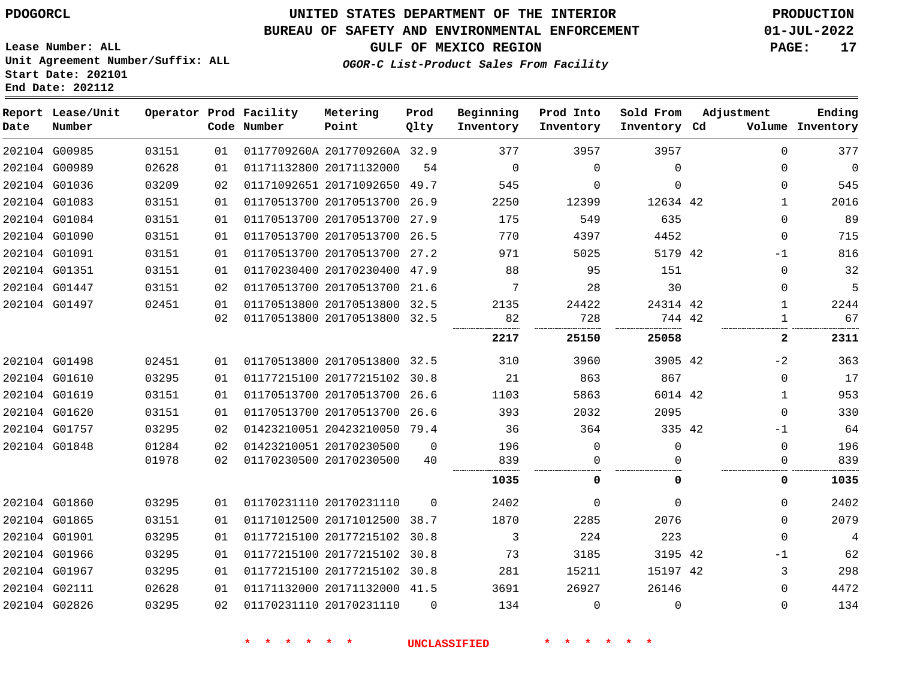# **UNITED STATES DEPARTMENT OF THE INTERIOR PDOGORCL PRODUCTION**

#### **BUREAU OF SAFETY AND ENVIRONMENTAL ENFORCEMENT 01-JUL-2022**

**GULF OF MEXICO REGION PAGE: 17**

**Lease Number: ALL Unit Agreement Number/Suffix: ALL Start Date: 202101 End Date: 202112**

**OGOR-C List-Product Sales From Facility**

| Date | Report Lease/Unit<br>Number |       |    | Operator Prod Facility<br>Code Number | Metering<br>Point            | Prod<br>Qlty | Beginning<br>Inventory | Prod Into<br>Inventory | Sold From<br>Inventory Cd | Adjustment   | Ending<br>Volume Inventory |
|------|-----------------------------|-------|----|---------------------------------------|------------------------------|--------------|------------------------|------------------------|---------------------------|--------------|----------------------------|
|      | 202104 G00985               | 03151 | 01 |                                       | 0117709260A 2017709260A 32.9 |              | 377                    | 3957                   | 3957                      | $\Omega$     | 377                        |
|      | 202104 G00989               | 02628 | 01 |                                       | 01171132800 20171132000      | 54           | $\Omega$               | $\Omega$               | $\Omega$                  | $\Omega$     | $\overline{0}$             |
|      | 202104 G01036               | 03209 | 02 |                                       | 01171092651 20171092650 49.7 |              | 545                    | $\Omega$               | $\Omega$                  | $\Omega$     | 545                        |
|      | 202104 G01083               | 03151 | 01 |                                       | 01170513700 20170513700 26.9 |              | 2250                   | 12399                  | 12634 42                  | $\mathbf{1}$ | 2016                       |
|      | 202104 G01084               | 03151 | 01 |                                       | 01170513700 20170513700 27.9 |              | 175                    | 549                    | 635                       | $\Omega$     | 89                         |
|      | 202104 G01090               | 03151 | 01 |                                       | 01170513700 20170513700 26.5 |              | 770                    | 4397                   | 4452                      | $\mathbf{0}$ | 715                        |
|      | 202104 G01091               | 03151 | 01 |                                       | 01170513700 20170513700 27.2 |              | 971                    | 5025                   | 5179 42                   | $-1$         | 816                        |
|      | 202104 G01351               | 03151 | 01 |                                       | 01170230400 20170230400 47.9 |              | 88                     | 95                     | 151                       | $\Omega$     | 32                         |
|      | 202104 G01447               | 03151 | 02 |                                       | 01170513700 20170513700 21.6 |              | 7                      | 28                     | 30                        | $\Omega$     | 5                          |
|      | 202104 G01497               | 02451 | 01 |                                       | 01170513800 20170513800 32.5 |              | 2135                   | 24422                  | 24314 42                  | $\mathbf{1}$ | 2244                       |
|      |                             |       | 02 |                                       | 01170513800 20170513800 32.5 |              | 82                     | 728                    | 744 42                    | 1            | 67                         |
|      |                             |       |    |                                       |                              |              | 2217                   | 25150                  | 25058                     | 2            | 2311                       |
|      | 202104 G01498               | 02451 | 01 |                                       | 01170513800 20170513800 32.5 |              | 310                    | 3960                   | 3905 42                   | $-2$         | 363                        |
|      | 202104 G01610               | 03295 | 01 |                                       | 01177215100 20177215102 30.8 |              | 21                     | 863                    | 867                       | $\Omega$     | 17                         |
|      | 202104 G01619               | 03151 | 01 |                                       | 01170513700 20170513700 26.6 |              | 1103                   | 5863                   | 6014 42                   | $\mathbf{1}$ | 953                        |
|      | 202104 G01620               | 03151 | 01 |                                       | 01170513700 20170513700 26.6 |              | 393                    | 2032                   | 2095                      | $\mathbf{0}$ | 330                        |
|      | 202104 G01757               | 03295 | 02 |                                       | 01423210051 20423210050 79.4 |              | 36                     | 364                    | 335 42                    | $-1$         | 64                         |
|      | 202104 G01848               | 01284 | 02 |                                       | 01423210051 20170230500      | $\Omega$     | 196                    | $\Omega$               | $\Omega$                  | $\mathbf{0}$ | 196                        |
|      |                             | 01978 | 02 |                                       | 01170230500 20170230500      | 40           | 839                    | $\Omega$               | $\Omega$                  | 0            | 839                        |
|      |                             |       |    |                                       |                              |              | 1035                   | 0                      | 0                         | 0            | 1035                       |
|      | 202104 G01860               | 03295 | 01 |                                       | 01170231110 20170231110      | $\Omega$     | 2402                   | $\Omega$               | $\Omega$                  | 0            | 2402                       |
|      | 202104 G01865               | 03151 | 01 |                                       | 01171012500 20171012500 38.7 |              | 1870                   | 2285                   | 2076                      | 0            | 2079                       |
|      | 202104 G01901               | 03295 | 01 |                                       | 01177215100 20177215102      | 30.8         | 3                      | 224                    | 223                       | 0            | 4                          |
|      | 202104 G01966               | 03295 | 01 |                                       | 01177215100 20177215102 30.8 |              | 73                     | 3185                   | 3195 42                   | -1           | 62                         |
|      | 202104 G01967               | 03295 | 01 |                                       | 01177215100 20177215102 30.8 |              | 281                    | 15211                  | 15197 42                  | 3            | 298                        |
|      | 202104 G02111               | 02628 | 01 |                                       | 01171132000 20171132000 41.5 |              | 3691                   | 26927                  | 26146                     | 0            | 4472                       |
|      | 202104 G02826               | 03295 | 02 |                                       | 01170231110 20170231110      | $\Omega$     | 134                    | $\mathbf 0$            | $\Omega$                  | $\Omega$     | 134                        |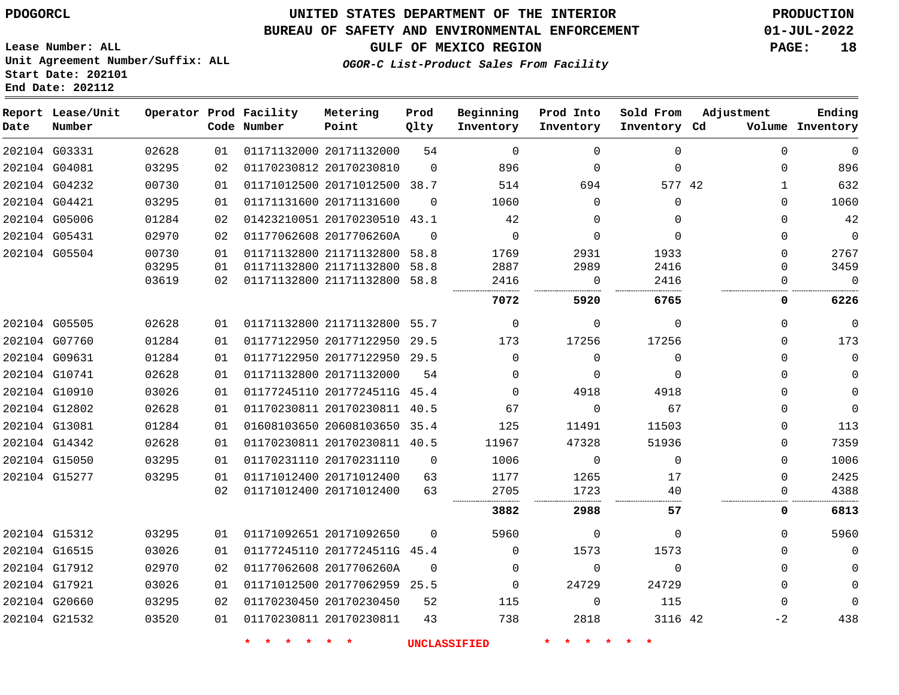**Report Lease/Unit**

## **UNITED STATES DEPARTMENT OF THE INTERIOR PDOGORCL PRODUCTION**

#### **BUREAU OF SAFETY AND ENVIRONMENTAL ENFORCEMENT 01-JUL-2022**

**Lease Number: ALL Unit Agreement Number/Suffix: ALL Start Date: 202101**

**Operator Prod Facility**

# **GULF OF MEXICO REGION PAGE: 18**

**Prod**

**Metering**

**Adjustment**

**Ending**

**OGOR-C List-Product Sales From Facility**

**Beginning**

**Prod Into**

**Sold From**

| Date | Number        |       |    | Code Number | Point                        | Qlty     | Inventory      | Inventory   | Inventory Cd |              | Volume Inventory |
|------|---------------|-------|----|-------------|------------------------------|----------|----------------|-------------|--------------|--------------|------------------|
|      | 202104 G03331 | 02628 | 01 |             | 01171132000 20171132000      | 54       | $\Omega$       | $\Omega$    | 0            | $\Omega$     | $\mathbf 0$      |
|      | 202104 G04081 | 03295 | 02 |             | 01170230812 20170230810      | $\Omega$ | 896            | $\mathbf 0$ | $\mathbf 0$  | 0            | 896              |
|      | 202104 G04232 | 00730 | 01 |             | 01171012500 20171012500 38.7 |          | 514            | 694         | 577 42       | $\mathbf{1}$ | 632              |
|      | 202104 G04421 | 03295 | 01 |             | 01171131600 20171131600      | $\Omega$ | 1060           | $\Omega$    | $\mathbf 0$  | $\Omega$     | 1060             |
|      | 202104 G05006 | 01284 | 02 |             | 01423210051 20170230510 43.1 |          | 42             | $\Omega$    | 0            | $\Omega$     | 42               |
|      | 202104 G05431 | 02970 | 02 |             | 01177062608 2017706260A      | $\Omega$ | $\Omega$       | $\Omega$    | $\Omega$     | 0            | $\overline{0}$   |
|      | 202104 G05504 | 00730 | 01 |             | 01171132800 21171132800 58.8 |          | 1769           | 2931        | 1933         | $\Omega$     | 2767             |
|      |               | 03295 | 01 |             | 01171132800 21171132800 58.8 |          | 2887           | 2989        | 2416         | $\Omega$     | 3459             |
|      |               | 03619 | 02 |             | 01171132800 21171132800 58.8 |          | 2416<br>       | $\Omega$    | 2416         | 0            | $\Omega$         |
|      |               |       |    |             |                              |          | 7072           | 5920        | 6765         | 0            | 6226             |
|      | 202104 G05505 | 02628 | 01 |             | 01171132800 21171132800 55.7 |          | $\overline{0}$ | 0           | $\Omega$     | 0            | $\mathbf{0}$     |
|      | 202104 G07760 | 01284 | 01 |             | 01177122950 20177122950 29.5 |          | 173            | 17256       | 17256        | $\Omega$     | 173              |
|      | 202104 G09631 | 01284 | 01 |             | 01177122950 20177122950 29.5 |          | $\Omega$       | $\Omega$    | $\Omega$     | 0            | $\mathbf 0$      |
|      | 202104 G10741 | 02628 | 01 |             | 01171132800 20171132000      | 54       | $\Omega$       | $\Omega$    | $\Omega$     | 0            | $\Omega$         |
|      | 202104 G10910 | 03026 | 01 |             | 01177245110 2017724511G 45.4 |          | $\Omega$       | 4918        | 4918         | $\Omega$     | $\Omega$         |
|      | 202104 G12802 | 02628 | 01 |             | 01170230811 20170230811 40.5 |          | 67             | $\Omega$    | 67           | $\Omega$     | $\mathbf{0}$     |
|      | 202104 G13081 | 01284 | 01 |             | 01608103650 20608103650 35.4 |          | 125            | 11491       | 11503        | $\Omega$     | 113              |
|      | 202104 G14342 | 02628 | 01 |             | 01170230811 20170230811 40.5 |          | 11967          | 47328       | 51936        | $\Omega$     | 7359             |
|      | 202104 G15050 | 03295 | 01 |             | 01170231110 20170231110      | $\Omega$ | 1006           | $\mathbf 0$ | $\Omega$     | $\Omega$     | 1006             |
|      | 202104 G15277 | 03295 | 01 |             | 01171012400 20171012400      | 63       | 1177           | 1265        | 17           | $\Omega$     | 2425             |
|      |               |       | 02 |             | 01171012400 20171012400      | 63       | 2705           | 1723<br>    | 40<br>       | 0            | 4388             |
|      |               |       |    |             |                              |          | 3882           | 2988        | 57           | 0            | 6813             |
|      | 202104 G15312 | 03295 | 01 |             | 01171092651 20171092650      | $\Omega$ | 5960           | $\Omega$    | $\Omega$     | 0            | 5960             |
|      | 202104 G16515 | 03026 | 01 |             | 01177245110 2017724511G 45.4 |          | $\Omega$       | 1573        | 1573         | 0            | $\Omega$         |
|      | 202104 G17912 | 02970 | 02 |             | 01177062608 2017706260A      | $\Omega$ | $\Omega$       | $\Omega$    | $\Omega$     | 0            | $\Omega$         |
|      | 202104 G17921 | 03026 | 01 |             | 01171012500 20177062959 25.5 |          | $\Omega$       | 24729       | 24729        | $\Omega$     | $\Omega$         |
|      | 202104 G20660 | 03295 | 02 |             | 01170230450 20170230450      | 52       | 115            | $\Omega$    | 115          | $\Omega$     | $\Omega$         |
|      | 202104 G21532 | 03520 | 01 |             | 01170230811 20170230811      | 43       | 738            | 2818        | 3116 42      | $-2$         | 438              |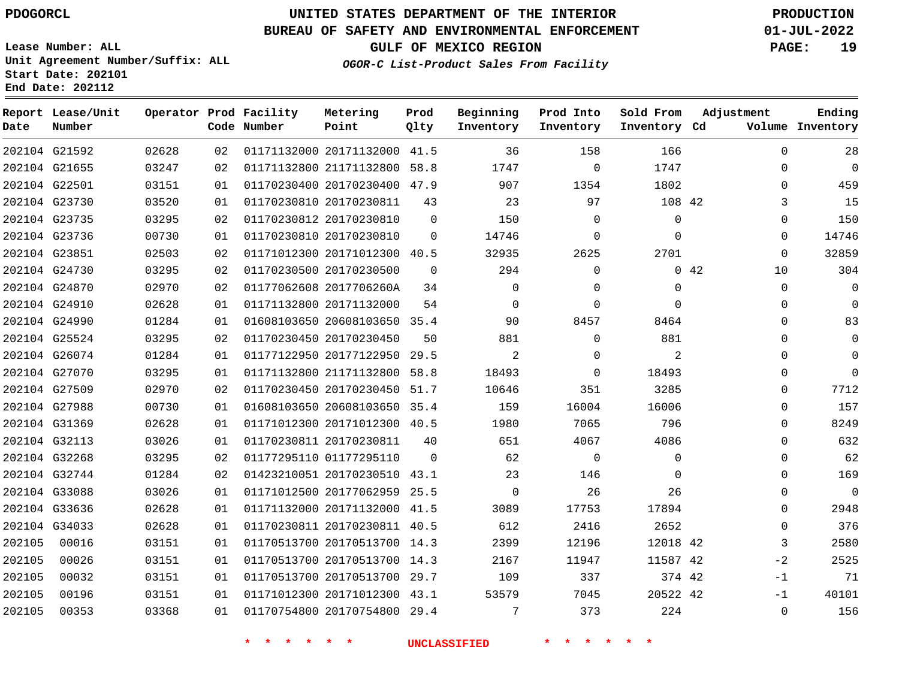# **UNITED STATES DEPARTMENT OF THE INTERIOR PDOGORCL PRODUCTION**

### **BUREAU OF SAFETY AND ENVIRONMENTAL ENFORCEMENT 01-JUL-2022**

**Lease Number: ALL Unit Agreement Number/Suffix: ALL Start Date: 202101**

**GULF OF MEXICO REGION PAGE: 19**

**OGOR-C List-Product Sales From Facility**

**End Date: 202112**

| Date   | Report Lease/Unit<br>Number |       |    | Operator Prod Facility<br>Code Number | Metering<br>Point            | Prod<br>Qlty | Beginning<br>Inventory | Prod Into<br>Inventory | Sold From<br>Inventory Cd | Adjustment |             | Ending<br>Volume Inventory |
|--------|-----------------------------|-------|----|---------------------------------------|------------------------------|--------------|------------------------|------------------------|---------------------------|------------|-------------|----------------------------|
|        | 202104 G21592               | 02628 | 02 |                                       | 01171132000 20171132000 41.5 |              | 36                     | 158                    | 166                       |            | $\mathbf 0$ | 28                         |
|        | 202104 G21655               | 03247 | 02 |                                       | 01171132800 21171132800 58.8 |              | 1747                   | $\Omega$               | 1747                      |            | $\Omega$    | $\overline{0}$             |
|        | 202104 G22501               | 03151 | 01 |                                       | 01170230400 20170230400 47.9 |              | 907                    | 1354                   | 1802                      |            | $\Omega$    | 459                        |
|        | 202104 G23730               | 03520 | 01 |                                       | 01170230810 20170230811      | 43           | 23                     | 97                     | 108 42                    |            | 3           | 15                         |
|        | 202104 G23735               | 03295 | 02 |                                       | 01170230812 20170230810      | $\Omega$     | 150                    | $\Omega$               | $\mathbf 0$               |            | $\Omega$    | 150                        |
|        | 202104 G23736               | 00730 | 01 |                                       | 01170230810 20170230810      | $\Omega$     | 14746                  | $\Omega$               | $\Omega$                  |            | $\Omega$    | 14746                      |
|        | 202104 G23851               | 02503 | 02 |                                       | 01171012300 20171012300 40.5 |              | 32935                  | 2625                   | 2701                      |            | 0           | 32859                      |
|        | 202104 G24730               | 03295 | 02 |                                       | 01170230500 20170230500      | $\Omega$     | 294                    | $\mathbf 0$            |                           | 0.42       | 10          | 304                        |
|        | 202104 G24870               | 02970 | 02 |                                       | 01177062608 2017706260A      | 34           | $\mathbf 0$            | $\mathbf{0}$           | $\mathbf{0}$              |            | $\mathbf 0$ | 0                          |
|        | 202104 G24910               | 02628 | 01 |                                       | 01171132800 20171132000      | 54           | $\overline{0}$         | $\mathbf{0}$           | $\Omega$                  |            | 0           | $\Omega$                   |
|        | 202104 G24990               | 01284 | 01 |                                       | 01608103650 20608103650 35.4 |              | 90                     | 8457                   | 8464                      |            | $\Omega$    | 83                         |
|        | 202104 G25524               | 03295 | 02 |                                       | 01170230450 20170230450      | 50           | 881                    | $\mathbf 0$            | 881                       |            | 0           | 0                          |
|        | 202104 G26074               | 01284 | 01 |                                       | 01177122950 20177122950      | 29.5         | $\overline{2}$         | $\mathbf{0}$           | 2                         |            | $\Omega$    | $\Omega$                   |
|        | 202104 G27070               | 03295 | 01 |                                       | 01171132800 21171132800 58.8 |              | 18493                  | 0                      | 18493                     |            | 0           | $\Omega$                   |
|        | 202104 G27509               | 02970 | 02 |                                       | 01170230450 20170230450      | 51.7         | 10646                  | 351                    | 3285                      |            | 0           | 7712                       |
|        | 202104 G27988               | 00730 | 01 |                                       | 01608103650 20608103650 35.4 |              | 159                    | 16004                  | 16006                     |            | 0           | 157                        |
|        | 202104 G31369               | 02628 | 01 |                                       | 01171012300 20171012300 40.5 |              | 1980                   | 7065                   | 796                       |            | $\Omega$    | 8249                       |
|        | 202104 G32113               | 03026 | 01 |                                       | 01170230811 20170230811      | 40           | 651                    | 4067                   | 4086                      |            | 0           | 632                        |
|        | 202104 G32268               | 03295 | 02 |                                       | 01177295110 01177295110      | $\Omega$     | 62                     | 0                      | $\Omega$                  |            | $\Omega$    | 62                         |
|        | 202104 G32744               | 01284 | 02 |                                       | 01423210051 20170230510 43.1 |              | 23                     | 146                    | $\mathbf 0$               |            | 0           | 169                        |
|        | 202104 G33088               | 03026 | 01 |                                       | 01171012500 20177062959 25.5 |              | 0                      | 26                     | 26                        |            | 0           | $\mathbf{0}$               |
|        | 202104 G33636               | 02628 | 01 |                                       | 01171132000 20171132000 41.5 |              | 3089                   | 17753                  | 17894                     |            | $\Omega$    | 2948                       |
|        | 202104 G34033               | 02628 | 01 |                                       | 01170230811 20170230811 40.5 |              | 612                    | 2416                   | 2652                      |            | 0           | 376                        |
| 202105 | 00016                       | 03151 | 01 |                                       | 01170513700 20170513700 14.3 |              | 2399                   | 12196                  | 12018 42                  |            | 3           | 2580                       |
| 202105 | 00026                       | 03151 | 01 |                                       | 01170513700 20170513700 14.3 |              | 2167                   | 11947                  | 11587 42                  |            | $-2$        | 2525                       |
| 202105 | 00032                       | 03151 | 01 |                                       | 01170513700 20170513700 29.7 |              | 109                    | 337                    | 374 42                    |            | $-1$        | 71                         |
| 202105 | 00196                       | 03151 | 01 |                                       | 01171012300 20171012300 43.1 |              | 53579                  | 7045                   | 20522 42                  |            | $-1$        | 40101                      |
| 202105 | 00353                       | 03368 | 01 |                                       | 01170754800 20170754800 29.4 |              | 7                      | 373                    | 224                       |            | $\Omega$    | 156                        |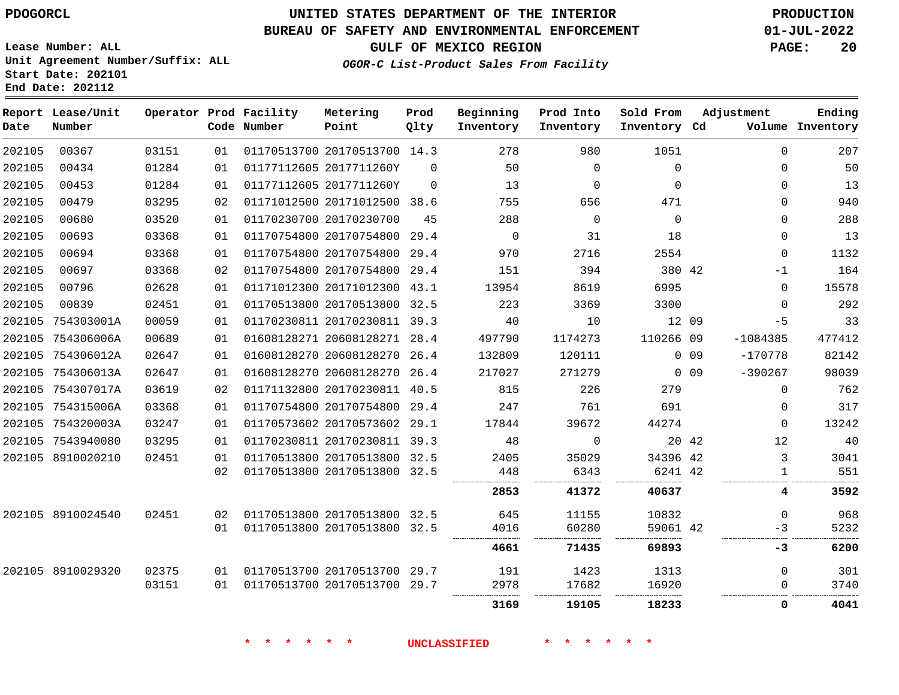**Start Date: 202101 End Date: 202112**

# **UNITED STATES DEPARTMENT OF THE INTERIOR PDOGORCL PRODUCTION**

#### **BUREAU OF SAFETY AND ENVIRONMENTAL ENFORCEMENT 01-JUL-2022**

**Lease Number: ALL Unit Agreement Number/Suffix: ALL**

**GULF OF MEXICO REGION PAGE: 20**

**OGOR-C List-Product Sales From Facility**

| Date   | Report Lease/Unit<br>Number |       |    | Operator Prod Facility<br>Code Number | Metering<br>Point            | Prod<br>Qlty | Beginning<br>Inventory | Prod Into<br>Inventory | Sold From<br>Inventory Cd |                 | Adjustment   | Ending<br>Volume Inventory |
|--------|-----------------------------|-------|----|---------------------------------------|------------------------------|--------------|------------------------|------------------------|---------------------------|-----------------|--------------|----------------------------|
| 202105 | 00367                       | 03151 | 01 |                                       | 01170513700 20170513700 14.3 |              | 278                    | 980                    | 1051                      |                 | $\Omega$     | 207                        |
| 202105 | 00434                       | 01284 | 01 |                                       | 01177112605 2017711260Y      | $\Omega$     | 50                     | $\Omega$               | $\Omega$                  |                 | $\Omega$     | 50                         |
| 202105 | 00453                       | 01284 | 01 |                                       | 01177112605 2017711260Y      | $\Omega$     | 13                     | $\mathbf 0$            | $\Omega$                  |                 | 0            | 13                         |
| 202105 | 00479                       | 03295 | 02 |                                       | 01171012500 20171012500 38.6 |              | 755                    | 656                    | 471                       |                 | $\Omega$     | 940                        |
| 202105 | 00680                       | 03520 | 01 |                                       | 01170230700 20170230700      | 45           | 288                    | $\Omega$               | $\Omega$                  |                 | $\Omega$     | 288                        |
| 202105 | 00693                       | 03368 | 01 |                                       | 01170754800 20170754800      | 29.4         | $\mathbf 0$            | 31                     | 18                        |                 | $\Omega$     | 13                         |
| 202105 | 00694                       | 03368 | 01 |                                       | 01170754800 20170754800      | 29.4         | 970                    | 2716                   | 2554                      |                 | $\Omega$     | 1132                       |
| 202105 | 00697                       | 03368 | 02 |                                       | 01170754800 20170754800      | 29.4         | 151                    | 394                    | 380 42                    |                 | $-1$         | 164                        |
| 202105 | 00796                       | 02628 | 01 |                                       | 01171012300 20171012300      | 43.1         | 13954                  | 8619                   | 6995                      |                 | $\mathbf 0$  | 15578                      |
| 202105 | 00839                       | 02451 | 01 |                                       | 01170513800 20170513800      | 32.5         | 223                    | 3369                   | 3300                      |                 | $\Omega$     | 292                        |
|        | 202105 754303001A           | 00059 | 01 |                                       | 01170230811 20170230811 39.3 |              | 40                     | 10                     | 12 09                     |                 | $-5$         | 33                         |
|        | 202105 754306006A           | 00689 | 01 |                                       | 01608128271 20608128271 28.4 |              | 497790                 | 1174273                | 110266 09                 |                 | $-1084385$   | 477412                     |
|        | 202105 754306012A           | 02647 | 01 |                                       | 01608128270 20608128270      | 26.4         | 132809                 | 120111                 |                           | 0 <sub>09</sub> | $-170778$    | 82142                      |
|        | 202105 754306013A           | 02647 | 01 |                                       | 01608128270 20608128270      | 26.4         | 217027                 | 271279                 |                           | 0 <sub>09</sub> | $-390267$    | 98039                      |
|        | 202105 754307017A           | 03619 | 02 |                                       | 01171132800 20170230811 40.5 |              | 815                    | 226                    | 279                       |                 | $\mathbf 0$  | 762                        |
|        | 202105 754315006A           | 03368 | 01 |                                       | 01170754800 20170754800      | 29.4         | 247                    | 761                    | 691                       |                 | $\mathbf 0$  | 317                        |
|        | 202105 754320003A           | 03247 | 01 |                                       | 01170573602 20170573602 29.1 |              | 17844                  | 39672                  | 44274                     |                 | $\Omega$     | 13242                      |
|        | 202105 7543940080           | 03295 | 01 |                                       | 01170230811 20170230811 39.3 |              | 48                     | $\mathbf 0$            | 20 42                     |                 | 12           | 40                         |
|        | 202105 8910020210           | 02451 | 01 |                                       | 01170513800 20170513800 32.5 |              | 2405                   | 35029                  | 34396 42                  |                 | 3            | 3041                       |
|        |                             |       | 02 |                                       | 01170513800 20170513800 32.5 |              | 448                    | 6343                   | 6241 42                   |                 | $\mathbf{1}$ | 551                        |
|        |                             |       |    |                                       |                              |              | 2853                   | 41372                  | 40637                     |                 | 4            | 3592                       |
|        | 202105 8910024540           | 02451 | 02 |                                       | 01170513800 20170513800 32.5 |              | 645                    | 11155                  | 10832                     |                 | $\Omega$     | 968                        |
|        |                             |       | 01 |                                       | 01170513800 20170513800 32.5 |              | 4016                   | 60280                  | 59061 42                  |                 | $-3$         | 5232                       |
|        |                             |       |    |                                       |                              |              | 4661                   | 71435                  | 69893                     |                 | $-3$         | 6200                       |
|        | 202105 8910029320           | 02375 | 01 |                                       | 01170513700 20170513700      | 29.7         | 191                    | 1423                   | 1313                      |                 | $\Omega$     | 301                        |
|        |                             | 03151 | 01 |                                       | 01170513700 20170513700      | 29.7         | 2978                   | 17682                  | 16920                     |                 | 0            | 3740                       |
|        |                             |       |    |                                       |                              |              | 3169                   | 19105                  | 18233                     |                 | $\mathbf{0}$ | 4041                       |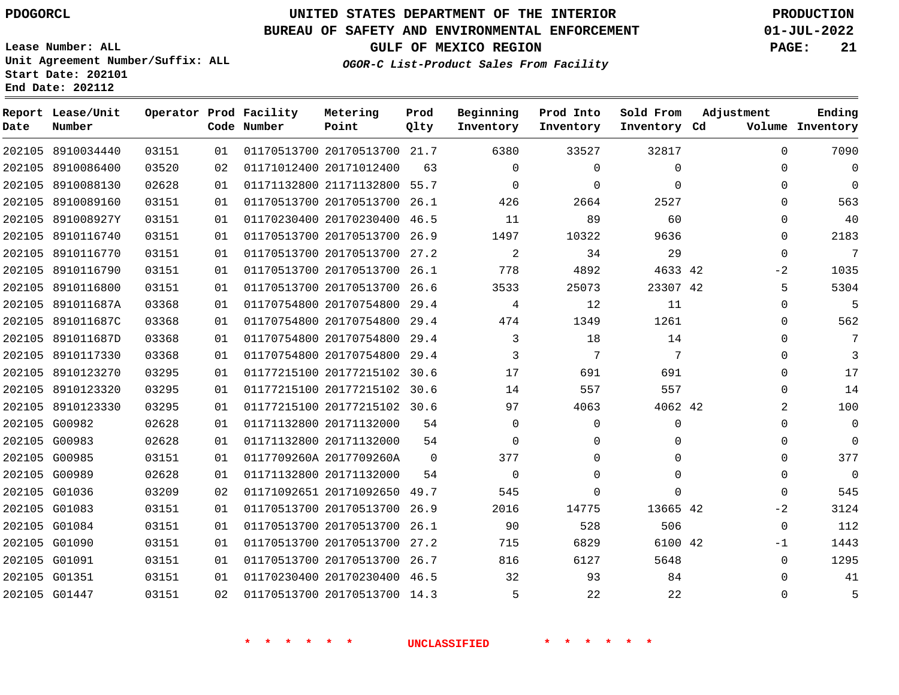**Date**

**End Date: 202112**

**Report Lease/Unit**

**Number**

8910034440

# **UNITED STATES DEPARTMENT OF THE INTERIOR PDOGORCL PRODUCTION**

**Prod Qlty**

#### **BUREAU OF SAFETY AND ENVIRONMENTAL ENFORCEMENT 01-JUL-2022**

**Lease Number: ALL Unit Agreement Number/Suffix: ALL Start Date: 202101**

> 

**Operator Prod Facility**

**Code Number**

  **OGOR-C List-Product Sales From Facility**

  $\Omega$    $\Omega$   

**Sold From Inventory**

**Prod Into Inventory**

**Beginning Inventory**

**GULF OF MEXICO REGION PAGE: 21**

**Inventory Cd Volume**

**Adjustment**

  $\Omega$  $\Omega$   $\Omega$  $\Omega$   $-2$   $\Omega$  $\Omega$  $\Omega$  $\Omega$  $\overline{0}$  $\Omega$   $\Omega$  $\Omega$  $\Omega$  $\Omega$   $-2$   $-1$  

**Ending**

|               |                   |       |    | $\ast$                       |             | UNCLASSIFIED |             |              |  |
|---------------|-------------------|-------|----|------------------------------|-------------|--------------|-------------|--------------|--|
|               |                   |       |    |                              |             |              |             |              |  |
| 202105 G01447 |                   | 03151 | 02 | 01170513700 20170513700 14.3 |             | 5            | 22          | 22           |  |
| 202105 G01351 |                   | 03151 | 01 | 01170230400 20170230400 46.5 |             | 32           | 93          | 84           |  |
| 202105 G01091 |                   | 03151 | 01 | 01170513700 20170513700 26.7 |             | 816          | 6127        | 5648         |  |
| 202105 G01090 |                   | 03151 | 01 | 01170513700 20170513700 27.2 |             | 715          | 6829        | 6100 42      |  |
| 202105 G01084 |                   | 03151 | 01 | 01170513700 20170513700      | 26.1        | 90           | 528         | 506          |  |
| 202105 G01083 |                   | 03151 | 01 | 01170513700 20170513700 26.9 |             | 2016         | 14775       | 13665 42     |  |
| 202105 G01036 |                   | 03209 | 02 | 01171092651 20171092650 49.7 |             | 545          | $\Omega$    | $\mathbf{0}$ |  |
| 202105 G00989 |                   | 02628 | 01 | 01171132800 20171132000      | 54          | 0            | $\mathbf 0$ | $\mathbf 0$  |  |
| 202105 G00985 |                   | 03151 | 01 | 0117709260A 2017709260A      | $\mathbf 0$ | 377          | 0           | 0            |  |
| 202105 G00983 |                   | 02628 | 01 | 01171132800 20171132000      | 54          | 0            | $\mathbf 0$ | $\mathbf{0}$ |  |
| 202105 G00982 |                   | 02628 | 01 | 01171132800 20171132000      | 54          | $\Omega$     | 0           | $\mathbf 0$  |  |
|               | 202105 8910123330 | 03295 | 01 | 01177215100 20177215102 30.6 |             | 97           | 4063        | 4062 42      |  |
|               | 202105 8910123320 | 03295 | 01 | 01177215100 20177215102 30.6 |             | 14           | 557         | 557          |  |
|               | 202105 8910123270 | 03295 | 01 | 01177215100 20177215102      | 30.6        | 17           | 691         | 691          |  |
|               | 202105 8910117330 | 03368 | 01 | 01170754800 20170754800      | 29.4        | 3            | 7           | 7            |  |
|               | 202105 891011687D | 03368 | 01 | 01170754800 20170754800 29.4 |             | 3            | 18          | 14           |  |
|               | 202105 891011687C | 03368 | 01 | 01170754800 20170754800 29.4 |             | 474          | 1349        | 1261         |  |
|               | 202105 891011687A | 03368 | 01 | 01170754800 20170754800      | 29.4        | 4            | 12          | 11           |  |
|               | 202105 8910116800 | 03151 | 01 | 01170513700 20170513700 26.6 |             | 3533         | 25073       | 23307 42     |  |
|               | 202105 8910116790 | 03151 | 01 | 01170513700 20170513700      | 26.1        | 778          | 4892        | 4633 42      |  |
|               | 202105 8910116770 | 03151 | 01 | 01170513700 20170513700 27.2 |             | 2            | 34          | 29           |  |
|               | 202105 8910116740 | 03151 | 01 | 01170513700 20170513700 26.9 |             | 1497         | 10322       | 9636         |  |
|               | 202105 891008927Y | 03151 | 01 | 01170230400 20170230400      | 46.5        | 11           | 89          | 60           |  |
|               | 202105 8910089160 | 03151 | 01 | 01170513700 20170513700 26.1 |             | 426          | 2664        | 2527         |  |
|               | 202105 8910088130 | 02628 | 01 | 01171132800 21171132800 55.7 |             | $\Omega$     | $\Omega$    | $\Omega$     |  |
|               | 202105 8910086400 | 03520 | 02 | 01171012400 20171012400      | 63          | $\Omega$     | $\mathbf 0$ | $\mathbf 0$  |  |

20170513700 21.7

**Metering Point**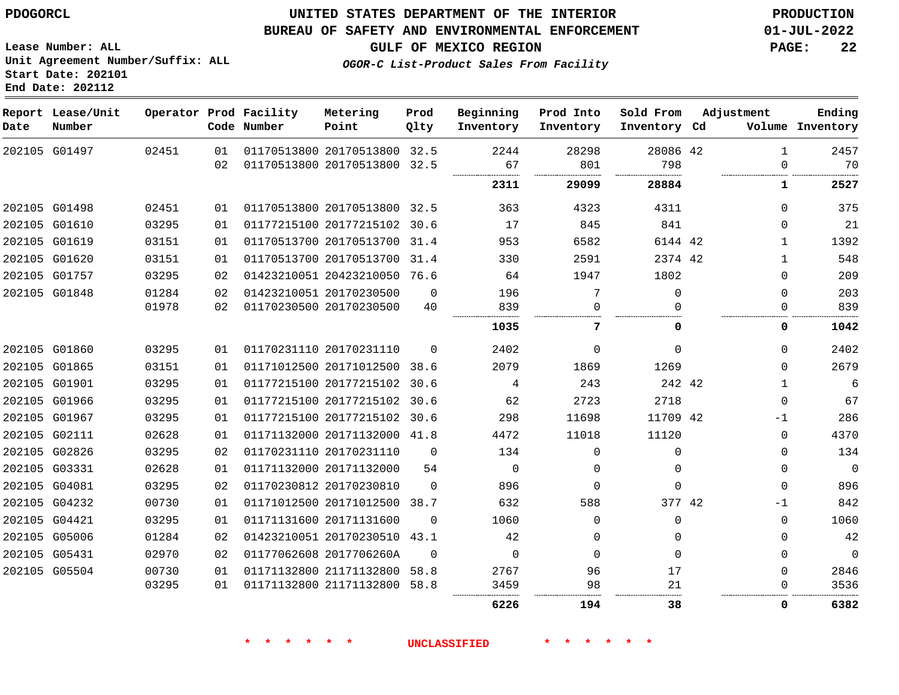#### **BUREAU OF SAFETY AND ENVIRONMENTAL ENFORCEMENT 01-JUL-2022**

**GULF OF MEXICO REGION PAGE: 22**

**Lease Number: ALL Unit Agreement Number/Suffix: ALL Start Date: 202101 End Date: 202112**

**OGOR-C List-Product Sales From Facility**

| Date | Report Lease/Unit<br>Number |       |          | Operator Prod Facility<br>Code Number | Metering<br>Point                                       | Prod<br>Qlty | Beginning<br>Inventory | Prod Into<br>Inventory | Sold From<br>Inventory Cd | Adjustment    | Ending<br>Volume Inventory |
|------|-----------------------------|-------|----------|---------------------------------------|---------------------------------------------------------|--------------|------------------------|------------------------|---------------------------|---------------|----------------------------|
|      | 202105 G01497               | 02451 | 01<br>02 |                                       | 01170513800 20170513800 32.5<br>01170513800 20170513800 | 32.5         | 2244<br>67             | 28298<br>801           | 28086 42<br>798           | 1<br>$\Omega$ | 2457<br>70                 |
|      |                             |       |          |                                       |                                                         |              |                        |                        |                           |               |                            |
|      |                             |       |          |                                       |                                                         |              | 2311                   | 29099                  | 28884                     | 1             | 2527                       |
|      | 202105 G01498               | 02451 | 01       |                                       | 01170513800 20170513800 32.5                            |              | 363                    | 4323                   | 4311                      | $\Omega$      | 375                        |
|      | 202105 G01610               | 03295 | 01       |                                       | 01177215100 20177215102                                 | 30.6         | 17                     | 845                    | 841                       | $\Omega$      | 21                         |
|      | 202105 G01619               | 03151 | 01       |                                       | 01170513700 20170513700                                 | 31.4         | 953                    | 6582                   | 6144 42                   | $\mathbf{1}$  | 1392                       |
|      | 202105 G01620               | 03151 | 01       |                                       | 01170513700 20170513700                                 | 31.4         | 330                    | 2591                   | 2374 42                   | $\mathbf{1}$  | 548                        |
|      | 202105 G01757               | 03295 | 02       |                                       | 01423210051 20423210050 76.6                            |              | 64                     | 1947                   | 1802                      | $\Omega$      | 209                        |
|      | 202105 G01848               | 01284 | 02       |                                       | 01423210051 20170230500                                 | $\Omega$     | 196                    | 7                      | $\Omega$                  | $\Omega$      | 203                        |
|      |                             | 01978 | 02       |                                       | 01170230500 20170230500                                 | 40           | 839                    | $\Omega$               | ∩                         | $\Omega$      | 839                        |
|      |                             |       |          |                                       |                                                         |              | 1035                   | 7                      | O                         | 0             | 1042                       |
|      | 202105 G01860               | 03295 | 01       |                                       | 01170231110 20170231110                                 | $\Omega$     | 2402                   | $\Omega$               | $\Omega$                  | $\Omega$      | 2402                       |
|      | 202105 G01865               | 03151 | 01       |                                       | 01171012500 20171012500                                 | 38.6         | 2079                   | 1869                   | 1269                      | $\Omega$      | 2679                       |
|      | 202105 G01901               | 03295 | 01       |                                       | 01177215100 20177215102 30.6                            |              | 4                      | 243                    | 242 42                    | 1             | 6                          |
|      | 202105 G01966               | 03295 | 01       |                                       | 01177215100 20177215102 30.6                            |              | 62                     | 2723                   | 2718                      | $\mathbf 0$   | 67                         |
|      | 202105 G01967               | 03295 | 01       |                                       | 01177215100 20177215102 30.6                            |              | 298                    | 11698                  | 11709 42                  | -1            | 286                        |
|      | 202105 G02111               | 02628 | 01       |                                       | 01171132000 20171132000 41.8                            |              | 4472                   | 11018                  | 11120                     | $\Omega$      | 4370                       |
|      | 202105 G02826               | 03295 | 02       |                                       | 01170231110 20170231110                                 | $\Omega$     | 134                    | $\Omega$               | $\Omega$                  | $\Omega$      | 134                        |
|      | 202105 G03331               | 02628 | 01       |                                       | 01171132000 20171132000                                 | 54           | $\mathbf 0$            | 0                      | $\Omega$                  | 0             | $\overline{0}$             |
|      | 202105 G04081               | 03295 | 02       |                                       | 01170230812 20170230810                                 | $\Omega$     | 896                    | $\Omega$               | $\Omega$                  | $\Omega$      | 896                        |
|      | 202105 G04232               | 00730 | 01       |                                       | 01171012500 20171012500                                 | 38.7         | 632                    | 588                    | 377 42                    | -1            | 842                        |
|      | 202105 G04421               | 03295 | 01       |                                       | 01171131600 20171131600                                 | $\Omega$     | 1060                   | $\Omega$               | $\Omega$                  | $\Omega$      | 1060                       |
|      | 202105 G05006               | 01284 | 02       |                                       | 01423210051 20170230510                                 | 43.1         | 42                     | 0                      | $\Omega$                  | $\mathbf{0}$  | 42                         |
|      | 202105 G05431               | 02970 | 02       |                                       | 01177062608 2017706260A                                 | $\Omega$     | $\Omega$               | $\Omega$               | $\Omega$                  | $\mathbf{0}$  | $\mathbf 0$                |
|      | 202105 G05504               | 00730 | 01       |                                       | 01171132800 21171132800                                 | 58.8         | 2767                   | 96                     | 17                        | $\Omega$      | 2846                       |
|      |                             | 03295 | 01       |                                       | 01171132800 21171132800                                 | 58.8         | 3459                   | 98                     | 21                        | 0             | 3536                       |
|      |                             |       |          |                                       |                                                         |              | 6226                   | 194                    | 38                        | 0             | 6382                       |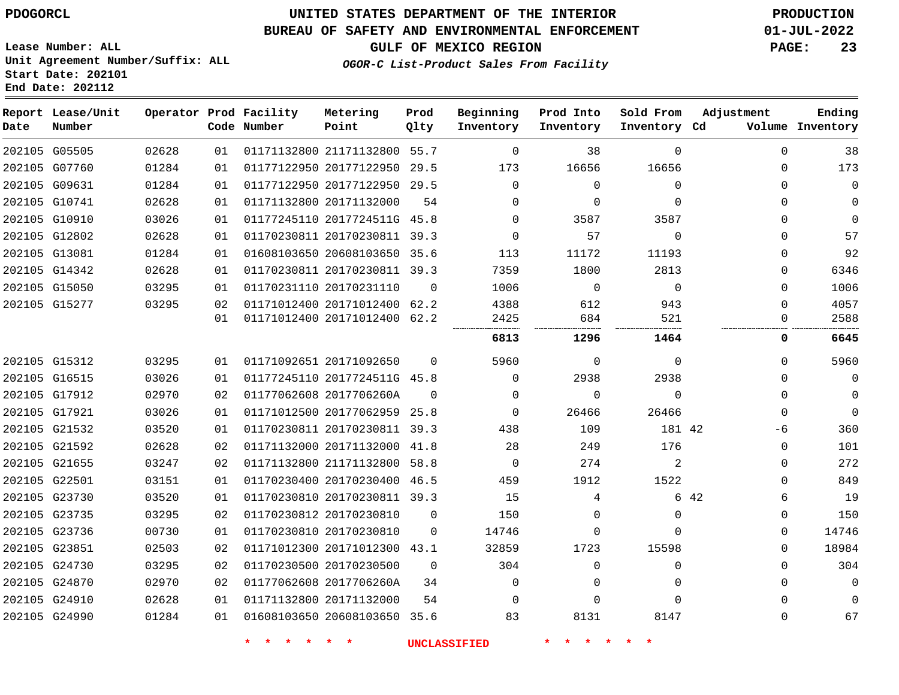## **UNITED STATES DEPARTMENT OF THE INTERIOR PDOGORCL PRODUCTION**

#### **BUREAU OF SAFETY AND ENVIRONMENTAL ENFORCEMENT 01-JUL-2022**

**GULF OF MEXICO REGION PAGE: 23**

**Lease Number: ALL Unit Agreement Number/Suffix: ALL Start Date: 202101 End Date: 202112**

**OGOR-C List-Product Sales From Facility**

| Date | Report Lease/Unit<br>Number |       |    | Operator Prod Facility<br>Code Number | Metering<br>Point            | Prod<br>Qlty | Beginning<br>Inventory | Prod Into<br>Inventory | Sold From<br>Inventory Cd | Adjustment | Ending<br>Volume Inventory |
|------|-----------------------------|-------|----|---------------------------------------|------------------------------|--------------|------------------------|------------------------|---------------------------|------------|----------------------------|
|      | 202105 G05505               | 02628 | 01 |                                       | 01171132800 21171132800 55.7 |              | $\Omega$               | 38                     | $\mathbf{0}$              | $\Omega$   | 38                         |
|      | 202105 G07760               | 01284 | 01 |                                       | 01177122950 20177122950 29.5 |              | 173                    | 16656                  | 16656                     | 0          | 173                        |
|      | 202105 G09631               | 01284 | 01 |                                       | 01177122950 20177122950 29.5 |              | $\Omega$               | $\mathbf 0$            | $\Omega$                  | $\Omega$   | 0                          |
|      | 202105 G10741               | 02628 | 01 |                                       | 01171132800 20171132000      | 54           | $\Omega$               | $\mathbf 0$            | $\mathbf{0}$              | $\Omega$   | 0                          |
|      | 202105 G10910               | 03026 | 01 |                                       | 01177245110 2017724511G 45.8 |              | $\Omega$               | 3587                   | 3587                      | $\Omega$   | 0                          |
|      | 202105 G12802               | 02628 | 01 |                                       | 01170230811 20170230811 39.3 |              | $\Omega$               | 57                     | $\Omega$                  | 0          | 57                         |
|      | 202105 G13081               | 01284 | 01 |                                       | 01608103650 20608103650 35.6 |              | 113                    | 11172                  | 11193                     | $\Omega$   | 92                         |
|      | 202105 G14342               | 02628 | 01 |                                       | 01170230811 20170230811 39.3 |              | 7359                   | 1800                   | 2813                      | $\Omega$   | 6346                       |
|      | 202105 G15050               | 03295 | 01 |                                       | 01170231110 20170231110      | $\Omega$     | 1006                   | $\mathbf 0$            | $\mathbf 0$               | $\Omega$   | 1006                       |
|      | 202105 G15277               | 03295 | 02 |                                       | 01171012400 20171012400 62.2 |              | 4388                   | 612                    | 943                       | $\Omega$   | 4057                       |
|      |                             |       | 01 |                                       | 01171012400 20171012400 62.2 |              | 2425                   | 684                    | 521                       | 0          | 2588                       |
|      |                             |       |    |                                       |                              |              | 6813                   | 1296                   | 1464                      | 0          | 6645                       |
|      | 202105 G15312               | 03295 | 01 |                                       | 01171092651 20171092650      | $\Omega$     | 5960                   | $\mathbf 0$            | $\mathbf{0}$              | $\Omega$   | 5960                       |
|      | 202105 G16515               | 03026 | 01 |                                       | 01177245110 2017724511G 45.8 |              | $\Omega$               | 2938                   | 2938                      | $\Omega$   | 0                          |
|      | 202105 G17912               | 02970 | 02 |                                       | 01177062608 2017706260A      | $\Omega$     | $\Omega$               | $\mathbf 0$            | $\Omega$                  | $\Omega$   | 0                          |
|      | 202105 G17921               | 03026 | 01 |                                       | 01171012500 20177062959 25.8 |              | $\Omega$               | 26466                  | 26466                     | 0          | $\Omega$                   |
|      | 202105 G21532               | 03520 | 01 |                                       | 01170230811 20170230811 39.3 |              | 438                    | 109                    | 181 42                    | -6         | 360                        |
|      | 202105 G21592               | 02628 | 02 |                                       | 01171132000 20171132000 41.8 |              | 28                     | 249                    | 176                       | 0          | 101                        |
|      | 202105 G21655               | 03247 | 02 |                                       | 01171132800 21171132800 58.8 |              | $\Omega$               | 274                    | 2                         | $\Omega$   | 272                        |
|      | 202105 G22501               | 03151 | 01 |                                       | 01170230400 20170230400 46.5 |              | 459                    | 1912                   | 1522                      | $\Omega$   | 849                        |
|      | 202105 G23730               | 03520 | 01 |                                       | 01170230810 20170230811 39.3 |              | 15                     | 4                      |                           | 6 42<br>6  | 19                         |
|      | 202105 G23735               | 03295 | 02 |                                       | 01170230812 20170230810      | 0            | 150                    | 0                      | $\mathbf{0}$              | 0          | 150                        |
|      | 202105 G23736               | 00730 | 01 |                                       | 01170230810 20170230810      | 0            | 14746                  | $\mathbf 0$            | $\Omega$                  | 0          | 14746                      |
|      | 202105 G23851               | 02503 | 02 |                                       | 01171012300 20171012300 43.1 |              | 32859                  | 1723                   | 15598                     | $\Omega$   | 18984                      |
|      | 202105 G24730               | 03295 | 02 |                                       | 01170230500 20170230500      | $\mathbf 0$  | 304                    | $\mathbf 0$            | $\mathbf{0}$              | $\Omega$   | 304                        |
|      | 202105 G24870               | 02970 | 02 |                                       | 01177062608 2017706260A      | 34           | $\Omega$               | $\mathbf 0$            | $\Omega$                  | $\Omega$   | 0                          |
|      | 202105 G24910               | 02628 | 01 |                                       | 01171132800 20171132000      | 54           | $\Omega$               | $\Omega$               | $\Omega$                  | $\Omega$   | $\Omega$                   |
|      | 202105 G24990               | 01284 | 01 |                                       | 01608103650 20608103650 35.6 |              | 83                     | 8131                   | 8147                      | 0          | 67                         |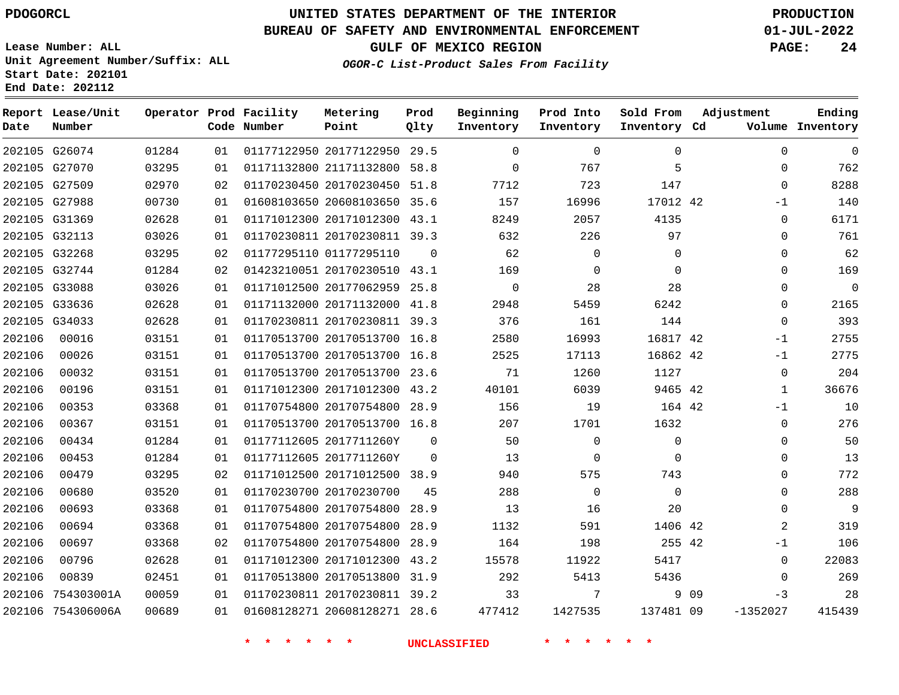**Date**

**End Date: 202112**

**Report Lease/Unit**

**Number**

# **UNITED STATES DEPARTMENT OF THE INTERIOR PDOGORCL PRODUCTION**

#### **BUREAU OF SAFETY AND ENVIRONMENTAL ENFORCEMENT 01-JUL-2022**

**Lease Number: ALL Unit Agreement Number/Suffix: ALL Start Date: 202101**

**Operator Prod Facility**

**Code Number**

**GULF OF MEXICO REGION PAGE: 24**

**Prod Qlty**

**Inventory Cd Volume**

**Adjustment**

**Ending**

**OGOR-C List-Product Sales From Facility**

**Beginning Inventory** **Prod Into Inventory** **Sold From Inventory**

| 202105 G26074 |       | 01284 | 01 | 01177122950 20177122950 29.5 |          |          |       |          |  |
|---------------|-------|-------|----|------------------------------|----------|----------|-------|----------|--|
| 202105 G27070 |       | 03295 | 01 | 01171132800 21171132800 58.8 |          | $\Omega$ | 767   | 5        |  |
| 202105 G27509 |       | 02970 | 02 | 01170230450 20170230450 51.8 |          | 7712     | 723   | 147      |  |
| 202105 G27988 |       | 00730 | 01 | 01608103650 20608103650 35.6 |          | 157      | 16996 | 17012 42 |  |
| 202105 G31369 |       | 02628 | 01 | 01171012300 20171012300 43.1 |          | 8249     | 2057  | 4135     |  |
| 202105 G32113 |       | 03026 | 01 | 01170230811 20170230811 39.3 |          | 632      | 226   | 97       |  |
| 202105 G32268 |       | 03295 | 02 | 01177295110 01177295110      | $\Omega$ | 62       |       | 0        |  |
| 202105 G32744 |       | 01284 | 02 | 01423210051 20170230510 43.1 |          | 169      |       | $\Omega$ |  |
| 202105 G33088 |       | 03026 | 01 | 01171012500 20177062959 25.8 |          | $\Omega$ | 28    | 28       |  |
| 202105 G33636 |       | 02628 | 01 | 01171132000 20171132000 41.8 |          | 2948     | 5459  | 6242     |  |
| 202105 G34033 |       | 02628 | 01 | 01170230811 20170230811 39.3 |          | 376      | 161   | 144      |  |
| 202106        | 00016 | 03151 | 01 | 01170513700 20170513700 16.8 |          | 2580     | 16993 | 16817 42 |  |
| 202106        | 00026 | 03151 | 01 | 01170513700 20170513700 16 8 |          | クちつち     | 17113 | 1686242  |  |

**Metering Point**

|        | 202105 G32744     | 01284 | 02 | 01423210051 20170230510      | 43.1     | 169         | 0        | $\mathbf 0$ |       | $\Omega$       | 169            |
|--------|-------------------|-------|----|------------------------------|----------|-------------|----------|-------------|-------|----------------|----------------|
|        | 202105 G33088     | 03026 | 01 | 01171012500 20177062959 25.8 |          | $\mathbf 0$ | 28       | 28          |       | $\Omega$       | $\overline{0}$ |
|        | 202105 G33636     | 02628 | 01 | 01171132000 20171132000      | 41.8     | 2948        | 5459     | 6242        |       | $\Omega$       | 2165           |
|        | 202105 G34033     | 02628 | 01 | 01170230811 20170230811      | 39.3     | 376         | 161      | 144         |       | $\Omega$       | 393            |
| 202106 | 00016             | 03151 | 01 | 01170513700 20170513700 16.8 |          | 2580        | 16993    | 16817 42    |       | $-1$           | 2755           |
| 202106 | 00026             | 03151 | 01 | 01170513700 20170513700 16.8 |          | 2525        | 17113    | 16862 42    |       | $-1$           | 2775           |
| 202106 | 00032             | 03151 | 01 | 01170513700 20170513700 23.6 |          | 71          | 1260     | 1127        |       | $\Omega$       | 204            |
| 202106 | 00196             | 03151 | 01 | 01171012300 20171012300      | 43.2     | 40101       | 6039     | 9465 42     |       |                | 36676          |
| 202106 | 00353             | 03368 | 01 | 01170754800 20170754800      | 28.9     | 156         | 19       | 164 42      |       | $-1$           | 10             |
| 202106 | 00367             | 03151 | 01 | 01170513700 20170513700 16.8 |          | 207         | 1701     | 1632        |       | $\Omega$       | 276            |
| 202106 | 00434             | 01284 | 01 | 01177112605 2017711260Y      | $\Omega$ | 50          | $\Omega$ | $\Omega$    |       | $\Omega$       | 50             |
| 202106 | 00453             | 01284 | 01 | 01177112605 2017711260Y      | $\Omega$ | 13          | $\Omega$ | $\Omega$    |       | $\Omega$       | 13             |
| 202106 | 00479             | 03295 | 02 | 01171012500 20171012500 38.9 |          | 940         | 575      | 743         |       | $\Omega$       | 772            |
| 202106 | 00680             | 03520 | 01 | 01170230700 20170230700      | 45       | 288         | $\Omega$ | $\Omega$    |       | $\Omega$       | 288            |
| 202106 | 00693             | 03368 | 01 | 01170754800 20170754800      | 28.9     | 13          | 16       | 20          |       | $\Omega$       | 9              |
| 202106 | 00694             | 03368 | 01 | 01170754800 20170754800      | 28.9     | 1132        | 591      | 1406 42     |       | $\overline{2}$ | 319            |
| 202106 | 00697             | 03368 | 02 | 01170754800 20170754800      | 28.9     | 164         | 198      | 255 42      |       | -1             | 106            |
| 202106 | 00796             | 02628 | 01 | 01171012300 20171012300      | 43.2     | 15578       | 11922    | 5417        |       | $\Omega$       | 22083          |
| 202106 | 00839             | 02451 | 01 | 01170513800 20170513800      | 31.9     | 292         | 5413     | 5436        |       | $\Omega$       | 269            |
| 202106 | 754303001A        | 00059 | 01 | 01170230811 20170230811      | 39.2     | 33          | 7        |             | 9 0 9 | $-3$           | 28             |
|        | 202106 754306006A | 00689 | 01 | 01608128271 20608128271 28.6 |          | 477412      | 1427535  | 137481 09   |       | $-1352027$     | 415439         |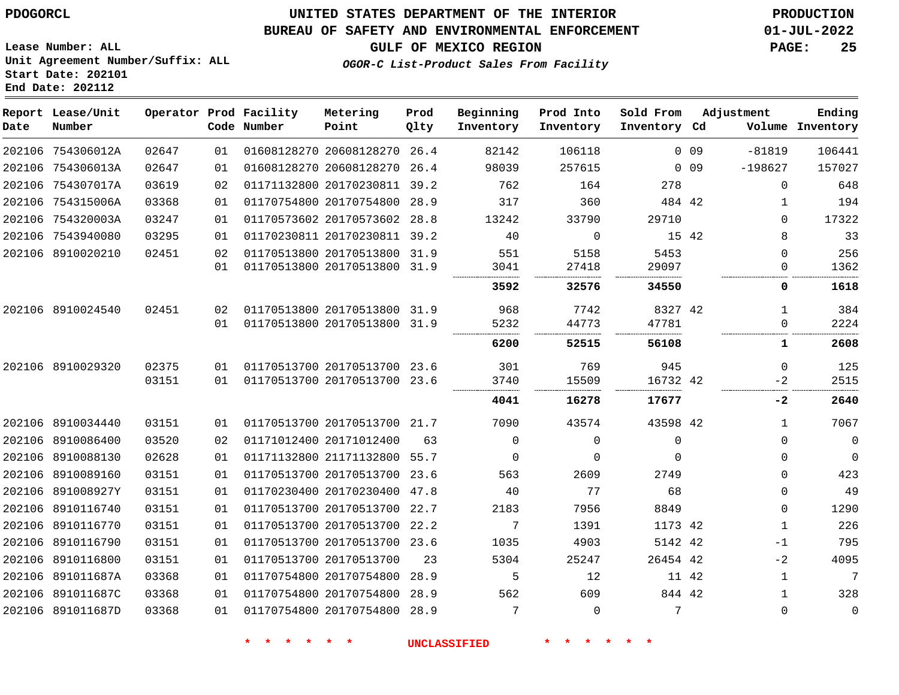#### **BUREAU OF SAFETY AND ENVIRONMENTAL ENFORCEMENT 01-JUL-2022**

**GULF OF MEXICO REGION PAGE: 25**

**Lease Number: ALL Unit Agreement Number/Suffix: ALL Start Date: 202101 End Date: 202112**

**OGOR-C List-Product Sales From Facility**

| Date | Report Lease/Unit<br>Number |       |    | Operator Prod Facility<br>Code Number | Metering<br>Point            | Prod<br>Qlty | Beginning<br>Inventory | Prod Into<br>Inventory | Sold From<br>Inventory Cd |                 | Adjustment   | Ending<br>Volume Inventory |
|------|-----------------------------|-------|----|---------------------------------------|------------------------------|--------------|------------------------|------------------------|---------------------------|-----------------|--------------|----------------------------|
|      | 202106 754306012A           | 02647 | 01 |                                       | 01608128270 20608128270      | 26.4         | 82142                  | 106118                 |                           | 0 <sub>09</sub> | $-81819$     | 106441                     |
|      | 202106 754306013A           | 02647 | 01 |                                       | 01608128270 20608128270      | 26.4         | 98039                  | 257615                 |                           | 0 <sub>09</sub> | $-198627$    | 157027                     |
|      | 202106 754307017A           | 03619 | 02 |                                       | 01171132800 20170230811 39.2 |              | 762                    | 164                    | 278                       |                 | $\mathbf 0$  | 648                        |
|      | 202106 754315006A           | 03368 | 01 |                                       | 01170754800 20170754800 28.9 |              | 317                    | 360                    | 484 42                    |                 | 1            | 194                        |
|      | 202106 754320003A           | 03247 | 01 |                                       | 01170573602 20170573602 28.8 |              | 13242                  | 33790                  | 29710                     |                 | $\Omega$     | 17322                      |
|      | 202106 7543940080           | 03295 | 01 |                                       | 01170230811 20170230811 39.2 |              | 40                     | $\mathbf 0$            |                           | 15 42           | 8            | 33                         |
|      | 202106 8910020210           | 02451 | 02 |                                       | 01170513800 20170513800 31.9 |              | 551                    | 5158                   | 5453                      |                 | $\Omega$     | 256                        |
|      |                             |       | 01 |                                       | 01170513800 20170513800 31.9 |              | 3041                   | 27418                  | 29097                     |                 | 0            | 1362                       |
|      |                             |       |    |                                       |                              |              | 3592                   | 32576                  | 34550                     |                 | 0            | 1618                       |
|      | 202106 8910024540           | 02451 | 02 |                                       | 01170513800 20170513800 31.9 |              | 968                    | 7742                   | 8327 42                   |                 | 1            | 384                        |
|      |                             |       | 01 |                                       | 01170513800 20170513800 31.9 |              | 5232                   | 44773                  | 47781                     |                 | $\mathbf 0$  | 2224                       |
|      |                             |       |    |                                       |                              |              | 6200                   | 52515                  | 56108                     |                 | 1            | 2608                       |
|      | 202106 8910029320           | 02375 | 01 |                                       | 01170513700 20170513700 23.6 |              | 301                    | 769                    | 945                       |                 | $\mathbf 0$  | 125                        |
|      |                             | 03151 | 01 |                                       | 01170513700 20170513700 23.6 |              | 3740                   | 15509                  | 16732 42                  |                 | $-2$         | 2515                       |
|      |                             |       |    |                                       |                              |              | 4041                   | 16278                  | 17677                     |                 | $-2$         | 2640                       |
|      | 202106 8910034440           | 03151 | 01 |                                       | 01170513700 20170513700 21.7 |              | 7090                   | 43574                  | 43598 42                  |                 | $\mathbf{1}$ | 7067                       |
|      | 202106 8910086400           | 03520 | 02 |                                       | 01171012400 20171012400      | 63           | $\mathbf 0$            | 0                      | 0                         |                 | 0            | $\mathbf 0$                |
|      | 202106 8910088130           | 02628 | 01 |                                       | 01171132800 21171132800 55.7 |              | $\Omega$               | $\Omega$               | $\Omega$                  |                 | $\Omega$     | $\mathbf 0$                |
|      | 202106 8910089160           | 03151 | 01 |                                       | 01170513700 20170513700      | 23.6         | 563                    | 2609                   | 2749                      |                 | $\Omega$     | 423                        |
|      | 202106 891008927Y           | 03151 | 01 |                                       | 01170230400 20170230400 47.8 |              | 40                     | 77                     | 68                        |                 | $\mathbf{0}$ | 49                         |
|      | 202106 8910116740           | 03151 | 01 |                                       | 01170513700 20170513700 22.7 |              | 2183                   | 7956                   | 8849                      |                 | $\mathbf 0$  | 1290                       |
|      | 202106 8910116770           | 03151 | 01 |                                       | 01170513700 20170513700 22.2 |              | 7                      | 1391                   | 1173 42                   |                 | 1            | 226                        |
|      | 202106 8910116790           | 03151 | 01 |                                       | 01170513700 20170513700 23.6 |              | 1035                   | 4903                   | 5142 42                   |                 | $-1$         | 795                        |
|      | 202106 8910116800           | 03151 | 01 |                                       | 01170513700 20170513700      | 23           | 5304                   | 25247                  | 26454 42                  |                 | $-2$         | 4095                       |
|      | 202106 891011687A           | 03368 | 01 |                                       | 01170754800 20170754800      | 28.9         | 5                      | 12                     |                           | 11 42           | $\mathbf{1}$ | 7                          |
|      | 202106 891011687C           | 03368 | 01 |                                       | 01170754800 20170754800      | 28.9         | 562                    | 609                    | 844 42                    |                 | $\mathbf{1}$ | 328                        |
|      | 202106 891011687D           | 03368 | 01 |                                       | 01170754800 20170754800      | 28.9         | 7                      | $\Omega$               | 7                         |                 | $\Omega$     | $\mathbf 0$                |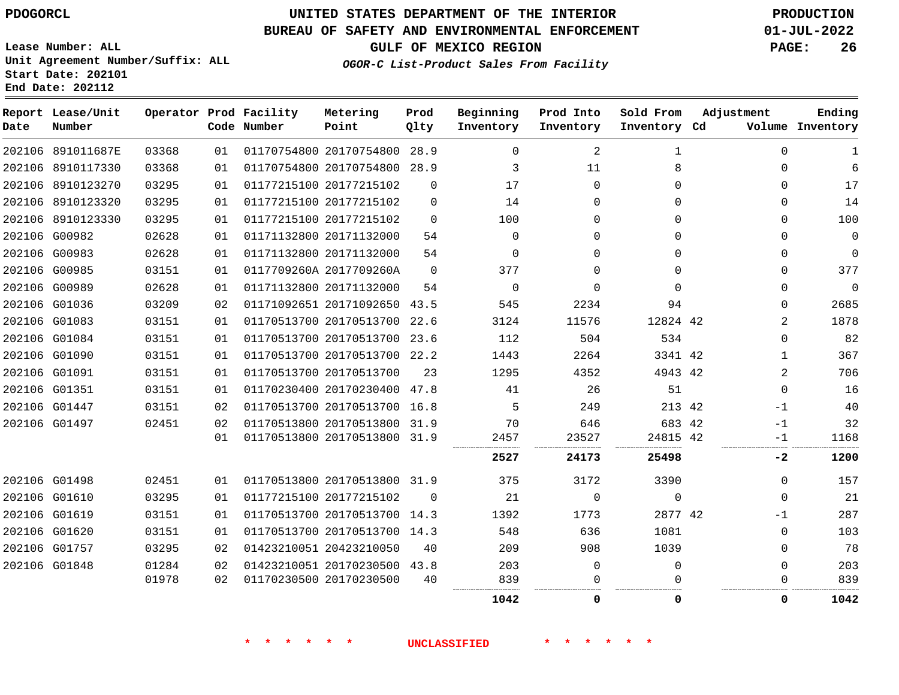# **UNITED STATES DEPARTMENT OF THE INTERIOR PDOGORCL PRODUCTION**

#### **BUREAU OF SAFETY AND ENVIRONMENTAL ENFORCEMENT 01-JUL-2022**

**Lease Number: ALL Unit Agreement Number/Suffix: ALL Start Date: 202101**

**GULF OF MEXICO REGION PAGE: 26**

**OGOR-C List-Product Sales From Facility**

| Date | Report Lease/Unit<br>Number |       |    | Operator Prod Facility<br>Code Number | Metering<br>Point            | Prod<br>Qlty | Beginning<br>Inventory | Prod Into<br>Inventory | Sold From<br>Inventory Cd | Adjustment  | Ending<br>Volume Inventory |
|------|-----------------------------|-------|----|---------------------------------------|------------------------------|--------------|------------------------|------------------------|---------------------------|-------------|----------------------------|
|      | 202106 891011687E           | 03368 | 01 |                                       | 01170754800 20170754800 28.9 |              | $\Omega$               | 2                      | $\mathbf{1}$              | $\Omega$    | 1                          |
|      | 202106 8910117330           | 03368 | 01 |                                       | 01170754800 20170754800      | 28.9         | 3                      | 11                     | 8                         | $\Omega$    | 6                          |
|      | 202106 8910123270           | 03295 | 01 |                                       | 01177215100 20177215102      | $\Omega$     | 17                     | $\Omega$               | $\Omega$                  | $\Omega$    | 17                         |
|      | 202106 8910123320           | 03295 | 01 |                                       | 01177215100 20177215102      | $\Omega$     | 14                     | $\Omega$               | $\Omega$                  | $\mathbf 0$ | 14                         |
|      | 202106 8910123330           | 03295 | 01 |                                       | 01177215100 20177215102      | $\Omega$     | 100                    | 0                      | $\Omega$                  | 0           | 100                        |
|      | 202106 G00982               | 02628 | 01 |                                       | 01171132800 20171132000      | 54           | $\Omega$               | $\Omega$               | $\Omega$                  | $\mathbf 0$ | $\mathbf 0$                |
|      | 202106 G00983               | 02628 | 01 |                                       | 01171132800 20171132000      | 54           | $\Omega$               | 0                      | 0                         | 0           | $\mathbf 0$                |
|      | 202106 G00985               | 03151 | 01 |                                       | 0117709260A 2017709260A      | $\Omega$     | 377                    | $\Omega$               | $\Omega$                  | $\Omega$    | 377                        |
|      | 202106 G00989               | 02628 | 01 |                                       | 01171132800 20171132000      | 54           | $\Omega$               | $\Omega$               | $\Omega$                  | $\Omega$    | $\Omega$                   |
|      | 202106 G01036               | 03209 | 02 |                                       | 01171092651 20171092650      | 43.5         | 545                    | 2234                   | 94                        | 0           | 2685                       |
|      | 202106 G01083               | 03151 | 01 |                                       | 01170513700 20170513700      | 22.6         | 3124                   | 11576                  | 12824 42                  | 2           | 1878                       |
|      | 202106 G01084               | 03151 | 01 |                                       | 01170513700 20170513700 23.6 |              | 112                    | 504                    | 534                       | 0           | 82                         |
|      | 202106 G01090               | 03151 | 01 |                                       | 01170513700 20170513700      | 22.2         | 1443                   | 2264                   | 3341 42                   | 1           | 367                        |
|      | 202106 G01091               | 03151 | 01 |                                       | 01170513700 20170513700      | 23           | 1295                   | 4352                   | 4943 42                   | 2           | 706                        |
|      | 202106 G01351               | 03151 | 01 |                                       | 01170230400 20170230400 47.8 |              | 41                     | 26                     | 51                        | $\mathbf 0$ | 16                         |
|      | 202106 G01447               | 03151 | 02 |                                       | 01170513700 20170513700 16.8 |              | 5                      | 249                    | 213 42                    | $-1$        | 40                         |
|      | 202106 G01497               | 02451 | 02 |                                       | 01170513800 20170513800 31.9 |              | 70                     | 646                    | 683 42                    | $-1$        | 32                         |
|      |                             |       | 01 |                                       | 01170513800 20170513800 31.9 |              | 2457                   | 23527                  | 24815 42                  | $-1$        | 1168                       |
|      |                             |       |    |                                       |                              |              | 2527                   | 24173                  | 25498                     | $-2$        | 1200                       |
|      | 202106 G01498               | 02451 | 01 |                                       | 01170513800 20170513800 31.9 |              | 375                    | 3172                   | 3390                      | $\Omega$    | 157                        |
|      | 202106 G01610               | 03295 | 01 |                                       | 01177215100 20177215102      | $\Omega$     | 21                     | $\mathbf 0$            | $\mathbf 0$               | $\mathbf 0$ | 21                         |
|      | 202106 G01619               | 03151 | 01 |                                       | 01170513700 20170513700 14.3 |              | 1392                   | 1773                   | 2877 42                   | $-1$        | 287                        |
|      | 202106 G01620               | 03151 | 01 |                                       | 01170513700 20170513700 14.3 |              | 548                    | 636                    | 1081                      | 0           | 103                        |
|      | 202106 G01757               | 03295 | 02 |                                       | 01423210051 20423210050      | 40           | 209                    | 908                    | 1039                      | $\Omega$    | 78                         |
|      | 202106 G01848               | 01284 | 02 |                                       | 01423210051 20170230500 43.8 |              | 203                    | 0                      | 0                         | $\mathbf 0$ | 203                        |
|      |                             | 01978 | 02 |                                       | 01170230500 20170230500      | 40           | 839                    | $\Omega$               | ∩                         | 0           | 839                        |
|      |                             |       |    |                                       |                              |              | 1042                   | 0                      | 0                         | 0           | 1042                       |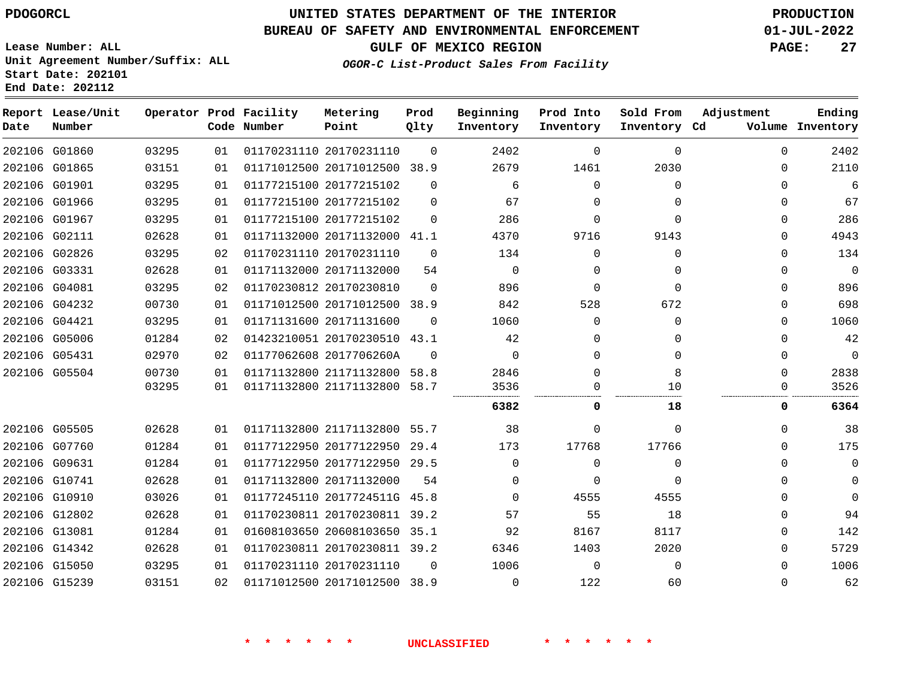**Lease Number: ALL**

**Start Date: 202101 End Date: 202112**

## **UNITED STATES DEPARTMENT OF THE INTERIOR PDOGORCL PRODUCTION**

#### **BUREAU OF SAFETY AND ENVIRONMENTAL ENFORCEMENT 01-JUL-2022**

**Unit Agreement Number/Suffix: ALL**

**GULF OF MEXICO REGION PAGE: 27**

**OGOR-C List-Product Sales From Facility**

| Date | Report Lease/Unit<br>Number |       |    | Operator Prod Facility<br>Code Number | Metering<br>Point            | Prod<br>Qlty | Beginning<br>Inventory | Prod Into<br>Inventory | Sold From<br>Inventory Cd | Adjustment | Ending<br>Volume Inventory |
|------|-----------------------------|-------|----|---------------------------------------|------------------------------|--------------|------------------------|------------------------|---------------------------|------------|----------------------------|
|      | 202106 G01860               | 03295 | 01 |                                       | 01170231110 20170231110      | $\Omega$     | 2402                   | $\Omega$               | $\Omega$                  | $\Omega$   | 2402                       |
|      | 202106 G01865               | 03151 | 01 |                                       | 01171012500 20171012500 38.9 |              | 2679                   | 1461                   | 2030                      | 0          | 2110                       |
|      | 202106 G01901               | 03295 | 01 |                                       | 01177215100 20177215102      | $\Omega$     | 6                      | $\Omega$               | $\Omega$                  | $\Omega$   | 6                          |
|      | 202106 G01966               | 03295 | 01 |                                       | 01177215100 20177215102      | $\Omega$     | 67                     | $\mathbf 0$            | 0                         | $\Omega$   | 67                         |
|      | 202106 G01967               | 03295 | 01 |                                       | 01177215100 20177215102      | $\Omega$     | 286                    | $\mathbf 0$            | $\Omega$                  | $\Omega$   | 286                        |
|      | 202106 G02111               | 02628 | 01 |                                       | 01171132000 20171132000 41.1 |              | 4370                   | 9716                   | 9143                      | 0          | 4943                       |
|      | 202106 G02826               | 03295 | 02 |                                       | 01170231110 20170231110      | $\Omega$     | 134                    | $\Omega$               | $\Omega$                  | 0          | 134                        |
|      | 202106 G03331               | 02628 | 01 |                                       | 01171132000 20171132000      | 54           | $\Omega$               | $\Omega$               | $\Omega$                  | $\Omega$   | $\mathbf 0$                |
|      | 202106 G04081               | 03295 | 02 |                                       | 01170230812 20170230810      | $\Omega$     | 896                    | $\mathbf 0$            | $\Omega$                  | 0          | 896                        |
|      | 202106 G04232               | 00730 | 01 |                                       | 01171012500 20171012500 38.9 |              | 842                    | 528                    | 672                       | $\Omega$   | 698                        |
|      | 202106 G04421               | 03295 | 01 |                                       | 01171131600 20171131600      | $\Omega$     | 1060                   | $\Omega$               | $\Omega$                  | 0          | 1060                       |
|      | 202106 G05006               | 01284 | 02 |                                       | 01423210051 20170230510      | 43.1         | 42                     | $\Omega$               | 0                         | 0          | 42                         |
|      | 202106 G05431               | 02970 | 02 |                                       | 01177062608 2017706260A      | $\Omega$     | $\Omega$               | $\Omega$               | $\Omega$                  | $\Omega$   | $\overline{0}$             |
|      | 202106 G05504               | 00730 | 01 |                                       | 01171132800 21171132800 58.8 |              | 2846                   | $\Omega$               | 8                         | $\Omega$   | 2838                       |
|      |                             | 03295 | 01 |                                       | 01171132800 21171132800 58.7 |              | 3536                   | $\Omega$               | 10                        | 0          | 3526                       |
|      |                             |       |    |                                       |                              |              | 6382                   | 0                      | 18                        | 0          | 6364                       |
|      | 202106 G05505               | 02628 | 01 |                                       | 01171132800 21171132800 55.7 |              | 38                     | $\Omega$               | $\Omega$                  | $\Omega$   | 38                         |
|      | 202106 G07760               | 01284 | 01 |                                       | 01177122950 20177122950      | 29.4         | 173                    | 17768                  | 17766                     | 0          | 175                        |
|      | 202106 G09631               | 01284 | 01 |                                       | 01177122950 20177122950 29.5 |              | $\Omega$               | $\Omega$               | $\Omega$                  | 0          | 0                          |
|      | 202106 G10741               | 02628 | 01 |                                       | 01171132800 20171132000      | 54           | 0                      | $\mathbf 0$            | $\Omega$                  | 0          | 0                          |
|      | 202106 G10910               | 03026 | 01 |                                       | 01177245110 2017724511G 45.8 |              | $\Omega$               | 4555                   | 4555                      | 0          | 0                          |
|      | 202106 G12802               | 02628 | 01 |                                       | 01170230811 20170230811 39.2 |              | 57                     | 55                     | 18                        | $\Omega$   | 94                         |
|      | 202106 G13081               | 01284 | 01 |                                       | 01608103650 20608103650 35.1 |              | 92                     | 8167                   | 8117                      | $\Omega$   | 142                        |
|      | 202106 G14342               | 02628 | 01 |                                       | 01170230811 20170230811 39.2 |              | 6346                   | 1403                   | 2020                      | 0          | 5729                       |
|      | 202106 G15050               | 03295 | 01 |                                       | 01170231110 20170231110      | $\Omega$     | 1006                   | $\mathbf 0$            | 0                         | 0          | 1006                       |
|      | 202106 G15239               | 03151 | 02 |                                       | 01171012500 20171012500 38.9 |              | $\Omega$               | 122                    | 60                        | $\Omega$   | 62                         |
|      |                             |       |    |                                       |                              |              |                        |                        |                           |            |                            |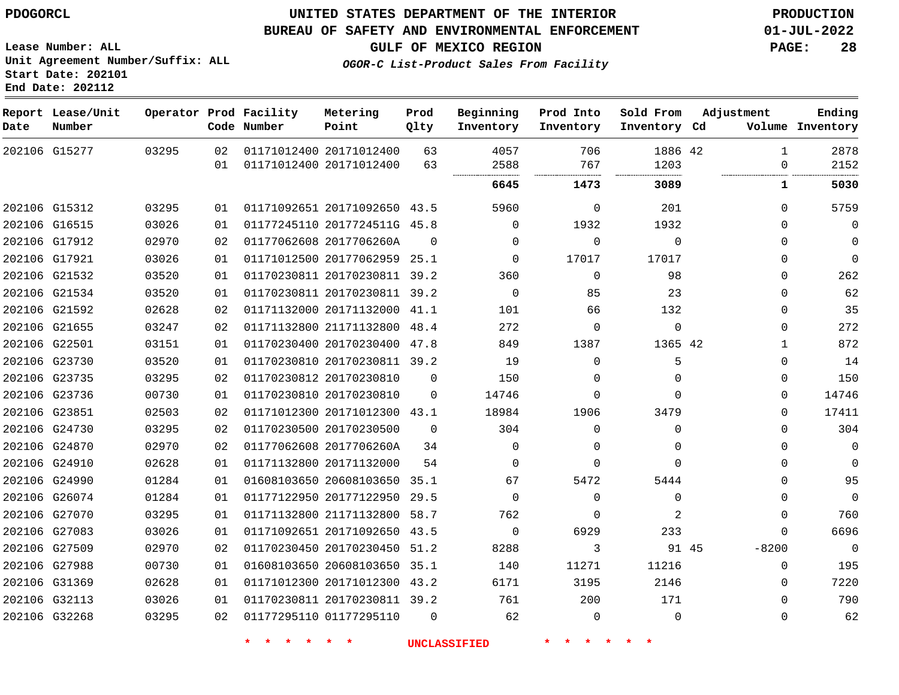G15277

**Date**

**Report Lease/Unit**

**Number**

 G15312 G16515 G17912 G17921 G21532 G21534 G21592 G21655 G22501 G23730 G23735 G23736 G23851 G24730 G24870 G24910 G24990 G26074 G27070 G27083 G27509 G27988 G31369 G32113 G32268

## **UNITED STATES DEPARTMENT OF THE INTERIOR PDOGORCL PRODUCTION**

 

**Prod Qlty**

#### **BUREAU OF SAFETY AND ENVIRONMENTAL ENFORCEMENT 01-JUL-2022**

**Lease Number: ALL Unit Agreement Number/Suffix: ALL Start Date: 202101 End Date: 202112**

**Operator Prod Facility**

**Code Number**

 20171012400 20171012400

**Metering Point**

 

**GULF OF MEXICO REGION PAGE: 28**

**Inventory Cd Volume**

**Adjustment**

  $\Omega$ 

 $\Omega$   $\Omega$  $\Omega$  $\Omega$  $\Omega$  $\Omega$   $\Omega$  $\Omega$  $\Omega$  $\Omega$  $\Omega$  $\Omega$  $\Omega$  $\Omega$  $\Omega$  $\Omega$  $\Omega$ -8200  $\Omega$  $\Omega$  $\Omega$  $\Omega$   

**Ending**

42

**1473 3089 1 5030**

 $\Omega$ 

**Sold From Inventory**

| 201         | 0            | 5960     | 43.5         | 01171092651 20171092650      | 01 | 03295 |
|-------------|--------------|----------|--------------|------------------------------|----|-------|
| 1932        | 1932         | $\Omega$ |              | 01177245110 2017724511G 45.8 | 01 | 03026 |
| $\mathbf 0$ | $\mathbf{0}$ | $\Omega$ | 0            | 01177062608 2017706260A      | 02 | 02970 |
| 17017       | 17017        | $\Omega$ | 25.1         | 01171012500 20177062959      | 01 | 03026 |
| 98          | 0            | 360      | 39.2         | 01170230811 20170230811      | 01 | 03520 |
| 23          | 85           | 0        | 39.2         | 01170230811 20170230811      | 01 | 03520 |
| 132         | 66           | 101      | 41.1         | 01171132000 20171132000      | 02 | 02628 |
| $\mathbf 0$ | $\Omega$     | 272      | 48.4         | 01171132800 21171132800      | 02 | 03247 |
| 1365 42     | 1387         | 849      | 47.8         | 01170230400 20170230400      | 01 | 03151 |
| 5           | 0            | 19       | 39.2         | 01170230810 20170230811      | 01 | 03520 |
| 0           | 0            | 150      | $\Omega$     | 01170230812 20170230810      | 02 | 03295 |
| 0           | $\mathbf{0}$ | 14746    | $\mathbf{0}$ | 01170230810 20170230810      | 01 | 00730 |
| 3479        | 1906         | 18984    | 43.1         | 01171012300 20171012300      | 02 | 02503 |
| 0           | $\Omega$     | 304      | $\Omega$     | 01170230500 20170230500      | 02 | 03295 |
| 0           | 0            | 0        | 34           | 01177062608 2017706260A      | 02 | 02970 |
| 0           | 0            | $\Omega$ | 54           | 01171132800 20171132000      | 01 | 02628 |
| 5444        | 5472         | 67       | 35.1         | 01608103650 20608103650      | 01 | 01284 |
| 0           | 0            | $\Omega$ | 29.5         | 01177122950 20177122950      | 01 | 01284 |
| 2           | 0            | 762      | 58.7         | 01171132800 21171132800      | 01 | 03295 |
| 233         | 6929         | $\Omega$ | 43.5         | 01171092651 20171092650      | 01 | 03026 |
| 91 45       | 3            | 8288     | 51.2         | 01170230450 20170230450      | 02 | 02970 |
| 11216       | 11271        | 140      | 35.1         | 01608103650 20608103650      | 01 | 00730 |
| 2146        | 3195         | 6171     | 43.2         | 01171012300 20171012300      | 01 | 02628 |
| 171         | 200          | 761      | 39.2         | 01170230811 20170230811      | 01 | 03026 |

**OGOR-C List-Product Sales From Facility**

   

**Prod Into Inventory**

**Beginning Inventory**

01177295110

**\* \* \* \* \* \* UNCLASSIFIED \* \* \* \* \* \***

 $\Omega$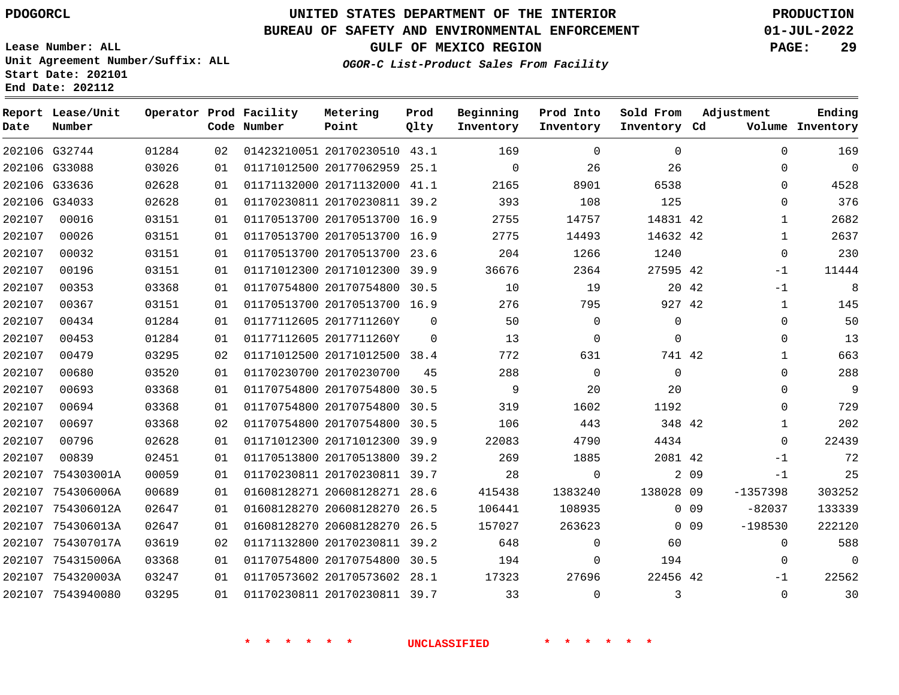# **UNITED STATES DEPARTMENT OF THE INTERIOR PDOGORCL PRODUCTION**

#### **BUREAU OF SAFETY AND ENVIRONMENTAL ENFORCEMENT 01-JUL-2022**

**Lease Number: ALL Unit Agreement Number/Suffix: ALL Start Date: 202101**

**OGOR-C List-Product Sales From Facility**

**GULF OF MEXICO REGION PAGE: 29**

 G32744 G33088 G33636 G34033 754303001A 754306006A 754306012A 754306013A 754307017A 754315006A 754320003A 7543940080 **Report Lease/Unit Date Number Operator Prod Facility Code Number** 20170230510 43.1 20177062959 25.1 20171132000 41.1 20170230811 39.2 20170513700 16.9 20170513700 16.9 20170513700 23.6 20171012300 39.9 20170754800 30.5 20170513700 16.9 2017711260Y 2017711260Y 20171012500 38.4 20170230700 20170754800 30.5 20170754800 30.5 20170754800 20171012300 39.9 20170513800 39.2 20170230811 39.7 20608128271 28.6 20608128270 26.5 20608128270 26.5 20170230811 39.2 20170754800 30.5 20170573602 28.1 20170230811 39.7 **Metering Point** 42 42 42 42 42 42 42 42 09 138028 09 0 0 9 0 0 9 42  $\Omega$  $\Omega$  30.5 **Prod Qlty**  $\Omega$  **Beginning Inventory**  $\Omega$  **Ending Inventory Cd Volume** $\Omega$   $\Omega$  $\Omega$   $\Omega$   $\Omega$   $\Omega$  $\Omega$   $\Omega$ **Prod Into Inventory**  $\Omega$   $\Omega$  $\Omega$  $\Omega$  **Sold From Inventory**  $\Omega$  $\Omega$  $\Omega$  $\Omega$   $\Omega$ -1 -1  $\Omega$  $\Omega$   $\Omega$  $\Omega$  $\Omega$   $\cap$  $-1$  $-1$ -1357398 -82037 -198530  $\Omega$  $\Omega$ -1  $\Omega$ **Adjustment**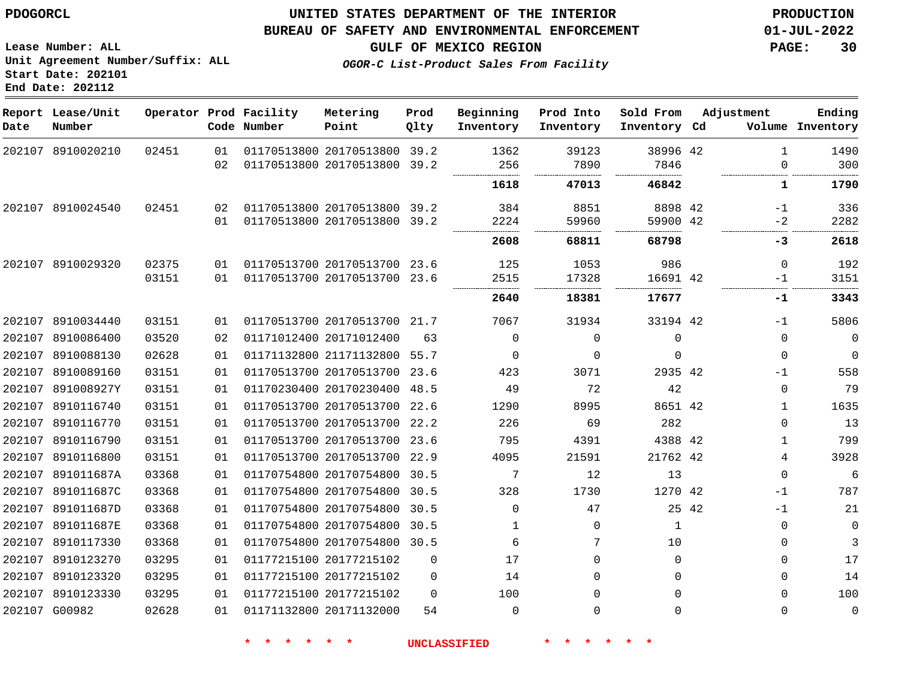**Date**

8910020210

**Report Lease/Unit**

**Number**

## **UNITED STATES DEPARTMENT OF THE INTERIOR PDOGORCL PRODUCTION**

**Prod Qlty**

#### **BUREAU OF SAFETY AND ENVIRONMENTAL ENFORCEMENT 01-JUL-2022**

20170513800 39.2

**Metering Point**

**Lease Number: ALL Unit Agreement Number/Suffix: ALL Start Date: 202101 End Date: 202112**

**Operator Prod Facility**

**Code Number**

  **OGOR-C List-Product Sales From Facility**

**Beginning Inventory**

> 

**Prod Into Inventory**

**GULF OF MEXICO REGION PAGE: 30**

**Inventory Cd Volume**

**Adjustment**

  $\overline{0}$ 

-1  $-2$ 

**-3**

  $-1$ 

**-1**

 

**Ending**

 

 

42

**Sold From Inventory**

|                   |       | 02 |  | 01170513800 20170513800 39.2    |          | 256                 | 7890              | 7846         |       |  |
|-------------------|-------|----|--|---------------------------------|----------|---------------------|-------------------|--------------|-------|--|
|                   |       |    |  |                                 |          | 1618                | 47013             | 46842        |       |  |
| 202107 8910024540 | 02451 |    |  | 02 01170513800 20170513800 39.2 |          | 384                 | 8851              | 8898 42      |       |  |
|                   |       | 01 |  | 01170513800 20170513800 39.2    |          | 2224                | 59960             | 59900 42     |       |  |
|                   |       |    |  |                                 |          | 2608                | 68811             | 68798        |       |  |
| 202107 8910029320 | 02375 | 01 |  | 01170513700 20170513700 23.6    |          | 125                 | 1053              | 986          |       |  |
|                   | 03151 | 01 |  | 01170513700 20170513700 23.6    |          | 2515                | 17328             | 16691 42     |       |  |
|                   |       |    |  |                                 |          | 2640                | 18381             | 17677        |       |  |
| 202107 8910034440 | 03151 | 01 |  | 01170513700 20170513700 21.7    |          | 7067                | 31934             | 33194 42     |       |  |
| 202107 8910086400 | 03520 | 02 |  | 01171012400 20171012400         | 63       | 0                   | $\Omega$          | 0            |       |  |
| 202107 8910088130 | 02628 | 01 |  | 01171132800 21171132800 55.7    |          | 0                   | 0                 | 0            |       |  |
| 202107 8910089160 | 03151 | 01 |  | 01170513700 20170513700 23.6    |          | 423                 | 3071              | 2935 42      |       |  |
| 202107 891008927Y | 03151 | 01 |  | 01170230400 20170230400 48.5    |          | 49                  | 72                | 42           |       |  |
| 202107 8910116740 | 03151 | 01 |  | 01170513700 20170513700 22.6    |          | 1290                | 8995              | 8651 42      |       |  |
| 202107 8910116770 | 03151 | 01 |  | 01170513700 20170513700 22.2    |          | 226                 | 69                | 282          |       |  |
| 202107 8910116790 | 03151 | 01 |  | 01170513700 20170513700 23.6    |          | 795                 | 4391              | 4388 42      |       |  |
| 202107 8910116800 | 03151 | 01 |  | 01170513700 20170513700 22.9    |          | 4095                | 21591             | 21762 42     |       |  |
| 202107 891011687A | 03368 | 01 |  | 01170754800 20170754800 30.5    |          | 7                   | $12 \overline{ }$ | 13           |       |  |
| 202107 891011687C | 03368 | 01 |  | 01170754800 20170754800 30.5    |          | 328                 | 1730              | 1270 42      |       |  |
| 202107 891011687D | 03368 | 01 |  | 01170754800 20170754800 30.5    |          | $\Omega$            | 47                |              | 25 42 |  |
| 202107 891011687E | 03368 | 01 |  | 01170754800 20170754800 30.5    |          | $\mathbf{1}$        | $\Omega$          | $\mathbf{1}$ |       |  |
| 202107 8910117330 | 03368 | 01 |  | 01170754800 20170754800 30.5    |          | 6                   | 7                 | 10           |       |  |
| 202107 8910123270 | 03295 | 01 |  | 01177215100 20177215102         | $\Omega$ | 17                  | 0                 | $\Omega$     |       |  |
| 202107 8910123320 | 03295 | 01 |  | 01177215100 20177215102         | $\Omega$ | 14                  | 0                 | 0            |       |  |
| 202107 8910123330 | 03295 | 01 |  | 01177215100 20177215102         | $\Omega$ | 100                 | $\Omega$          | $\Omega$     |       |  |
| 202107 G00982     | 02628 | 01 |  | 01171132800 20171132000         | 54       | $\Omega$            | $\Omega$          | $\Omega$     |       |  |
|                   |       |    |  |                                 |          | <b>UNCLASSIFIED</b> |                   |              |       |  |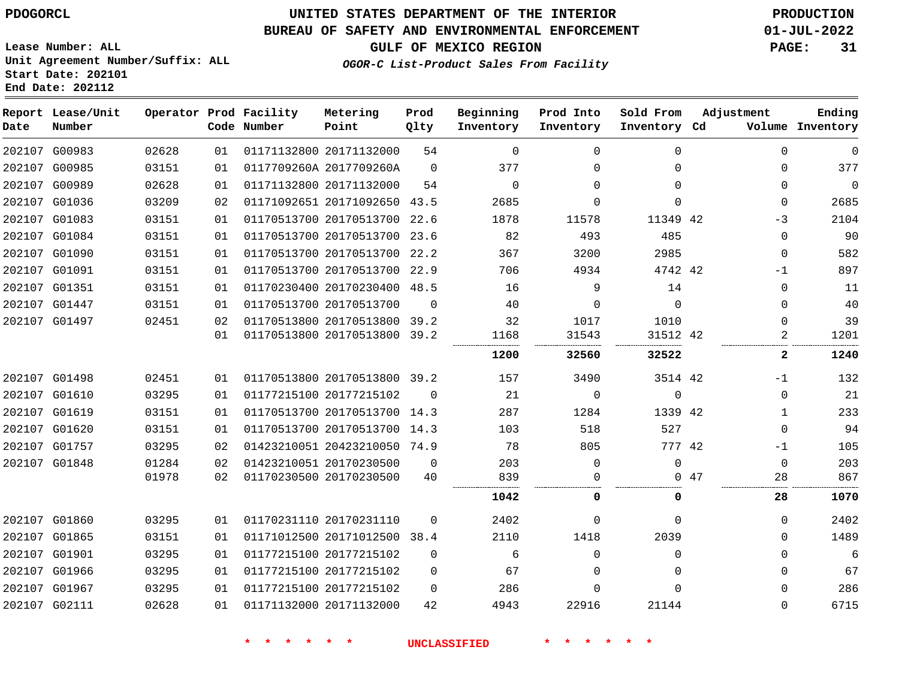#### **BUREAU OF SAFETY AND ENVIRONMENTAL ENFORCEMENT 01-JUL-2022**

**GULF OF MEXICO REGION PAGE: 31**

**Lease Number: ALL Unit Agreement Number/Suffix: ALL Start Date: 202101 End Date: 202112**

**OGOR-C List-Product Sales From Facility**

| PAGL: |  |
|-------|--|
|       |  |
|       |  |
|       |  |
|       |  |

| Date          | Report Lease/Unit<br>Number |       |    | Operator Prod Facility<br>Code Number | Metering<br>Point            | Prod<br>Qlty | Beginning<br>Inventory | Prod Into<br>Inventory | Sold From<br>Inventory Cd | Adjustment |              | Ending<br>Volume Inventory |
|---------------|-----------------------------|-------|----|---------------------------------------|------------------------------|--------------|------------------------|------------------------|---------------------------|------------|--------------|----------------------------|
|               | 202107 G00983               | 02628 | 01 |                                       | 01171132800 20171132000      | 54           | $\mathbf 0$            | $\Omega$               | $\mathbf 0$               |            | $\Omega$     | 0                          |
|               | 202107 G00985               | 03151 | 01 |                                       | 0117709260A 2017709260A      | $\Omega$     | 377                    | $\Omega$               | $\Omega$                  |            | $\Omega$     | 377                        |
| 202107 G00989 |                             | 02628 | 01 |                                       | 01171132800 20171132000      | 54           | $\Omega$               | $\Omega$               | $\Omega$                  |            | $\Omega$     | $\mathbf 0$                |
|               | 202107 G01036               | 03209 | 02 |                                       | 01171092651 20171092650 43.5 |              | 2685                   | $\Omega$               | $\Omega$                  |            | $\Omega$     | 2685                       |
|               | 202107 G01083               | 03151 | 01 |                                       | 01170513700 20170513700 22.6 |              | 1878                   | 11578                  | 11349 42                  |            | -3           | 2104                       |
|               | 202107 G01084               | 03151 | 01 |                                       | 01170513700 20170513700 23.6 |              | 82                     | 493                    | 485                       |            | $\Omega$     | 90                         |
|               | 202107 G01090               | 03151 | 01 |                                       | 01170513700 20170513700      | 22.2         | 367                    | 3200                   | 2985                      |            | $\mathbf{0}$ | 582                        |
| 202107 G01091 |                             | 03151 | 01 |                                       | 01170513700 20170513700 22.9 |              | 706                    | 4934                   | 4742 42                   |            | $-1$         | 897                        |
| 202107 G01351 |                             | 03151 | 01 |                                       | 01170230400 20170230400 48.5 |              | 16                     | 9                      | 14                        |            | $\Omega$     | 11                         |
| 202107 G01447 |                             | 03151 | 01 |                                       | 01170513700 20170513700      | $\Omega$     | 40                     | $\Omega$               | $\Omega$                  |            | $\Omega$     | 40                         |
| 202107 G01497 |                             | 02451 | 02 |                                       | 01170513800 20170513800 39.2 |              | 32                     | 1017                   | 1010                      |            | $\Omega$     | 39                         |
|               |                             |       | 01 |                                       | 01170513800 20170513800 39.2 |              | 1168                   | 31543                  | 31512 42                  |            | 2            | 1201                       |
|               |                             |       |    |                                       |                              |              | 1200                   | 32560                  | 32522                     |            | $\mathbf{2}$ | 1240                       |
| 202107 G01498 |                             | 02451 | 01 |                                       | 01170513800 20170513800 39.2 |              | 157                    | 3490                   | 3514 42                   |            | -1           | 132                        |
| 202107 G01610 |                             | 03295 | 01 |                                       | 01177215100 20177215102      | $\Omega$     | 21                     | $\Omega$               | $\Omega$                  |            | $\Omega$     | 21                         |
| 202107 G01619 |                             | 03151 | 01 |                                       | 01170513700 20170513700 14.3 |              | 287                    | 1284                   | 1339 42                   |            | 1            | 233                        |
| 202107 G01620 |                             | 03151 | 01 |                                       | 01170513700 20170513700 14.3 |              | 103                    | 518                    | 527                       |            | $\Omega$     | 94                         |
| 202107 G01757 |                             | 03295 | 02 |                                       | 01423210051 20423210050 74.9 |              | 78                     | 805                    | 777 42                    |            | $-1$         | 105                        |
| 202107 G01848 |                             | 01284 | 02 |                                       | 01423210051 20170230500      | $\mathbf 0$  | 203                    | $\mathbf 0$            | $\mathbf 0$               |            | $\Omega$     | 203                        |
|               |                             | 01978 | 02 |                                       | 01170230500 20170230500      | 40           | 839                    | 0                      |                           | 047        | 28           | 867                        |
|               |                             |       |    |                                       |                              |              | 1042                   | 0                      | 0                         |            | 28           | 1070                       |
|               | 202107 G01860               | 03295 | 01 |                                       | 01170231110 20170231110      | $\Omega$     | 2402                   | $\Omega$               | $\Omega$                  |            | $\Omega$     | 2402                       |
| 202107 G01865 |                             | 03151 | 01 |                                       | 01171012500 20171012500 38.4 |              | 2110                   | 1418                   | 2039                      |            | $\Omega$     | 1489                       |
| 202107 G01901 |                             | 03295 | 01 |                                       | 01177215100 20177215102      | $\Omega$     | 6                      | $\Omega$               | $\Omega$                  |            | $\Omega$     | 6                          |
|               | 202107 G01966               | 03295 | 01 |                                       | 01177215100 20177215102      | 0            | 67                     | $\Omega$               | $\Omega$                  |            | $\Omega$     | 67                         |
| 202107 G01967 |                             | 03295 | 01 |                                       | 01177215100 20177215102      | $\Omega$     | 286                    | $\Omega$               | $\Omega$                  |            | 0            | 286                        |
| 202107 G02111 |                             | 02628 | 01 |                                       | 01171132000 20171132000      | 42           | 4943                   | 22916                  | 21144                     |            | $\Omega$     | 6715                       |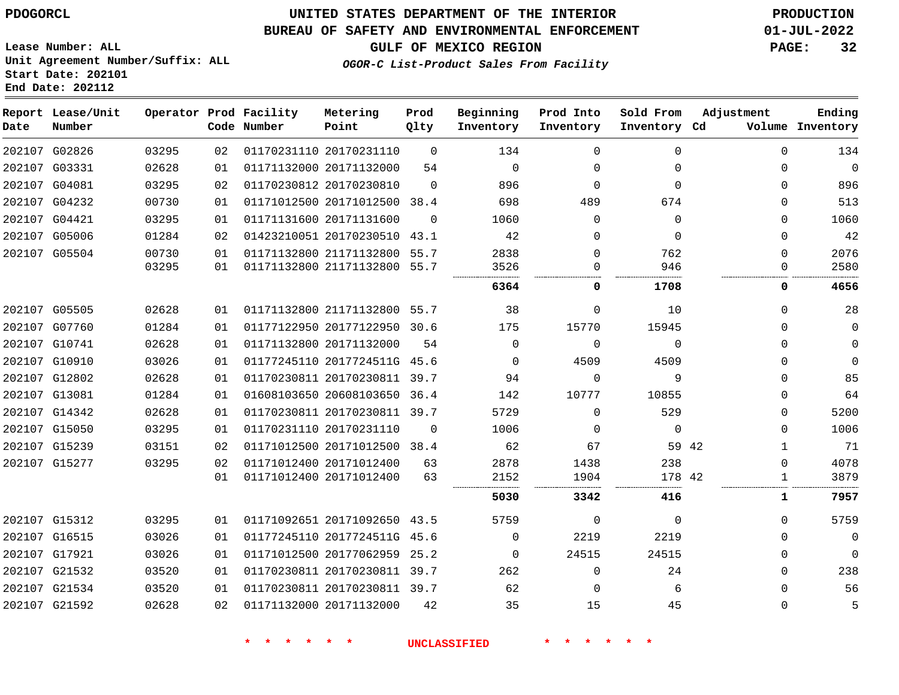**Start Date: 202101 End Date: 202112**

## **UNITED STATES DEPARTMENT OF THE INTERIOR PDOGORCL PRODUCTION**

#### **BUREAU OF SAFETY AND ENVIRONMENTAL ENFORCEMENT 01-JUL-2022**

**Lease Number: ALL Unit Agreement Number/Suffix: ALL**

**GULF OF MEXICO REGION PAGE: 32**

**OGOR-C List-Product Sales From Facility**

| Date | Report Lease/Unit<br>Number |       |    | Operator Prod Facility<br>Code Number | Metering<br>Point            | Prod<br>Qlty | Beginning<br>Inventory | Prod Into<br>Inventory | Sold From<br>Inventory Cd | Adjustment       | Ending<br>Volume Inventory |
|------|-----------------------------|-------|----|---------------------------------------|------------------------------|--------------|------------------------|------------------------|---------------------------|------------------|----------------------------|
|      | 202107 G02826               | 03295 | 02 |                                       | 01170231110 20170231110      | $\Omega$     | 134                    | $\Omega$               | $\Omega$                  | $\Omega$         | 134                        |
|      | 202107 G03331               | 02628 | 01 |                                       | 01171132000 20171132000      | 54           | $\Omega$               | $\Omega$               | $\Omega$                  | $\Omega$         | $\Omega$                   |
|      | 202107 G04081               | 03295 | 02 |                                       | 01170230812 20170230810      | $\Omega$     | 896                    | 0                      | $\Omega$                  | $\Omega$         | 896                        |
|      | 202107 G04232               | 00730 | 01 |                                       | 01171012500 20171012500 38.4 |              | 698                    | 489                    | 674                       | $\Omega$         | 513                        |
|      | 202107 G04421               | 03295 | 01 |                                       | 01171131600 20171131600      | $\Omega$     | 1060                   | $\Omega$               | $\Omega$                  | $\Omega$         | 1060                       |
|      | 202107 G05006               | 01284 | 02 |                                       | 01423210051 20170230510 43.1 |              | 42                     | $\Omega$               | $\Omega$                  | $\Omega$         | 42                         |
|      | 202107 G05504               | 00730 | 01 |                                       | 01171132800 21171132800      | 55.7         | 2838                   | $\Omega$               | 762                       | $\Omega$         | 2076                       |
|      |                             | 03295 | 01 |                                       | 01171132800 21171132800      | 55.7         | 3526<br>6364           | 0<br>0                 | 946<br>1708               | $\mathbf 0$<br>0 | 2580<br>4656               |
|      | 202107 G05505               | 02628 | 01 |                                       | 01171132800 21171132800 55.7 |              | 38                     | $\Omega$               | 10                        | $\Omega$         | 28                         |
|      | 202107 G07760               | 01284 | 01 |                                       | 01177122950 20177122950      | 30.6         | 175                    | 15770                  | 15945                     | <sup>n</sup>     | $\mathbf{0}$               |
|      | 202107 G10741               | 02628 | 01 |                                       | 01171132800 20171132000      | 54           | $\Omega$               | $\Omega$               | $\Omega$                  | 0                | $\Omega$                   |
|      | 202107 G10910               | 03026 | 01 |                                       | 01177245110 2017724511G 45.6 |              | $\Omega$               | 4509                   | 4509                      | 0                | $\Omega$                   |
|      | 202107 G12802               | 02628 | 01 |                                       | 01170230811 20170230811 39.7 |              | 94                     | $\Omega$               | 9                         | $\Omega$         | 85                         |
|      | 202107 G13081               | 01284 | 01 |                                       | 01608103650 20608103650      | 36.4         | 142                    | 10777                  | 10855                     | $\Omega$         | 64                         |
|      | 202107 G14342               | 02628 | 01 |                                       | 01170230811 20170230811 39.7 |              | 5729                   | $\Omega$               | 529                       | $\Omega$         | 5200                       |
|      | 202107 G15050               | 03295 | 01 |                                       | 01170231110 20170231110      | $\Omega$     | 1006                   | $\Omega$               | $\Omega$                  | $\Omega$         | 1006                       |
|      | 202107 G15239               | 03151 | 02 |                                       | 01171012500 20171012500 38.4 |              | 62                     | 67                     | 59 42                     | $\mathbf{1}$     | 71                         |
|      | 202107 G15277               | 03295 | 02 |                                       | 01171012400 20171012400      | 63           | 2878                   | 1438                   | 238                       | $\Omega$         | 4078                       |
|      |                             |       | 01 |                                       | 01171012400 20171012400      | 63           | 2152                   | 1904                   | 178 42                    | 1                | 3879                       |
|      |                             |       |    |                                       |                              |              | 5030                   | 3342                   | 416                       | 1                | 7957                       |
|      | 202107 G15312               | 03295 | 01 |                                       | 01171092651 20171092650 43.5 |              | 5759                   | $\Omega$               | $\Omega$                  | $\Omega$         | 5759                       |
|      | 202107 G16515               | 03026 | 01 |                                       | 01177245110 2017724511G 45.6 |              | $\Omega$               | 2219                   | 2219                      | $\Omega$         | $\Omega$                   |
|      | 202107 G17921               | 03026 | 01 |                                       | 01171012500 20177062959      | 25.2         | $\Omega$               | 24515                  | 24515                     | $\Omega$         | $\Omega$                   |
|      | 202107 G21532               | 03520 | 01 |                                       | 01170230811 20170230811 39.7 |              | 262                    | $\mathbf 0$            | 24                        | $\Omega$         | 238                        |
|      | 202107 G21534               | 03520 | 01 |                                       | 01170230811 20170230811 39.7 |              | 62                     | $\Omega$               | 6                         | $\Omega$         | 56                         |
|      | 202107 G21592               | 02628 | 02 |                                       | 01171132000 20171132000      | 42           | 35                     | 15                     | 45                        | $\Omega$         | 5                          |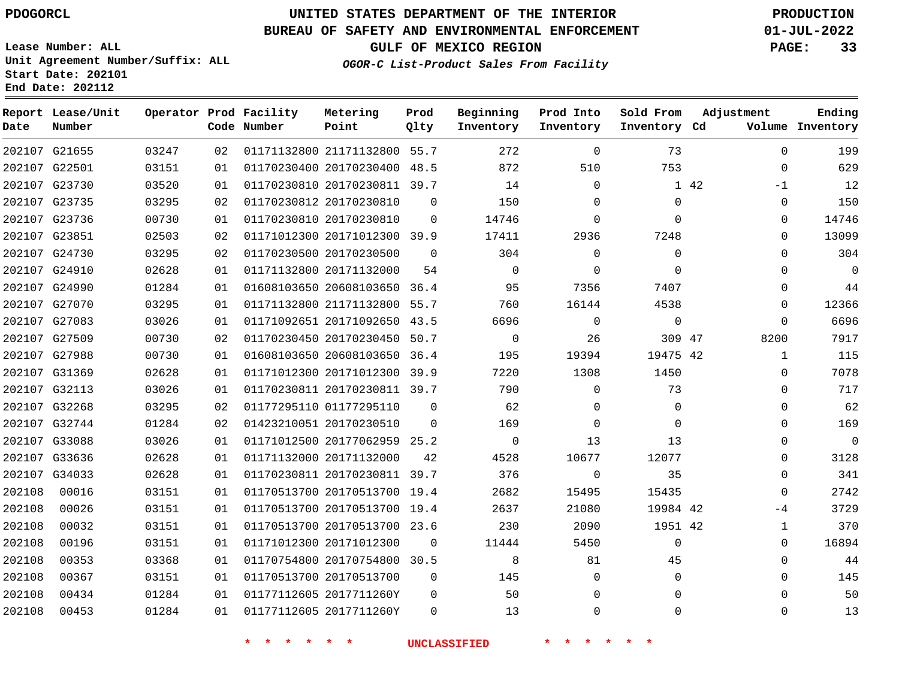**Date**

## **UNITED STATES DEPARTMENT OF THE INTERIOR PDOGORCL PRODUCTION**

**Prod Qlty**

#### **BUREAU OF SAFETY AND ENVIRONMENTAL ENFORCEMENT 01-JUL-2022**

**Lease Number: ALL Unit Agreement Number/Suffix: ALL Start Date: 202101**

**Operator Prod Facility**

**Code Number**

**Metering Point**

**End Date: 202112**

**Report Lease/Unit**

**Number**

**GULF OF MEXICO REGION PAGE: 33**

**Inventory Cd Volume**

**Adjustment**

**Ending**

**OGOR-C List-Product Sales From Facility**

**Beginning Inventory**

**Prod Into Inventory** **Sold From Inventory**

|        | 202107 G21655 | 03247 | 02 | 01171132800 21171132800 55.7 |          | 272            | $\Omega$       | 73          |      | $\Omega$ | 199            |
|--------|---------------|-------|----|------------------------------|----------|----------------|----------------|-------------|------|----------|----------------|
|        | 202107 G22501 | 03151 | 01 | 01170230400 20170230400 48.5 |          | 872            | 510            | 753         |      | $\Omega$ | 629            |
|        | 202107 G23730 | 03520 | 01 | 01170230810 20170230811 39.7 |          | 14             | $\mathbf{0}$   |             | 1 42 | $-1$     | 12             |
|        | 202107 G23735 | 03295 | 02 | 01170230812 20170230810      | $\Omega$ | 150            | $\Omega$       | 0           |      | 0        | 150            |
|        | 202107 G23736 | 00730 | 01 | 01170230810 20170230810      | $\Omega$ | 14746          | $\Omega$       | $\Omega$    |      | 0        | 14746          |
|        | 202107 G23851 | 02503 | 02 | 01171012300 20171012300 39.9 |          | 17411          | 2936           | 7248        |      | $\Omega$ | 13099          |
|        | 202107 G24730 | 03295 | 02 | 01170230500 20170230500      | $\Omega$ | 304            | $\Omega$       | $\Omega$    |      | $\Omega$ | 304            |
|        | 202107 G24910 | 02628 | 01 | 01171132800 20171132000      | 54       | $\overline{0}$ | $\Omega$       | $\Omega$    |      | 0        | $\mathbf 0$    |
|        | 202107 G24990 | 01284 | 01 | 01608103650 20608103650 36.4 |          | 95             | 7356           | 7407        |      | 0        | 44             |
|        | 202107 G27070 | 03295 | 01 | 01171132800 21171132800 55.7 |          | 760            | 16144          | 4538        |      | 0        | 12366          |
|        | 202107 G27083 | 03026 | 01 | 01171092651 20171092650 43.5 |          | 6696           | $\overline{0}$ | $\mathbf 0$ |      | $\Omega$ | 6696           |
|        | 202107 G27509 | 00730 | 02 | 01170230450 20170230450 50.7 |          | $\overline{0}$ | 26             | 309 47      |      | 8200     | 7917           |
|        | 202107 G27988 | 00730 | 01 | 01608103650 20608103650 36.4 |          | 195            | 19394          | 19475 42    |      | 1        | 115            |
|        | 202107 G31369 | 02628 | 01 | 01171012300 20171012300 39.9 |          | 7220           | 1308           | 1450        |      | $\Omega$ | 7078           |
|        | 202107 G32113 | 03026 | 01 | 01170230811 20170230811 39.7 |          | 790            | $\Omega$       | 73          |      | $\Omega$ | 717            |
|        | 202107 G32268 | 03295 | 02 | 01177295110 01177295110      | $\Omega$ | 62             | $\Omega$       | $\Omega$    |      | $\Omega$ | 62             |
|        | 202107 G32744 | 01284 | 02 | 01423210051 20170230510      | $\Omega$ | 169            | $\Omega$       | $\Omega$    |      | 0        | 169            |
|        | 202107 G33088 | 03026 | 01 | 01171012500 20177062959 25.2 |          | $\overline{0}$ | 13             | 13          |      | 0        | $\overline{0}$ |
|        | 202107 G33636 | 02628 | 01 | 01171132000 20171132000      | 42       | 4528           | 10677          | 12077       |      | $\Omega$ | 3128           |
|        | 202107 G34033 | 02628 | 01 | 01170230811 20170230811 39.7 |          | 376            | 0              | 35          |      | $\Omega$ | 341            |
| 202108 | 00016         | 03151 | 01 | 01170513700 20170513700 19.4 |          | 2682           | 15495          | 15435       |      | $\Omega$ | 2742           |
| 202108 | 00026         | 03151 | 01 | 01170513700 20170513700 19.4 |          | 2637           | 21080          | 19984 42    |      | $-4$     | 3729           |
| 202108 | 00032         | 03151 | 01 | 01170513700 20170513700 23.6 |          | 230            | 2090           | 1951 42     |      | 1        | 370            |
| 202108 | 00196         | 03151 | 01 | 01171012300 20171012300      | 0        | 11444          | 5450           | $\Omega$    |      | 0        | 16894          |
| 202108 | 00353         | 03368 | 01 | 01170754800 20170754800 30.5 |          | 8 <sup>8</sup> | 81             | 45          |      | $\Omega$ | 44             |
| 202108 | 00367         | 03151 | 01 | 01170513700 20170513700      | $\Omega$ | 145            | $\Omega$       | 0           |      | 0        | 145            |
| 202108 | 00434         | 01284 | 01 | 01177112605 2017711260Y      | $\Omega$ | 50             | $\Omega$       | $\Omega$    |      | 0        | 50             |
| 202108 | 00453         | 01284 | 01 | 01177112605 2017711260Y      | $\Omega$ | 13             | $\Omega$       | $\Omega$    |      | $\Omega$ | 13             |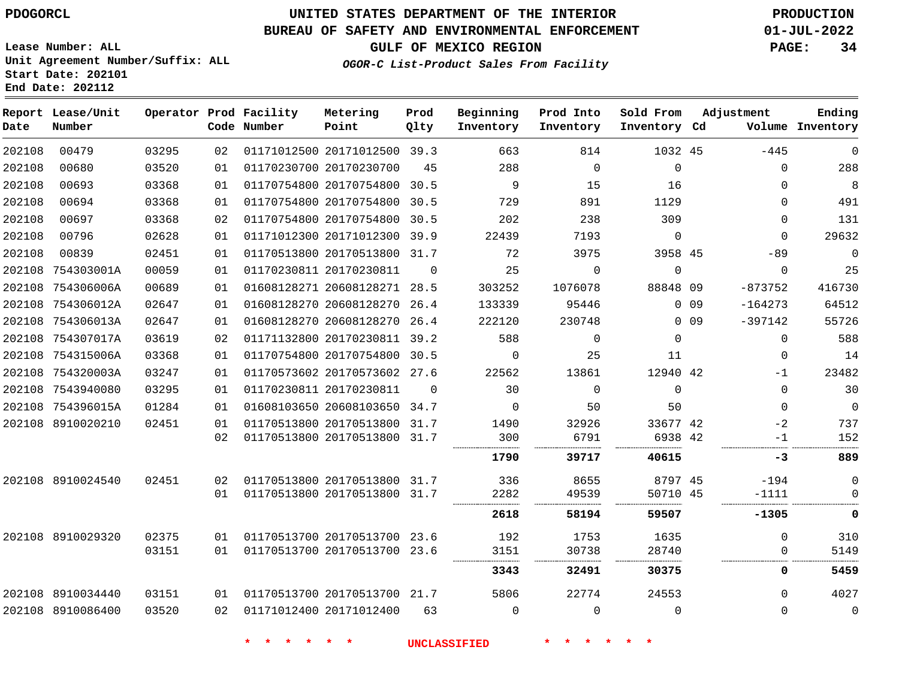**Prod**

**Metering**

#### **BUREAU OF SAFETY AND ENVIRONMENTAL ENFORCEMENT 01-JUL-2022**

**Lease Number: ALL Unit Agreement Number/Suffix: ALL**

**Operator Prod Facility**

**Start Date: 202101**

**End Date: 202112**

**Report Lease/Unit**

**GULF OF MEXICO REGION PAGE: 34**

**Adjustment**

**Ending**

**OGOR-C List-Product Sales From Facility**

**Beginning**

**Prod Into**

**Sold From**

| Date   | Number            |       |    | Code Number | Point                        | Qlty     | Inventory | Inventory   | Inventory Cd |        |             | Volume Inventory |
|--------|-------------------|-------|----|-------------|------------------------------|----------|-----------|-------------|--------------|--------|-------------|------------------|
| 202108 | 00479             | 03295 | 02 |             | 01171012500 20171012500 39.3 |          | 663       | 814         | 1032 45      |        | $-445$      | $\mathbf 0$      |
| 202108 | 00680             | 03520 | 01 |             | 01170230700 20170230700      | 45       | 288       | $\Omega$    | $\Omega$     |        | $\Omega$    | 288              |
| 202108 | 00693             | 03368 | 01 |             | 01170754800 20170754800      | 30.5     | 9         | 15          | 16           |        | $\Omega$    | 8                |
| 202108 | 00694             | 03368 | 01 |             | 01170754800 20170754800 30.5 |          | 729       | 891         | 1129         |        | $\Omega$    | 491              |
| 202108 | 00697             | 03368 | 02 |             | 01170754800 20170754800 30.5 |          | 202       | 238         | 309          |        | $\Omega$    | 131              |
| 202108 | 00796             | 02628 | 01 |             | 01171012300 20171012300 39.9 |          | 22439     | 7193        | $\mathbf 0$  |        | $\Omega$    | 29632            |
| 202108 | 00839             | 02451 | 01 |             | 01170513800 20170513800 31.7 |          | 72        | 3975        | 3958 45      |        | $-89$       | $\overline{0}$   |
| 202108 | 754303001A        | 00059 | 01 |             | 01170230811 20170230811      | $\Omega$ | 25        | $\Omega$    | $\Omega$     |        | $\mathbf 0$ | 25               |
| 202108 | 754306006A        | 00689 | 01 |             | 01608128271 20608128271 28.5 |          | 303252    | 1076078     | 88848 09     |        | $-873752$   | 416730           |
| 202108 | 754306012A        | 02647 | 01 |             | 01608128270 20608128270      | 26.4     | 133339    | 95446       |              | $0$ 09 | $-164273$   | 64512            |
| 202108 | 754306013A        | 02647 | 01 |             | 01608128270 20608128270      | 26.4     | 222120    | 230748      |              | $0$ 09 | $-397142$   | 55726            |
| 202108 | 754307017A        | 03619 | 02 |             | 01171132800 20170230811 39.2 |          | 588       | $\mathbf 0$ | $\Omega$     |        | $\mathbf 0$ | 588              |
| 202108 | 754315006A        | 03368 | 01 |             | 01170754800 20170754800 30.5 |          | 0         | 25          | 11           |        | 0           | 14               |
| 202108 | 754320003A        | 03247 | 01 |             | 01170573602 20170573602 27.6 |          | 22562     | 13861       | 12940 42     |        | -1          | 23482            |
|        | 202108 7543940080 | 03295 | 01 |             | 01170230811 20170230811      | $\Omega$ | 30        | $\Omega$    | $\Omega$     |        | $\Omega$    | 30               |
|        | 202108 754396015A | 01284 | 01 |             | 01608103650 20608103650 34.7 |          | $\Omega$  | 50          | 50           |        | $\Omega$    | $\mathbf 0$      |
| 202108 | 8910020210        | 02451 | 01 |             | 01170513800 20170513800      | 31.7     | 1490      | 32926       | 33677 42     |        | -2          | 737              |
|        |                   |       | 02 |             | 01170513800 20170513800 31.7 |          | 300       | 6791        | 6938 42      |        | -1          | 152              |
|        |                   |       |    |             |                              |          | 1790      | 39717       | 40615        |        | -3          | 889              |
|        | 202108 8910024540 | 02451 | 02 |             | 01170513800 20170513800 31.7 |          | 336       | 8655        | 8797 45      |        | $-194$      | $\mathbf 0$      |
|        |                   |       | 01 |             | 01170513800 20170513800 31.7 |          | 2282      | 49539       | 50710 45     |        | $-1111$     | $\Omega$         |
|        |                   |       |    |             |                              |          | 2618      | 58194       | 59507        |        | $-1305$     | 0                |
|        | 202108 8910029320 | 02375 | 01 |             | 01170513700 20170513700 23.6 |          | 192       | 1753        | 1635         |        | $\Omega$    | 310              |
|        |                   | 03151 | 01 |             | 01170513700 20170513700 23.6 |          | 3151      | 30738       | 28740        |        | 0           | 5149             |
|        |                   |       |    |             |                              |          | 3343      | 32491       | 30375        |        | 0           | 5459             |
|        | 202108 8910034440 | 03151 | 01 |             | 01170513700 20170513700 21.7 |          | 5806      | 22774       | 24553        |        | $\Omega$    | 4027             |
|        | 202108 8910086400 | 03520 | 02 |             | 01171012400 20171012400      | 63       | $\Omega$  | $\Omega$    | $\Omega$     |        | $\Omega$    | $\mathbf 0$      |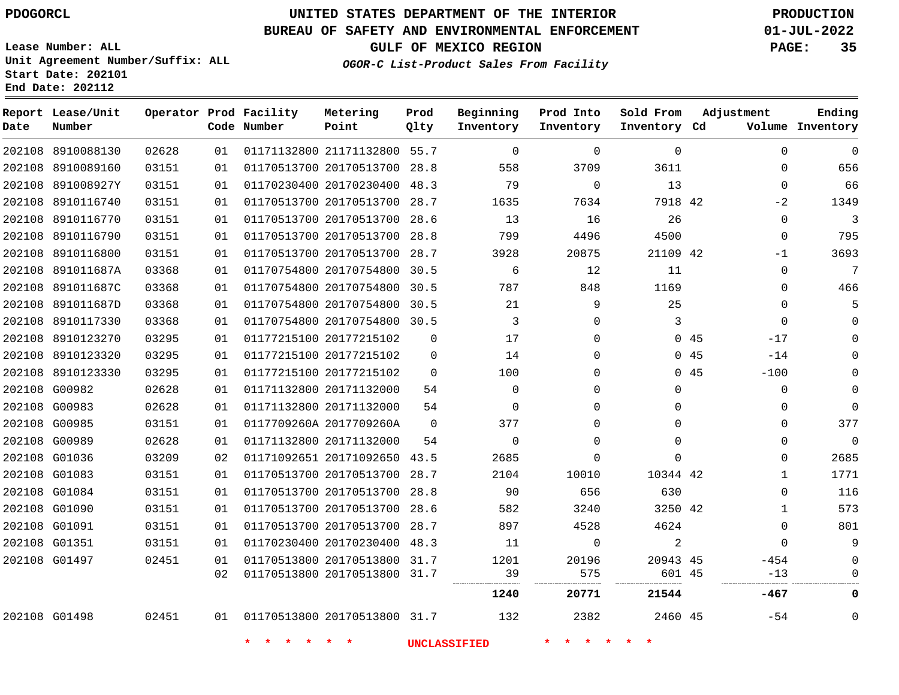**Date**

8910088130

**Report Lease/Unit**

**Number**

G01498

# **UNITED STATES DEPARTMENT OF THE INTERIOR PDOGORCL PRODUCTION**

**Prod Qlty**

#### **BUREAU OF SAFETY AND ENVIRONMENTAL ENFORCEMENT 01-JUL-2022**

**Lease Number: ALL Unit Agreement Number/Suffix: ALL Start Date: 202101 End Date: 202112**

**Operator Prod Facility**

**Code Number**

**OGOR-C List-Product Sales From Facility**

**Prod Into Inventory**

**Beginning Inventory**

**GULF OF MEXICO REGION PAGE: 35**

**Inventory Cd Volume**

**Adjustment**

**Ending**

 $\Omega$ 

|                   |       |    |                         |                              |          | 1240     | 20771        | 21544    |     | $-467$      | 0           |
|-------------------|-------|----|-------------------------|------------------------------|----------|----------|--------------|----------|-----|-------------|-------------|
|                   |       | 02 |                         | 01170513800 20170513800 31.7 |          | 39       | 575          | 601 45   |     | $-13$       |             |
| 202108 G01497     | 02451 | 01 |                         | 01170513800 20170513800 31.7 |          | 1201     | 20196        | 20943 45 |     | $-454$      |             |
| 202108 G01351     | 03151 | 01 |                         | 01170230400 20170230400 48.3 |          | 11       | $\Omega$     | 2        |     | $\Omega$    | 9           |
| 202108 G01091     | 03151 | 01 |                         | 01170513700 20170513700 28.7 |          | 897      | 4528         | 4624     |     | 0           | 801         |
| 202108 G01090     | 03151 | 01 |                         | 01170513700 20170513700 28.6 |          | 582      | 3240         | 3250 42  |     |             | 573         |
| 202108 G01084     | 03151 | 01 |                         | 01170513700 20170513700 28.8 |          | 90       | 656          | 630      |     | 0           | 116         |
| 202108 G01083     | 03151 | 01 |                         | 01170513700 20170513700 28.7 |          | 2104     | 10010        | 10344 42 |     |             | 1771        |
| 202108 G01036     | 03209 | 02 |                         | 01171092651 20171092650 43.5 |          | 2685     | 0            | 0        |     | $\Omega$    | 2685        |
| 202108 G00989     | 02628 | 01 | 01171132800 20171132000 |                              | 54       | $\Omega$ | 0            | 0        |     | $\Omega$    | $\mathbf 0$ |
| 202108 G00985     | 03151 | 01 | 0117709260A 2017709260A |                              | $\Omega$ | 377      | 0            | 0        |     | 0           | 377         |
| 202108 G00983     | 02628 | 01 | 01171132800 20171132000 |                              | 54       | $\Omega$ | <sup>n</sup> | 0        |     | 0           | $\Omega$    |
| 202108 G00982     | 02628 | 01 | 01171132800 20171132000 |                              | 54       | $\Omega$ | $\Omega$     | $\Omega$ |     | $\mathbf 0$ |             |
| 202108 8910123330 | 03295 | 01 | 01177215100 20177215102 |                              | $\Omega$ | 100      |              |          | 045 | $-100$      |             |
| 202108 8910123320 | 03295 | 01 | 01177215100 20177215102 |                              | $\Omega$ | 14       |              |          | 045 | $-14$       |             |
| 202108 8910123270 | 03295 | 01 | 01177215100 20177215102 |                              | 0        | 17       |              |          | 045 | $-17$       |             |
| 202108 8910117330 | 03368 | 01 |                         | 01170754800 20170754800 30.5 |          | 3        | $\Omega$     | 3        |     | $\Omega$    |             |
| 202108 891011687D | 03368 | 01 |                         | 01170754800 20170754800 30.5 |          | 21       | 9            | 25       |     | $\Omega$    |             |
| 202108 891011687C | 03368 | 01 |                         | 01170754800 20170754800 30.5 |          | 787      | 848          | 1169     |     | $\Omega$    | 466         |
| 202108 891011687A | 03368 | 01 |                         | 01170754800 20170754800 30.5 |          | 6        | 12           | 11       |     | $\Omega$    | 7           |
| 202108 8910116800 | 03151 | 01 |                         | 01170513700 20170513700 28.7 |          | 3928     | 20875        | 21109 42 |     | $-1$        | 3693        |
| 202108 8910116790 | 03151 | 01 |                         | 01170513700 20170513700 28.8 |          | 799      | 4496         | 4500     |     | $\Omega$    | 795         |
| 202108 8910116770 | 03151 | 01 |                         | 01170513700 20170513700 28.6 |          | 13       | 16           | 26       |     | $\Omega$    | 3           |
| 202108 8910116740 | 03151 | 01 |                         | 01170513700 20170513700 28.7 |          | 1635     | 7634         | 7918 42  |     | $-2$        | 1349        |
| 202108 891008927Y | 03151 | 01 |                         | 01170230400 20170230400 48.3 |          | 79       | $\Omega$     | 13       |     | $\Omega$    | 66          |
| 202108 8910089160 | 03151 | 01 |                         | 01170513700 20170513700 28.8 |          | 558      | 3709         | 3611     |     | 0           | 656         |

21171132800 55.7

**Metering Point**

20170513800 31.7

**\* \* \* \* \* \* UNCLASSIFIED \* \* \* \* \* \***

45 -54

**Sold From Inventory**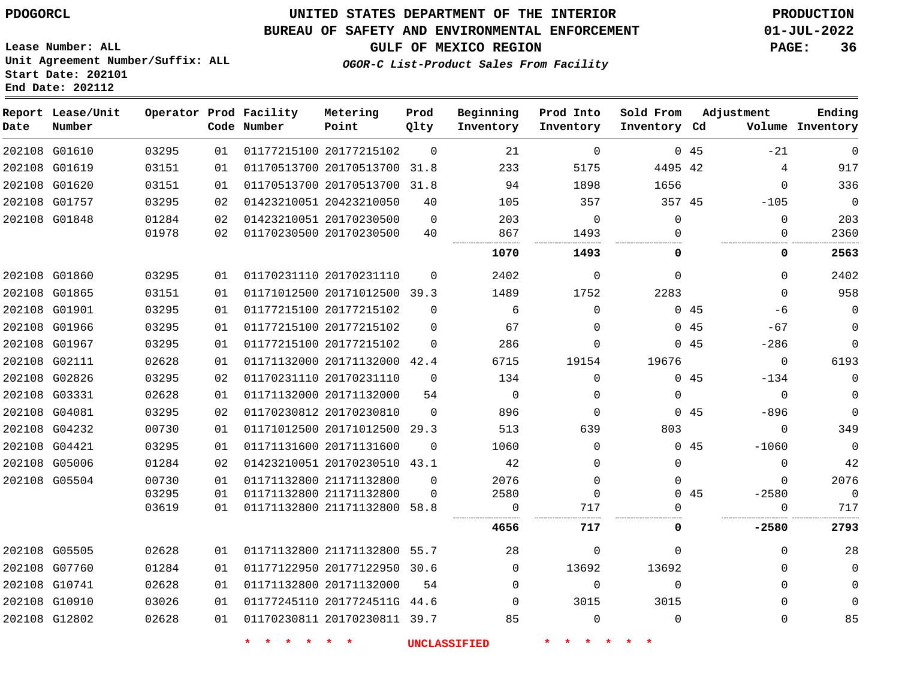## **UNITED STATES DEPARTMENT OF THE INTERIOR PDOGORCL PRODUCTION**

#### **BUREAU OF SAFETY AND ENVIRONMENTAL ENFORCEMENT 01-JUL-2022**

**Lease Number: ALL Unit Agreement Number/Suffix: ALL Start Date: 202101**

## **GULF OF MEXICO REGION PAGE: 36**

**OGOR-C List-Product Sales From Facility**

| Date          | Report Lease/Unit<br>Number |       |    | Operator Prod Facility<br>Code Number | Metering<br>Point            | Prod<br>Qlty | Beginning<br>Inventory | Prod Into<br>Inventory | Sold From<br>Inventory Cd | Adjustment     | Ending<br>Volume Inventory |
|---------------|-----------------------------|-------|----|---------------------------------------|------------------------------|--------------|------------------------|------------------------|---------------------------|----------------|----------------------------|
| 202108 G01610 |                             | 03295 | 01 |                                       | 01177215100 20177215102      | $\Omega$     | 21                     | $\Omega$               |                           | 0.45<br>$-21$  | $\mathbf 0$                |
| 202108 G01619 |                             | 03151 | 01 |                                       | 01170513700 20170513700      | 31.8         | 233                    | 5175                   | 4495 42                   | 4              | 917                        |
| 202108 G01620 |                             | 03151 | 01 |                                       | 01170513700 20170513700 31.8 |              | 94                     | 1898                   | 1656                      | $\Omega$       | 336                        |
| 202108 G01757 |                             | 03295 | 02 |                                       | 01423210051 20423210050      | 40           | 105                    | 357                    | 357 45                    | $-105$         | $\overline{0}$             |
| 202108 G01848 |                             | 01284 | 02 |                                       | 01423210051 20170230500      | $\mathbf 0$  | 203                    | 0                      | $\mathbf 0$               | 0              | 203                        |
|               |                             | 01978 | 02 |                                       | 01170230500 20170230500      | 40           | 867                    | 1493                   | $\Omega$                  | 0              | 2360                       |
|               |                             |       |    |                                       |                              |              | 1070                   | 1493                   | $\Omega$                  | 0              | 2563                       |
| 202108 G01860 |                             | 03295 | 01 |                                       | 01170231110 20170231110      | $\Omega$     | 2402                   | $\Omega$               | $\Omega$                  | $\Omega$       | 2402                       |
| 202108 G01865 |                             | 03151 | 01 |                                       | 01171012500 20171012500 39.3 |              | 1489                   | 1752                   | 2283                      | $\Omega$       | 958                        |
| 202108 G01901 |                             | 03295 | 01 |                                       | 01177215100 20177215102      | $\Omega$     | 6                      | $\mathbf 0$            |                           | 045<br>-6      | $\mathbf 0$                |
|               | 202108 G01966               | 03295 | 01 |                                       | 01177215100 20177215102      | $\Omega$     | 67                     | $\Omega$               |                           | 045<br>$-67$   | $\Omega$                   |
| 202108 G01967 |                             | 03295 | 01 |                                       | 01177215100 20177215102      | $\Omega$     | 286                    | $\Omega$               |                           | 045<br>$-286$  | $\mathbf 0$                |
| 202108 G02111 |                             | 02628 | 01 |                                       | 01171132000 20171132000 42.4 |              | 6715                   | 19154                  | 19676                     | $\mathbf 0$    | 6193                       |
| 202108 G02826 |                             | 03295 | 02 |                                       | 01170231110 20170231110      | $\Omega$     | 134                    | $\Omega$               |                           | 045<br>$-134$  | $\mathbf 0$                |
| 202108 G03331 |                             | 02628 | 01 |                                       | 01171132000 20171132000      | 54           | $\mathbf 0$            | 0                      | $\mathbf 0$               | $\mathbf 0$    | $\mathbf 0$                |
| 202108 G04081 |                             | 03295 | 02 |                                       | 01170230812 20170230810      | $\Omega$     | 896                    | $\Omega$               |                           | 045<br>$-896$  | $\Omega$                   |
| 202108 G04232 |                             | 00730 | 01 |                                       | 01171012500 20171012500      | 29.3         | 513                    | 639                    | 803                       | $\Omega$       | 349                        |
| 202108 G04421 |                             | 03295 | 01 |                                       | 01171131600 20171131600      | $\Omega$     | 1060                   | 0                      |                           | 045<br>$-1060$ | $\mathbf 0$                |
| 202108 G05006 |                             | 01284 | 02 |                                       | 01423210051 20170230510 43.1 |              | 42                     | $\Omega$               | $\Omega$                  | $\Omega$       | 42                         |
| 202108 G05504 |                             | 00730 | 01 |                                       | 01171132800 21171132800      | $\Omega$     | 2076                   | $\mathbf 0$            | $\mathbf 0$               | $\Omega$       | 2076                       |
|               |                             | 03295 | 01 |                                       | 01171132800 21171132800      | $\Omega$     | 2580                   | $\mathbf 0$            |                           | 045<br>$-2580$ | $\mathbf 0$                |
|               |                             | 03619 | 01 |                                       | 01171132800 21171132800 58.8 |              | 0                      | 717                    | ∩                         | $\Omega$       | 717                        |
|               |                             |       |    |                                       |                              |              | 4656                   | 717                    | 0                         | $-2580$        | 2793                       |
| 202108 G05505 |                             | 02628 | 01 |                                       | 01171132800 21171132800 55.7 |              | 28                     | $\Omega$               | $\Omega$                  | $\Omega$       | 28                         |
| 202108 G07760 |                             | 01284 | 01 |                                       | 01177122950 20177122950 30.6 |              | $\Omega$               | 13692                  | 13692                     | $\Omega$       | $\mathbf 0$                |
| 202108 G10741 |                             | 02628 | 01 |                                       | 01171132800 20171132000      | 54           | $\Omega$               | $\mathbf 0$            | $\mathbf 0$               | $\Omega$       | $\mathbf 0$                |
| 202108 G10910 |                             | 03026 | 01 |                                       | 01177245110 2017724511G 44.6 |              | 0                      | 3015                   | 3015                      | 0              | $\mathbf 0$                |
| 202108 G12802 |                             | 02628 | 01 |                                       | 01170230811 20170230811 39.7 |              | 85                     | $\Omega$               | $\Omega$                  | $\Omega$       | 85                         |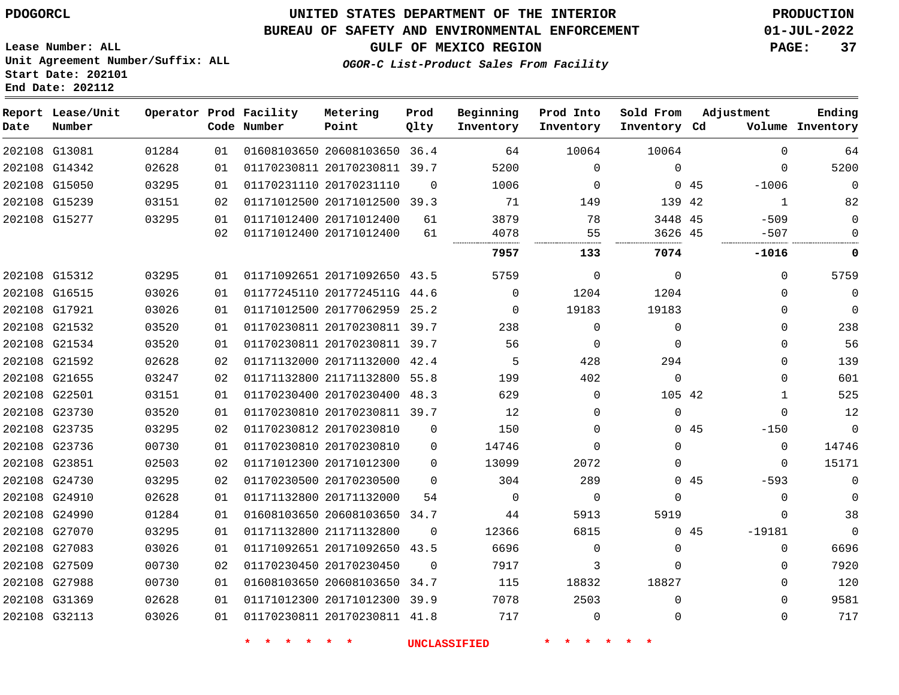**Lease Number: ALL**

## **UNITED STATES DEPARTMENT OF THE INTERIOR PDOGORCL PRODUCTION**

#### **BUREAU OF SAFETY AND ENVIRONMENTAL ENFORCEMENT 01-JUL-2022**

**GULF OF MEXICO REGION PAGE: 37**

**OGOR-C List-Product Sales From Facility**

**Unit Agreement Number/Suffix: ALL Start Date: 202101 End Date: 202112**

| Date          | Report Lease/Unit<br>Number |       |    | Operator Prod Facility<br>Code Number | Metering<br>Point            | Prod<br>Qlty | Beginning<br>Inventory | Prod Into<br>Inventory | Sold From<br>Inventory Cd |     | Adjustment   | Ending<br>Volume Inventory |
|---------------|-----------------------------|-------|----|---------------------------------------|------------------------------|--------------|------------------------|------------------------|---------------------------|-----|--------------|----------------------------|
| 202108 G13081 |                             | 01284 | 01 |                                       | 01608103650 20608103650 36.4 |              | 64                     | 10064                  | 10064                     |     | $\Omega$     | 64                         |
|               | 202108 G14342               | 02628 | 01 |                                       | 01170230811 20170230811 39.7 |              | 5200                   | $\mathbf 0$            | $\Omega$                  |     | $\Omega$     | 5200                       |
|               | 202108 G15050               | 03295 | 01 |                                       | 01170231110 20170231110      | $\Omega$     | 1006                   | $\mathbf 0$            |                           | 045 | $-1006$      | $\mathbf 0$                |
|               | 202108 G15239               | 03151 | 02 |                                       | 01171012500 20171012500 39.3 |              | 71                     | 149                    | 139 42                    |     | $\mathbf{1}$ | 82                         |
|               | 202108 G15277               | 03295 | 01 |                                       | 01171012400 20171012400      | 61           | 3879                   | 78                     | 3448 45                   |     | $-509$       | $\mathbf 0$                |
|               |                             |       | 02 |                                       | 01171012400 20171012400      | 61           | 4078                   | 55                     | 3626 45                   |     | $-507$       | 0                          |
|               |                             |       |    |                                       |                              |              | 7957                   | 133                    | 7074                      |     | $-1016$      | 0                          |
|               | 202108 G15312               | 03295 | 01 |                                       | 01171092651 20171092650 43.5 |              | 5759                   | $\mathbf 0$            | $\mathbf 0$               |     | $\Omega$     | 5759                       |
|               | 202108 G16515               | 03026 | 01 |                                       | 01177245110 2017724511G 44.6 |              | $\Omega$               | 1204                   | 1204                      |     | $\Omega$     | $\mathbf 0$                |
| 202108 G17921 |                             | 03026 | 01 |                                       | 01171012500 20177062959 25.2 |              | 0                      | 19183                  | 19183                     |     | 0            | $\mathbf 0$                |
|               | 202108 G21532               | 03520 | 01 |                                       | 01170230811 20170230811 39.7 |              | 238                    | $\mathbf 0$            | $\mathbf 0$               |     | $\Omega$     | 238                        |
|               | 202108 G21534               | 03520 | 01 |                                       | 01170230811 20170230811 39.7 |              | 56                     | $\mathbf 0$            | $\mathbf 0$               |     | 0            | 56                         |
|               | 202108 G21592               | 02628 | 02 |                                       | 01171132000 20171132000 42.4 |              | 5                      | 428                    | 294                       |     | 0            | 139                        |
|               | 202108 G21655               | 03247 | 02 |                                       | 01171132800 21171132800 55.8 |              | 199                    | 402                    | $\mathbf{0}$              |     | $\Omega$     | 601                        |
| 202108 G22501 |                             | 03151 | 01 |                                       | 01170230400 20170230400 48.3 |              | 629                    | $\mathbf 0$            | 105 42                    |     | $\mathbf{1}$ | 525                        |
|               | 202108 G23730               | 03520 | 01 |                                       | 01170230810 20170230811 39.7 |              | 12                     | $\Omega$               | $\Omega$                  |     | $\Omega$     | 12                         |
|               | 202108 G23735               | 03295 | 02 |                                       | 01170230812 20170230810      | 0            | 150                    | $\Omega$               |                           | 045 | $-150$       | $\mathbf 0$                |
|               | 202108 G23736               | 00730 | 01 |                                       | 01170230810 20170230810      | 0            | 14746                  | $\Omega$               | $\Omega$                  |     | $\Omega$     | 14746                      |
| 202108 G23851 |                             | 02503 | 02 |                                       | 01171012300 20171012300      | $\Omega$     | 13099                  | 2072                   | $\Omega$                  |     | $\Omega$     | 15171                      |
|               | 202108 G24730               | 03295 | 02 |                                       | 01170230500 20170230500      | $\Omega$     | 304                    | 289                    |                           | 045 | $-593$       | $\mathbf 0$                |
|               | 202108 G24910               | 02628 | 01 |                                       | 01171132800 20171132000      | 54           | $\mathbf 0$            | $\Omega$               | $\Omega$                  |     | $\Omega$     | $\overline{0}$             |
|               | 202108 G24990               | 01284 | 01 |                                       | 01608103650 20608103650 34.7 |              | 44                     | 5913                   | 5919                      |     | $\Omega$     | 38                         |
|               | 202108 G27070               | 03295 | 01 |                                       | 01171132800 21171132800      | $\Omega$     | 12366                  | 6815                   |                           | 045 | $-19181$     | $\Omega$                   |
|               | 202108 G27083               | 03026 | 01 |                                       | 01171092651 20171092650 43.5 |              | 6696                   | $\mathbf 0$            | $\mathbf 0$               |     | 0            | 6696                       |
| 202108 G27509 |                             | 00730 | 02 |                                       | 01170230450 20170230450      | $\Omega$     | 7917                   | 3                      | $\Omega$                  |     | 0            | 7920                       |
| 202108 G27988 |                             | 00730 | 01 |                                       | 01608103650 20608103650 34.7 |              | 115                    | 18832                  | 18827                     |     | $\mathbf{0}$ | 120                        |
| 202108 G31369 |                             | 02628 | 01 |                                       | 01171012300 20171012300 39.9 |              | 7078                   | 2503                   | $\Omega$                  |     | $\Omega$     | 9581                       |
| 202108 G32113 |                             | 03026 | 01 |                                       | 01170230811 20170230811 41.8 |              | 717                    | $\mathbf 0$            | $\mathbf 0$               |     | $\Omega$     | 717                        |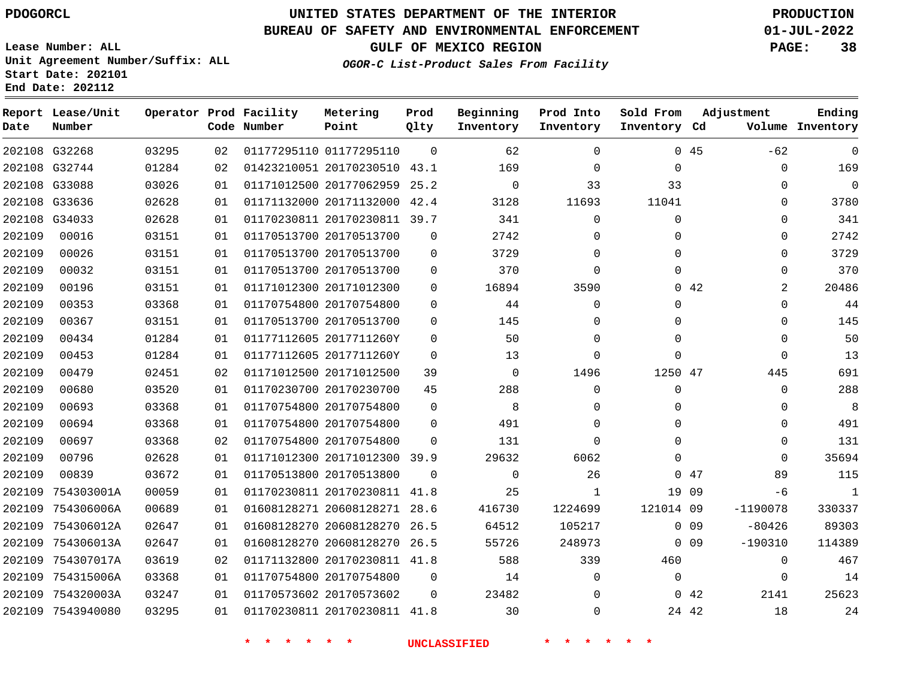#### **BUREAU OF SAFETY AND ENVIRONMENTAL ENFORCEMENT 01-JUL-2022**

**OGOR-C List-Product Sales From Facility**

**GULF OF MEXICO REGION PAGE: 38**

**Lease Number: ALL Unit Agreement Number/Suffix: ALL Start Date: 202101 End Date: 202112**

| Date   | Report Lease/Unit<br>Number |       |    | Operator Prod Facility<br>Code Number | Metering<br>Point            | Prod<br>Qlty | Beginning<br>Inventory | Prod Into<br>Inventory | Sold From<br>Inventory Cd |             | Adjustment     | Ending<br>Volume Inventory |
|--------|-----------------------------|-------|----|---------------------------------------|------------------------------|--------------|------------------------|------------------------|---------------------------|-------------|----------------|----------------------------|
|        | 202108 G32268               | 03295 | 02 |                                       | 01177295110 01177295110      | $\Omega$     | 62                     | $\Omega$               |                           | 045         | $-62$          | $\mathbf 0$                |
|        | 202108 G32744               | 01284 | 02 |                                       | 01423210051 20170230510 43.1 |              | 169                    | $\Omega$               | $\mathbf 0$               |             | $\mathbf 0$    | 169                        |
|        | 202108 G33088               | 03026 | 01 |                                       | 01171012500 20177062959 25.2 |              | $\Omega$               | 33                     | 33                        |             | $\Omega$       | $\Omega$                   |
| 202108 | G33636                      | 02628 | 01 |                                       | 01171132000 20171132000 42.4 |              | 3128                   | 11693                  | 11041                     |             | $\mathbf 0$    | 3780                       |
|        | 202108 G34033               | 02628 | 01 |                                       | 01170230811 20170230811 39.7 |              | 341                    | $\mathbf 0$            | $\mathbf 0$               |             | $\mathbf 0$    | 341                        |
| 202109 | 00016                       | 03151 | 01 |                                       | 01170513700 20170513700      | $\Omega$     | 2742                   | 0                      | $\Omega$                  |             | $\mathbf 0$    | 2742                       |
| 202109 | 00026                       | 03151 | 01 |                                       | 01170513700 20170513700      | $\Omega$     | 3729                   | 0                      | $\Omega$                  |             | $\mathbf 0$    | 3729                       |
| 202109 | 00032                       | 03151 | 01 |                                       | 01170513700 20170513700      | $\Omega$     | 370                    | $\Omega$               | $\Omega$                  |             | $\mathbf 0$    | 370                        |
| 202109 | 00196                       | 03151 | 01 |                                       | 01171012300 20171012300      | $\Omega$     | 16894                  | 3590                   |                           | $0\quad 42$ | $\overline{2}$ | 20486                      |
| 202109 | 00353                       | 03368 | 01 |                                       | 01170754800 20170754800      | $\mathbf 0$  | 44                     | 0                      | $\Omega$                  |             | $\mathbf 0$    | 44                         |
| 202109 | 00367                       | 03151 | 01 |                                       | 01170513700 20170513700      | $\Omega$     | 145                    | $\Omega$               | $\Omega$                  |             | $\mathbf 0$    | 145                        |
| 202109 | 00434                       | 01284 | 01 |                                       | 01177112605 2017711260Y      | $\mathbf 0$  | 50                     | $\mathbf 0$            | $\Omega$                  |             | $\mathbf 0$    | 50                         |
| 202109 | 00453                       | 01284 | 01 |                                       | 01177112605 2017711260Y      | $\Omega$     | 13                     | $\Omega$               | $\Omega$                  |             | $\Omega$       | 13                         |
| 202109 | 00479                       | 02451 | 02 |                                       | 01171012500 20171012500      | 39           | $\mathbf 0$            | 1496                   | 1250 47                   |             | 445            | 691                        |
| 202109 | 00680                       | 03520 | 01 |                                       | 01170230700 20170230700      | 45           | 288                    | 0                      | $\mathbf 0$               |             | $\mathbf 0$    | 288                        |
| 202109 | 00693                       | 03368 | 01 |                                       | 01170754800 20170754800      | $\Omega$     | 8                      | $\Omega$               | $\Omega$                  |             | $\mathbf 0$    | 8                          |
| 202109 | 00694                       | 03368 | 01 |                                       | 01170754800 20170754800      | $\Omega$     | 491                    | $\mathbf 0$            | $\Omega$                  |             | $\mathbf 0$    | 491                        |
| 202109 | 00697                       | 03368 | 02 |                                       | 01170754800 20170754800      | $\Omega$     | 131                    | $\Omega$               | $\Omega$                  |             | $\Omega$       | 131                        |
| 202109 | 00796                       | 02628 | 01 |                                       | 01171012300 20171012300 39.9 |              | 29632                  | 6062                   | $\Omega$                  |             | $\mathbf 0$    | 35694                      |
| 202109 | 00839                       | 03672 | 01 |                                       | 01170513800 20170513800      | $\Omega$     | $\Omega$               | 26                     | $\Omega$                  | 47          | 89             | 115                        |
| 202109 | 754303001A                  | 00059 | 01 |                                       | 01170230811 20170230811 41.8 |              | 25                     | 1                      | 19                        | 09          | -6             | 1                          |
| 202109 | 754306006A                  | 00689 | 01 |                                       | 01608128271 20608128271 28.6 |              | 416730                 | 1224699                | 121014 09                 |             | $-1190078$     | 330337                     |
| 202109 | 754306012A                  | 02647 | 01 |                                       | 01608128270 20608128270      | 26.5         | 64512                  | 105217                 |                           | 0.09        | $-80426$       | 89303                      |
| 202109 | 754306013A                  | 02647 | 01 |                                       | 01608128270 20608128270      | 26.5         | 55726                  | 248973                 |                           | $0\quad09$  | $-190310$      | 114389                     |
| 202109 | 754307017A                  | 03619 | 02 |                                       | 01171132800 20170230811 41.8 |              | 588                    | 339                    | 460                       |             | $\Omega$       | 467                        |
| 202109 | 754315006A                  | 03368 | 01 |                                       | 01170754800 20170754800      | $\mathbf 0$  | 14                     | $\mathbf 0$            | $\Omega$                  |             | $\mathbf 0$    | 14                         |
| 202109 | 754320003A                  | 03247 | 01 |                                       | 01170573602 20170573602      | $\mathbf 0$  | 23482                  | $\mathbf 0$            |                           | 042         | 2141           | 25623                      |
|        | 202109 7543940080           | 03295 | 01 |                                       | 01170230811 20170230811 41.8 |              | 30                     | 0                      |                           | 24 42       | 18             | 24                         |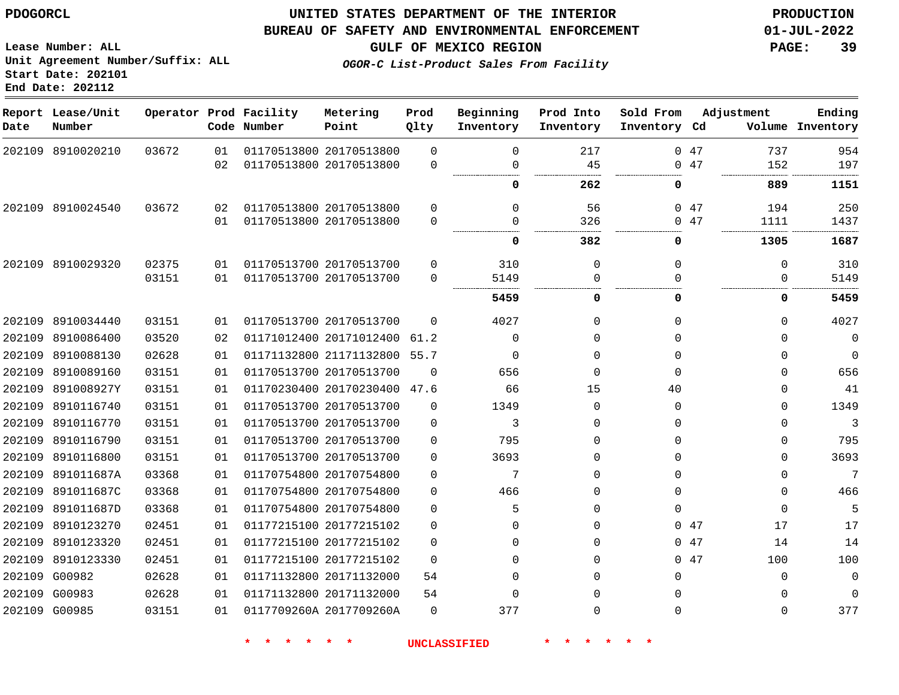8910020210

**Report Lease/Unit**

**Number**

**Date**

## **UNITED STATES DEPARTMENT OF THE INTERIOR PDOGORCL PRODUCTION**

  $\Omega$ 

**Prod Qlty**

#### **BUREAU OF SAFETY AND ENVIRONMENTAL ENFORCEMENT 01-JUL-2022**

**Lease Number: ALL Unit Agreement Number/Suffix: ALL Start Date: 202101 End Date: 202112**

**Operator Prod Facility**

**Code Number**

 20170513800 20170513800

**Metering Point**

  **OGOR-C List-Product Sales From Facility**

**Beginning Inventory**

> $\Omega$

 

**Prod Into Inventory**

**GULF OF MEXICO REGION PAGE: 39**

**Inventory Cd Volume**

**Adjustment**

. . . . . . . . . . . . .

 

 

 $\Omega$  $\overline{0}$ 

 

**Ending**

 

 

. . . . . . . . . . .

47 47

**Sold From Inventory**

|            |       |    |                         |                         |                     | 0        | 262      | $\Omega$     |    |
|------------|-------|----|-------------------------|-------------------------|---------------------|----------|----------|--------------|----|
| 8910024540 | 03672 | 02 |                         | 01170513800 20170513800 | $\Omega$            | $\Omega$ | 56       | 0            | 47 |
|            |       | 01 |                         | 01170513800 20170513800 | 0                   | 0        | 326      | $\Omega$     | 47 |
|            |       |    |                         |                         |                     | 0        | 382      | 0            |    |
| 8910029320 | 02375 | 01 |                         | 01170513700 20170513700 | $\Omega$            | 310      | 0        | $\mathbf 0$  |    |
|            | 03151 | 01 |                         | 01170513700 20170513700 | $\Omega$            | 5149     | $\Omega$ | <sup>0</sup> |    |
|            |       |    |                         |                         |                     | 5459     | 0        | 0            |    |
| 8910034440 | 03151 | 01 | 01170513700 20170513700 |                         | $\Omega$            | 4027     | $\Omega$ | $\Omega$     |    |
| 8910086400 | 03520 | 02 | 01171012400 20171012400 |                         | 61.2                | $\Omega$ | $\Omega$ | $\Omega$     |    |
| 8910088130 | 02628 | 01 |                         | 01171132800 21171132800 | 55.7                | $\Omega$ | $\Omega$ | $\Omega$     |    |
| 8910089160 | 03151 | 01 | 01170513700 20170513700 |                         | $\Omega$            | 656      | $\Omega$ | $\Omega$     |    |
| 891008927Y | 03151 | 01 |                         | 01170230400 20170230400 | 47.6                | 66       | 15       | 40           |    |
| 8910116740 | 03151 | 01 |                         | 01170513700 20170513700 | 0                   | 1349     | $\Omega$ | $\Omega$     |    |
| 8910116770 | 03151 | 01 |                         | 01170513700 20170513700 | $\Omega$            | 3        | $\Omega$ | $\Omega$     |    |
| 8910116790 | 03151 | 01 | 01170513700 20170513700 |                         | $\Omega$            | 795      | $\Omega$ | $\Omega$     |    |
| 8910116800 | 03151 | 01 |                         | 01170513700 20170513700 | $\Omega$            | 3693     | $\Omega$ | $\Omega$     |    |
| 891011687A | 03368 | 01 |                         | 01170754800 20170754800 | $\Omega$            | 7        | $\Omega$ | $\Omega$     |    |
| 891011687C | 03368 | 01 | 01170754800 20170754800 |                         | $\Omega$            | 466      | $\Omega$ | $\mathbf{0}$ |    |
| 891011687D | 03368 | 01 | 01170754800 20170754800 |                         | $\Omega$            | 5        | $\Omega$ | $\Omega$     |    |
| 8910123270 | 02451 | 01 |                         | 01177215100 20177215102 | $\Omega$            | 0        | $\Omega$ | $\Omega$     | 47 |
| 8910123320 | 02451 | 01 | 01177215100 20177215102 |                         | $\Omega$            | $\Omega$ | $\Omega$ | 0            | 47 |
| 8910123330 | 02451 | 01 |                         | 01177215100 20177215102 | $\Omega$            | $\Omega$ | $\Omega$ | $\Omega$     | 47 |
| G00982     | 02628 | 01 |                         | 01171132800 20171132000 | 54                  | $\Omega$ | $\Omega$ | $\Omega$     |    |
| G00983     | 02628 | 01 | 01171132800 20171132000 |                         | 54                  | $\Omega$ | $\Omega$ | $\Omega$     |    |
| G00985     | 03151 | 01 |                         | 0117709260A 2017709260A | $\Omega$            | 377      | $\Omega$ | $\Omega$     |    |
|            |       |    |                         |                         | <b>UNCLASSIFIED</b> |          |          |              |    |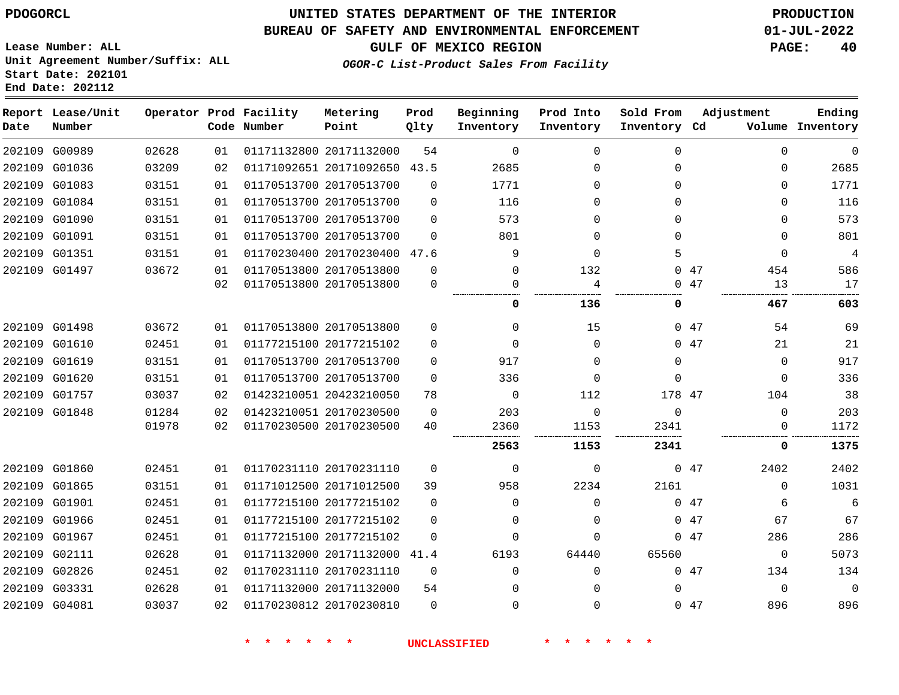#### **BUREAU OF SAFETY AND ENVIRONMENTAL ENFORCEMENT 01-JUL-2022**

**GULF OF MEXICO REGION PAGE: 40**

**Lease Number: ALL Unit Agreement Number/Suffix: ALL Start Date: 202101 End Date: 202112**

**OGOR-C List-Product Sales From Facility**

| Date | Report Lease/Unit<br>Number |       |    | Operator Prod Facility<br>Code Number | Metering<br>Point            | Prod<br>Qlty | Beginning<br>Inventory | Prod Into<br>Inventory | Sold From<br>Inventory Cd |     | Adjustment  | Ending<br>Volume Inventory |
|------|-----------------------------|-------|----|---------------------------------------|------------------------------|--------------|------------------------|------------------------|---------------------------|-----|-------------|----------------------------|
|      | 202109 G00989               | 02628 | 01 |                                       | 01171132800 20171132000      | 54           | $\Omega$               | $\Omega$               | $\Omega$                  |     | $\Omega$    | $\mathbf 0$                |
|      | 202109 G01036               | 03209 | 02 |                                       | 01171092651 20171092650 43.5 |              | 2685                   | $\Omega$               | $\Omega$                  |     | $\mathbf 0$ | 2685                       |
|      | 202109 G01083               | 03151 | 01 |                                       | 01170513700 20170513700      | $\Omega$     | 1771                   | 0                      | $\Omega$                  |     | $\mathbf 0$ | 1771                       |
|      | 202109 G01084               | 03151 | 01 |                                       | 01170513700 20170513700      | $\Omega$     | 116                    | 0                      | $\Omega$                  |     | $\mathbf 0$ | 116                        |
|      | 202109 G01090               | 03151 | 01 |                                       | 01170513700 20170513700      | $\Omega$     | 573                    | $\Omega$               | $\Omega$                  |     | $\Omega$    | 573                        |
|      | 202109 G01091               | 03151 | 01 |                                       | 01170513700 20170513700      | $\Omega$     | 801                    | $\Omega$               | $\Omega$                  |     | $\Omega$    | 801                        |
|      | 202109 G01351               | 03151 | 01 |                                       | 01170230400 20170230400 47.6 |              | 9                      | $\Omega$               | 5                         |     | $\mathbf 0$ | $\overline{4}$             |
|      | 202109 G01497               | 03672 | 01 |                                       | 01170513800 20170513800      | $\Omega$     | $\Omega$               | 132                    | 0                         | 47  | 454         | 586                        |
|      |                             |       | 02 |                                       | 01170513800 20170513800      | $\mathbf 0$  | 0                      | 4                      | $\Omega$                  | 47  | 13          | 17                         |
|      |                             |       |    |                                       |                              |              | 0                      | 136                    | 0                         |     | 467         | 603                        |
|      | 202109 G01498               | 03672 | 01 |                                       | 01170513800 20170513800      | $\Omega$     | $\Omega$               | 15                     |                           | 047 | 54          | 69                         |
|      | 202109 G01610               | 02451 | 01 |                                       | 01177215100 20177215102      | $\Omega$     | $\Omega$               | $\Omega$               |                           | 047 | 21          | 21                         |
|      | 202109 G01619               | 03151 | 01 |                                       | 01170513700 20170513700      | $\Omega$     | 917                    | $\Omega$               | 0                         |     | $\mathbf 0$ | 917                        |
|      | 202109 G01620               | 03151 | 01 |                                       | 01170513700 20170513700      | $\Omega$     | 336                    | $\Omega$               | $\Omega$                  |     | $\mathbf 0$ | 336                        |
|      | 202109 G01757               | 03037 | 02 |                                       | 01423210051 20423210050      | 78           | $\mathbf 0$            | 112                    | 178 47                    |     | 104         | 38                         |
|      | 202109 G01848               | 01284 | 02 |                                       | 01423210051 20170230500      | $\Omega$     | 203                    | $\Omega$               | $\Omega$                  |     | $\Omega$    | 203                        |
|      |                             | 01978 | 02 |                                       | 01170230500 20170230500      | 40           | 2360                   | 1153                   | 2341                      |     | $\Omega$    | 1172                       |
|      |                             |       |    |                                       |                              |              | 2563                   | 1153                   | 2341                      |     | 0           | 1375                       |
|      | 202109 G01860               | 02451 | 01 |                                       | 01170231110 20170231110      | 0            | $\mathbf 0$            | 0                      |                           | 047 | 2402        | 2402                       |
|      | 202109 G01865               | 03151 | 01 |                                       | 01171012500 20171012500      | 39           | 958                    | 2234                   | 2161                      |     | 0           | 1031                       |
|      | 202109 G01901               | 02451 | 01 |                                       | 01177215100 20177215102      | 0            | 0                      | $\Omega$               |                           | 047 | 6           | 6                          |
|      | 202109 G01966               | 02451 | 01 |                                       | 01177215100 20177215102      | $\Omega$     | $\Omega$               | $\Omega$               |                           | 047 | 67          | 67                         |
|      | 202109 G01967               | 02451 | 01 |                                       | 01177215100 20177215102      | $\Omega$     | $\Omega$               | $\Omega$               |                           | 047 | 286         | 286                        |
|      | 202109 G02111               | 02628 | 01 |                                       | 01171132000 20171132000      | 41.4         | 6193                   | 64440                  | 65560                     |     | 0           | 5073                       |
|      | 202109 G02826               | 02451 | 02 |                                       | 01170231110 20170231110      | $\mathbf 0$  | $\Omega$               | $\Omega$               |                           | 047 | 134         | 134                        |
|      | 202109 G03331               | 02628 | 01 |                                       | 01171132000 20171132000      | 54           | 0                      | 0                      | 0                         |     | $\mathbf 0$ | $\Omega$                   |
|      | 202109 G04081               | 03037 | 02 |                                       | 01170230812 20170230810      | $\mathbf 0$  | $\Omega$               | 0                      |                           | 047 | 896         | 896                        |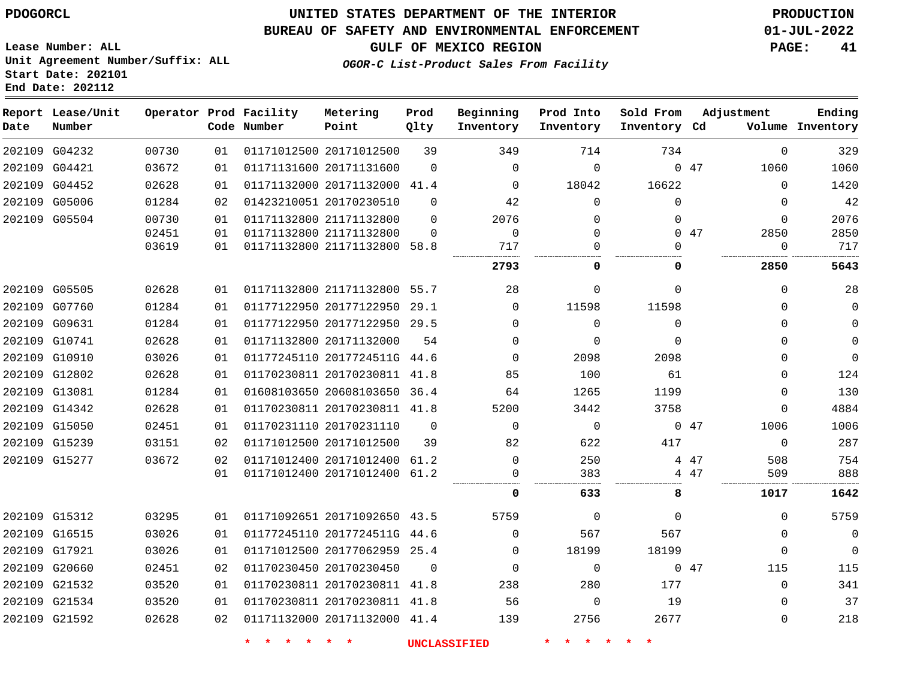#### **BUREAU OF SAFETY AND ENVIRONMENTAL ENFORCEMENT 01-JUL-2022**

**GULF OF MEXICO REGION PAGE: 41**

**Lease Number: ALL Unit Agreement Number/Suffix: ALL Start Date: 202101 End Date: 202112**

**OGOR-C List-Product Sales From Facility**

| Date | Report Lease/Unit<br>Number |       |    | Operator Prod Facility<br>Code Number | Metering<br>Point            | Prod<br>Qlty | Beginning<br>Inventory | Prod Into<br>Inventory | Sold From<br>Inventory Cd | Adjustment  | Ending<br>Volume Inventory |
|------|-----------------------------|-------|----|---------------------------------------|------------------------------|--------------|------------------------|------------------------|---------------------------|-------------|----------------------------|
|      | 202109 G04232               | 00730 | 01 |                                       | 01171012500 20171012500      | 39           | 349                    | 714                    | 734                       | $\Omega$    | 329                        |
|      | 202109 G04421               | 03672 | 01 |                                       | 01171131600 20171131600      | $\mathbf 0$  | $\mathbf 0$            | $\mathbf 0$            |                           | 047<br>1060 | 1060                       |
|      | 202109 G04452               | 02628 | 01 |                                       | 01171132000 20171132000 41.4 |              | $\Omega$               | 18042                  | 16622                     | $\Omega$    | 1420                       |
|      | 202109 G05006               | 01284 | 02 |                                       | 01423210051 20170230510      | $\mathbf 0$  | 42                     | $\mathbf 0$            | $\mathbf{0}$              | $\mathbf 0$ | 42                         |
|      | 202109 G05504               | 00730 | 01 |                                       | 01171132800 21171132800      | $\Omega$     | 2076                   | $\mathbf 0$            | 0                         | $\mathbf 0$ | 2076                       |
|      |                             | 02451 | 01 |                                       | 01171132800 21171132800      | $\Omega$     | $\mathbf 0$            | $\mathbf 0$            |                           | 2850<br>047 | 2850                       |
|      |                             | 03619 | 01 |                                       | 01171132800 21171132800 58.8 |              | 717                    | $\mathbf 0$            | 0                         | 0           | 717                        |
|      |                             |       |    |                                       |                              |              | 2793                   | 0                      | 0                         | 2850        | 5643                       |
|      | 202109 G05505               | 02628 | 01 |                                       | 01171132800 21171132800 55.7 |              | 28                     | 0                      | 0                         | $\mathbf 0$ | 28                         |
|      | 202109 G07760               | 01284 | 01 |                                       | 01177122950 20177122950 29.1 |              | $\Omega$               | 11598                  | 11598                     | $\Omega$    | $\mathbf 0$                |
|      | 202109 G09631               | 01284 | 01 |                                       | 01177122950 20177122950 29.5 |              | $\Omega$               | $\Omega$               | 0                         | $\Omega$    | $\Omega$                   |
|      | 202109 G10741               | 02628 | 01 |                                       | 01171132800 20171132000      | 54           | $\Omega$               | $\Omega$               | $\Omega$                  | $\Omega$    | $\Omega$                   |
|      | 202109 G10910               | 03026 | 01 |                                       | 01177245110 2017724511G 44.6 |              | $\Omega$               | 2098                   | 2098                      | $\Omega$    | $\mathbf{0}$               |
|      | 202109 G12802               | 02628 | 01 |                                       | 01170230811 20170230811 41.8 |              | 85                     | 100                    | 61                        | 0           | 124                        |
|      | 202109 G13081               | 01284 | 01 |                                       | 01608103650 20608103650 36.4 |              | 64                     | 1265                   | 1199                      | $\mathbf 0$ | 130                        |
|      | 202109 G14342               | 02628 | 01 |                                       | 01170230811 20170230811 41.8 |              | 5200                   | 3442                   | 3758                      | $\Omega$    | 4884                       |
|      | 202109 G15050               | 02451 | 01 |                                       | 01170231110 20170231110      | $\mathbf 0$  | $\Omega$               | $\mathbf 0$            |                           | 047<br>1006 | 1006                       |
|      | 202109 G15239               | 03151 | 02 |                                       | 01171012500 20171012500      | 39           | 82                     | 622                    | 417                       | $\Omega$    | 287                        |
|      | 202109 G15277               | 03672 | 02 |                                       | 01171012400 20171012400      | 61.2         | $\Omega$               | 250                    |                           | 508<br>4 47 | 754                        |
|      |                             |       | 01 |                                       | 01171012400 20171012400      | 61.2         | 0                      | 383                    |                           | 509<br>4 47 | 888                        |
|      |                             |       |    |                                       |                              |              | 0                      | 633                    | 8                         | 1017        | 1642                       |
|      | 202109 G15312               | 03295 | 01 |                                       | 01171092651 20171092650 43.5 |              | 5759                   | $\mathbf 0$            | $\mathbf 0$               | $\mathbf 0$ | 5759                       |
|      | 202109 G16515               | 03026 | 01 |                                       | 01177245110 2017724511G 44.6 |              | $\Omega$               | 567                    | 567                       | $\mathbf 0$ | $\mathbf{0}$               |
|      | 202109 G17921               | 03026 | 01 |                                       | 01171012500 20177062959 25.4 |              | 0                      | 18199                  | 18199                     | $\mathbf 0$ | $\Omega$                   |
|      | 202109 G20660               | 02451 | 02 |                                       | 01170230450 20170230450      | $\Omega$     | $\Omega$               | $\mathbf 0$            |                           | 047<br>115  | 115                        |
|      | 202109 G21532               | 03520 | 01 |                                       | 01170230811 20170230811      | 41.8         | 238                    | 280                    | 177                       | $\Omega$    | 341                        |
|      | 202109 G21534               | 03520 | 01 |                                       | 01170230811 20170230811 41.8 |              | 56                     | $\mathbf 0$            | 19                        | $\mathbf 0$ | 37                         |
|      | 202109 G21592               | 02628 | 02 |                                       | 01171132000 20171132000 41.4 |              | 139                    | 2756                   | 2677                      | $\Omega$    | 218                        |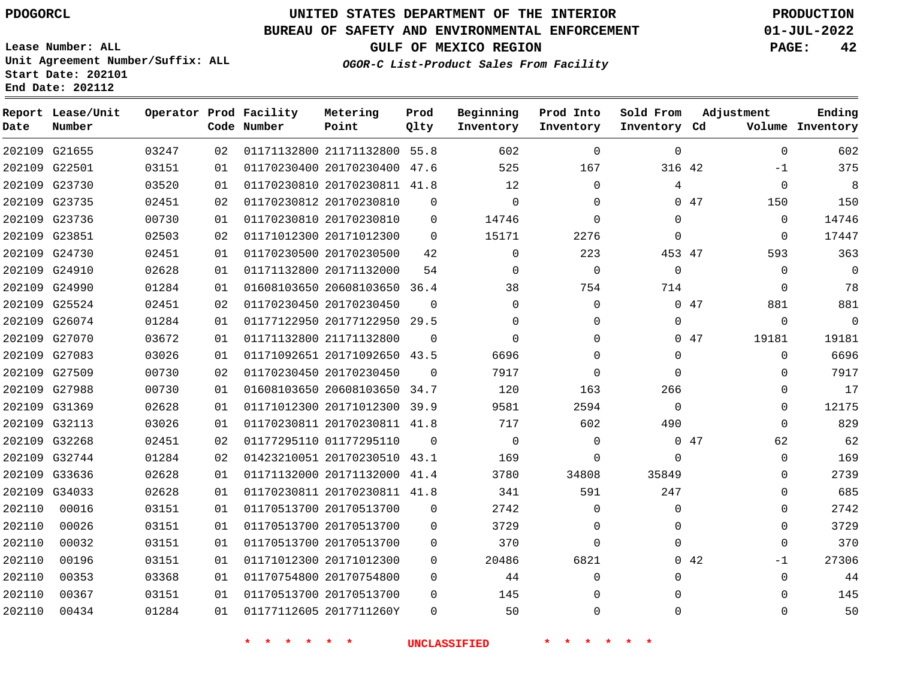### **BUREAU OF SAFETY AND ENVIRONMENTAL ENFORCEMENT 01-JUL-2022**

**Lease Number: ALL Unit Agreement Number/Suffix: ALL Start Date: 202101**

**End Date: 202112**

**GULF OF MEXICO REGION PAGE: 42**

**OGOR-C List-Product Sales From Facility**

| Date   | Report Lease/Unit<br>Number |       |    | Operator Prod Facility<br>Code Number | Metering<br>Point            | Prod<br>Qlty | Beginning<br>Inventory | Prod Into<br>Inventory | Sold From<br>Inventory Cd | Adjustment   | Ending<br>Volume Inventory |
|--------|-----------------------------|-------|----|---------------------------------------|------------------------------|--------------|------------------------|------------------------|---------------------------|--------------|----------------------------|
|        | 202109 G21655               | 03247 | 02 |                                       | 01171132800 21171132800 55.8 |              | 602                    | $\Omega$               | 0                         |              | 602<br>$\Omega$            |
|        | 202109 G22501               | 03151 | 01 |                                       | 01170230400 20170230400 47.6 |              | 525                    | 167                    | 316 42                    | $-1$         | 375                        |
|        | 202109 G23730               | 03520 | 01 |                                       | 01170230810 20170230811 41.8 |              | 12                     | $\mathbf 0$            | 4                         |              | 8<br>$\mathbf 0$           |
|        | 202109 G23735               | 02451 | 02 | 01170230812 20170230810               |                              | $\mathbf 0$  | $\mathbf 0$            | $\mathbf 0$            |                           | 047<br>150   | 150                        |
|        | 202109 G23736               | 00730 | 01 |                                       | 01170230810 20170230810      | $\mathbf 0$  | 14746                  | $\mathbf 0$            | 0                         |              | 14746<br>0                 |
|        | 202109 G23851               | 02503 | 02 |                                       | 01171012300 20171012300      | $\Omega$     | 15171                  | 2276                   | $\Omega$                  |              | 17447<br>0                 |
|        | 202109 G24730               | 02451 | 01 |                                       | 01170230500 20170230500      | 42           | $\Omega$               | 223                    | 453 47                    | 593          | 363                        |
|        | 202109 G24910               | 02628 | 01 |                                       | 01171132800 20171132000      | 54           | $\Omega$               | $\mathbf 0$            | $\Omega$                  |              | $\mathbf 0$<br>$\mathbf 0$ |
|        | 202109 G24990               | 01284 | 01 |                                       | 01608103650 20608103650 36.4 |              | 38                     | 754                    | 714                       |              | 78<br>$\mathbf 0$          |
|        | 202109 G25524               | 02451 | 02 |                                       | 01170230450 20170230450      | $\Omega$     | $\Omega$               | $\Omega$               |                           | 881<br>047   | 881                        |
|        | 202109 G26074               | 01284 | 01 |                                       | 01177122950 20177122950 29.5 |              | $\Omega$               | $\Omega$               | $\Omega$                  |              | $\Omega$<br>$\Omega$       |
|        | 202109 G27070               | 03672 | 01 |                                       | 01171132800 21171132800      | $\Omega$     | $\Omega$               | $\mathbf 0$            |                           | 047<br>19181 | 19181                      |
|        | 202109 G27083               | 03026 | 01 |                                       | 01171092651 20171092650 43.5 |              | 6696                   | $\Omega$               | $\Omega$                  |              | 6696<br>$\mathbf 0$        |
|        | 202109 G27509               | 00730 | 02 |                                       | 01170230450 20170230450      | $\Omega$     | 7917                   | $\Omega$               | $\Omega$                  |              | 7917<br>$\Omega$           |
|        | 202109 G27988               | 00730 | 01 |                                       | 01608103650 20608103650 34.7 |              | 120                    | 163                    | 266                       |              | 17<br>$\mathbf 0$          |
|        | 202109 G31369               | 02628 | 01 |                                       | 01171012300 20171012300      | 39.9         | 9581                   | 2594                   | $\Omega$                  |              | 12175<br>$\mathbf 0$       |
|        | 202109 G32113               | 03026 | 01 |                                       | 01170230811 20170230811 41.8 |              | 717                    | 602                    | 490                       |              | 829<br>$\Omega$            |
|        | 202109 G32268               | 02451 | 02 | 01177295110 01177295110               |                              | $\Omega$     | $\mathbf 0$            | $\Omega$               |                           | 047<br>62    | 62                         |
|        | 202109 G32744               | 01284 | 02 |                                       | 01423210051 20170230510 43.1 |              | 169                    | $\mathbf 0$            | $\Omega$                  |              | 169<br>0                   |
|        | 202109 G33636               | 02628 | 01 |                                       | 01171132000 20171132000      | 41.4         | 3780                   | 34808                  | 35849                     |              | 2739<br>$\Omega$           |
|        | 202109 G34033               | 02628 | 01 |                                       | 01170230811 20170230811 41.8 |              | 341                    | 591                    | 247                       |              | 685<br>$\mathbf 0$         |
| 202110 | 00016                       | 03151 | 01 |                                       | 01170513700 20170513700      | $\mathbf 0$  | 2742                   | $\mathbf 0$            | 0                         |              | 2742<br>$\mathbf 0$        |
| 202110 | 00026                       | 03151 | 01 |                                       | 01170513700 20170513700      | $\Omega$     | 3729                   | $\mathbf 0$            | 0                         |              | 3729<br>$\mathbf 0$        |
| 202110 | 00032                       | 03151 | 01 |                                       | 01170513700 20170513700      | $\Omega$     | 370                    | $\mathbf 0$            | $\Omega$                  |              | 370<br>$\mathbf 0$         |
| 202110 | 00196                       | 03151 | 01 |                                       | 01171012300 20171012300      | $\mathbf 0$  | 20486                  | 6821                   |                           | 042<br>$-1$  | 27306                      |
| 202110 | 00353                       | 03368 | 01 | 01170754800 20170754800               |                              | $\mathbf 0$  | 44                     | $\mathbf 0$            | 0                         |              | 44<br>$\Omega$             |
| 202110 | 00367                       | 03151 | 01 | 01170513700 20170513700               |                              | $\Omega$     | 145                    | $\mathbf 0$            | $\Omega$                  |              | 145<br>$\Omega$            |
| 202110 | 00434                       | 01284 | 01 |                                       | 01177112605 2017711260Y      | $\Omega$     | 50                     | $\Omega$               | $\Omega$                  |              | 50<br>$\Omega$             |
|        |                             |       |    |                                       |                              |              |                        |                        |                           |              |                            |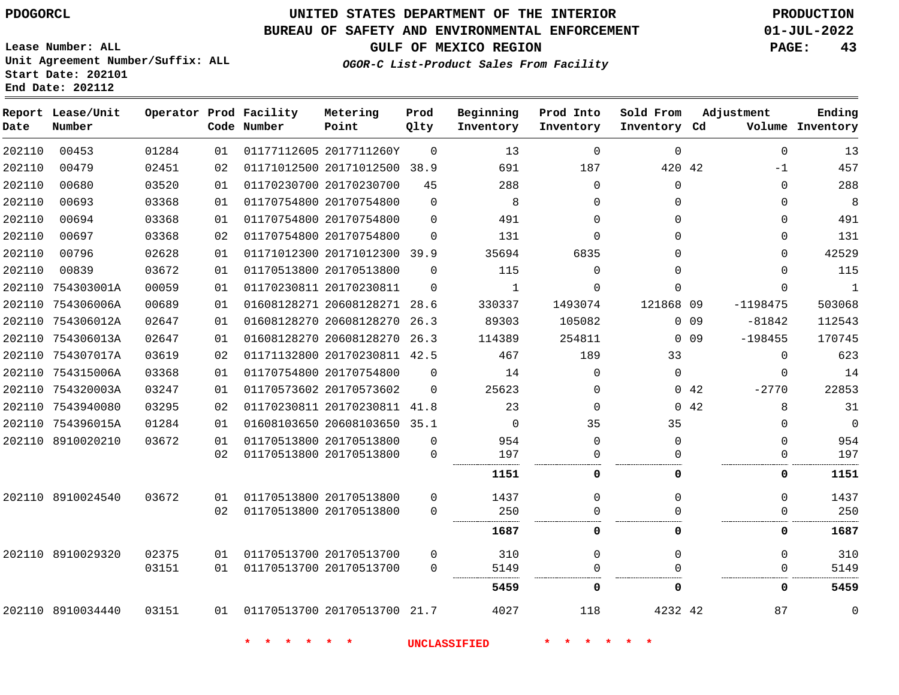# **UNITED STATES DEPARTMENT OF THE INTERIOR PDOGORCL PRODUCTION**

#### **BUREAU OF SAFETY AND ENVIRONMENTAL ENFORCEMENT 01-JUL-2022**

**Lease Number: ALL Unit Agreement Number/Suffix: ALL Start Date: 202101**

**GULF OF MEXICO REGION PAGE: 43**

**OGOR-C List-Product Sales From Facility**

| Date   | Report Lease/Unit<br>Number |       |    | Operator Prod Facility<br>Code Number | Metering<br>Point            | Prod<br>Qlty | Beginning<br>Inventory | Prod Into<br>Inventory | Sold From<br>Inventory Cd | Adjustment      |            | Ending<br>Volume Inventory |
|--------|-----------------------------|-------|----|---------------------------------------|------------------------------|--------------|------------------------|------------------------|---------------------------|-----------------|------------|----------------------------|
| 202110 | 00453                       | 01284 | 01 |                                       | 01177112605 2017711260Y      | $\Omega$     | 13                     | $\Omega$               | $\Omega$                  |                 | $\Omega$   | 13                         |
| 202110 | 00479                       | 02451 | 02 |                                       | 01171012500 20171012500 38.9 |              | 691                    | 187                    | 420 42                    |                 | $-1$       | 457                        |
| 202110 | 00680                       | 03520 | 01 |                                       | 01170230700 20170230700      | 45           | 288                    | $\Omega$               | $\Omega$                  |                 | $\Omega$   | 288                        |
| 202110 | 00693                       | 03368 | 01 |                                       | 01170754800 20170754800      | $\Omega$     | 8                      | $\Omega$               | $\Omega$                  |                 | $\Omega$   | 8                          |
| 202110 | 00694                       | 03368 | 01 |                                       | 01170754800 20170754800      | $\Omega$     | 491                    | $\Omega$               | $\Omega$                  |                 | $\Omega$   | 491                        |
| 202110 | 00697                       | 03368 | 02 |                                       | 01170754800 20170754800      | $\Omega$     | 131                    | $\Omega$               | $\Omega$                  |                 | $\Omega$   | 131                        |
| 202110 | 00796                       | 02628 | 01 |                                       | 01171012300 20171012300 39.9 |              | 35694                  | 6835                   | 0                         |                 | $\Omega$   | 42529                      |
| 202110 | 00839                       | 03672 | 01 |                                       | 01170513800 20170513800      | $\Omega$     | 115                    | $\Omega$               | $\Omega$                  |                 | $\Omega$   | 115                        |
| 202110 | 754303001A                  | 00059 | 01 |                                       | 01170230811 20170230811      | $\Omega$     | $\mathbf{1}$           | $\Omega$               | $\Omega$                  |                 | $\Omega$   | $\mathbf{1}$               |
| 202110 | 754306006A                  | 00689 | 01 |                                       | 01608128271 20608128271 28.6 |              | 330337                 | 1493074                | 121868 09                 |                 | $-1198475$ | 503068                     |
| 202110 | 754306012A                  | 02647 | 01 |                                       | 01608128270 20608128270      | 26.3         | 89303                  | 105082                 |                           | 0.09            | $-81842$   | 112543                     |
| 202110 | 754306013A                  | 02647 | 01 |                                       | 01608128270 20608128270      | 26.3         | 114389                 | 254811                 |                           | 0 <sub>09</sub> | $-198455$  | 170745                     |
| 202110 | 754307017A                  | 03619 | 02 |                                       | 01171132800 20170230811 42.5 |              | 467                    | 189                    | 33                        |                 | $\Omega$   | 623                        |
| 202110 | 754315006A                  | 03368 | 01 |                                       | 01170754800 20170754800      | $\Omega$     | 14                     | $\Omega$               | $\Omega$                  |                 | $\Omega$   | 14                         |
| 202110 | 754320003A                  | 03247 | 01 |                                       | 01170573602 20170573602      | $\Omega$     | 25623                  | $\Omega$               |                           | 0.42            | $-2770$    | 22853                      |
|        | 202110 7543940080           | 03295 | 02 |                                       | 01170230811 20170230811 41.8 |              | 23                     | $\Omega$               | $\Omega$                  | 42              | 8          | 31                         |
|        | 202110 754396015A           | 01284 | 01 |                                       | 01608103650 20608103650 35.1 |              | $\mathbf 0$            | 35                     | 35                        |                 | $\Omega$   | $\mathbf 0$                |
|        | 202110 8910020210           | 03672 | 01 |                                       | 01170513800 20170513800      | $\Omega$     | 954                    | $\Omega$               | 0                         |                 | $\Omega$   | 954                        |
|        |                             |       | 02 |                                       | 01170513800 20170513800      | $\mathbf 0$  | 197                    | $\Omega$               |                           |                 | $\Omega$   | 197                        |
|        |                             |       |    |                                       |                              |              | 1151                   | 0                      | 0                         |                 | 0          | 1151                       |
| 202110 | 8910024540                  | 03672 | 01 |                                       | 01170513800 20170513800      | $\mathbf 0$  | 1437                   | $\Omega$               | $\Omega$                  |                 | $\Omega$   | 1437                       |
|        |                             |       | 02 |                                       | 01170513800 20170513800      | $\Omega$     | 250                    | $\Omega$               |                           |                 | $\Omega$   | 250                        |
|        |                             |       |    |                                       |                              |              | 1687                   | 0                      | 0                         |                 | 0          | 1687                       |
|        | 202110 8910029320           | 02375 | 01 |                                       | 01170513700 20170513700      | $\Omega$     | 310                    | $\Omega$               | $\Omega$                  |                 | $\Omega$   | 310                        |
|        |                             | 03151 | 01 |                                       | 01170513700 20170513700      | $\Omega$     | 5149                   | $\Omega$               |                           |                 | $\Omega$   | 5149                       |
|        |                             |       |    |                                       |                              |              | 5459                   | 0                      | 0                         |                 | 0          | 5459                       |
|        | 202110 8910034440           | 03151 | 01 |                                       | 01170513700 20170513700 21.7 |              | 4027                   | 118                    | 4232 42                   |                 | 87         | $\mathbf 0$                |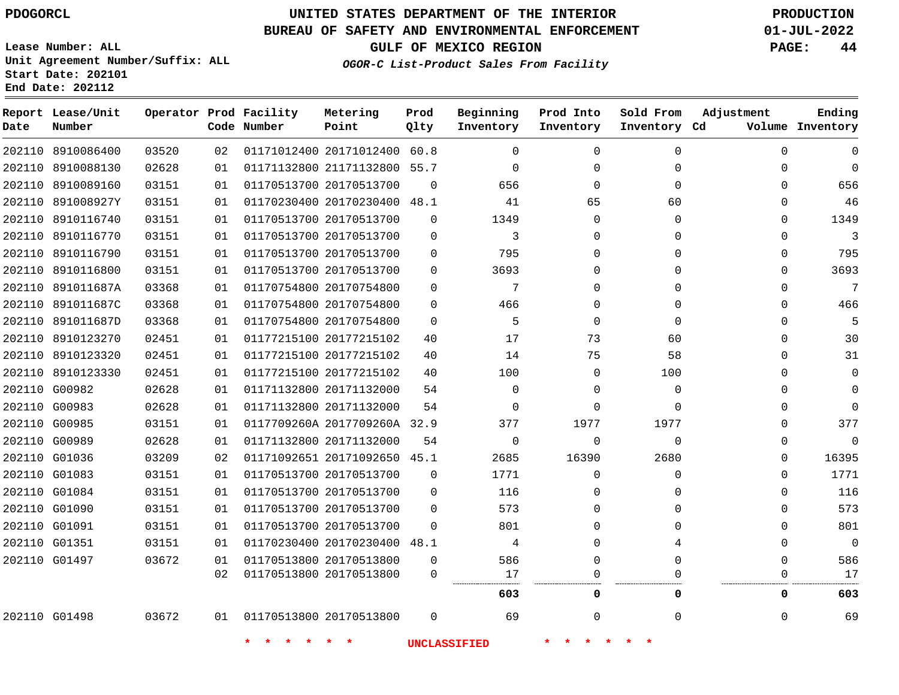#### **BUREAU OF SAFETY AND ENVIRONMENTAL ENFORCEMENT 01-JUL-2022**

**Lease Number: ALL Unit Agreement Number/Suffix: ALL Start Date: 202101**

**End Date: 202112**

**GULF OF MEXICO REGION PAGE: 44**

**OGOR-C List-Product Sales From Facility**

| Date | Report Lease/Unit<br>Number |       |    | Operator Prod Facility<br>Code Number | Metering<br>Point            | Prod<br>Qlty | Beginning<br>Inventory | Prod Into<br>Inventory | Sold From<br>Inventory Cd | Adjustment | Ending<br>Volume Inventory |
|------|-----------------------------|-------|----|---------------------------------------|------------------------------|--------------|------------------------|------------------------|---------------------------|------------|----------------------------|
|      | 202110 8910086400           | 03520 | 02 |                                       | 01171012400 20171012400 60.8 |              | $\Omega$               | $\Omega$               | $\Omega$                  | $\Omega$   | $\Omega$                   |
|      | 202110 8910088130           | 02628 | 01 |                                       | 01171132800 21171132800 55.7 |              | $\Omega$               | $\Omega$               | $\Omega$                  | 0          | $\Omega$                   |
|      | 202110 8910089160           | 03151 | 01 | 01170513700 20170513700               |                              | $\Omega$     | 656                    | $\Omega$               | $\Omega$                  | $\Omega$   | 656                        |
|      | 202110 891008927Y           | 03151 | 01 |                                       | 01170230400 20170230400 48.1 |              | 41                     | 65                     | 60                        | 0          | 46                         |
|      | 202110 8910116740           | 03151 | 01 |                                       | 01170513700 20170513700      | $\Omega$     | 1349                   | $\Omega$               | $\mathbf{0}$              | $\Omega$   | 1349                       |
|      | 202110 8910116770           | 03151 | 01 |                                       | 01170513700 20170513700      | $\mathbf 0$  | 3                      | $\Omega$               | $\Omega$                  | 0          | 3                          |
|      | 202110 8910116790           | 03151 | 01 |                                       | 01170513700 20170513700      | $\mathbf 0$  | 795                    | $\Omega$               | 0                         | 0          | 795                        |
|      | 202110 8910116800           | 03151 | 01 |                                       | 01170513700 20170513700      | $\Omega$     | 3693                   | $\Omega$               | $\Omega$                  | $\Omega$   | 3693                       |
|      | 202110 891011687A           | 03368 | 01 |                                       | 01170754800 20170754800      | $\Omega$     | 7                      | $\Omega$               | $\Omega$                  | $\Omega$   | 7                          |
|      | 202110 891011687C           | 03368 | 01 | 01170754800 20170754800               |                              | $\mathbf 0$  | 466                    | $\Omega$               | 0                         | 0          | 466                        |
|      | 202110 891011687D           | 03368 | 01 | 01170754800 20170754800               |                              | $\Omega$     | 5                      | $\Omega$               | $\Omega$                  | $\Omega$   | 5                          |
|      | 202110 8910123270           | 02451 | 01 |                                       | 01177215100 20177215102      | 40           | 17                     | 73                     | 60                        | $\Omega$   | 30                         |
|      | 202110 8910123320           | 02451 | 01 |                                       | 01177215100 20177215102      | 40           | 14                     | 75                     | 58                        | $\Omega$   | 31                         |
|      | 202110 8910123330           | 02451 | 01 |                                       | 01177215100 20177215102      | 40           | 100                    | $\Omega$               | 100                       | $\Omega$   | 0                          |
|      | 202110 G00982               | 02628 | 01 |                                       | 01171132800 20171132000      | 54           | $\Omega$               | $\Omega$               | $\Omega$                  | $\Omega$   | $\Omega$                   |
|      | 202110 G00983               | 02628 | 01 |                                       | 01171132800 20171132000      | 54           | $\mathbf 0$            | $\Omega$               | $\Omega$                  | 0          | $\mathbf 0$                |
|      | 202110 G00985               | 03151 | 01 |                                       | 0117709260A 2017709260A 32.9 |              | 377                    | 1977                   | 1977                      | 0          | 377                        |
|      | 202110 G00989               | 02628 | 01 | 01171132800 20171132000               |                              | 54           | $\mathbf 0$            | $\Omega$               | $\Omega$                  | $\Omega$   | $\mathbf 0$                |
|      | 202110 G01036               | 03209 | 02 |                                       | 01171092651 20171092650 45.1 |              | 2685                   | 16390                  | 2680                      | 0          | 16395                      |
|      | 202110 G01083               | 03151 | 01 | 01170513700 20170513700               |                              | $\mathbf 0$  | 1771                   | $\mathbf 0$            | $\mathbf 0$               | 0          | 1771                       |
|      | 202110 G01084               | 03151 | 01 |                                       | 01170513700 20170513700      | $\Omega$     | 116                    | $\Omega$               | 0                         | $\Omega$   | 116                        |
|      | 202110 G01090               | 03151 | 01 |                                       | 01170513700 20170513700      | $\Omega$     | 573                    | $\Omega$               | $\Omega$                  | $\Omega$   | 573                        |
|      | 202110 G01091               | 03151 | 01 |                                       | 01170513700 20170513700      | $\Omega$     | 801                    | 0                      | 0                         | 0          | 801                        |
|      | 202110 G01351               | 03151 | 01 |                                       | 01170230400 20170230400 48.1 |              | 4                      | $\Omega$               | 4                         | $\Omega$   | $\overline{0}$             |
|      | 202110 G01497               | 03672 | 01 |                                       | 01170513800 20170513800      | $\mathbf 0$  | 586                    | $\Omega$               | $\Omega$                  | $\Omega$   | 586                        |
|      |                             |       | 02 |                                       | 01170513800 20170513800      | $\Omega$     | 17                     | $\Omega$               | $\Omega$                  | 0          | 17                         |
|      |                             |       |    |                                       |                              |              | 603                    | 0                      | 0                         | 0          | 603                        |
|      | 202110 G01498               | 03672 | 01 | 01170513800 20170513800               |                              | $\Omega$     | 69                     | 0                      | 0                         | 0          | 69                         |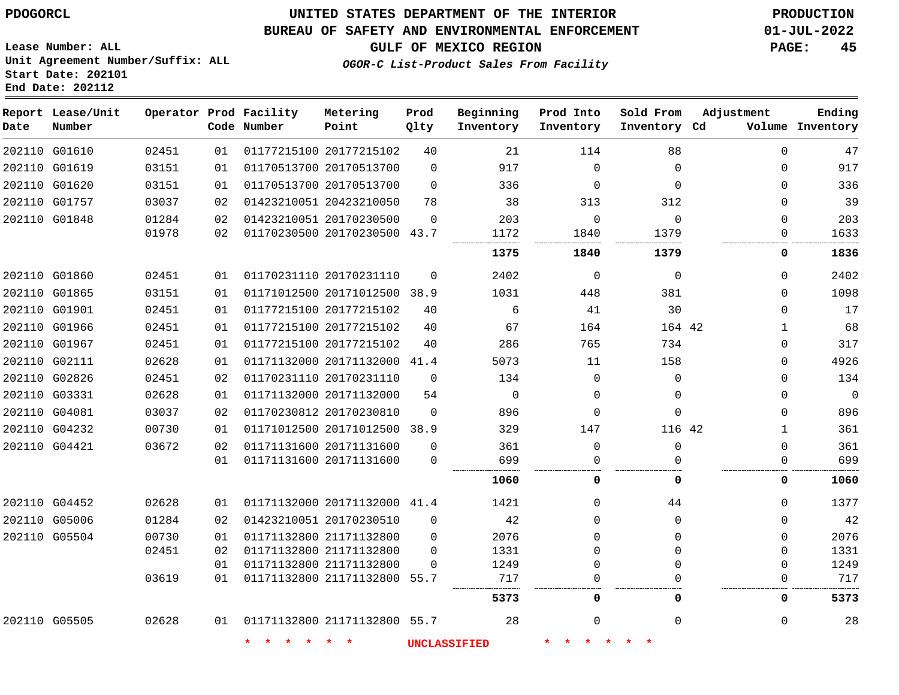#### **BUREAU OF SAFETY AND ENVIRONMENTAL ENFORCEMENT 01-JUL-2022**

**GULF OF MEXICO REGION PAGE: 45**

**Lease Number: ALL Unit Agreement Number/Suffix: ALL Start Date: 202101 End Date: 202112**

**OGOR-C List-Product Sales From Facility**

| Date | Report Lease/Unit<br>Number |       |    | Operator Prod Facility<br>Code Number | Metering<br>Point            | Prod<br>Qlty | Beginning<br>Inventory | Prod Into<br>Inventory | Sold From<br>Inventory Cd | Adjustment   | Ending<br>Volume Inventory |
|------|-----------------------------|-------|----|---------------------------------------|------------------------------|--------------|------------------------|------------------------|---------------------------|--------------|----------------------------|
|      | 202110 G01610               | 02451 | 01 |                                       | 01177215100 20177215102      | 40           | 21                     | 114                    | 88                        | $\mathbf 0$  | 47                         |
|      | 202110 G01619               | 03151 | 01 |                                       | 01170513700 20170513700      | $\mathbf 0$  | 917                    | $\Omega$               | $\Omega$                  | $\Omega$     | 917                        |
|      | 202110 G01620               | 03151 | 01 |                                       | 01170513700 20170513700      | $\Omega$     | 336                    | $\Omega$               | $\Omega$                  | $\Omega$     | 336                        |
|      | 202110 G01757               | 03037 | 02 |                                       | 01423210051 20423210050      | 78           | 38                     | 313                    | 312                       | 0            | 39                         |
|      | 202110 G01848               | 01284 | 02 |                                       | 01423210051 20170230500      | $\Omega$     | 203                    | $\Omega$               | $\Omega$                  | $\Omega$     | 203                        |
|      |                             | 01978 | 02 |                                       | 01170230500 20170230500 43.7 |              | 1172                   | 1840                   | 1379                      | 0            | 1633                       |
|      |                             |       |    |                                       |                              |              | 1375                   | 1840                   | 1379                      | 0            | 1836                       |
|      | 202110 G01860               | 02451 | 01 |                                       | 01170231110 20170231110      | $\Omega$     | 2402                   | $\Omega$               | $\Omega$                  | 0            | 2402                       |
|      | 202110 G01865               | 03151 | 01 |                                       | 01171012500 20171012500 38.9 |              | 1031                   | 448                    | 381                       | 0            | 1098                       |
|      | 202110 G01901               | 02451 | 01 |                                       | 01177215100 20177215102      | 40           | 6                      | 41                     | 30                        | 0            | 17                         |
|      | 202110 G01966               | 02451 | 01 |                                       | 01177215100 20177215102      | 40           | 67                     | 164                    | 164 42                    | $\mathbf{1}$ | 68                         |
|      | 202110 G01967               | 02451 | 01 |                                       | 01177215100 20177215102      | 40           | 286                    | 765                    | 734                       | 0            | 317                        |
|      | 202110 G02111               | 02628 | 01 |                                       | 01171132000 20171132000 41.4 |              | 5073                   | 11                     | 158                       | 0            | 4926                       |
|      | 202110 G02826               | 02451 | 02 |                                       | 01170231110 20170231110      | $\Omega$     | 134                    | $\Omega$               | $\Omega$                  | 0            | 134                        |
|      | 202110 G03331               | 02628 | 01 |                                       | 01171132000 20171132000      | 54           | $\mathbf 0$            | $\Omega$               | $\Omega$                  | 0            | $\overline{0}$             |
|      | 202110 G04081               | 03037 | 02 |                                       | 01170230812 20170230810      | $\Omega$     | 896                    | 0                      | $\Omega$                  | 0            | 896                        |
|      | 202110 G04232               | 00730 | 01 |                                       | 01171012500 20171012500 38.9 |              | 329                    | 147                    | 116 42                    | $\mathbf 1$  | 361                        |
|      | 202110 G04421               | 03672 | 02 |                                       | 01171131600 20171131600      | $\Omega$     | 361                    | $\mathbf 0$            | $\Omega$                  | $\mathbf 0$  | 361                        |
|      |                             |       | 01 |                                       | 01171131600 20171131600      | $\Omega$     | 699                    | $\Omega$               | $\Omega$                  | 0            | 699                        |
|      |                             |       |    |                                       |                              |              | 1060                   | 0                      | $\Omega$                  | 0            | 1060                       |
|      | 202110 G04452               | 02628 | 01 |                                       | 01171132000 20171132000 41.4 |              | 1421                   | $\Omega$               | 44                        | $\Omega$     | 1377                       |
|      | 202110 G05006               | 01284 | 02 |                                       | 01423210051 20170230510      | $\Omega$     | 42                     | $\Omega$               | $\Omega$                  | 0            | 42                         |
|      | 202110 G05504               | 00730 | 01 |                                       | 01171132800 21171132800      | $\Omega$     | 2076                   | $\Omega$               | $\Omega$                  | $\Omega$     | 2076                       |
|      |                             | 02451 | 02 |                                       | 01171132800 21171132800      | $\Omega$     | 1331                   | $\Omega$               | $\Omega$                  | 0            | 1331                       |
|      |                             |       | 01 |                                       | 01171132800 21171132800      | $\Omega$     | 1249                   | $\Omega$               | $\Omega$                  | $\Omega$     | 1249                       |
|      |                             | 03619 | 01 |                                       | 01171132800 21171132800 55.7 |              | 717                    | $\Omega$               |                           | $\mathbf 0$  | 717                        |
|      |                             |       |    |                                       |                              |              | 5373                   | 0                      | 0                         | 0            | 5373                       |
|      | 202110 G05505               | 02628 | 01 |                                       | 01171132800 21171132800 55.7 |              | 28                     | $\Omega$               | $\Omega$                  | $\mathbf 0$  | 28                         |
|      |                             |       |    | 未                                     | $\star$<br>*                 |              | <b>UNCLASSIFIED</b>    |                        |                           |              |                            |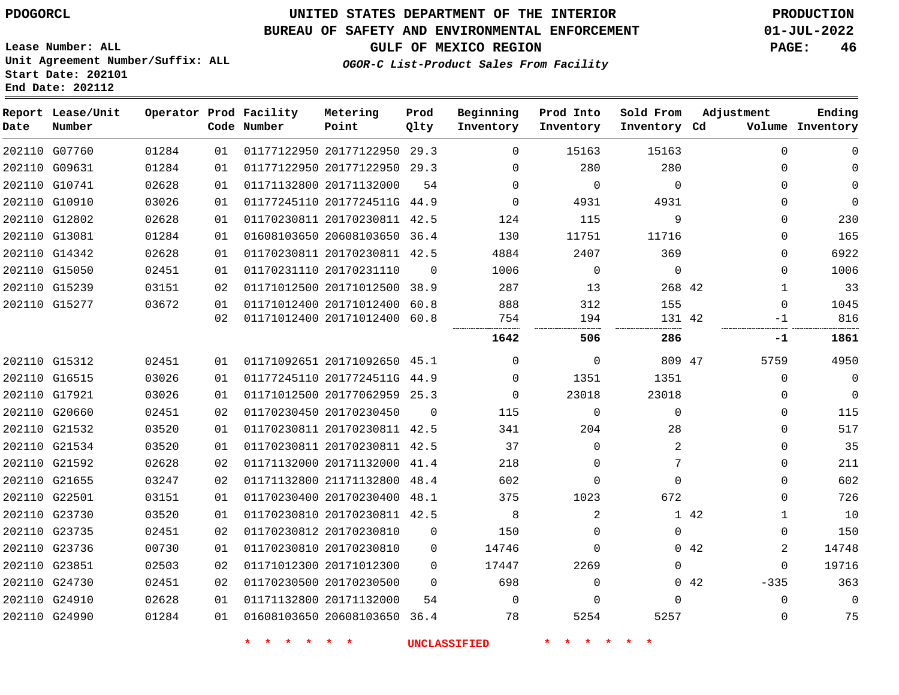# **UNITED STATES DEPARTMENT OF THE INTERIOR PDOGORCL PRODUCTION**

#### **BUREAU OF SAFETY AND ENVIRONMENTAL ENFORCEMENT 01-JUL-2022**

**Lease Number: ALL Unit Agreement Number/Suffix: ALL Start Date: 202101**

**GULF OF MEXICO REGION PAGE: 46**

**OGOR-C List-Product Sales From Facility**

| Date          | Report Lease/Unit<br>Number |       |                 | Operator Prod Facility<br>Code Number | Metering<br>Point            | Prod<br>Qlty | Beginning<br>Inventory | Prod Into<br>Inventory | Sold From<br>Inventory Cd | Adjustment  |              | Ending<br>Volume Inventory |
|---------------|-----------------------------|-------|-----------------|---------------------------------------|------------------------------|--------------|------------------------|------------------------|---------------------------|-------------|--------------|----------------------------|
|               | 202110 G07760               | 01284 | 01              |                                       | 01177122950 20177122950 29.3 |              | $\Omega$               | 15163                  | 15163                     |             | $\Omega$     | $\Omega$                   |
|               | 202110 G09631               | 01284 | 01              |                                       | 01177122950 20177122950 29.3 |              | $\Omega$               | 280                    | 280                       |             | $\Omega$     | $\Omega$                   |
|               | 202110 G10741               | 02628 | 01              |                                       | 01171132800 20171132000      | 54           | $\Omega$               | $\Omega$               | $\Omega$                  |             | $\Omega$     | $\Omega$                   |
|               | 202110 G10910               | 03026 | 01              |                                       | 01177245110 2017724511G 44.9 |              | $\Omega$               | 4931                   | 4931                      |             | 0            | $\mathbf 0$                |
|               | 202110 G12802               | 02628 | 01              |                                       | 01170230811 20170230811 42.5 |              | 124                    | 115                    | 9                         |             | $\Omega$     | 230                        |
|               | 202110 G13081               | 01284 | 01              |                                       | 01608103650 20608103650 36.4 |              | 130                    | 11751                  | 11716                     |             | $\Omega$     | 165                        |
|               | 202110 G14342               | 02628 | 01              |                                       | 01170230811 20170230811 42.5 |              | 4884                   | 2407                   | 369                       |             | 0            | 6922                       |
|               | 202110 G15050               | 02451 | 01              |                                       | 01170231110 20170231110      | $\Omega$     | 1006                   | $\mathbf 0$            | $\mathbf 0$               |             | 0            | 1006                       |
| 202110 G15239 |                             | 03151 | 02              |                                       | 01171012500 20171012500 38.9 |              | 287                    | 13                     | 268 42                    |             | 1            | 33                         |
|               | 202110 G15277               | 03672 | 01              |                                       | 01171012400 20171012400 60.8 |              | 888                    | 312                    | 155                       |             | 0            | 1045                       |
|               |                             |       | 02 <sub>o</sub> |                                       | 01171012400 20171012400 60.8 |              | 754                    | 194                    | 131 42                    |             | $-1$         | 816                        |
|               |                             |       |                 |                                       |                              |              | 1642                   | 506                    | 286                       |             | -1           | 1861                       |
|               | 202110 G15312               | 02451 | 01              |                                       | 01171092651 20171092650 45.1 |              | 0                      | 0                      | 809 47                    |             | 5759         | 4950                       |
|               | 202110 G16515               | 03026 | 01              |                                       | 01177245110 2017724511G 44.9 |              | $\Omega$               | 1351                   | 1351                      |             | $\Omega$     | $\mathbf 0$                |
|               | 202110 G17921               | 03026 | 01              |                                       | 01171012500 20177062959 25.3 |              | $\Omega$               | 23018                  | 23018                     |             | $\Omega$     | $\mathbf 0$                |
|               | 202110 G20660               | 02451 | 02 <sub>o</sub> |                                       | 01170230450 20170230450      | $\Omega$     | 115                    | $\Omega$               | $\Omega$                  |             | $\Omega$     | 115                        |
|               | 202110 G21532               | 03520 | 01              |                                       | 01170230811 20170230811 42.5 |              | 341                    | 204                    | 28                        |             | $\Omega$     | 517                        |
|               | 202110 G21534               | 03520 | 01              |                                       | 01170230811 20170230811 42.5 |              | 37                     | $\Omega$               | 2                         |             | $\Omega$     | 35                         |
|               | 202110 G21592               | 02628 | 02              |                                       | 01171132000 20171132000      | 41.4         | 218                    | $\Omega$               | 7                         |             | $\Omega$     | 211                        |
|               | 202110 G21655               | 03247 | 02              |                                       | 01171132800 21171132800 48.4 |              | 602                    | $\Omega$               | $\Omega$                  |             | $\Omega$     | 602                        |
|               | 202110 G22501               | 03151 | 01              |                                       | 01170230400 20170230400 48.1 |              | 375                    | 1023                   | 672                       |             | 0            | 726                        |
|               | 202110 G23730               | 03520 | 01              |                                       | 01170230810 20170230811 42.5 |              | 8                      | 2                      |                           | 1 42        | $\mathbf{1}$ | 10                         |
|               | 202110 G23735               | 02451 | 02              |                                       | 01170230812 20170230810      | $\mathbf 0$  | 150                    | $\Omega$               | $\Omega$                  |             | 0            | 150                        |
|               | 202110 G23736               | 00730 | 01              |                                       | 01170230810 20170230810      | 0            | 14746                  | 0                      |                           | 0.42        | 2            | 14748                      |
| 202110 G23851 |                             | 02503 | 02              |                                       | 01171012300 20171012300      | $\Omega$     | 17447                  | 2269                   | $\mathbf 0$               |             | 0            | 19716                      |
|               | 202110 G24730               | 02451 | 02              |                                       | 01170230500 20170230500      | $\Omega$     | 698                    | $\Omega$               |                           | $0\quad 42$ | $-335$       | 363                        |
|               | 202110 G24910               | 02628 | 01              |                                       | 01171132800 20171132000      | 54           | $\Omega$               | $\Omega$               | $\Omega$                  |             | $\Omega$     | $\Omega$                   |
|               | 202110 G24990               | 01284 | 01              |                                       | 01608103650 20608103650      | 36.4         | 78                     | 5254                   | 5257                      |             | $\Omega$     | 75                         |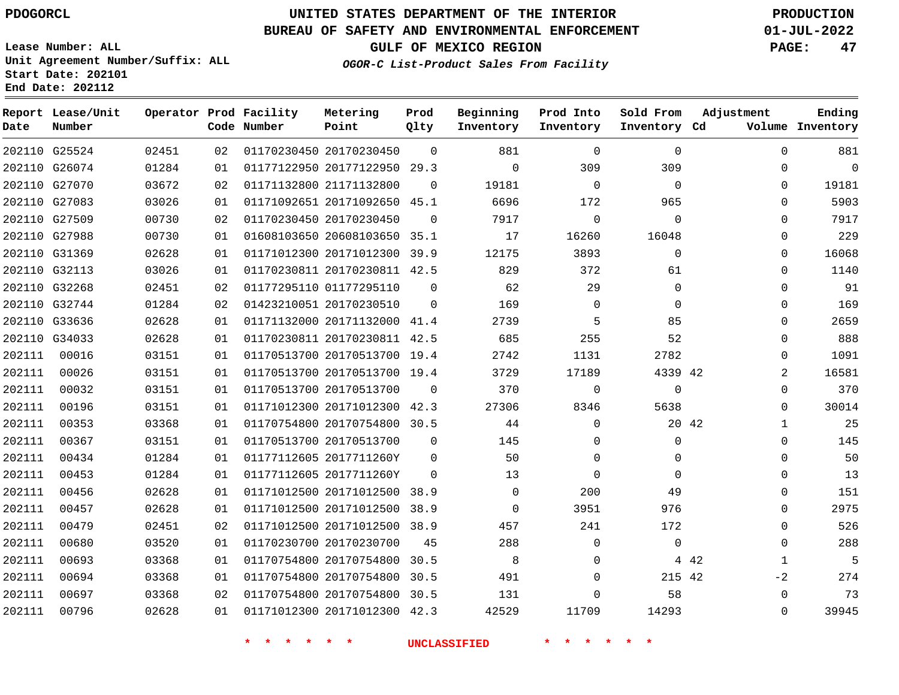**Lease Number: ALL**

**Start Date: 202101 End Date: 202112**

# **UNITED STATES DEPARTMENT OF THE INTERIOR PDOGORCL PRODUCTION**

### **BUREAU OF SAFETY AND ENVIRONMENTAL ENFORCEMENT 01-JUL-2022**

**Unit Agreement Number/Suffix: ALL**

**GULF OF MEXICO REGION PAGE: 47**

**OGOR-C List-Product Sales From Facility**

| Date   | Report Lease/Unit<br>Number |       |    | Operator Prod Facility<br>Code Number | Metering<br>Point            | Prod<br>Qlty | Beginning<br>Inventory | Prod Into<br>Inventory | Sold From<br>Inventory Cd | Adjustment            | Ending<br>Volume Inventory |
|--------|-----------------------------|-------|----|---------------------------------------|------------------------------|--------------|------------------------|------------------------|---------------------------|-----------------------|----------------------------|
|        | 202110 G25524               | 02451 | 02 |                                       | 01170230450 20170230450      | $\Omega$     | 881                    | $\Omega$               | $\Omega$                  | $\Omega$              | 881                        |
|        | 202110 G26074               | 01284 | 01 |                                       | 01177122950 20177122950 29.3 |              | $\mathbf 0$            | 309                    | 309                       | $\mathbf 0$           | $\mathbf 0$                |
|        | 202110 G27070               | 03672 | 02 |                                       | 01171132800 21171132800      | $\Omega$     | 19181                  | $\Omega$               | $\Omega$                  | $\Omega$              | 19181                      |
|        | 202110 G27083               | 03026 | 01 |                                       | 01171092651 20171092650 45.1 |              | 6696                   | 172                    | 965                       | $\mathbf 0$           | 5903                       |
|        | 202110 G27509               | 00730 | 02 |                                       | 01170230450 20170230450      | $\Omega$     | 7917                   | $\Omega$               | $\Omega$                  | $\Omega$              | 7917                       |
|        | 202110 G27988               | 00730 | 01 |                                       | 01608103650 20608103650 35.1 |              | 17                     | 16260                  | 16048                     | $\mathbf 0$           | 229                        |
|        | 202110 G31369               | 02628 | 01 |                                       | 01171012300 20171012300 39.9 |              | 12175                  | 3893                   | $\Omega$                  | $\Omega$              | 16068                      |
|        | 202110 G32113               | 03026 | 01 |                                       | 01170230811 20170230811 42.5 |              | 829                    | 372                    | 61                        | $\Omega$              | 1140                       |
|        | 202110 G32268               | 02451 | 02 |                                       | 01177295110 01177295110      | $\Omega$     | 62                     | 29                     | $\Omega$                  | $\Omega$              | 91                         |
|        | 202110 G32744               | 01284 | 02 |                                       | 01423210051 20170230510      | $\Omega$     | 169                    | $\mathbf 0$            | $\mathbf{0}$              | $\Omega$              | 169                        |
|        | 202110 G33636               | 02628 | 01 |                                       | 01171132000 20171132000 41.4 |              | 2739                   | 5                      | 85                        | $\Omega$              | 2659                       |
|        | 202110 G34033               | 02628 | 01 |                                       | 01170230811 20170230811 42.5 |              | 685                    | 255                    | 52                        | $\Omega$              | 888                        |
| 202111 | 00016                       | 03151 | 01 |                                       | 01170513700 20170513700 19.4 |              | 2742                   | 1131                   | 2782                      | $\Omega$              | 1091                       |
| 202111 | 00026                       | 03151 | 01 |                                       | 01170513700 20170513700 19.4 |              | 3729                   | 17189                  | 4339 42                   | 2                     | 16581                      |
| 202111 | 00032                       | 03151 | 01 |                                       | 01170513700 20170513700      | $\Omega$     | 370                    | $\mathbf 0$            | $\mathbf{0}$              | $\Omega$              | 370                        |
| 202111 | 00196                       | 03151 | 01 |                                       | 01171012300 20171012300 42.3 |              | 27306                  | 8346                   | 5638                      | $\Omega$              | 30014                      |
| 202111 | 00353                       | 03368 | 01 |                                       | 01170754800 20170754800 30.5 |              | 44                     | $\mathbf 0$            | 20 42                     | $\mathbf{1}$          | 25                         |
| 202111 | 00367                       | 03151 | 01 |                                       | 01170513700 20170513700      | $\Omega$     | 145                    | $\Omega$               | $\mathbf{0}$              | $\Omega$              | 145                        |
| 202111 | 00434                       | 01284 | 01 |                                       | 01177112605 2017711260Y      | $\Omega$     | 50                     | $\mathbf 0$            | $\mathbf 0$               | $\mathbf 0$           | 50                         |
| 202111 | 00453                       | 01284 | 01 |                                       | 01177112605 2017711260Y      | $\Omega$     | 13                     | $\Omega$               | $\Omega$                  | $\Omega$              | 13                         |
| 202111 | 00456                       | 02628 | 01 |                                       | 01171012500 20171012500      | 38.9         | 0                      | 200                    | 49                        | $\mathbf 0$           | 151                        |
| 202111 | 00457                       | 02628 | 01 |                                       | 01171012500 20171012500 38.9 |              | $\mathbf 0$            | 3951                   | 976                       | $\Omega$              | 2975                       |
| 202111 | 00479                       | 02451 | 02 |                                       | 01171012500 20171012500 38.9 |              | 457                    | 241                    | 172                       | $\mathbf 0$           | 526                        |
| 202111 | 00680                       | 03520 | 01 |                                       | 01170230700 20170230700      | 45           | 288                    | $\Omega$               | $\mathbf 0$               | $\Omega$              | 288                        |
| 202111 | 00693                       | 03368 | 01 |                                       | 01170754800 20170754800      | 30.5         | 8                      | $\mathbf 0$            |                           | 4 4 2<br>$\mathbf{1}$ | 5                          |
| 202111 | 00694                       | 03368 | 01 |                                       | 01170754800 20170754800 30.5 |              | 491                    | $\Omega$               | 215 42                    | $-2$                  | 274                        |
| 202111 | 00697                       | 03368 | 02 |                                       | 01170754800 20170754800 30.5 |              | 131                    | $\Omega$               | 58                        | $\mathbf{0}$          | 73                         |
| 202111 | 00796                       | 02628 | 01 |                                       | 01171012300 20171012300 42.3 |              | 42529                  | 11709                  | 14293                     | $\Omega$              | 39945                      |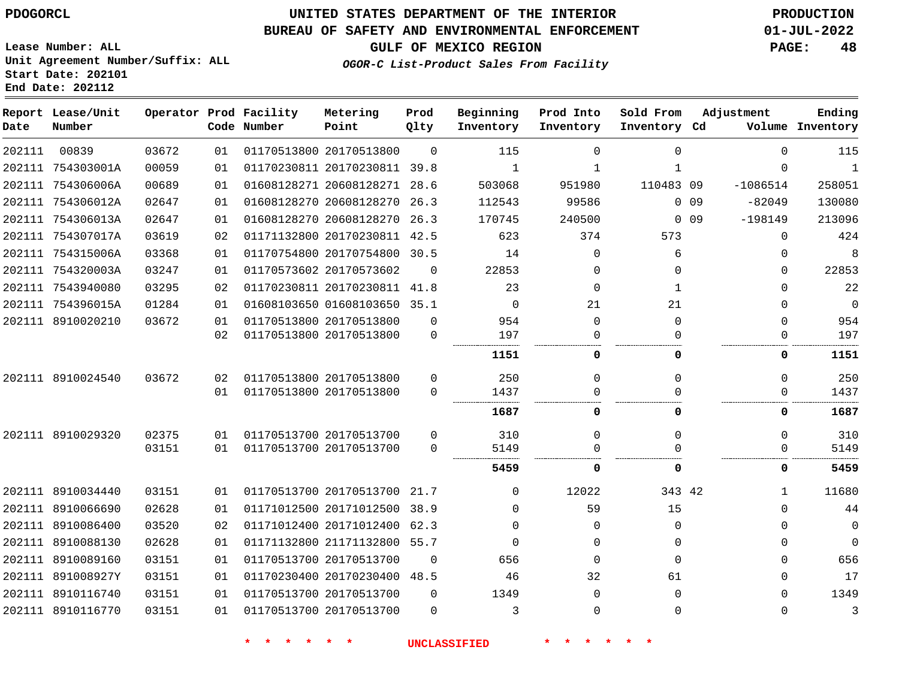#### **BUREAU OF SAFETY AND ENVIRONMENTAL ENFORCEMENT 01-JUL-2022**

**OGOR-C List-Product Sales From Facility**

**GULF OF MEXICO REGION PAGE: 48**

**Lease Number: ALL Unit Agreement Number/Suffix: ALL Start Date: 202101 End Date: 202112**

| Date   | Report Lease/Unit<br>Number |       |    | Operator Prod Facility<br>Code Number | Metering<br>Point            | Prod<br>Qlty | Beginning<br>Inventory | Prod Into<br>Inventory | Sold From<br>Inventory Cd | Adjustment              | Ending<br>Volume Inventory |
|--------|-----------------------------|-------|----|---------------------------------------|------------------------------|--------------|------------------------|------------------------|---------------------------|-------------------------|----------------------------|
| 202111 | 00839                       | 03672 | 01 |                                       | 01170513800 20170513800      | $\Omega$     | 115                    | $\Omega$               | $\Omega$                  | $\Omega$                | 115                        |
|        | 202111 754303001A           | 00059 | 01 |                                       | 01170230811 20170230811 39.8 |              | 1                      | 1                      | 1                         | $\Omega$                | 1                          |
|        | 202111 754306006A           | 00689 | 01 |                                       | 01608128271 20608128271 28.6 |              | 503068                 | 951980                 | 110483 09                 | $-1086514$              | 258051                     |
|        | 202111 754306012A           | 02647 | 01 |                                       | 01608128270 20608128270      | 26.3         | 112543                 | 99586                  |                           | 0.09<br>$-82049$        | 130080                     |
|        | 202111 754306013A           | 02647 | 01 |                                       | 01608128270 20608128270 26.3 |              | 170745                 | 240500                 |                           | $-198149$<br>$0\quad09$ | 213096                     |
|        | 202111 754307017A           | 03619 | 02 |                                       | 01171132800 20170230811 42.5 |              | 623                    | 374                    | 573                       | $\mathbf 0$             | 424                        |
|        | 202111 754315006A           | 03368 | 01 |                                       | 01170754800 20170754800 30.5 |              | 14                     | $\Omega$               | 6                         | $\Omega$                | 8                          |
|        | 202111 754320003A           | 03247 | 01 |                                       | 01170573602 20170573602      | $\Omega$     | 22853                  | 0                      | 0                         | $\Omega$                | 22853                      |
|        | 202111 7543940080           | 03295 | 02 |                                       | 01170230811 20170230811 41.8 |              | 23                     | $\Omega$               | 1                         | $\Omega$                | 22                         |
|        | 202111 754396015A           | 01284 | 01 |                                       | 01608103650 01608103650 35.1 |              | $\Omega$               | 21                     | 21                        | $\Omega$                | $\Omega$                   |
|        | 202111 8910020210           | 03672 | 01 |                                       | 01170513800 20170513800      | $\Omega$     | 954                    | $\Omega$               | $\Omega$                  | $\Omega$                | 954                        |
|        |                             |       | 02 |                                       | 01170513800 20170513800      | $\Omega$     | 197                    |                        |                           | 0                       | 197                        |
|        |                             |       |    |                                       |                              |              | 1151                   | 0                      | 0                         | 0                       | 1151                       |
|        | 202111 8910024540           | 03672 | 02 |                                       | 01170513800 20170513800      | $\Omega$     | 250                    | $\Omega$               | $\Omega$                  | $\Omega$                | 250                        |
|        |                             |       | 01 |                                       | 01170513800 20170513800      | $\Omega$     | 1437                   |                        | ∩                         | $\Omega$                | 1437                       |
|        |                             |       |    |                                       |                              |              | 1687                   | 0                      | 0                         | 0                       | 1687                       |
|        | 202111 8910029320           | 02375 | 01 |                                       | 01170513700 20170513700      | $\Omega$     | 310                    | $\Omega$               | $\Omega$                  | $\Omega$                | 310                        |
|        |                             | 03151 | 01 |                                       | 01170513700 20170513700      | $\Omega$     | 5149                   | $\Omega$               |                           | $\Omega$                | 5149                       |
|        |                             |       |    |                                       |                              |              | 5459                   | 0                      | 0                         | 0                       | 5459                       |
|        | 202111 8910034440           | 03151 | 01 |                                       | 01170513700 20170513700      | 21.7         | $\Omega$               | 12022                  | 343 42                    | 1                       | 11680                      |
|        | 202111 8910066690           | 02628 | 01 |                                       | 01171012500 20171012500      | 38.9         | $\Omega$               | 59                     | 15                        | $\Omega$                | 44                         |
|        | 202111 8910086400           | 03520 | 02 |                                       | 01171012400 20171012400      | 62.3         | $\Omega$               | 0                      | 0                         | $\Omega$                | 0                          |
|        | 202111 8910088130           | 02628 | 01 |                                       | 01171132800 21171132800      | 55.7         | $\Omega$               | 0                      | $\Omega$                  | $\Omega$                | $\mathbf{0}$               |
|        | 202111 8910089160           | 03151 | 01 |                                       | 01170513700 20170513700      | $\Omega$     | 656                    | $\Omega$               | $\Omega$                  | $\Omega$                | 656                        |
|        | 202111 891008927Y           | 03151 | 01 |                                       | 01170230400 20170230400 48.5 |              | 46                     | 32                     | 61                        | $\Omega$                | 17                         |
|        | 202111 8910116740           | 03151 | 01 |                                       | 01170513700 20170513700      | $\Omega$     | 1349                   | $\Omega$               | $\Omega$                  | $\Omega$                | 1349                       |
|        | 202111 8910116770           | 03151 | 01 |                                       | 01170513700 20170513700      | $\Omega$     | 3                      | $\Omega$               | $\Omega$                  | $\Omega$                | 3                          |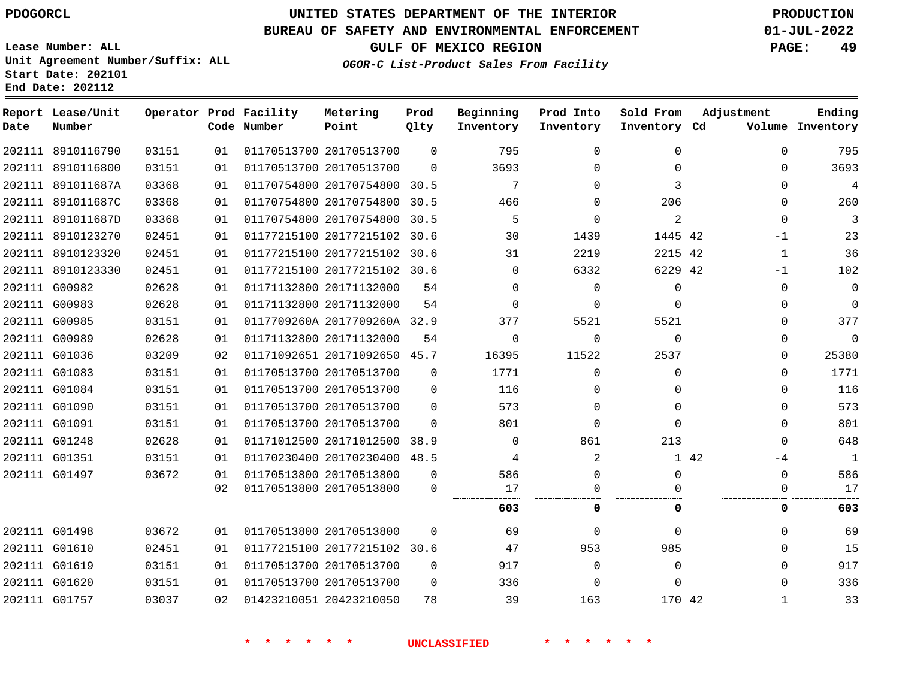#### **BUREAU OF SAFETY AND ENVIRONMENTAL ENFORCEMENT 01-JUL-2022**

**Lease Number: ALL**

**GULF OF MEXICO REGION PAGE: 49**

**OGOR-C List-Product Sales From Facility**

| Unit Agreement Number/Suffix: ALL |  |
|-----------------------------------|--|
| Start Date: 202101                |  |
| End Date: 202112                  |  |
|                                   |  |

| Date | Report Lease/Unit<br>Number |       |    | Operator Prod Facility<br>Code Number | Metering<br>Point            | Prod<br>Qlty | Beginning<br>Inventory | Prod Into<br>Inventory | Sold From<br>Inventory Cd | Adjustment  | Ending<br>Volume Inventory |
|------|-----------------------------|-------|----|---------------------------------------|------------------------------|--------------|------------------------|------------------------|---------------------------|-------------|----------------------------|
|      | 202111 8910116790           | 03151 | 01 |                                       | 01170513700 20170513700      | $\Omega$     | 795                    | $\Omega$               | $\Omega$                  | $\Omega$    | 795                        |
|      | 202111 8910116800           | 03151 | 01 |                                       | 01170513700 20170513700      | $\Omega$     | 3693                   | $\Omega$               | $\Omega$                  | $\Omega$    | 3693                       |
|      | 202111 891011687A           | 03368 | 01 |                                       | 01170754800 20170754800 30.5 |              | 7                      | $\Omega$               | 3                         | $\Omega$    | 4                          |
|      | 202111 891011687C           | 03368 | 01 |                                       | 01170754800 20170754800      | 30.5         | 466                    | $\Omega$               | 206                       | $\Omega$    | 260                        |
|      | 202111 891011687D           | 03368 | 01 |                                       | 01170754800 20170754800      | 30.5         | 5                      | $\Omega$               | 2                         | $\Omega$    | 3                          |
|      | 202111 8910123270           | 02451 | 01 |                                       | 01177215100 20177215102 30.6 |              | 30                     | 1439                   | 1445 42                   | $-1$        | 23                         |
|      | 202111 8910123320           | 02451 | 01 |                                       | 01177215100 20177215102 30.6 |              | 31                     | 2219                   | 2215 42                   | 1           | 36                         |
|      | 202111 8910123330           | 02451 | 01 |                                       | 01177215100 20177215102 30.6 |              | $\Omega$               | 6332                   | 6229 42                   | -1          | 102                        |
|      | 202111 G00982               | 02628 | 01 |                                       | 01171132800 20171132000      | 54           | $\Omega$               | $\Omega$               | $\Omega$                  | $\Omega$    | $\mathbf{0}$               |
|      | 202111 G00983               | 02628 | 01 |                                       | 01171132800 20171132000      | 54           | $\Omega$               | $\Omega$               | $\Omega$                  | $\Omega$    | $\mathbf 0$                |
|      | 202111 G00985               | 03151 | 01 |                                       | 0117709260A 2017709260A 32.9 |              | 377                    | 5521                   | 5521                      | $\Omega$    | 377                        |
|      | 202111 G00989               | 02628 | 01 |                                       | 01171132800 20171132000      | 54           | $\Omega$               | $\Omega$               | $\Omega$                  | $\Omega$    | $\mathbf{0}$               |
|      | 202111 G01036               | 03209 | 02 |                                       | 01171092651 20171092650 45.7 |              | 16395                  | 11522                  | 2537                      | $\Omega$    | 25380                      |
|      | 202111 G01083               | 03151 | 01 |                                       | 01170513700 20170513700      | $\Omega$     | 1771                   | $\Omega$               | $\Omega$                  | $\Omega$    | 1771                       |
|      | 202111 G01084               | 03151 | 01 |                                       | 01170513700 20170513700      | 0            | 116                    | 0                      | 0                         | $\mathbf 0$ | 116                        |
|      | 202111 G01090               | 03151 | 01 |                                       | 01170513700 20170513700      | $\Omega$     | 573                    | $\Omega$               | $\Omega$                  | $\Omega$    | 573                        |
|      | 202111 G01091               | 03151 | 01 |                                       | 01170513700 20170513700      | $\Omega$     | 801                    | $\Omega$               | $\Omega$                  | $\Omega$    | 801                        |
|      | 202111 G01248               | 02628 | 01 |                                       | 01171012500 20171012500 38.9 |              | $\Omega$               | 861                    | 213                       | $\Omega$    | 648                        |
|      | 202111 G01351               | 03151 | 01 |                                       | 01170230400 20170230400 48.5 |              | 4                      | 2                      |                           | 1 42<br>-4  | 1                          |
|      | 202111 G01497               | 03672 | 01 |                                       | 01170513800 20170513800      | $\mathbf 0$  | 586                    | $\Omega$               | $\Omega$                  | $\mathbf 0$ | 586                        |
|      |                             |       | 02 |                                       | 01170513800 20170513800      | $\Omega$     | 17                     | $\Omega$               |                           | 0           | 17                         |
|      |                             |       |    |                                       |                              |              | 603                    | 0                      | 0                         | 0           | 603                        |
|      | 202111 G01498               | 03672 | 01 |                                       | 01170513800 20170513800      | $\Omega$     | 69                     | $\Omega$               | $\Omega$                  | $\Omega$    | 69                         |
|      | 202111 G01610               | 02451 | 01 |                                       | 01177215100 20177215102 30.6 |              | 47                     | 953                    | 985                       | $\Omega$    | 15                         |
|      | 202111 G01619               | 03151 | 01 |                                       | 01170513700 20170513700      | 0            | 917                    | 0                      | 0                         | $\Omega$    | 917                        |
|      | 202111 G01620               | 03151 | 01 |                                       | 01170513700 20170513700      | $\Omega$     | 336                    | $\Omega$               | $\Omega$                  | $\Omega$    | 336                        |
|      | 202111 G01757               | 03037 | 02 |                                       | 01423210051 20423210050      | 78           | 39                     | 163                    | 170 42                    | 1           | 33                         |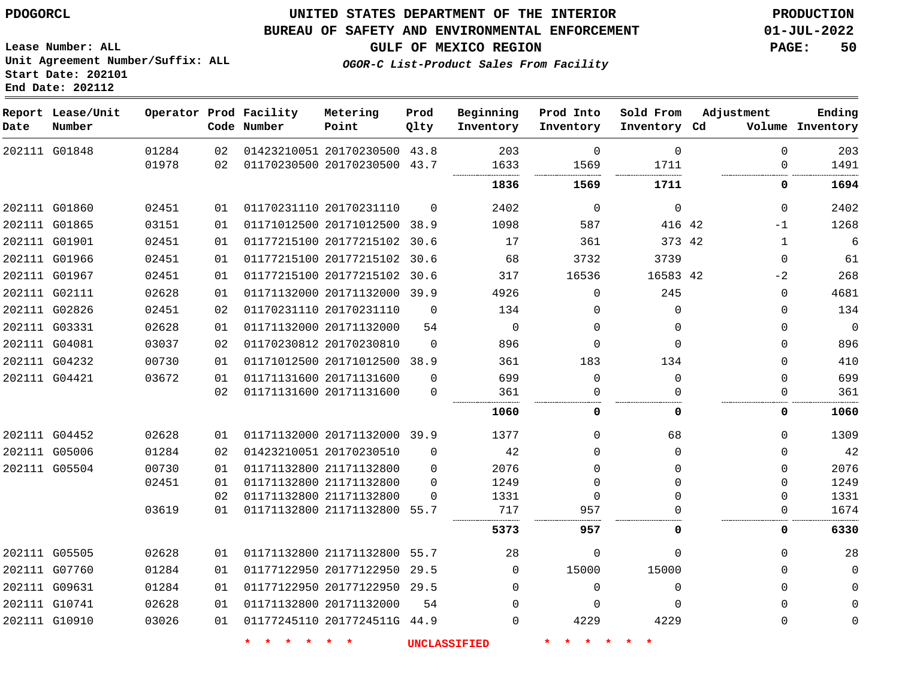## **UNITED STATES DEPARTMENT OF THE INTERIOR PDOGORCL PRODUCTION**

#### **BUREAU OF SAFETY AND ENVIRONMENTAL ENFORCEMENT 01-JUL-2022**

**Lease Number: ALL Unit Agreement Number/Suffix: ALL Start Date: 202101**

**OGOR-C List-Product Sales From Facility**

**GULF OF MEXICO REGION PAGE: 50**

| Date | Report Lease/Unit<br>Number |       |    | Operator Prod Facility<br>Code Number     | Metering<br>Point            | Prod<br>Qlty | Beginning<br>Inventory | Prod Into<br>Inventory | Sold From<br>Inventory Cd     | Adjustment   | Ending<br>Volume Inventory |
|------|-----------------------------|-------|----|-------------------------------------------|------------------------------|--------------|------------------------|------------------------|-------------------------------|--------------|----------------------------|
|      | 202111 G01848               | 01284 | 02 |                                           | 01423210051 20170230500 43.8 |              | 203                    | $\mathbf 0$            | $\mathbf 0$                   | $\Omega$     | 203                        |
|      |                             | 01978 | 02 |                                           | 01170230500 20170230500 43.7 |              | 1633                   | 1569                   | 1711<br>.                     | $\Omega$     | 1491                       |
|      |                             |       |    |                                           |                              |              | 1836                   | 1569                   | 1711                          | 0            | 1694                       |
|      | 202111 G01860               | 02451 | 01 |                                           | 01170231110 20170231110      | $\Omega$     | 2402                   | $\Omega$               | $\mathbf 0$                   | $\Omega$     | 2402                       |
|      | 202111 G01865               | 03151 | 01 |                                           | 01171012500 20171012500 38.9 |              | 1098                   | 587                    | 416 42                        | $-1$         | 1268                       |
|      | 202111 G01901               | 02451 | 01 |                                           | 01177215100 20177215102 30.6 |              | 17                     | 361                    | 373 42                        | $\mathbf{1}$ | 6                          |
|      | 202111 G01966               | 02451 | 01 |                                           | 01177215100 20177215102      | 30.6         | 68                     | 3732                   | 3739                          | $\mathbf 0$  | 61                         |
|      | 202111 G01967               | 02451 | 01 |                                           | 01177215100 20177215102 30.6 |              | 317                    | 16536                  | 16583 42                      | $-2$         | 268                        |
|      | 202111 G02111               | 02628 | 01 |                                           | 01171132000 20171132000 39.9 |              | 4926                   | $\Omega$               | 245                           | $\Omega$     | 4681                       |
|      | 202111 G02826               | 02451 | 02 |                                           | 01170231110 20170231110      | $\Omega$     | 134                    | $\Omega$               | $\Omega$                      | $\Omega$     | 134                        |
|      | 202111 G03331               | 02628 | 01 |                                           | 01171132000 20171132000      | 54           | $\mathbf 0$            | $\mathbf 0$            | $\Omega$                      | $\Omega$     | $\mathbf 0$                |
|      | 202111 G04081               | 03037 | 02 |                                           | 01170230812 20170230810      | $\Omega$     | 896                    | $\Omega$               | $\Omega$                      | $\Omega$     | 896                        |
|      | 202111 G04232               | 00730 | 01 |                                           | 01171012500 20171012500 38.9 |              | 361                    | 183                    | 134                           | $\mathbf 0$  | 410                        |
|      | 202111 G04421               | 03672 | 01 |                                           | 01171131600 20171131600      | $\Omega$     | 699                    | $\mathbf 0$            | $\mathbf 0$                   | $\Omega$     | 699                        |
|      |                             |       | 02 |                                           | 01171131600 20171131600      | $\Omega$     | 361                    | $\mathbf 0$            | $\Omega$                      | $\Omega$     | 361                        |
|      |                             |       |    |                                           |                              |              | 1060                   | 0                      | 0                             | 0            | 1060                       |
|      | 202111 G04452               | 02628 | 01 |                                           | 01171132000 20171132000 39.9 |              | 1377                   | $\Omega$               | 68                            | $\Omega$     | 1309                       |
|      | 202111 G05006               | 01284 | 02 |                                           | 01423210051 20170230510      | $\Omega$     | 42                     | $\Omega$               | $\Omega$                      | $\Omega$     | 42                         |
|      | 202111 G05504               | 00730 | 01 |                                           | 01171132800 21171132800      | $\Omega$     | 2076                   | $\Omega$               | $\Omega$                      | $\Omega$     | 2076                       |
|      |                             | 02451 | 01 |                                           | 01171132800 21171132800      | $\Omega$     | 1249                   | $\Omega$               | $\Omega$                      | $\Omega$     | 1249                       |
|      |                             |       | 02 |                                           | 01171132800 21171132800      | $\Omega$     | 1331                   | 0                      | $\Omega$                      | $\Omega$     | 1331                       |
|      |                             | 03619 | 01 |                                           | 01171132800 21171132800 55.7 |              | 717                    | 957                    | $\Omega$                      | $\Omega$     | 1674                       |
|      |                             |       |    |                                           |                              |              | 5373                   | 957                    | $\Omega$                      | 0            | 6330                       |
|      | 202111 G05505               | 02628 | 01 |                                           | 01171132800 21171132800 55.7 |              | 28                     | 0                      | $\mathbf 0$                   | $\Omega$     | 28                         |
|      | 202111 G07760               | 01284 | 01 |                                           | 01177122950 20177122950 29.5 |              | $\Omega$               | 15000                  | 15000                         | $\Omega$     | $\mathbf 0$                |
|      | 202111 G09631               | 01284 | 01 |                                           | 01177122950 20177122950 29.5 |              | $\Omega$               | $\Omega$               | $\Omega$                      | $\Omega$     | $\Omega$                   |
|      | 202111 G10741               | 02628 | 01 |                                           | 01171132800 20171132000      | 54           | $\Omega$               | $\Omega$               | $\Omega$                      | $\Omega$     | $\Omega$                   |
|      | 202111 G10910               | 03026 | 01 |                                           | 01177245110 2017724511G 44.9 |              | $\Omega$               | 4229                   | 4229                          | $\Omega$     | $\Omega$                   |
|      |                             |       |    | $\star$ $\star$<br>一大<br><b>The State</b> | $\star$ $\star$              |              | <b>UNCLASSIFIED</b>    | $\star$<br>$\star$     | $\star$<br>$\star$<br>$\star$ |              |                            |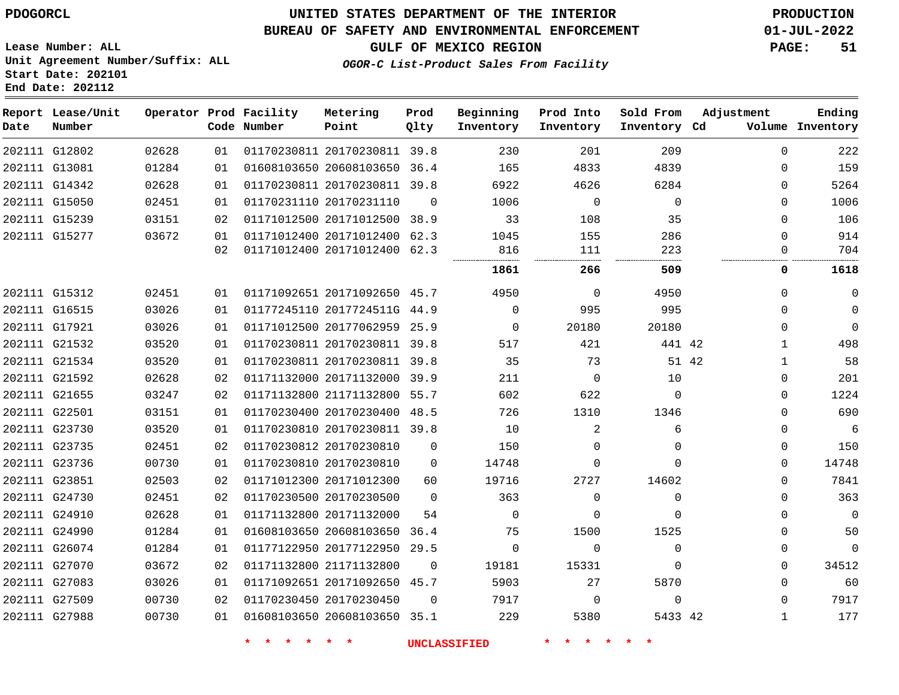#### **BUREAU OF SAFETY AND ENVIRONMENTAL ENFORCEMENT 01-JUL-2022**

**OGOR-C List-Product Sales From Facility**

**GULF OF MEXICO REGION PAGE: 51**

**Lease Number: ALL Unit Agreement Number/Suffix: ALL Start Date: 202101 End Date: 202112**

| Date | Report Lease/Unit<br>Number |       |    | Operator Prod Facility<br>Code Number | Metering<br>Point            | Prod<br>Qlty | Beginning<br>Inventory | Prod Into<br>Inventory | Sold From<br>Inventory Cd | Adjustment   | Ending<br>Volume Inventory |
|------|-----------------------------|-------|----|---------------------------------------|------------------------------|--------------|------------------------|------------------------|---------------------------|--------------|----------------------------|
|      | 202111 G12802               | 02628 | 01 |                                       | 01170230811 20170230811 39.8 |              | 230                    | 201                    | 209                       | $\Omega$     | 222                        |
|      | 202111 G13081               | 01284 | 01 |                                       | 01608103650 20608103650 36.4 |              | 165                    | 4833                   | 4839                      | $\Omega$     | 159                        |
|      | 202111 G14342               | 02628 | 01 |                                       | 01170230811 20170230811 39.8 |              | 6922                   | 4626                   | 6284                      | 0            | 5264                       |
|      | 202111 G15050               | 02451 | 01 |                                       | 01170231110 20170231110      | $\Omega$     | 1006                   | $\mathbf 0$            | $\mathbf 0$               | $\Omega$     | 1006                       |
|      | 202111 G15239               | 03151 | 02 |                                       | 01171012500 20171012500 38.9 |              | 33                     | 108                    | 35                        | $\mathbf 0$  | 106                        |
|      | 202111 G15277               | 03672 | 01 |                                       | 01171012400 20171012400 62.3 |              | 1045                   | 155                    | 286                       | $\Omega$     | 914                        |
|      |                             |       | 02 |                                       | 01171012400 20171012400 62.3 |              | 816                    | 111                    | 223                       | $\Omega$     | 704                        |
|      |                             |       |    |                                       |                              |              | 1861                   | 266                    | 509                       | 0            | 1618                       |
|      | 202111 G15312               | 02451 | 01 |                                       | 01171092651 20171092650 45.7 |              | 4950                   | 0                      | 4950                      | 0            | $\mathbf{0}$               |
|      | 202111 G16515               | 03026 | 01 |                                       | 01177245110 2017724511G 44.9 |              | $\mathbf 0$            | 995                    | 995                       | $\mathbf 0$  | $\mathbf 0$                |
|      | 202111 G17921               | 03026 | 01 |                                       | 01171012500 20177062959 25.9 |              | $\mathbf 0$            | 20180                  | 20180                     | 0            | $\mathbf 0$                |
|      | 202111 G21532               | 03520 | 01 |                                       | 01170230811 20170230811 39.8 |              | 517                    | 421                    | 441 42                    | $\mathbf{1}$ | 498                        |
|      | 202111 G21534               | 03520 | 01 |                                       | 01170230811 20170230811 39.8 |              | 35                     | 73                     | 51 42                     | $\mathbf{1}$ | 58                         |
|      | 202111 G21592               | 02628 | 02 |                                       | 01171132000 20171132000 39.9 |              | 211                    | $\Omega$               | 10                        | $\Omega$     | 201                        |
|      | 202111 G21655               | 03247 | 02 |                                       | 01171132800 21171132800      | 55.7         | 602                    | 622                    | $\Omega$                  | $\Omega$     | 1224                       |
|      | 202111 G22501               | 03151 | 01 |                                       | 01170230400 20170230400 48.5 |              | 726                    | 1310                   | 1346                      | $\Omega$     | 690                        |
|      | 202111 G23730               | 03520 | 01 |                                       | 01170230810 20170230811 39.8 |              | 10                     | 2                      | 6                         | $\Omega$     | 6                          |
|      | 202111 G23735               | 02451 | 02 |                                       | 01170230812 20170230810      | $\Omega$     | 150                    | $\Omega$               | $\Omega$                  | 0            | 150                        |
|      | 202111 G23736               | 00730 | 01 |                                       | 01170230810 20170230810      | $\Omega$     | 14748                  | $\Omega$               | $\Omega$                  | $\Omega$     | 14748                      |
|      | 202111 G23851               | 02503 | 02 |                                       | 01171012300 20171012300      | 60           | 19716                  | 2727                   | 14602                     | 0            | 7841                       |
|      | 202111 G24730               | 02451 | 02 |                                       | 01170230500 20170230500      | $\Omega$     | 363                    | $\Omega$               | $\mathbf{0}$              | $\Omega$     | 363                        |
|      | 202111 G24910               | 02628 | 01 |                                       | 01171132800 20171132000      | 54           | $\mathbf 0$            | $\Omega$               | $\Omega$                  | 0            | $\overline{0}$             |
|      | 202111 G24990               | 01284 | 01 |                                       | 01608103650 20608103650 36.4 |              | 75                     | 1500                   | 1525                      | $\mathbf 0$  | 50                         |
|      | 202111 G26074               | 01284 | 01 |                                       | 01177122950 20177122950      | 29.5         | $\mathbf 0$            | $\Omega$               | $\mathbf 0$               | $\mathbf 0$  | $\mathbf 0$                |
|      | 202111 G27070               | 03672 | 02 |                                       | 01171132800 21171132800      | $\Omega$     | 19181                  | 15331                  | $\Omega$                  | 0            | 34512                      |
|      | 202111 G27083               | 03026 | 01 |                                       | 01171092651 20171092650 45.7 |              | 5903                   | 27                     | 5870                      | $\Omega$     | 60                         |
|      | 202111 G27509               | 00730 | 02 |                                       | 01170230450 20170230450      | $\Omega$     | 7917                   | $\Omega$               | $\mathbf 0$               | $\Omega$     | 7917                       |
|      | 202111 G27988               | 00730 | 01 |                                       | 01608103650 20608103650 35.1 |              | 229                    | 5380                   | 5433 42                   | 1            | 177                        |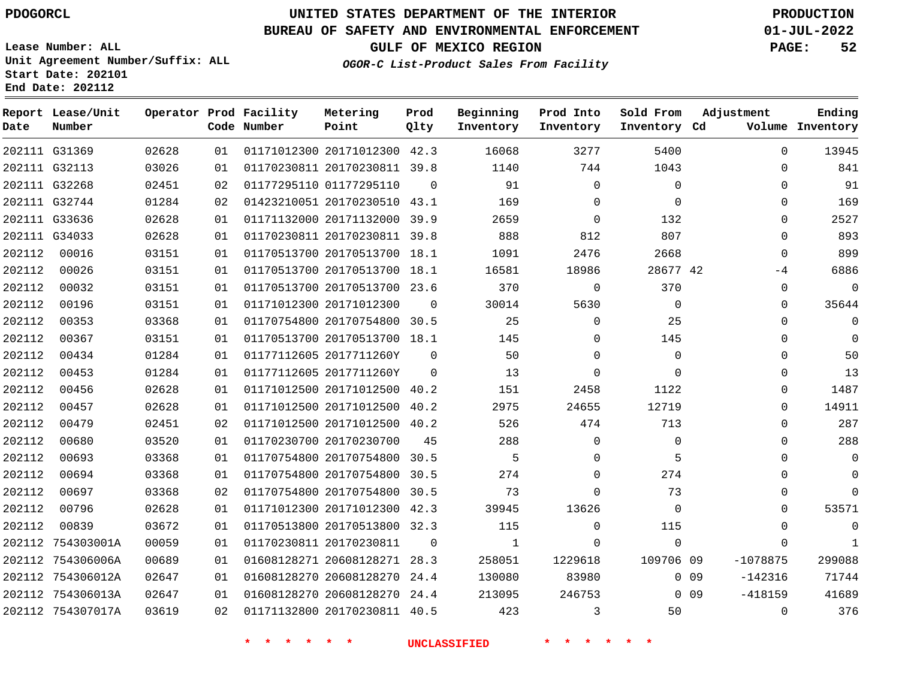### **BUREAU OF SAFETY AND ENVIRONMENTAL ENFORCEMENT 01-JUL-2022**

**Lease Number: ALL Unit Agreement Number/Suffix: ALL**

## **GULF OF MEXICO REGION PAGE: 52**

**OGOR-C List-Product Sales From Facility**

**Start Date: 202101 End Date: 202112**

| Date   | Report Lease/Unit<br>Number |       |    | Operator Prod Facility<br>Code Number | Metering<br>Point            | Prod<br>Qlty | Beginning<br>Inventory | Prod Into<br>Inventory | Sold From<br>Inventory Cd | Adjustment                   | Ending<br>Volume Inventory |
|--------|-----------------------------|-------|----|---------------------------------------|------------------------------|--------------|------------------------|------------------------|---------------------------|------------------------------|----------------------------|
|        | 202111 G31369               | 02628 | 01 |                                       | 01171012300 20171012300 42.3 |              | 16068                  | 3277                   | 5400                      | $\Omega$                     | 13945                      |
|        | 202111 G32113               | 03026 | 01 |                                       | 01170230811 20170230811 39.8 |              | 1140                   | 744                    | 1043                      | $\Omega$                     | 841                        |
|        | 202111 G32268               | 02451 | 02 |                                       | 01177295110 01177295110      | $\Omega$     | 91                     | $\Omega$               | $\mathbf 0$               | $\mathbf 0$                  | 91                         |
|        | 202111 G32744               | 01284 | 02 |                                       | 01423210051 20170230510 43.1 |              | 169                    | $\Omega$               | $\Omega$                  | $\mathbf 0$                  | 169                        |
|        | 202111 G33636               | 02628 | 01 |                                       | 01171132000 20171132000 39.9 |              | 2659                   | $\Omega$               | 132                       | $\mathbf 0$                  | 2527                       |
|        | 202111 G34033               | 02628 | 01 |                                       | 01170230811 20170230811 39.8 |              | 888                    | 812                    | 807                       | $\mathbf 0$                  | 893                        |
| 202112 | 00016                       | 03151 | 01 |                                       | 01170513700 20170513700 18.1 |              | 1091                   | 2476                   | 2668                      | $\mathbf 0$                  | 899                        |
| 202112 | 00026                       | 03151 | 01 |                                       | 01170513700 20170513700 18.1 |              | 16581                  | 18986                  | 28677 42                  | $-4$                         | 6886                       |
| 202112 | 00032                       | 03151 | 01 |                                       | 01170513700 20170513700 23.6 |              | 370                    | $\mathbf 0$            | 370                       | $\mathbf{0}$                 | $\mathbf 0$                |
| 202112 | 00196                       | 03151 | 01 |                                       | 01171012300 20171012300      | $\Omega$     | 30014                  | 5630                   | $\Omega$                  | 0                            | 35644                      |
| 202112 | 00353                       | 03368 | 01 |                                       | 01170754800 20170754800 30.5 |              | 25                     | $\Omega$               | 25                        | $\Omega$                     | $\Omega$                   |
| 202112 | 00367                       | 03151 | 01 |                                       | 01170513700 20170513700 18.1 |              | 145                    | $\Omega$               | 145                       | 0                            | $\mathbf 0$                |
| 202112 | 00434                       | 01284 | 01 |                                       | 01177112605 2017711260Y      | $\Omega$     | 50                     | $\Omega$               | $\Omega$                  | $\Omega$                     | 50                         |
| 202112 | 00453                       | 01284 | 01 |                                       | 01177112605 2017711260Y      | $\Omega$     | 13                     | $\Omega$               | $\Omega$                  | 0                            | 13                         |
| 202112 | 00456                       | 02628 | 01 |                                       | 01171012500 20171012500 40.2 |              | 151                    | 2458                   | 1122                      | $\Omega$                     | 1487                       |
| 202112 | 00457                       | 02628 | 01 |                                       | 01171012500 20171012500      | 40.2         | 2975                   | 24655                  | 12719                     | 0                            | 14911                      |
| 202112 | 00479                       | 02451 | 02 |                                       | 01171012500 20171012500 40.2 |              | 526                    | 474                    | 713                       | $\Omega$                     | 287                        |
| 202112 | 00680                       | 03520 | 01 |                                       | 01170230700 20170230700      | 45           | 288                    | $\mathbf 0$            | $\Omega$                  | 0                            | 288                        |
| 202112 | 00693                       | 03368 | 01 |                                       | 01170754800 20170754800      | 30.5         | 5                      | $\Omega$               | 5                         | 0                            | $\Omega$                   |
| 202112 | 00694                       | 03368 | 01 |                                       | 01170754800 20170754800      | 30.5         | 274                    | $\Omega$               | 274                       | 0                            | $\mathbf 0$                |
| 202112 | 00697                       | 03368 | 02 |                                       | 01170754800 20170754800      | 30.5         | 73                     | $\Omega$               | 73                        | 0                            | $\Omega$                   |
| 202112 | 00796                       | 02628 | 01 |                                       | 01171012300 20171012300      | 42.3         | 39945                  | 13626                  | $\Omega$                  | 0                            | 53571                      |
| 202112 | 00839                       | 03672 | 01 |                                       | 01170513800 20170513800 32.3 |              | 115                    | $\Omega$               | 115                       | 0                            | $\Omega$                   |
|        | 202112 754303001A           | 00059 | 01 |                                       | 01170230811 20170230811      | $\mathbf 0$  | $\mathbf{1}$           | $\Omega$               | $\Omega$                  | $\Omega$                     | 1                          |
|        | 202112 754306006A           | 00689 | 01 |                                       | 01608128271 20608128271 28.3 |              | 258051                 | 1229618                | 109706 09                 | $-1078875$                   | 299088                     |
|        | 202112 754306012A           | 02647 | 01 |                                       | 01608128270 20608128270 24.4 |              | 130080                 | 83980                  |                           | $-142316$<br>0 <sub>09</sub> | 71744                      |
|        | 202112 754306013A           | 02647 | 01 |                                       | 01608128270 20608128270      | 24.4         | 213095                 | 246753                 |                           | $-418159$<br>$0\quad09$      | 41689                      |
|        | 202112 754307017A           | 03619 | 02 |                                       | 01171132800 20170230811 40.5 |              | 423                    | 3                      | 50                        | $\mathbf 0$                  | 376                        |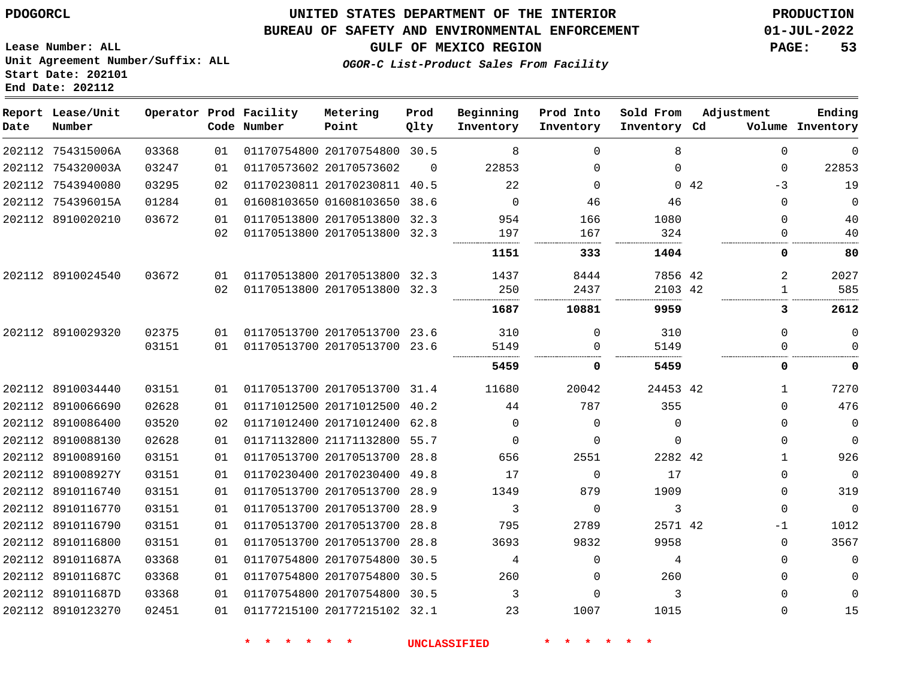**Lease Number: ALL**

**Start Date: 202101 End Date: 202112**

## **UNITED STATES DEPARTMENT OF THE INTERIOR PDOGORCL PRODUCTION**

#### **BUREAU OF SAFETY AND ENVIRONMENTAL ENFORCEMENT 01-JUL-2022**

**Unit Agreement Number/Suffix: ALL**

**GULF OF MEXICO REGION PAGE: 53**

**OGOR-C List-Product Sales From Facility**

| Date | Report Lease/Unit<br>Number |       |    | Operator Prod Facility<br>Code Number | Metering<br>Point            | Prod<br>Qlty | Beginning<br>Inventory | Prod Into<br>Inventory | Sold From<br>Inventory Cd | Adjustment   | Ending<br>Volume Inventory |
|------|-----------------------------|-------|----|---------------------------------------|------------------------------|--------------|------------------------|------------------------|---------------------------|--------------|----------------------------|
|      | 202112 754315006A           | 03368 | 01 |                                       | 01170754800 20170754800 30.5 |              | 8                      | $\Omega$               | 8                         | $\Omega$     | 0                          |
|      | 202112 754320003A           | 03247 | 01 |                                       | 01170573602 20170573602      | $\Omega$     | 22853                  | $\Omega$               | $\Omega$                  | $\Omega$     | 22853                      |
|      | 202112 7543940080           | 03295 | 02 |                                       | 01170230811 20170230811 40.5 |              | 22                     | $\Omega$               | $\Omega$                  | 42<br>-3     | 19                         |
|      | 202112 754396015A           | 01284 | 01 |                                       | 01608103650 01608103650      | 38.6         | $\Omega$               | 46                     | 46                        | $\Omega$     | $\overline{0}$             |
|      | 202112 8910020210           | 03672 | 01 |                                       | 01170513800 20170513800 32.3 |              | 954                    | 166                    | 1080                      | $\Omega$     | 40                         |
|      |                             |       | 02 |                                       | 01170513800 20170513800 32.3 |              | 197                    | 167                    | 324                       | $\Omega$     | 40                         |
|      |                             |       |    |                                       |                              |              | 1151                   | 333                    | 1404                      | 0            | 80                         |
|      | 202112 8910024540           | 03672 | 01 |                                       | 01170513800 20170513800 32.3 |              | 1437                   | 8444                   | 7856 42                   | 2            | 2027                       |
|      |                             |       | 02 |                                       | 01170513800 20170513800 32.3 |              | 250                    | 2437                   | 2103 42                   | $\mathbf{1}$ | 585                        |
|      |                             |       |    |                                       |                              |              | 1687                   | 10881                  | 9959                      | 3            | 2612                       |
|      | 202112 8910029320           | 02375 | 01 |                                       | 01170513700 20170513700 23.6 |              | 310                    | $\Omega$               | 310                       | $\Omega$     | $\Omega$                   |
|      |                             | 03151 | 01 |                                       | 01170513700 20170513700 23.6 |              | 5149                   | $\Omega$               | 5149                      | $\Omega$     | $\Omega$                   |
|      |                             |       |    |                                       |                              |              | 5459                   | 0                      | 5459                      | 0            | 0                          |
|      | 202112 8910034440           | 03151 | 01 |                                       | 01170513700 20170513700 31.4 |              | 11680                  | 20042                  | 24453 42                  | 1            | 7270                       |
|      | 202112 8910066690           | 02628 | 01 |                                       | 01171012500 20171012500 40.2 |              | 44                     | 787                    | 355                       | 0            | 476                        |
|      | 202112 8910086400           | 03520 | 02 |                                       | 01171012400 20171012400 62.8 |              | $\Omega$               | $\Omega$               | $\Omega$                  | $\Omega$     | $\mathbf 0$                |
|      | 202112 8910088130           | 02628 | 01 |                                       | 01171132800 21171132800 55.7 |              | 0                      | $\Omega$               | $\Omega$                  | 0            | $\overline{0}$             |
|      | 202112 8910089160           | 03151 | 01 |                                       | 01170513700 20170513700 28.8 |              | 656                    | 2551                   | 2282 42                   | 1            | 926                        |
|      | 202112 891008927Y           | 03151 | 01 |                                       | 01170230400 20170230400 49.8 |              | 17                     | 0                      | 17                        | 0            | $\overline{0}$             |
|      | 202112 8910116740           | 03151 | 01 |                                       | 01170513700 20170513700 28.9 |              | 1349                   | 879                    | 1909                      | $\Omega$     | 319                        |
|      | 202112 8910116770           | 03151 | 01 |                                       | 01170513700 20170513700 28.9 |              | 3                      | $\Omega$               | 3                         | $\Omega$     | $\Omega$                   |
|      | 202112 8910116790           | 03151 | 01 |                                       | 01170513700 20170513700 28.8 |              | 795                    | 2789                   | 2571 42                   | $-1$         | 1012                       |
|      | 202112 8910116800           | 03151 | 01 |                                       | 01170513700 20170513700 28.8 |              | 3693                   | 9832                   | 9958                      | $\Omega$     | 3567                       |
|      | 202112 891011687A           | 03368 | 01 |                                       | 01170754800 20170754800 30.5 |              | 4                      | $\Omega$               | 4                         | $\Omega$     | $\Omega$                   |
|      | 202112 891011687C           | 03368 | 01 |                                       | 01170754800 20170754800 30.5 |              | 260                    | $\Omega$               | 260                       | $\Omega$     | $\mathbf 0$                |
|      | 202112 891011687D           | 03368 | 01 |                                       | 01170754800 20170754800 30.5 |              | 3                      | $\Omega$               | 3                         | 0            | $\mathbf{0}$               |
|      | 202112 8910123270           | 02451 | 01 |                                       | 01177215100 20177215102 32.1 |              | 23                     | 1007                   | 1015                      | 0            | 15                         |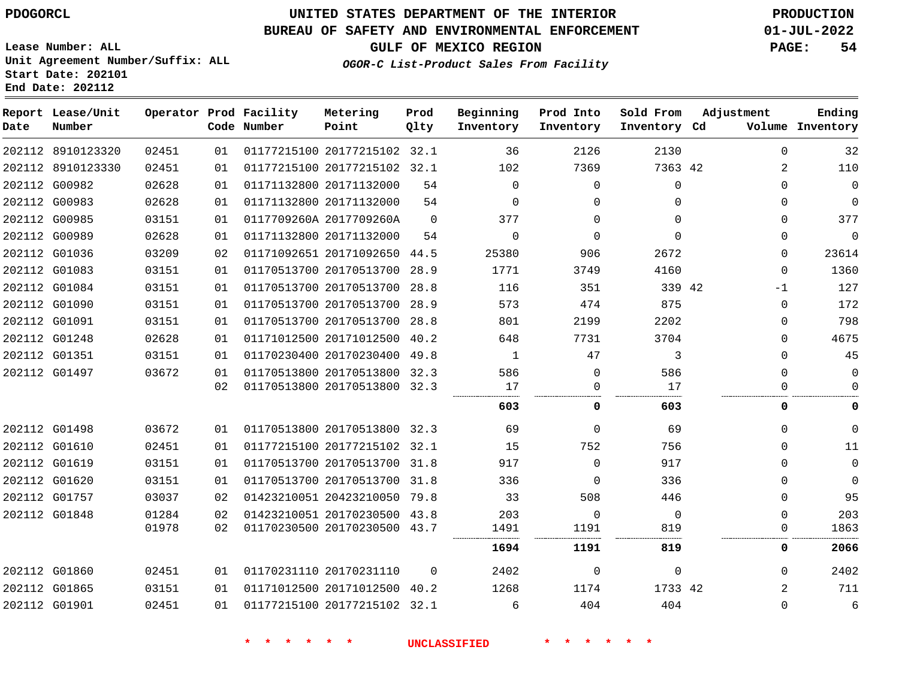**Start Date: 202101 End Date: 202112**

# **UNITED STATES DEPARTMENT OF THE INTERIOR PDOGORCL PRODUCTION**

#### **BUREAU OF SAFETY AND ENVIRONMENTAL ENFORCEMENT 01-JUL-2022**

**Lease Number: ALL Unit Agreement Number/Suffix: ALL**

**GULF OF MEXICO REGION PAGE: 54**

**OGOR-C List-Product Sales From Facility**

| Date          | Report Lease/Unit<br>Number |       |    | Operator Prod Facility<br>Code Number | Metering<br>Point            | Prod<br>Qlty | Beginning<br>Inventory | Prod Into<br>Inventory | Sold From<br>Inventory Cd | Adjustment     | Ending<br>Volume Inventory |
|---------------|-----------------------------|-------|----|---------------------------------------|------------------------------|--------------|------------------------|------------------------|---------------------------|----------------|----------------------------|
|               | 202112 8910123320           | 02451 | 01 |                                       | 01177215100 20177215102 32.1 |              | 36                     | 2126                   | 2130                      | 0              | 32                         |
|               | 202112 8910123330           | 02451 | 01 |                                       | 01177215100 20177215102 32.1 |              | 102                    | 7369                   | 7363 42                   | 2              | 110                        |
|               | 202112 G00982               | 02628 | 01 |                                       | 01171132800 20171132000      | 54           | $\Omega$               | $\Omega$               | $\Omega$                  | $\Omega$       | $\mathbf 0$                |
|               | 202112 G00983               | 02628 | 01 |                                       | 01171132800 20171132000      | 54           | $\Omega$               | $\Omega$               | $\Omega$                  | $\Omega$       | $\mathbf 0$                |
|               | 202112 G00985               | 03151 | 01 |                                       | 0117709260A 2017709260A      | $\Omega$     | 377                    | $\Omega$               | $\Omega$                  | 0              | 377                        |
| 202112 G00989 |                             | 02628 | 01 |                                       | 01171132800 20171132000      | 54           | $\Omega$               | $\Omega$               | $\Omega$                  | 0              | $\mathbf 0$                |
|               | 202112 G01036               | 03209 | 02 |                                       | 01171092651 20171092650      | 44.5         | 25380                  | 906                    | 2672                      | $\Omega$       | 23614                      |
|               | 202112 G01083               | 03151 | 01 |                                       | 01170513700 20170513700 28.9 |              | 1771                   | 3749                   | 4160                      | $\Omega$       | 1360                       |
|               | 202112 G01084               | 03151 | 01 |                                       | 01170513700 20170513700      | 28.8         | 116                    | 351                    | 339 42                    | $-1$           | 127                        |
|               | 202112 G01090               | 03151 | 01 |                                       | 01170513700 20170513700      | 28.9         | 573                    | 474                    | 875                       | $\Omega$       | 172                        |
| 202112 G01091 |                             | 03151 | 01 |                                       | 01170513700 20170513700      | 28.8         | 801                    | 2199                   | 2202                      | $\Omega$       | 798                        |
|               | 202112 G01248               | 02628 | 01 |                                       | 01171012500 20171012500      | 40.2         | 648                    | 7731                   | 3704                      | 0              | 4675                       |
| 202112 G01351 |                             | 03151 | 01 |                                       | 01170230400 20170230400      | 49.8         | 1                      | 47                     | 3                         | $\Omega$       | 45                         |
|               | 202112 G01497               | 03672 | 01 |                                       | 01170513800 20170513800 32.3 |              | 586                    | $\mathbf 0$            | 586                       | 0              | $\mathbf 0$                |
|               |                             |       | 02 |                                       | 01170513800 20170513800 32.3 |              | 17                     | $\mathbf 0$            | 17                        | 0              | $\Omega$                   |
|               |                             |       |    |                                       |                              |              | 603                    | 0                      | 603                       | 0              | 0                          |
| 202112 G01498 |                             | 03672 | 01 |                                       | 01170513800 20170513800 32.3 |              | 69                     | $\Omega$               | 69                        | $\Omega$       | $\mathbf 0$                |
|               | 202112 G01610               | 02451 | 01 |                                       | 01177215100 20177215102 32.1 |              | 15                     | 752                    | 756                       | $\Omega$       | 11                         |
|               | 202112 G01619               | 03151 | 01 |                                       | 01170513700 20170513700 31.8 |              | 917                    | $\Omega$               | 917                       | 0              | $\mathbf 0$                |
| 202112 G01620 |                             | 03151 | 01 |                                       | 01170513700 20170513700 31.8 |              | 336                    | $\Omega$               | 336                       | $\Omega$       | $\mathbf 0$                |
|               | 202112 G01757               | 03037 | 02 |                                       | 01423210051 20423210050 79.8 |              | 33                     | 508                    | 446                       | $\Omega$       | 95                         |
|               | 202112 G01848               | 01284 | 02 |                                       | 01423210051 20170230500 43.8 |              | 203                    | $\Omega$               | $\Omega$                  | 0              | 203                        |
|               |                             | 01978 | 02 |                                       | 01170230500 20170230500 43.7 |              | 1491                   | 1191                   | 819                       | 0              | 1863                       |
|               |                             |       |    |                                       |                              |              | 1694                   | 1191                   | 819                       | 0              | 2066                       |
|               | 202112 G01860               | 02451 | 01 |                                       | 01170231110 20170231110      | $\Omega$     | 2402                   | $\Omega$               | $\Omega$                  | $\Omega$       | 2402                       |
| 202112 G01865 |                             | 03151 | 01 |                                       | 01171012500 20171012500      | 40.2         | 1268                   | 1174                   | 1733 42                   | $\overline{2}$ | 711                        |
|               | 202112 G01901               | 02451 | 01 |                                       | 01177215100 20177215102 32.1 |              | 6                      | 404                    | 404                       | $\Omega$       | 6                          |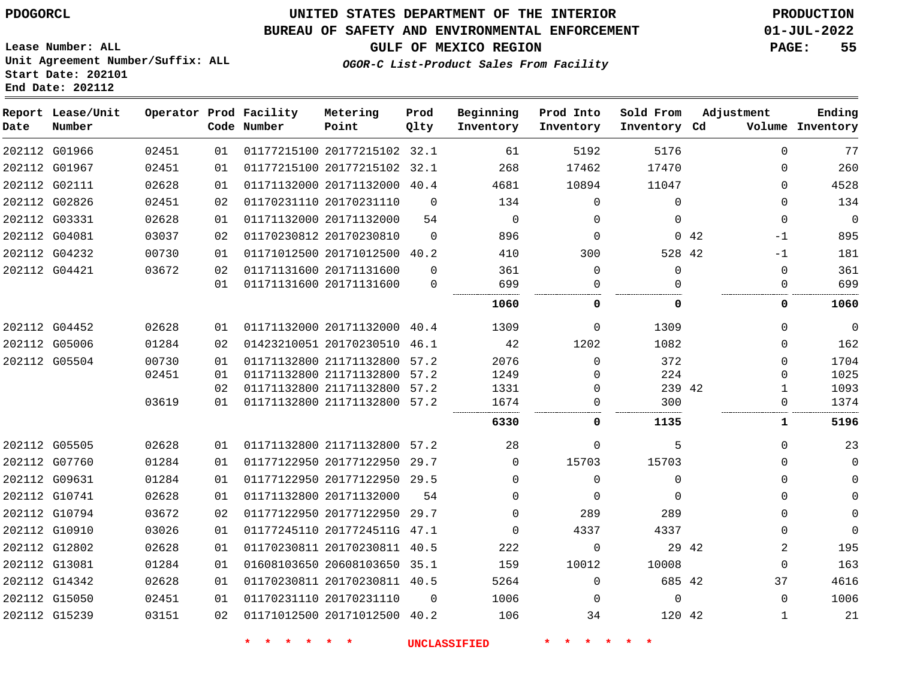**Report Lease/Unit**

**Number**

G15239

## **UNITED STATES DEPARTMENT OF THE INTERIOR PDOGORCL PRODUCTION**

**Prod Qlty**

#### **BUREAU OF SAFETY AND ENVIRONMENTAL ENFORCEMENT 01-JUL-2022**

**OGOR-C List-Product Sales From Facility**

**Beginning Inventory**

**Prod Into Inventory**

**Sold From Inventory**

**Adjustment**

**GULF OF MEXICO REGION PAGE: 55**

**Ending**

**Lease Number: ALL Unit Agreement Number/Suffix: ALL Start Date: 202101 End Date: 202112**

**Operator Prod Facility**

| Date | Number        |       |    | Code Number | Point                        | Qlty        | Inventory | Inventory    | Inventory Cd |             |             | Volume Inventory |
|------|---------------|-------|----|-------------|------------------------------|-------------|-----------|--------------|--------------|-------------|-------------|------------------|
|      | 202112 G01966 | 02451 | 01 |             | 01177215100 20177215102 32.1 |             | 61        | 5192         | 5176         |             | $\Omega$    | 77               |
|      | 202112 G01967 | 02451 | 01 |             | 01177215100 20177215102 32.1 |             | 268       | 17462        | 17470        |             | 0           | 260              |
|      | 202112 G02111 | 02628 | 01 |             | 01171132000 20171132000 40.4 |             | 4681      | 10894        | 11047        |             | 0           | 4528             |
|      | 202112 G02826 | 02451 | 02 |             | 01170231110 20170231110      | $\Omega$    | 134       | $\Omega$     | $\Omega$     |             | $\Omega$    | 134              |
|      | 202112 G03331 | 02628 | 01 |             | 01171132000 20171132000      | 54          | $\Omega$  | 0            | $\Omega$     |             | $\mathbf 0$ | $\mathbf 0$      |
|      | 202112 G04081 | 03037 | 02 |             | 01170230812 20170230810      | $\Omega$    | 896       | $\Omega$     |              | $0\quad 42$ | -1          | 895              |
|      | 202112 G04232 | 00730 | 01 |             | 01171012500 20171012500 40.2 |             | 410       | 300          | 528 42       |             | $-1$        | 181              |
|      | 202112 G04421 | 03672 | 02 |             | 01171131600 20171131600      | $\Omega$    | 361       | $\Omega$     | $\Omega$     |             | $\mathbf 0$ | 361              |
|      |               |       | 01 |             | 01171131600 20171131600      | $\mathbf 0$ | 699       | 0            | 0            |             | $\mathbf 0$ | 699              |
|      |               |       |    |             |                              |             | 1060      | 0            | 0            |             | 0           | 1060             |
|      | 202112 G04452 | 02628 | 01 |             | 01171132000 20171132000 40.4 |             | 1309      | $\mathbf{0}$ | 1309         |             | $\Omega$    | $\mathbf 0$      |
|      | 202112 G05006 | 01284 | 02 |             | 01423210051 20170230510 46.1 |             | 42        | 1202         | 1082         |             | 0           | 162              |
|      | 202112 G05504 | 00730 | 01 |             | 01171132800 21171132800 57.2 |             | 2076      | $\Omega$     | 372          |             | $\Omega$    | 1704             |
|      |               | 02451 | 01 |             | 01171132800 21171132800 57.2 |             | 1249      | 0            | 224          |             | $\Omega$    | 1025             |
|      |               |       | 02 |             | 01171132800 21171132800 57.2 |             | 1331      | 0            | 239 42       |             | 1           | 1093             |
|      |               | 03619 | 01 |             | 01171132800 21171132800 57.2 |             | 1674      |              | 300          |             | 0           | 1374             |
|      |               |       |    |             |                              |             | 6330      | 0            | 1135         |             | 1           | 5196             |
|      | 202112 G05505 | 02628 | 01 |             | 01171132800 21171132800 57.2 |             | 28        | 0            | 5            |             | $\Omega$    | 23               |
|      | 202112 G07760 | 01284 | 01 |             | 01177122950 20177122950 29.7 |             | $\Omega$  | 15703        | 15703        |             | $\Omega$    | 0                |
|      | 202112 G09631 | 01284 | 01 |             | 01177122950 20177122950 29.5 |             | $\Omega$  | $\mathbf{0}$ | 0            |             | $\Omega$    | 0                |
|      | 202112 G10741 | 02628 | 01 |             | 01171132800 20171132000      | 54          | $\Omega$  | $\Omega$     | $\Omega$     |             | $\Omega$    | $\Omega$         |
|      | 202112 G10794 | 03672 | 02 |             | 01177122950 20177122950 29.7 |             | $\Omega$  | 289          | 289          |             | $\Omega$    | $\mathbf 0$      |
|      | 202112 G10910 | 03026 | 01 |             | 01177245110 2017724511G 47.1 |             | $\Omega$  | 4337         | 4337         |             | $\Omega$    | $\mathbf 0$      |
|      | 202112 G12802 | 02628 | 01 |             | 01170230811 20170230811 40.5 |             | 222       | 0            |              | 29 42       | 2           | 195              |
|      | 202112 G13081 | 01284 | 01 |             | 01608103650 20608103650 35.1 |             | 159       | 10012        | 10008        |             | $\Omega$    | 163              |
|      | 202112 G14342 | 02628 | 01 |             | 01170230811 20170230811 40.5 |             | 5264      | $\Omega$     | 685 42       |             | 37          | 4616             |
|      | 202112 G15050 | 02451 | 01 |             | 01170231110 20170231110      | $\Omega$    | 1006      | $\Omega$     | $\Omega$     |             | $\Omega$    | 1006             |

**Metering Point**

**\* \* \* \* \* \* UNCLASSIFIED \* \* \* \* \* \***

42

20171012500 40.2